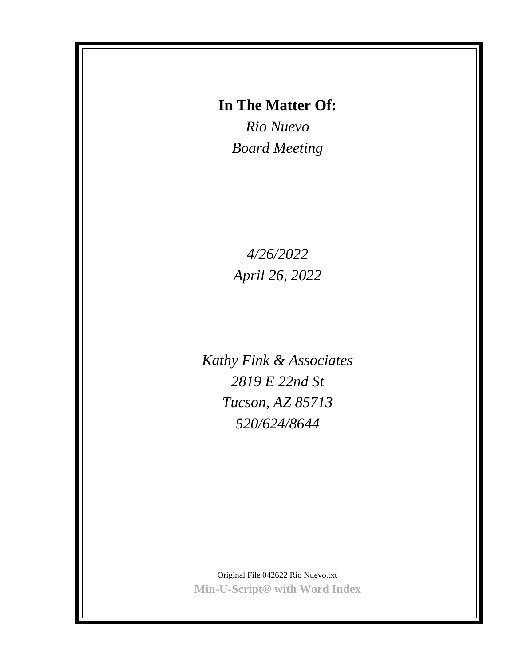# **In The Matter Of:**

*Rio Nuevo Board Meeting*

*4/26/2022 April 26, 2022*

*Kathy Fink & Associates 2819 E 22nd St Tucson, AZ 85713 520/624/8644*

Original File 042622 Rio Nuevo.txt **Min-U-Script® with Word Index**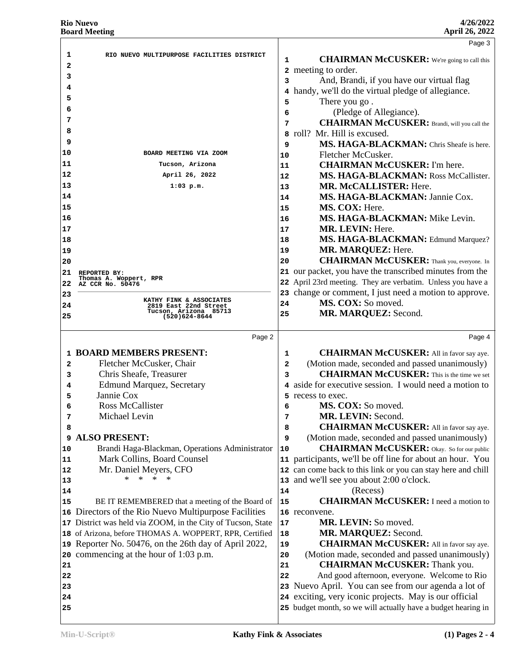|                      |                                                             |                         | Page 3                                                                                                                  |  |
|----------------------|-------------------------------------------------------------|-------------------------|-------------------------------------------------------------------------------------------------------------------------|--|
| 1                    | RIO NUEVO MULTIPURPOSE FACILITIES DISTRICT                  |                         |                                                                                                                         |  |
| 2                    |                                                             | 1                       | <b>CHAIRMAN McCUSKER:</b> We're going to call this                                                                      |  |
| з                    |                                                             | 2                       | meeting to order.                                                                                                       |  |
| 4                    |                                                             | 3                       | And, Brandi, if you have our virtual flag                                                                               |  |
| 5                    |                                                             | 4                       | handy, we'll do the virtual pledge of allegiance.                                                                       |  |
| 6                    |                                                             | 5                       | There you go.                                                                                                           |  |
| 7                    |                                                             | 6                       | (Pledge of Allegiance).                                                                                                 |  |
| 8                    |                                                             | 7                       | <b>CHAIRMAN McCUSKER:</b> Brandi, will you call the                                                                     |  |
| 9                    |                                                             | 8                       | roll? Mr. Hill is excused.                                                                                              |  |
| 10                   | BOARD MEETING VIA ZOOM                                      | 9                       | MS. HAGA-BLACKMAN: Chris Sheafe is here.                                                                                |  |
| 11                   | Tucson, Arizona                                             | 10                      | Fletcher McCusker.                                                                                                      |  |
| 12                   | April 26, 2022                                              | 11                      | <b>CHAIRMAN McCUSKER:</b> I'm here.                                                                                     |  |
| 13                   |                                                             | 12                      | MS. HAGA-BLACKMAN: Ross McCallister.                                                                                    |  |
| 14                   | $1:03$ p.m.                                                 | 13                      | MR. McCALLISTER: Here.                                                                                                  |  |
|                      |                                                             | 14                      | MS. HAGA-BLACKMAN: Jannie Cox.<br>MS. COX: Here.                                                                        |  |
| 15                   |                                                             | 15                      | MS. HAGA-BLACKMAN: Mike Levin.                                                                                          |  |
| 16                   |                                                             | 16                      | MR. LEVIN: Here.                                                                                                        |  |
| 17                   |                                                             | 17                      | MS. HAGA-BLACKMAN: Edmund Marquez?                                                                                      |  |
| 18                   |                                                             | 18                      | MR. MARQUEZ: Here.                                                                                                      |  |
| 19                   |                                                             | 19                      | <b>CHAIRMAN McCUSKER:</b> Thank you, everyone. In                                                                       |  |
| 20                   |                                                             | 20<br>21                | our packet, you have the transcribed minutes from the                                                                   |  |
| 21                   | REPORTED BY:<br>Thomas A. Woppert, RPR                      |                         | 22 April 23rd meeting. They are verbatim. Unless you have a                                                             |  |
| 22                   | AZ CCR No. 50476                                            | 23                      | change or comment, I just need a motion to approve.                                                                     |  |
| 23                   | KATHY FINK & ASSOCIATES                                     | 24                      | MS. COX: So moved.                                                                                                      |  |
| 24                   | 2819 East 22nd Street<br>Tucson, Arizona 85713              | 25                      | MR. MARQUEZ: Second.                                                                                                    |  |
| 25                   | (520)624-8644                                               |                         |                                                                                                                         |  |
|                      |                                                             |                         |                                                                                                                         |  |
|                      | Page 2                                                      |                         | Page 4                                                                                                                  |  |
|                      | <b>1 BOARD MEMBERS PRESENT:</b>                             | 1                       |                                                                                                                         |  |
| 2                    |                                                             | $\overline{\mathbf{2}}$ | <b>CHAIRMAN McCUSKER:</b> All in favor say aye.                                                                         |  |
| з                    | Fletcher McCusker, Chair<br>Chris Sheafe, Treasurer         | 3                       | (Motion made, seconded and passed unanimously)<br><b>CHAIRMAN McCUSKER:</b> This is the time we set                     |  |
| 4                    |                                                             | 4                       | aside for executive session. I would need a motion to                                                                   |  |
| 5                    | <b>Edmund Marquez, Secretary</b><br>Jannie Cox              | 5                       | recess to exec.                                                                                                         |  |
| 6                    | <b>Ross McCallister</b>                                     | 6                       | MS. COX: So moved.                                                                                                      |  |
| 7                    | Michael Levin                                               | 7                       | MR. LEVIN: Second.                                                                                                      |  |
| 8                    |                                                             | 8                       | <b>CHAIRMAN McCUSKER:</b> All in favor say aye.                                                                         |  |
| 9                    | <b>ALSO PRESENT:</b>                                        | 9                       | (Motion made, seconded and passed unanimously)                                                                          |  |
|                      | Brandi Haga-Blackman, Operations Administrator              | 10                      | <b>CHAIRMAN McCUSKER:</b> Okay. So for our public                                                                       |  |
|                      | Mark Collins, Board Counsel                                 | 11                      | participants, we'll be off line for about an hour. You                                                                  |  |
|                      | Mr. Daniel Meyers, CFO                                      |                         | 12 can come back to this link or you can stay here and chill                                                            |  |
|                      | $\ast$<br>$\ast$<br>∗<br>$\ast$                             | 13                      | and we'll see you about 2:00 o'clock.                                                                                   |  |
|                      |                                                             | 14                      | (Recess)                                                                                                                |  |
| 10                   | BE IT REMEMBERED that a meeting of the Board of             | 15                      | <b>CHAIRMAN McCUSKER:</b> I need a motion to                                                                            |  |
|                      | 16 Directors of the Rio Nuevo Multipurpose Facilities       |                         | 16 reconvene.                                                                                                           |  |
|                      | 17 District was held via ZOOM, in the City of Tucson, State | 17                      | MR. LEVIN: So moved.                                                                                                    |  |
|                      | 18 of Arizona, before THOMAS A. WOPPERT, RPR, Certified     | 18                      | MR. MARQUEZ: Second.                                                                                                    |  |
|                      | 19 Reporter No. 50476, on the 26th day of April 2022,       | 19                      | <b>CHAIRMAN McCUSKER:</b> All in favor say aye.                                                                         |  |
|                      | 20 commencing at the hour of 1:03 p.m.                      | 20                      | (Motion made, seconded and passed unanimously)                                                                          |  |
| 11<br>12<br>13<br>14 |                                                             | 21                      | <b>CHAIRMAN McCUSKER:</b> Thank you.                                                                                    |  |
| 22                   |                                                             | 22                      | And good afternoon, everyone. Welcome to Rio                                                                            |  |
| 15<br>21<br>23       |                                                             |                         | 23 Nuevo April. You can see from our agenda a lot of                                                                    |  |
| 24                   |                                                             |                         | 24 exciting, very iconic projects. May is our official<br>25 budget month, so we will actually have a budget hearing in |  |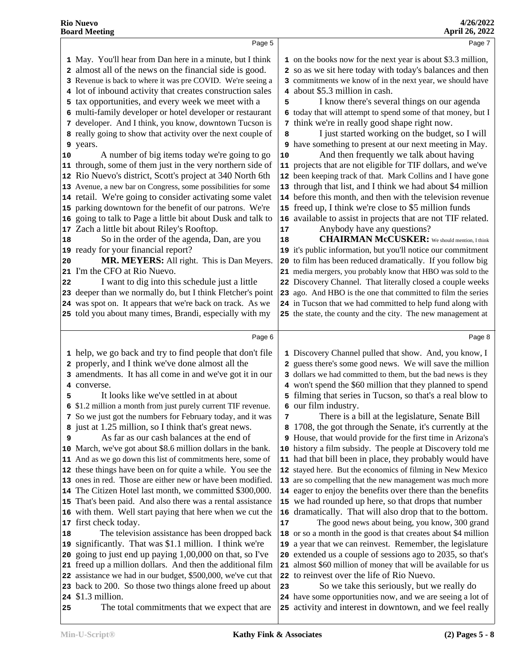| Page 5                                                                                                                                                                                                                                                                                                                                                                                                                                                                                                                                                                                                                                                                                                                                                                                                                                                                                                                                                                                                                                                                                                                                                                                                                                                                                                                                                                                                                                 | Page 7                                                                                                                                                                                                                                                                                                                                                                                                                                                                                                                                                                                                                                                                                                                                                                                                                                                                                                                                                                                                                                                                                                                                                                                                                                                                                                                                                                                                                                                                                                                            |
|----------------------------------------------------------------------------------------------------------------------------------------------------------------------------------------------------------------------------------------------------------------------------------------------------------------------------------------------------------------------------------------------------------------------------------------------------------------------------------------------------------------------------------------------------------------------------------------------------------------------------------------------------------------------------------------------------------------------------------------------------------------------------------------------------------------------------------------------------------------------------------------------------------------------------------------------------------------------------------------------------------------------------------------------------------------------------------------------------------------------------------------------------------------------------------------------------------------------------------------------------------------------------------------------------------------------------------------------------------------------------------------------------------------------------------------|-----------------------------------------------------------------------------------------------------------------------------------------------------------------------------------------------------------------------------------------------------------------------------------------------------------------------------------------------------------------------------------------------------------------------------------------------------------------------------------------------------------------------------------------------------------------------------------------------------------------------------------------------------------------------------------------------------------------------------------------------------------------------------------------------------------------------------------------------------------------------------------------------------------------------------------------------------------------------------------------------------------------------------------------------------------------------------------------------------------------------------------------------------------------------------------------------------------------------------------------------------------------------------------------------------------------------------------------------------------------------------------------------------------------------------------------------------------------------------------------------------------------------------------|
| 1 May. You'll hear from Dan here in a minute, but I think<br>2 almost all of the news on the financial side is good.<br>3 Revenue is back to where it was pre COVID. We're seeing a<br>4 lot of inbound activity that creates construction sales<br>5 tax opportunities, and every week we meet with a<br>6 multi-family developer or hotel developer or restaurant<br>7 developer. And I think, you know, downtown Tucson is<br>8 really going to show that activity over the next couple of<br>9 years.<br>A number of big items today we're going to go<br>10<br>11 through, some of them just in the very northern side of<br>12 Rio Nuevo's district, Scott's project at 340 North 6th<br>13 Avenue, a new bar on Congress, some possibilities for some<br>14 retail. We're going to consider activating some valet<br>15 parking downtown for the benefit of our patrons. We're<br>16 going to talk to Page a little bit about Dusk and talk to<br>17 Zach a little bit about Riley's Rooftop.<br>So in the order of the agenda, Dan, are you<br>18<br>19 ready for your financial report?<br>MR. MEYERS: All right. This is Dan Meyers.<br>20<br>21 I'm the CFO at Rio Nuevo.<br>I want to dig into this schedule just a little<br>22<br>23 deeper than we normally do, but I think Fletcher's point<br>24 was spot on. It appears that we're back on track. As we<br>25 told you about many times, Brandi, especially with my  | 1 on the books now for the next year is about \$3.3 million,<br>2 so as we sit here today with today's balances and then<br>3 commitments we know of in the next year, we should have<br>4 about \$5.3 million in cash.<br>I know there's several things on our agenda<br>5<br>6 today that will attempt to spend some of that money, but I<br>7 think we're in really good shape right now.<br>I just started working on the budget, so I will<br>8<br><b>9</b> have something to present at our next meeting in May.<br>And then frequently we talk about having<br>10<br>11 projects that are not eligible for TIF dollars, and we've<br>12 been keeping track of that. Mark Collins and I have gone<br>13 through that list, and I think we had about \$4 million<br>14 before this month, and then with the television revenue<br>15 freed up, I think we're close to \$5 million funds<br>16 available to assist in projects that are not TIF related.<br>Anybody have any questions?<br>17<br><b>CHAIRMAN McCUSKER:</b> We should mention, I think<br>18<br>19 it's public information, but you'll notice our commitment<br>20 to film has been reduced dramatically. If you follow big<br>21 media mergers, you probably know that HBO was sold to the<br>22 Discovery Channel. That literally closed a couple weeks<br>23 ago. And HBO is the one that committed to film the series<br>24 in Tucson that we had committed to help fund along with<br>25 the state, the county and the city. The new management at        |
|                                                                                                                                                                                                                                                                                                                                                                                                                                                                                                                                                                                                                                                                                                                                                                                                                                                                                                                                                                                                                                                                                                                                                                                                                                                                                                                                                                                                                                        |                                                                                                                                                                                                                                                                                                                                                                                                                                                                                                                                                                                                                                                                                                                                                                                                                                                                                                                                                                                                                                                                                                                                                                                                                                                                                                                                                                                                                                                                                                                                   |
| Page 6<br>1 help, we go back and try to find people that don't file<br>2 properly, and I think we've done almost all the<br>3 amendments. It has all come in and we've got it in our<br>4 converse.<br>It looks like we've settled in at about<br>5<br>6 \$1.2 million a month from just purely current TIF revenue.<br>7 So we just got the numbers for February today, and it was<br>8 just at 1.25 million, so I think that's great news.<br>As far as our cash balances at the end of<br>9<br>10 March, we've got about \$8.6 million dollars in the bank.<br>11 And as we go down this list of commitments here, some of<br>12 these things have been on for quite a while. You see the<br>13 ones in red. Those are either new or have been modified.<br>14 The Citizen Hotel last month, we committed \$300,000.<br>15 That's been paid. And also there was a rental assistance<br>16 with them. Well start paying that here when we cut the<br>17 first check today.<br>The television assistance has been dropped back<br>18<br>19 significantly. That was \$1.1 million. I think we're<br>20 going to just end up paying $1,00,000$ on that, so I've<br>21 freed up a million dollars. And then the additional film<br>22 assistance we had in our budget, \$500,000, we've cut that<br>23 back to 200. So those two things alone freed up about<br>24 \$1.3 million.<br>The total commitments that we expect that are<br>25 | Page 8<br>1 Discovery Channel pulled that show. And, you know, I<br>2 guess there's some good news. We will save the million<br>3 dollars we had committed to them, but the bad news is they<br>4 won't spend the \$60 million that they planned to spend<br>5 filming that series in Tucson, so that's a real blow to<br>6 our film industry.<br>There is a bill at the legislature, Senate Bill<br>7<br>1708, the got through the Senate, it's currently at the<br>8<br>9 House, that would provide for the first time in Arizona's<br>10 history a film subsidy. The people at Discovery told me<br>11 had that bill been in place, they probably would have<br>12 stayed here. But the economics of filming in New Mexico<br>13 are so compelling that the new management was much more<br>14 eager to enjoy the benefits over there than the benefits<br>15 we had rounded up here, so that drops that number<br>16 dramatically. That will also drop that to the bottom.<br>The good news about being, you know, 300 grand<br>17<br>18 or so a month in the good is that creates about \$4 million<br>19 a year that we can reinvest. Remember, the legislature<br>20 extended us a couple of sessions ago to 2035, so that's<br>21 almost \$60 million of money that will be available for us<br>22 to reinvest over the life of Rio Nuevo.<br>So we take this seriously, but we really do<br>23<br>24 have some opportunities now, and we are seeing a lot of<br>25 activity and interest in downtown, and we feel really |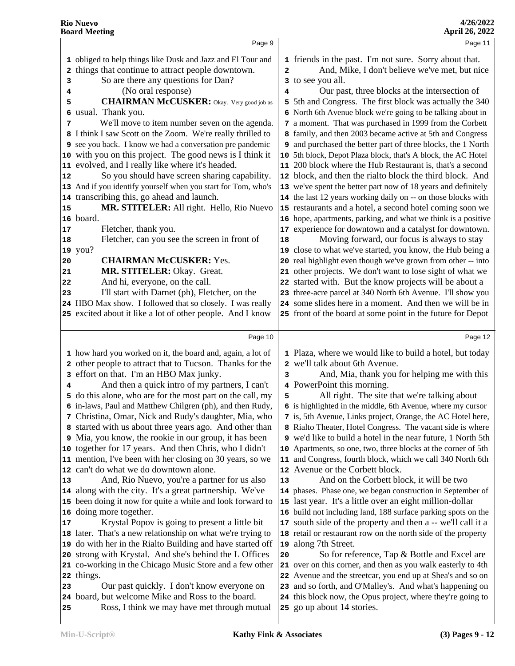|          | Page 9                                                                                                        |                         | Page 11                                                                                                                     |  |
|----------|---------------------------------------------------------------------------------------------------------------|-------------------------|-----------------------------------------------------------------------------------------------------------------------------|--|
|          | 1 obliged to help things like Dusk and Jazz and El Tour and                                                   |                         | 1 friends in the past. I'm not sure. Sorry about that.                                                                      |  |
| 2        | things that continue to attract people downtown.                                                              | $\overline{\mathbf{2}}$ | And, Mike, I don't believe we've met, but nice                                                                              |  |
| 3        | So are there any questions for Dan?                                                                           |                         | 3 to see you all.                                                                                                           |  |
| 4        | (No oral response)                                                                                            | 4                       | Our past, three blocks at the intersection of                                                                               |  |
| 5        | <b>CHAIRMAN McCUSKER:</b> Okay. Very good job as                                                              |                         | 5 5th and Congress. The first block was actually the 340                                                                    |  |
| 6        | usual. Thank you.                                                                                             |                         | 6 North 6th Avenue block we're going to be talking about in                                                                 |  |
| 7        | We'll move to item number seven on the agenda.                                                                |                         | 7 a moment. That was purchased in 1999 from the Corbett                                                                     |  |
| 8        | I think I saw Scott on the Zoom. We're really thrilled to                                                     |                         | 8 family, and then 2003 became active at 5th and Congress                                                                   |  |
|          | 9 see you back. I know we had a conversation pre pandemic                                                     |                         | 9 and purchased the better part of three blocks, the 1 North                                                                |  |
| 10       | with you on this project. The good news is I think it                                                         |                         | 10 5th block, Depot Plaza block, that's A block, the AC Hotel                                                               |  |
| 11       | evolved, and I really like where it's headed.                                                                 |                         | 11 200 block where the Hub Restaurant is, that's a second                                                                   |  |
| 12       | So you should have screen sharing capability.                                                                 |                         | 12 block, and then the rialto block the third block. And                                                                    |  |
| 13       | And if you identify yourself when you start for Tom, who's                                                    |                         | 13 we've spent the better part now of 18 years and definitely                                                               |  |
| 14       | transcribing this, go ahead and launch.                                                                       |                         | 14 the last 12 years working daily on -- on those blocks with                                                               |  |
| 15       | MR. STITELER: All right. Hello, Rio Nuevo                                                                     |                         | 15 restaurants and a hotel, a second hotel coming soon we                                                                   |  |
|          | 16 board.                                                                                                     |                         | 16 hope, apartments, parking, and what we think is a positive                                                               |  |
| 17       | Fletcher, thank you.                                                                                          |                         | 17 experience for downtown and a catalyst for downtown.                                                                     |  |
| 18       | Fletcher, can you see the screen in front of                                                                  | 18                      | Moving forward, our focus is always to stay                                                                                 |  |
| 20       | 19 you?<br><b>CHAIRMAN McCUSKER: Yes.</b>                                                                     | 19<br>20                | close to what we've started, you know, the Hub being a<br>real highlight even though we've grown from other -- into         |  |
| 21       | MR. STITELER: Okay. Great.                                                                                    |                         | 21 other projects. We don't want to lose sight of what we                                                                   |  |
| 22       | And hi, everyone, on the call.                                                                                |                         | 22 started with. But the know projects will be about a                                                                      |  |
| 23       | I'll start with Darnet (ph), Fletcher, on the                                                                 |                         | 23 three-acre parcel at 340 North 6th Avenue. I'll show you                                                                 |  |
| 24       | HBO Max show. I followed that so closely. I was really                                                        |                         | 24 some slides here in a moment. And then we will be in                                                                     |  |
|          | 25 excited about it like a lot of other people. And I know                                                    |                         | 25 front of the board at some point in the future for Depot                                                                 |  |
|          |                                                                                                               |                         |                                                                                                                             |  |
|          | Page 10                                                                                                       |                         | Page 12                                                                                                                     |  |
|          | 1 how hard you worked on it, the board and, again, a lot of                                                   |                         | 1 Plaza, where we would like to build a hotel, but today                                                                    |  |
| 2        | other people to attract that to Tucson. Thanks for the                                                        |                         | 2 we'll talk about 6th Avenue.                                                                                              |  |
| 3        | effort on that. I'm an HBO Max junky.                                                                         | 3                       | And, Mia, thank you for helping me with this                                                                                |  |
| 4        | And then a quick intro of my partners, I can't                                                                |                         | 4 PowerPoint this morning.                                                                                                  |  |
|          | 5 do this alone, who are for the most part on the call, my                                                    | 5                       | All right. The site that we're talking about                                                                                |  |
|          | 6 in-laws, Paul and Matthew Chilgren (ph), and then Rudy,                                                     |                         | 6 is highlighted in the middle, 6th Avenue, where my cursor                                                                 |  |
|          | 7 Christina, Omar, Nick and Rudy's daughter, Mia, who                                                         |                         | 7 is, 5th Avenue, Links project, Orange, the AC Hotel here,                                                                 |  |
|          | 8 started with us about three years ago. And other than                                                       |                         | 8 Rialto Theater, Hotel Congress. The vacant side is where                                                                  |  |
|          | <b>9</b> Mia, you know, the rookie in our group, it has been                                                  |                         | 9 we'd like to build a hotel in the near future, 1 North 5th                                                                |  |
| 10       | together for 17 years. And then Chris, who I didn't<br>mention, I've been with her closing on 30 years, so we |                         | 10 Apartments, so one, two, three blocks at the corner of 5th<br>11 and Congress, fourth block, which we call 340 North 6th |  |
| 11<br>12 | can't do what we do downtown alone.                                                                           |                         | 12 Avenue or the Corbett block.                                                                                             |  |
| 13       | And, Rio Nuevo, you're a partner for us also                                                                  | 13                      | And on the Corbett block, it will be two                                                                                    |  |
| 14       | along with the city. It's a great partnership. We've                                                          |                         | 14 phases. Phase one, we began construction in September of                                                                 |  |
| 15       | been doing it now for quite a while and look forward to                                                       |                         | 15 last year. It's a little over an eight million-dollar                                                                    |  |
| 16       | doing more together.                                                                                          |                         | 16 build not including land, 188 surface parking spots on the                                                               |  |
| 17       | Krystal Popov is going to present a little bit                                                                |                         | 17 south side of the property and then a -- we'll call it a                                                                 |  |
| 18       | later. That's a new relationship on what we're trying to                                                      |                         | 18 retail or restaurant row on the north side of the property                                                               |  |
| 19       | do with her in the Rialto Building and have started off                                                       |                         | 19 along 7th Street.                                                                                                        |  |
| 20       | strong with Krystal. And she's behind the L Offices                                                           | 20                      | So for reference, Tap & Bottle and Excel are                                                                                |  |
| 21       | co-working in the Chicago Music Store and a few other                                                         |                         | 21 over on this corner, and then as you walk easterly to 4th                                                                |  |
| 22       | things.                                                                                                       |                         | 22 Avenue and the streetcar, you end up at Shea's and so on                                                                 |  |
| 23       | Our past quickly. I don't know everyone on                                                                    |                         | 23 and so forth, and O'Malley's. And what's happening on                                                                    |  |
|          |                                                                                                               |                         |                                                                                                                             |  |
| 24<br>25 | board, but welcome Mike and Ross to the board.<br>Ross, I think we may have met through mutual                |                         | 24 this block now, the Opus project, where they're going to<br>25 go up about 14 stories.                                   |  |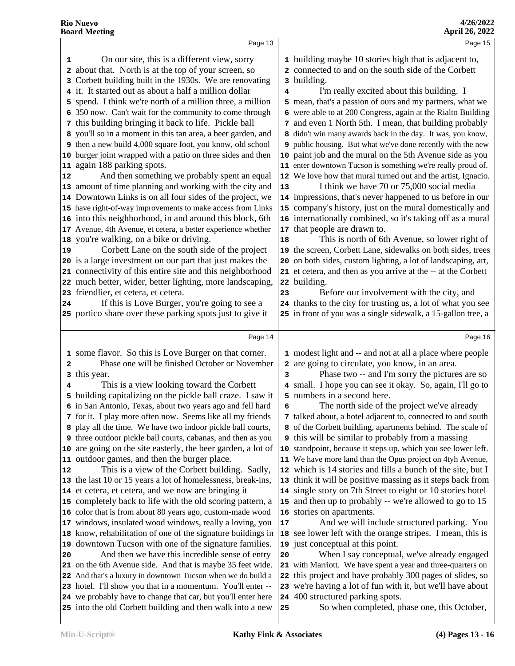| Page 13<br>On our site, this is a different view, sorry<br>1 building maybe 10 stories high that is adjacent to,<br>1<br>2 about that. North is at the top of your screen, so<br>2 connected to and on the south side of the Corbett<br>Corbett building built in the 1930s. We are renovating<br>3 building.<br>3 | Page 15 |
|--------------------------------------------------------------------------------------------------------------------------------------------------------------------------------------------------------------------------------------------------------------------------------------------------------------------|---------|
|                                                                                                                                                                                                                                                                                                                    |         |
|                                                                                                                                                                                                                                                                                                                    |         |
|                                                                                                                                                                                                                                                                                                                    |         |
|                                                                                                                                                                                                                                                                                                                    |         |
| it. It started out as about a half a million dollar<br>I'm really excited about this building. I<br>4                                                                                                                                                                                                              |         |
| 5 spend. I think we're north of a million three, a million<br>5 mean, that's a passion of ours and my partners, what we                                                                                                                                                                                            |         |
| 6 were able to at 200 Congress, again at the Rialto Building<br>6 350 now. Can't wait for the community to come through                                                                                                                                                                                            |         |
| 7 this building bringing it back to life. Pickle ball<br>7 and even 1 North 5th. I mean, that building probably                                                                                                                                                                                                    |         |
| 8 you'll so in a moment in this tan area, a beer garden, and<br>8 didn't win many awards back in the day. It was, you know,                                                                                                                                                                                        |         |
| 9 then a new build 4,000 square foot, you know, old school<br>9 public housing. But what we've done recently with the new                                                                                                                                                                                          |         |
| 10 burger joint wrapped with a patio on three sides and then<br>10 paint job and the mural on the 5th Avenue side as you                                                                                                                                                                                           |         |
| 11 again 188 parking spots.<br>11 enter downtown Tucson is something we're really proud of.                                                                                                                                                                                                                        |         |
| And then something we probably spent an equal<br>12 We love how that mural turned out and the artist, Ignacio.<br>12                                                                                                                                                                                               |         |
| 13 amount of time planning and working with the city and<br>I think we have 70 or 75,000 social media<br>13                                                                                                                                                                                                        |         |
| 14 Downtown Links is on all four sides of the project, we<br>14 impressions, that's never happened to us before in our                                                                                                                                                                                             |         |
| 15 company's history, just on the mural domestically and<br>15 have right-of-way improvements to make access from Links                                                                                                                                                                                            |         |
| 16 internationally combined, so it's taking off as a mural<br>16 into this neighborhood, in and around this block, 6th                                                                                                                                                                                             |         |
| 17 that people are drawn to.<br>17 Avenue, 4th Avenue, et cetera, a better experience whether                                                                                                                                                                                                                      |         |
| 18 you're walking, on a bike or driving.<br>This is north of 6th Avenue, so lower right of<br>18                                                                                                                                                                                                                   |         |
| Corbett Lane on the south side of the project<br>19 the screen, Corbett Lane, sidewalks on both sides, trees<br>19                                                                                                                                                                                                 |         |
| 20 is a large investment on our part that just makes the<br>20 on both sides, custom lighting, a lot of landscaping, art,                                                                                                                                                                                          |         |
| 21 connectivity of this entire site and this neighborhood<br>21 et cetera, and then as you arrive at the -- at the Corbett                                                                                                                                                                                         |         |
| 22 much better, wider, better lighting, more landscaping,<br>22 building.                                                                                                                                                                                                                                          |         |
| 23 friendlier, et cetera, et cetera.<br>Before our involvement with the city, and<br>23                                                                                                                                                                                                                            |         |
| If this is Love Burger, you're going to see a<br>24 thanks to the city for trusting us, a lot of what you see<br>24                                                                                                                                                                                                |         |
|                                                                                                                                                                                                                                                                                                                    |         |
| 25 portico share over these parking spots just to give it<br>25 in front of you was a single sidewalk, a 15-gallon tree, a                                                                                                                                                                                         |         |
| Page 14                                                                                                                                                                                                                                                                                                            | Page 16 |
| 1 some flavor. So this is Love Burger on that corner.<br>1 modest light and -- and not at all a place where people                                                                                                                                                                                                 |         |
| Phase one will be finished October or November<br>2 are going to circulate, you know, in an area.<br>2                                                                                                                                                                                                             |         |
| Phase two -- and I'm sorry the pictures are so<br>this year.<br>3<br>з                                                                                                                                                                                                                                             |         |
| This is a view looking toward the Corbett<br>4 small. I hope you can see it okay. So, again, I'll go to<br>4                                                                                                                                                                                                       |         |
| building capitalizing on the pickle ball craze. I saw it<br>5 numbers in a second here.<br>5                                                                                                                                                                                                                       |         |
| The north side of the project we've already<br>6 in San Antonio, Texas, about two years ago and fell hard<br>6                                                                                                                                                                                                     |         |
| 7 for it. I play more often now. Seems like all my friends<br>7 talked about, a hotel adjacent to, connected to and south                                                                                                                                                                                          |         |
| 8 play all the time. We have two indoor pickle ball courts,<br>8 of the Corbett building, apartments behind. The scale of                                                                                                                                                                                          |         |
| <b>9</b> this will be similar to probably from a massing<br>9 three outdoor pickle ball courts, cabanas, and then as you                                                                                                                                                                                           |         |
| 10 are going on the site easterly, the beer garden, a lot of<br>10 standpoint, because it steps up, which you see lower left.                                                                                                                                                                                      |         |
| outdoor games, and then the burger place.<br>11 We have more land than the Opus project on 4tyh Avenue,<br>11                                                                                                                                                                                                      |         |
| This is a view of the Corbett building. Sadly,<br>12 which is 14 stories and fills a bunch of the site, but I<br>12                                                                                                                                                                                                |         |
| 13 the last 10 or 15 years a lot of homelessness, break-ins,<br>13 think it will be positive massing as it steps back from                                                                                                                                                                                         |         |
| 14 et cetera, et cetera, and we now are bringing it<br>14 single story on 7th Street to eight or 10 stories hotel                                                                                                                                                                                                  |         |
| 15 completely back to life with the old scoring pattern, a<br>15 and then up to probably -- we're allowed to go to 15                                                                                                                                                                                              |         |
| 16 stories on apartments.<br>16 color that is from about 80 years ago, custom-made wood                                                                                                                                                                                                                            |         |
| 17 windows, insulated wood windows, really a loving, you<br>And we will include structured parking. You<br>17                                                                                                                                                                                                      |         |
| 18 know, rehabilitation of one of the signature buildings in<br>18 see lower left with the orange stripes. I mean, this is                                                                                                                                                                                         |         |
| 19 downtown Tucson with one of the signature families.<br>19 just conceptual at this point.                                                                                                                                                                                                                        |         |
| And then we have this incredible sense of entry<br>When I say conceptual, we've already engaged<br>20<br>20                                                                                                                                                                                                        |         |
| 21 on the 6th Avenue side. And that is maybe 35 feet wide.<br>21 with Marriott. We have spent a year and three-quarters on                                                                                                                                                                                         |         |
| 22 this project and have probably 300 pages of slides, so<br>22 And that's a luxury in downtown Tucson when we do build a                                                                                                                                                                                          |         |
| 23 hotel. I'll show you that in a momentum. You'll enter --<br>23 we're having a lot of fun with it, but we'll have about<br>24 400 structured parking spots.<br>24 we probably have to change that car, but you'll enter here                                                                                     |         |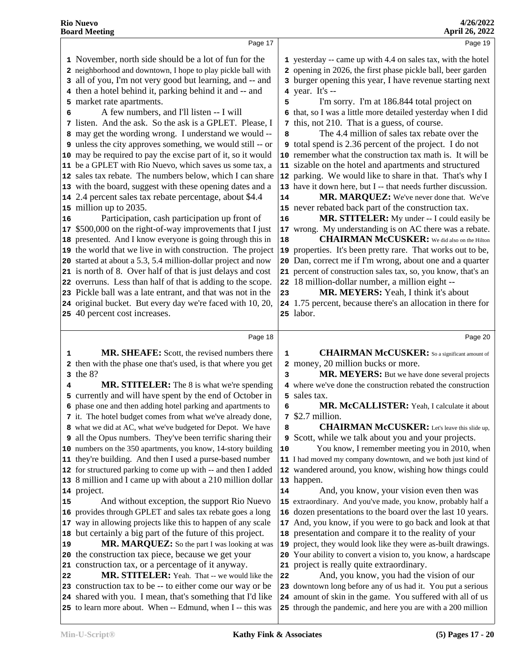Page 17 November, north side should be a lot of fun for the neighborhood and downtown, I hope to play pickle ball with all of you, I'm not very good but learning, and -- and then a hotel behind it, parking behind it and -- and market rate apartments. A few numbers, and I'll listen -- I will listen. And the ask. So the ask is a GPLET. Please, I | **7**  may get the wording wrong. I understand we would -- unless the city approves something, we would still -- or may be required to pay the excise part of it, so it would be a GPLET with Rio Nuevo, which saves us some tax, a sales tax rebate. The numbers below, which I can share with the board, suggest with these opening dates and a  $\vert$  **13**  2.4 percent sales tax rebate percentage, about \$4.4 million up to 2035. 16 Participation, cash participation up front of 16 \$500,000 on the right-of-way improvements that I just | **17**  presented. And I know everyone is going through this in | **18**  the world that we live in with construction. The project started at about a 5.3, 5.4 million-dollar project and now is north of 8. Over half of that is just delays and cost overruns. Less than half of that is adding to the scope. Pickle ball was a late entrant, and that was not in the original bucket. But every day we're faced with 10, 20, 40 percent cost increases. Page 18 **1 MR. SHEAFE:** Scott, the revised numbers there 1 then with the phase one that's used, is that where you get | **2**  the 8?  **MR. STITELER:** The 8 is what we're spending currently and will have spent by the end of October in phase one and then adding hotel parking and apartments to it. The hotel budget comes from what we've already done, **7**  what we did at AC, what we've budgeted for Depot. We have | **8**  all the Opus numbers. They've been terrific sharing their numbers on the 350 apartments, you know, 14-story building 10 they're building. And then I used a purse-based number for structured parking to come up with -- and then I added | **12**  8 million and I came up with about a 210 million dollar project. And without exception, the support Rio Nuevo provides through GPLET and sales tax rebate goes a long | **16**  way in allowing projects like this to happen of any scale 17 but certainly a big part of the future of this project. **MR. MARQUEZ:** So the part I was looking at was | 19 the construction tax piece, because we get your construction tax, or a percentage of it anyway. **MR. STITELER:** Yeah. That -- we would like the 22 construction tax to be -- to either come our way or be shared with you. I mean, that's something that I'd like to learn more about. When -- Edmund, when I -- this was Page 19 yesterday -- came up with 4.4 on sales tax, with the hotel opening in 2026, the first phase pickle ball, beer garden burger opening this year, I have revenue starting next year. It's -- I'm sorry. I'm at 186.844 total project on that, so I was a little more detailed yesterday when I did this, not 210. That is a guess, of course. The 4.4 million of sales tax rebate over the total spend is 2.36 percent of the project. I do not remember what the construction tax math is. It will be sizable on the hotel and apartments and structured parking. We would like to share in that. That's why I have it down here, but I -- that needs further discussion. **MR. MARQUEZ:** We've never done that. We've never rebated back part of the construction tax. **MR. STITELER:** My under -- I could easily be wrong. My understanding is on AC there was a rebate.  **CHAIRMAN McCUSKER:** We did also on the Hilton properties. It's been pretty rare. That works out to be, Dan, correct me if I'm wrong, about one and a quarter percent of construction sales tax, so, you know, that's an 18 million-dollar number, a million eight --  **MR. MEYERS:** Yeah, I think it's about 1.75 percent, because there's an allocation in there for labor. Page 20  **CHAIRMAN McCUSKER:** So a significant amount of money, 20 million bucks or more. **MR. MEYERS:** But we have done several projects where we've done the construction rebated the construction sales tax. **MR. McCALLISTER:** Yeah, I calculate it about \$2.7 million.  **CHAIRMAN McCUSKER:** Let's leave this slide up, Scott, while we talk about you and your projects. You know, I remember meeting you in 2010, when I had moved my company downtown, and we both just kind of wandered around, you know, wishing how things could happen. And, you know, your vision even then was extraordinary. And you've made, you know, probably half a dozen presentations to the board over the last 10 years. And, you know, if you were to go back and look at that presentation and compare it to the reality of your project, they would look like they were as-built drawings. Your ability to convert a vision to, you know, a hardscape project is really quite extraordinary. And, you know, you had the vision of our downtown long before any of us had it. You put a serious amount of skin in the game. You suffered with all of us through the pandemic, and here you are with a 200 million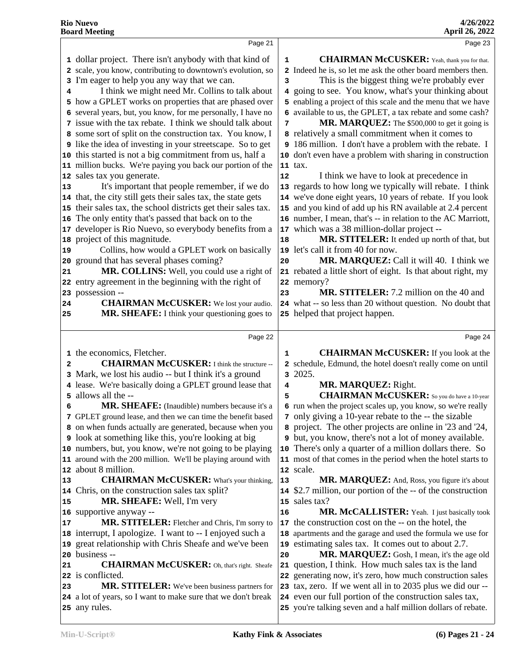|                 | Page 21                                                                        |    | Page 23                                                                                                                  |
|-----------------|--------------------------------------------------------------------------------|----|--------------------------------------------------------------------------------------------------------------------------|
|                 | 1 dollar project. There isn't anybody with that kind of                        | 1  | <b>CHAIRMAN McCUSKER:</b> Yeah, thank you for that.                                                                      |
|                 | 2 scale, you know, contributing to downtown's evolution, so                    |    | 2 Indeed he is, so let me ask the other board members then.                                                              |
|                 | 3 I'm eager to help you any way that we can.                                   | 3  | This is the biggest thing we're probably ever                                                                            |
| 4               | I think we might need Mr. Collins to talk about                                |    | 4 going to see. You know, what's your thinking about                                                                     |
|                 | 5 how a GPLET works on properties that are phased over                         |    | 5 enabling a project of this scale and the menu that we have                                                             |
|                 | 6 several years, but, you know, for me personally, I have no                   |    | 6 available to us, the GPLET, a tax rebate and some cash?                                                                |
|                 | 7 issue with the tax rebate. I think we should talk about                      | 7  | MR. MARQUEZ: The \$500,000 to get it going is                                                                            |
|                 | 8 some sort of split on the construction tax. You know, I                      |    | 8 relatively a small commitment when it comes to                                                                         |
|                 | <b>9</b> like the idea of investing in your streetscape. So to get             |    | 9 186 million. I don't have a problem with the rebate. I                                                                 |
|                 | 10 this started is not a big commitment from us, half a                        |    | 10 don't even have a problem with sharing in construction                                                                |
|                 | 11 million bucks. We're paying you back our portion of the                     |    | 11 tax.                                                                                                                  |
|                 | 12 sales tax you generate.                                                     | 12 | I think we have to look at precedence in                                                                                 |
| 13              | It's important that people remember, if we do                                  |    | 13 regards to how long we typically will rebate. I think                                                                 |
|                 | 14 that, the city still gets their sales tax, the state gets                   |    | 14 we've done eight years, 10 years of rebate. If you look                                                               |
|                 | 15 their sales tax, the school districts get their sales tax.                  |    | 15 and you kind of add up his RN available at 2.4 percent                                                                |
| 16 <sup>1</sup> | The only entity that's passed that back on to the                              |    | 16 number, I mean, that's -- in relation to the AC Marriott,                                                             |
| 17              | developer is Rio Nuevo, so everybody benefits from a                           |    | 17 which was a 38 million-dollar project --                                                                              |
| 18              | project of this magnitude.                                                     | 18 | MR. STITELER: It ended up north of that, but                                                                             |
| 19              | Collins, how would a GPLET work on basically                                   |    | 19 let's call it from 40 for now.                                                                                        |
| 20              | ground that has several phases coming?                                         | 20 | MR. MARQUEZ: Call it will 40. I think we                                                                                 |
| 21              | MR. COLLINS: Well, you could use a right of                                    |    | 21 rebated a little short of eight. Is that about right, my                                                              |
|                 | 22 entry agreement in the beginning with the right of                          |    | 22 memory?                                                                                                               |
|                 | 23 possession --                                                               | 23 | MR. STITELER: 7.2 million on the 40 and                                                                                  |
| 24              | <b>CHAIRMAN McCUSKER:</b> We lost your audio.                                  |    | 24 what -- so less than 20 without question. No doubt that                                                               |
| 25              | MR. SHEAFE: I think your questioning goes to                                   |    | 25 helped that project happen.                                                                                           |
|                 |                                                                                |    |                                                                                                                          |
|                 | Page 22                                                                        |    | Page 24                                                                                                                  |
|                 | 1 the economics, Fletcher.                                                     | 1  | <b>CHAIRMAN McCUSKER:</b> If you look at the                                                                             |
| $\overline{a}$  | <b>CHAIRMAN McCUSKER:</b> I think the structure --                             |    | 2 schedule, Edmund, the hotel doesn't really come on until                                                               |
| 3               | Mark, we lost his audio -- but I think it's a ground                           |    | 3 2025.                                                                                                                  |
| 4               | lease. We're basically doing a GPLET ground lease that                         | 4  | MR. MARQUEZ: Right.                                                                                                      |
| 5.              | allows all the --                                                              | 5  | <b>CHAIRMAN McCUSKER:</b> So you do have a 10-year                                                                       |
| 6               | <b>MR. SHEAFE:</b> (Inaudible) numbers because it's a                          |    | 6 run when the project scales up, you know, so we're really                                                              |
|                 | 7 GPLET ground lease, and then we can time the benefit based                   |    | 7 only giving a 10-year rebate to the -- the sizable                                                                     |
|                 | 8 on when funds actually are generated, because when you                       |    |                                                                                                                          |
|                 |                                                                                |    | 8 project. The other projects are online in '23 and '24,                                                                 |
|                 | <b>9</b> look at something like this, you're looking at big                    |    | <b>9</b> but, you know, there's not a lot of money available.                                                            |
|                 | 10 numbers, but, you know, we're not going to be playing                       |    | 10 There's only a quarter of a million dollars there. So                                                                 |
| 11              | around with the 200 million. We'll be playing around with                      |    | 11 most of that comes in the period when the hotel starts to                                                             |
| 12              | about 8 million.                                                               |    | 12 scale.                                                                                                                |
| 13              | <b>CHAIRMAN McCUSKER:</b> What's your thinking,                                | 13 | MR. MARQUEZ: And, Ross, you figure it's about                                                                            |
| 14              | Chris, on the construction sales tax split?                                    | 14 | \$2.7 million, our portion of the -- of the construction                                                                 |
| 15              | MR. SHEAFE: Well, I'm very                                                     |    | 15 sales tax?                                                                                                            |
|                 | 16 supportive anyway --                                                        | 16 | MR. McCALLISTER: Yeah. I just basically took                                                                             |
| 17              | MR. STITELER: Fletcher and Chris, I'm sorry to                                 | 17 | the construction cost on the -- on the hotel, the                                                                        |
|                 | 18 interrupt, I apologize. I want to -- I enjoyed such a                       | 18 | apartments and the garage and used the formula we use for                                                                |
| 19              | great relationship with Chris Sheafe and we've been                            |    | 19 estimating sales tax. It comes out to about 2.7.                                                                      |
| 20              | business --                                                                    | 20 | MR. MARQUEZ: Gosh, I mean, it's the age old                                                                              |
| 21              | <b>CHAIRMAN McCUSKER:</b> Oh, that's right. Sheafe                             | 21 | question, I think. How much sales tax is the land                                                                        |
|                 | 22 is conflicted.                                                              |    | 22 generating now, it's zero, how much construction sales                                                                |
| 23              | MR. STITELER: We've been business partners for                                 |    | 23 tax, zero. If we went all in to 2035 plus we did our --                                                               |
|                 | 24 a lot of years, so I want to make sure that we don't break<br>25 any rules. |    | 24 even our full portion of the construction sales tax,<br>25 you're talking seven and a half million dollars of rebate. |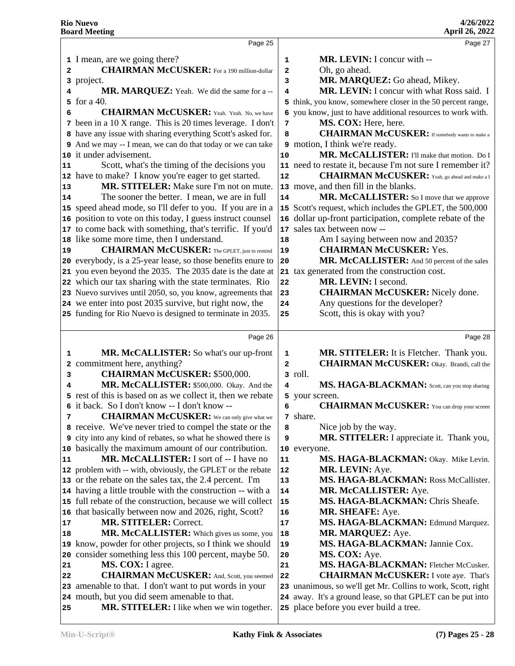| Page 25                                                                                                   |                                                                                                                                                                                                                                                                                                                                                                                                                                                                                                                                                                                                                                                                                                                                                                                                                                                                                                                                                                                                                                                                                                                                                                                                                                                                                                                                  | Page 27                                                                                                                     |
|-----------------------------------------------------------------------------------------------------------|----------------------------------------------------------------------------------------------------------------------------------------------------------------------------------------------------------------------------------------------------------------------------------------------------------------------------------------------------------------------------------------------------------------------------------------------------------------------------------------------------------------------------------------------------------------------------------------------------------------------------------------------------------------------------------------------------------------------------------------------------------------------------------------------------------------------------------------------------------------------------------------------------------------------------------------------------------------------------------------------------------------------------------------------------------------------------------------------------------------------------------------------------------------------------------------------------------------------------------------------------------------------------------------------------------------------------------|-----------------------------------------------------------------------------------------------------------------------------|
|                                                                                                           |                                                                                                                                                                                                                                                                                                                                                                                                                                                                                                                                                                                                                                                                                                                                                                                                                                                                                                                                                                                                                                                                                                                                                                                                                                                                                                                                  | MR. LEVIN: I concur with --                                                                                                 |
|                                                                                                           |                                                                                                                                                                                                                                                                                                                                                                                                                                                                                                                                                                                                                                                                                                                                                                                                                                                                                                                                                                                                                                                                                                                                                                                                                                                                                                                                  | Oh, go ahead.                                                                                                               |
|                                                                                                           |                                                                                                                                                                                                                                                                                                                                                                                                                                                                                                                                                                                                                                                                                                                                                                                                                                                                                                                                                                                                                                                                                                                                                                                                                                                                                                                                  | MR. MARQUEZ: Go ahead, Mikey.                                                                                               |
|                                                                                                           |                                                                                                                                                                                                                                                                                                                                                                                                                                                                                                                                                                                                                                                                                                                                                                                                                                                                                                                                                                                                                                                                                                                                                                                                                                                                                                                                  | MR. LEVIN: I concur with what Ross said. I                                                                                  |
|                                                                                                           |                                                                                                                                                                                                                                                                                                                                                                                                                                                                                                                                                                                                                                                                                                                                                                                                                                                                                                                                                                                                                                                                                                                                                                                                                                                                                                                                  | 5 think, you know, somewhere closer in the 50 percent range,                                                                |
|                                                                                                           |                                                                                                                                                                                                                                                                                                                                                                                                                                                                                                                                                                                                                                                                                                                                                                                                                                                                                                                                                                                                                                                                                                                                                                                                                                                                                                                                  | 6 you know, just to have additional resources to work with.                                                                 |
|                                                                                                           |                                                                                                                                                                                                                                                                                                                                                                                                                                                                                                                                                                                                                                                                                                                                                                                                                                                                                                                                                                                                                                                                                                                                                                                                                                                                                                                                  | MS. COX: Here, here.                                                                                                        |
|                                                                                                           |                                                                                                                                                                                                                                                                                                                                                                                                                                                                                                                                                                                                                                                                                                                                                                                                                                                                                                                                                                                                                                                                                                                                                                                                                                                                                                                                  | <b>CHAIRMAN McCUSKER:</b> If somebody wants to make a                                                                       |
|                                                                                                           |                                                                                                                                                                                                                                                                                                                                                                                                                                                                                                                                                                                                                                                                                                                                                                                                                                                                                                                                                                                                                                                                                                                                                                                                                                                                                                                                  | 9 motion, I think we're ready.                                                                                              |
|                                                                                                           |                                                                                                                                                                                                                                                                                                                                                                                                                                                                                                                                                                                                                                                                                                                                                                                                                                                                                                                                                                                                                                                                                                                                                                                                                                                                                                                                  | MR. McCALLISTER: I'll make that motion. Do I                                                                                |
|                                                                                                           |                                                                                                                                                                                                                                                                                                                                                                                                                                                                                                                                                                                                                                                                                                                                                                                                                                                                                                                                                                                                                                                                                                                                                                                                                                                                                                                                  | 11 need to restate it, because I'm not sure I remember it?                                                                  |
|                                                                                                           |                                                                                                                                                                                                                                                                                                                                                                                                                                                                                                                                                                                                                                                                                                                                                                                                                                                                                                                                                                                                                                                                                                                                                                                                                                                                                                                                  | <b>CHAIRMAN McCUSKER:</b> Yeah, go ahead and make a I                                                                       |
|                                                                                                           |                                                                                                                                                                                                                                                                                                                                                                                                                                                                                                                                                                                                                                                                                                                                                                                                                                                                                                                                                                                                                                                                                                                                                                                                                                                                                                                                  | 13 move, and then fill in the blanks.                                                                                       |
|                                                                                                           |                                                                                                                                                                                                                                                                                                                                                                                                                                                                                                                                                                                                                                                                                                                                                                                                                                                                                                                                                                                                                                                                                                                                                                                                                                                                                                                                  | MR. McCALLISTER: So I move that we approve                                                                                  |
|                                                                                                           |                                                                                                                                                                                                                                                                                                                                                                                                                                                                                                                                                                                                                                                                                                                                                                                                                                                                                                                                                                                                                                                                                                                                                                                                                                                                                                                                  | 15 Scott's request, which includes the GPLET, the 500,000                                                                   |
|                                                                                                           |                                                                                                                                                                                                                                                                                                                                                                                                                                                                                                                                                                                                                                                                                                                                                                                                                                                                                                                                                                                                                                                                                                                                                                                                                                                                                                                                  | 16 dollar up-front participation, complete rebate of the                                                                    |
|                                                                                                           |                                                                                                                                                                                                                                                                                                                                                                                                                                                                                                                                                                                                                                                                                                                                                                                                                                                                                                                                                                                                                                                                                                                                                                                                                                                                                                                                  | 17 sales tax between now --                                                                                                 |
|                                                                                                           |                                                                                                                                                                                                                                                                                                                                                                                                                                                                                                                                                                                                                                                                                                                                                                                                                                                                                                                                                                                                                                                                                                                                                                                                                                                                                                                                  | Am I saying between now and 2035?                                                                                           |
|                                                                                                           |                                                                                                                                                                                                                                                                                                                                                                                                                                                                                                                                                                                                                                                                                                                                                                                                                                                                                                                                                                                                                                                                                                                                                                                                                                                                                                                                  | <b>CHAIRMAN McCUSKER: Yes.</b>                                                                                              |
|                                                                                                           |                                                                                                                                                                                                                                                                                                                                                                                                                                                                                                                                                                                                                                                                                                                                                                                                                                                                                                                                                                                                                                                                                                                                                                                                                                                                                                                                  | MR. McCALLISTER: And 50 percent of the sales                                                                                |
|                                                                                                           |                                                                                                                                                                                                                                                                                                                                                                                                                                                                                                                                                                                                                                                                                                                                                                                                                                                                                                                                                                                                                                                                                                                                                                                                                                                                                                                                  | 21 tax generated from the construction cost.                                                                                |
|                                                                                                           |                                                                                                                                                                                                                                                                                                                                                                                                                                                                                                                                                                                                                                                                                                                                                                                                                                                                                                                                                                                                                                                                                                                                                                                                                                                                                                                                  | MR. LEVIN: I second.                                                                                                        |
|                                                                                                           |                                                                                                                                                                                                                                                                                                                                                                                                                                                                                                                                                                                                                                                                                                                                                                                                                                                                                                                                                                                                                                                                                                                                                                                                                                                                                                                                  | <b>CHAIRMAN McCUSKER:</b> Nicely done.                                                                                      |
|                                                                                                           |                                                                                                                                                                                                                                                                                                                                                                                                                                                                                                                                                                                                                                                                                                                                                                                                                                                                                                                                                                                                                                                                                                                                                                                                                                                                                                                                  | Any questions for the developer?                                                                                            |
|                                                                                                           | 25                                                                                                                                                                                                                                                                                                                                                                                                                                                                                                                                                                                                                                                                                                                                                                                                                                                                                                                                                                                                                                                                                                                                                                                                                                                                                                                               | Scott, this is okay with you?                                                                                               |
|                                                                                                           |                                                                                                                                                                                                                                                                                                                                                                                                                                                                                                                                                                                                                                                                                                                                                                                                                                                                                                                                                                                                                                                                                                                                                                                                                                                                                                                                  |                                                                                                                             |
|                                                                                                           |                                                                                                                                                                                                                                                                                                                                                                                                                                                                                                                                                                                                                                                                                                                                                                                                                                                                                                                                                                                                                                                                                                                                                                                                                                                                                                                                  |                                                                                                                             |
| Page 26                                                                                                   |                                                                                                                                                                                                                                                                                                                                                                                                                                                                                                                                                                                                                                                                                                                                                                                                                                                                                                                                                                                                                                                                                                                                                                                                                                                                                                                                  | Page 28                                                                                                                     |
| MR. McCALLISTER: So what's our up-front                                                                   | $\mathbf{1}$                                                                                                                                                                                                                                                                                                                                                                                                                                                                                                                                                                                                                                                                                                                                                                                                                                                                                                                                                                                                                                                                                                                                                                                                                                                                                                                     | MR. STITELER: It is Fletcher. Thank you.                                                                                    |
| commitment here, anything?<br>2                                                                           | $\overline{a}$                                                                                                                                                                                                                                                                                                                                                                                                                                                                                                                                                                                                                                                                                                                                                                                                                                                                                                                                                                                                                                                                                                                                                                                                                                                                                                                   | <b>CHAIRMAN McCUSKER:</b> Okay. Brandi, call the                                                                            |
| <b>CHAIRMAN McCUSKER: \$500,000.</b>                                                                      |                                                                                                                                                                                                                                                                                                                                                                                                                                                                                                                                                                                                                                                                                                                                                                                                                                                                                                                                                                                                                                                                                                                                                                                                                                                                                                                                  | 3 roll.                                                                                                                     |
| MR. McCALLISTER: \$500,000. Okay. And the                                                                 | 4                                                                                                                                                                                                                                                                                                                                                                                                                                                                                                                                                                                                                                                                                                                                                                                                                                                                                                                                                                                                                                                                                                                                                                                                                                                                                                                                | MS. HAGA-BLACKMAN: Scott, can you stop sharing                                                                              |
| 5 rest of this is based on as we collect it, then we rebate                                               |                                                                                                                                                                                                                                                                                                                                                                                                                                                                                                                                                                                                                                                                                                                                                                                                                                                                                                                                                                                                                                                                                                                                                                                                                                                                                                                                  | 5 your screen.                                                                                                              |
| 6 it back. So I don't know -- I don't know --                                                             | 6                                                                                                                                                                                                                                                                                                                                                                                                                                                                                                                                                                                                                                                                                                                                                                                                                                                                                                                                                                                                                                                                                                                                                                                                                                                                                                                                | <b>CHAIRMAN McCUSKER:</b> You can drop your screen                                                                          |
| <b>CHAIRMAN McCUSKER:</b> We can only give what we                                                        |                                                                                                                                                                                                                                                                                                                                                                                                                                                                                                                                                                                                                                                                                                                                                                                                                                                                                                                                                                                                                                                                                                                                                                                                                                                                                                                                  | 7 share.                                                                                                                    |
| 8 receive. We've never tried to compel the state or the                                                   | 8                                                                                                                                                                                                                                                                                                                                                                                                                                                                                                                                                                                                                                                                                                                                                                                                                                                                                                                                                                                                                                                                                                                                                                                                                                                                                                                                | Nice job by the way.                                                                                                        |
| <b>9</b> city into any kind of rebates, so what he showed there is                                        | 9                                                                                                                                                                                                                                                                                                                                                                                                                                                                                                                                                                                                                                                                                                                                                                                                                                                                                                                                                                                                                                                                                                                                                                                                                                                                                                                                | MR. STITELER: I appreciate it. Thank you,                                                                                   |
| 10 basically the maximum amount of our contribution.                                                      |                                                                                                                                                                                                                                                                                                                                                                                                                                                                                                                                                                                                                                                                                                                                                                                                                                                                                                                                                                                                                                                                                                                                                                                                                                                                                                                                  | 10 everyone.                                                                                                                |
| MR. McCALLISTER: I sort of -- I have no                                                                   | 11                                                                                                                                                                                                                                                                                                                                                                                                                                                                                                                                                                                                                                                                                                                                                                                                                                                                                                                                                                                                                                                                                                                                                                                                                                                                                                                               | MS. HAGA-BLACKMAN: Okay. Mike Levin.                                                                                        |
| 12 problem with -- with, obviously, the GPLET or the rebate                                               | 12                                                                                                                                                                                                                                                                                                                                                                                                                                                                                                                                                                                                                                                                                                                                                                                                                                                                                                                                                                                                                                                                                                                                                                                                                                                                                                                               | MR. LEVIN: Aye.                                                                                                             |
| 13 or the rebate on the sales tax, the 2.4 percent. I'm                                                   | 13                                                                                                                                                                                                                                                                                                                                                                                                                                                                                                                                                                                                                                                                                                                                                                                                                                                                                                                                                                                                                                                                                                                                                                                                                                                                                                                               | MS. HAGA-BLACKMAN: Ross McCallister.                                                                                        |
| 14 having a little trouble with the construction -- with a                                                | 14                                                                                                                                                                                                                                                                                                                                                                                                                                                                                                                                                                                                                                                                                                                                                                                                                                                                                                                                                                                                                                                                                                                                                                                                                                                                                                                               | MR. McCALLISTER: Aye.                                                                                                       |
| 15 full rebate of the construction, because we will collect                                               | 15                                                                                                                                                                                                                                                                                                                                                                                                                                                                                                                                                                                                                                                                                                                                                                                                                                                                                                                                                                                                                                                                                                                                                                                                                                                                                                                               | MS. HAGA-BLACKMAN: Chris Sheafe.                                                                                            |
| that basically between now and 2026, right, Scott?<br>16                                                  | 16                                                                                                                                                                                                                                                                                                                                                                                                                                                                                                                                                                                                                                                                                                                                                                                                                                                                                                                                                                                                                                                                                                                                                                                                                                                                                                                               | MR. SHEAFE: Aye.                                                                                                            |
| <b>MR. STITELER: Correct.</b>                                                                             | $17\,$                                                                                                                                                                                                                                                                                                                                                                                                                                                                                                                                                                                                                                                                                                                                                                                                                                                                                                                                                                                                                                                                                                                                                                                                                                                                                                                           | MS. HAGA-BLACKMAN: Edmund Marquez.                                                                                          |
| MR. McCALLISTER: Which gives us some, you                                                                 | 18                                                                                                                                                                                                                                                                                                                                                                                                                                                                                                                                                                                                                                                                                                                                                                                                                                                                                                                                                                                                                                                                                                                                                                                                                                                                                                                               | MR. MARQUEZ: Aye.                                                                                                           |
| know, powder for other projects, so I think we should<br>19                                               | 19                                                                                                                                                                                                                                                                                                                                                                                                                                                                                                                                                                                                                                                                                                                                                                                                                                                                                                                                                                                                                                                                                                                                                                                                                                                                                                                               | MS. HAGA-BLACKMAN: Jannie Cox.                                                                                              |
| consider something less this 100 percent, maybe 50.<br>20                                                 | 20                                                                                                                                                                                                                                                                                                                                                                                                                                                                                                                                                                                                                                                                                                                                                                                                                                                                                                                                                                                                                                                                                                                                                                                                                                                                                                                               | MS. COX: Aye.                                                                                                               |
| MS. COX: I agree.                                                                                         | 21                                                                                                                                                                                                                                                                                                                                                                                                                                                                                                                                                                                                                                                                                                                                                                                                                                                                                                                                                                                                                                                                                                                                                                                                                                                                                                                               | MS. HAGA-BLACKMAN: Fletcher McCusker.                                                                                       |
| <b>CHAIRMAN McCUSKER:</b> And, Scott, you seemed                                                          | 22                                                                                                                                                                                                                                                                                                                                                                                                                                                                                                                                                                                                                                                                                                                                                                                                                                                                                                                                                                                                                                                                                                                                                                                                                                                                                                                               | <b>CHAIRMAN McCUSKER:</b> I vote aye. That's                                                                                |
| amenable to that. I don't want to put words in your<br>23<br>24 mouth, but you did seem amenable to that. |                                                                                                                                                                                                                                                                                                                                                                                                                                                                                                                                                                                                                                                                                                                                                                                                                                                                                                                                                                                                                                                                                                                                                                                                                                                                                                                                  | 23 unanimous, so we'll get Mr. Collins to work, Scott, right<br>24 away. It's a ground lease, so that GPLET can be put into |
|                                                                                                           | 1 I mean, are we going there?<br><b>CHAIRMAN McCUSKER:</b> For a 190 million-dollar<br>3 project.<br>MR. MARQUEZ: Yeah. We did the same for a --<br>for a $40$ .<br><b>CHAIRMAN McCUSKER:</b> Yeah. Yeah. No, we have<br>7 been in a 10 X range. This is 20 times leverage. I don't<br>8 have any issue with sharing everything Scott's asked for.<br>9 And we may -- I mean, we can do that today or we can take<br>10 it under advisement.<br>Scott, what's the timing of the decisions you<br>12 have to make? I know you're eager to get started.<br>MR. STITELER: Make sure I'm not on mute.<br>The sooner the better. I mean, we are in full<br>15 speed ahead mode, so I'll defer to you. If you are in a<br>16 position to vote on this today, I guess instruct counsel<br>17 to come back with something, that's terrific. If you'd<br>18 like some more time, then I understand.<br><b>CHAIRMAN McCUSKER:</b> The GPLET, just to remind<br>20 everybody, is a 25-year lease, so those benefits enure to<br>21 you even beyond the 2035. The 2035 date is the date at<br>22 which our tax sharing with the state terminates. Rio<br>23 Nuevo survives until 2050, so, you know, agreements that<br>24 we enter into post 2035 survive, but right now, the<br>25 funding for Rio Nuevo is designed to terminate in 2035. | 1<br>2<br>3<br>4<br>7<br>8<br>10<br>12<br>14<br>18<br>19<br>${\bf 20}$<br>22<br>23<br>24                                    |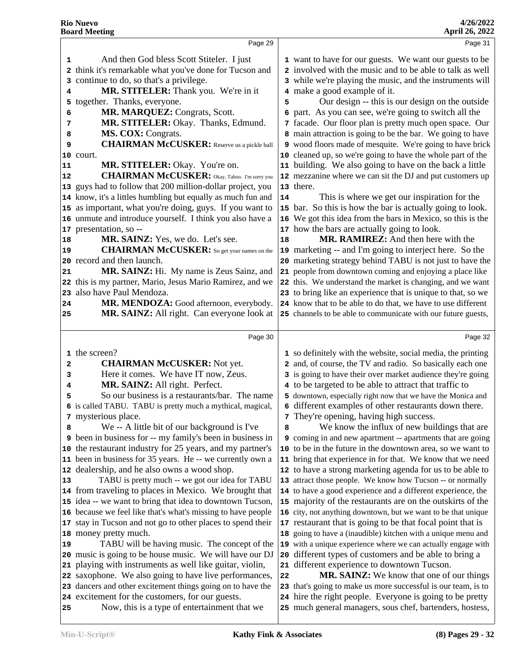|          | Page 29                                                                                          |    | Page 31                                                                                                               |
|----------|--------------------------------------------------------------------------------------------------|----|-----------------------------------------------------------------------------------------------------------------------|
| 1        | And then God bless Scott Stiteler. I just                                                        |    | 1 want to have for our guests. We want our guests to be                                                               |
| 2        | think it's remarkable what you've done for Tucson and                                            |    | 2 involved with the music and to be able to talk as well                                                              |
| 3        | continue to do, so that's a privilege.                                                           |    | 3 while we're playing the music, and the instruments will                                                             |
| 4        | MR. STITELER: Thank you. We're in it                                                             |    | 4 make a good example of it.                                                                                          |
|          | 5 together. Thanks, everyone.                                                                    | 5  | Our design -- this is our design on the outside                                                                       |
| 6        | MR. MARQUEZ: Congrats, Scott.                                                                    |    | 6 part. As you can see, we're going to switch all the                                                                 |
| 7        | MR. STITELER: Okay. Thanks, Edmund.                                                              |    | 7 facade. Our floor plan is pretty much open space. Our                                                               |
| 8        | MS. COX: Congrats.                                                                               |    | 8 main attraction is going to be the bar. We going to have                                                            |
| 9        | <b>CHAIRMAN McCUSKER:</b> Reserve us a pickle ball                                               |    | 9 wood floors made of mesquite. We're going to have brick                                                             |
|          | 10 court.                                                                                        |    | 10 cleaned up, so we're going to have the whole part of the                                                           |
| 11       | MR. STITELER: Okay. You're on.                                                                   |    | 11 building. We also going to have on the back a little                                                               |
| 12       | <b>CHAIRMAN McCUSKER:</b> Okay, Taboo. I'm sorry you                                             |    | 12 mezzanine where we can sit the DJ and put customers up                                                             |
|          | 13 guys had to follow that 200 million-dollar project, you                                       |    | 13 there.                                                                                                             |
|          | 14 know, it's a littles humbling but equally as much fun and                                     | 14 | This is where we get our inspiration for the                                                                          |
|          | 15 as important, what you're doing, guys. If you want to                                         |    | 15 bar. So this is how the bar is actually going to look.                                                             |
|          | 16 unmute and introduce yourself. I think you also have a                                        |    | 16 We got this idea from the bars in Mexico, so this is the                                                           |
|          | 17 presentation, so --                                                                           |    | 17 how the bars are actually going to look.                                                                           |
| 18       | MR. SAINZ: Yes, we do. Let's see.                                                                | 18 | MR. RAMIREZ: And then here with the                                                                                   |
| 19       | <b>CHAIRMAN McCUSKER:</b> So get your names on the                                               |    | 19 marketing -- and I'm going to interject here. So the                                                               |
|          | 20 record and then launch.                                                                       |    | 20 marketing strategy behind TABU is not just to have the                                                             |
| 21       | MR. SAINZ: Hi. My name is Zeus Sainz, and                                                        |    | 21 people from downtown coming and enjoying a place like                                                              |
|          | 22 this is my partner, Mario, Jesus Mario Ramirez, and we                                        |    | 22 this. We understand the market is changing, and we want                                                            |
| 23       | also have Paul Mendoza.                                                                          |    | 23 to bring like an experience that is unique to that, so we                                                          |
| 24       | MR. MENDOZA: Good afternoon, everybody.                                                          |    | 24 know that to be able to do that, we have to use different                                                          |
| 25       | MR. SAINZ: All right. Can everyone look at                                                       |    | 25 channels to be able to communicate with our future guests,                                                         |
|          |                                                                                                  |    |                                                                                                                       |
|          | Page 30                                                                                          |    | Page 32                                                                                                               |
|          | 1 the screen?                                                                                    |    | 1 so definitely with the website, social media, the printing                                                          |
| 2        | <b>CHAIRMAN McCUSKER:</b> Not yet.                                                               |    | 2 and, of course, the TV and radio. So basically each one                                                             |
| з        | Here it comes. We have IT now, Zeus.                                                             |    | 3 is going to have their over market audience they're going                                                           |
| 4        | MR. SAINZ: All right. Perfect.                                                                   |    | 4 to be targeted to be able to attract that traffic to                                                                |
| 5        | So our business is a restaurants/bar. The name                                                   |    | 5 downtown, especially right now that we have the Monica and                                                          |
|          | 6 is called TABU. TABU is pretty much a mythical, magical,                                       |    | 6 different examples of other restaurants down there.                                                                 |
|          | 7 mysterious place.                                                                              |    | 7 They're opening, having high success.                                                                               |
| 8        | We -- A little bit of our background is I've                                                     | 8  | We know the influx of new buildings that are                                                                          |
|          | <b>9</b> been in business for -- my family's been in business in                                 |    | 9 coming in and new apartment -- apartments that are going                                                            |
|          | 10 the restaurant industry for 25 years, and my partner's                                        |    | 10 to be in the future in the downtown area, so we want to                                                            |
|          | 11 been in business for 35 years. He -- we currently own a                                       |    | 11 bring that experience in for that. We know that we need                                                            |
|          |                                                                                                  |    |                                                                                                                       |
|          | 12 dealership, and he also owns a wood shop.                                                     |    | 12 to have a strong marketing agenda for us to be able to                                                             |
|          | TABU is pretty much -- we got our idea for TABU                                                  |    | 13 attract those people. We know how Tucson -- or normally                                                            |
|          | 14 from traveling to places in Mexico. We brought that                                           |    | 14 to have a good experience and a different experience, the                                                          |
|          | 15 idea -- we want to bring that idea to downtown Tucson,                                        |    | 15 majority of the restaurants are on the outskirts of the                                                            |
|          | 16 because we feel like that's what's missing to have people                                     |    | 16 city, not anything downtown, but we want to be that unique                                                         |
|          | 17 stay in Tucson and not go to other places to spend their                                      |    | 17 restaurant that is going to be that focal point that is                                                            |
|          | 18 money pretty much.                                                                            |    | 18 going to have a (inaudible) kitchen with a unique menu and                                                         |
| 13       | TABU will be having music. The concept of the                                                    |    | 19 with a unique experience where we can actually engage with                                                         |
|          | 20 music is going to be house music. We will have our DJ                                         |    | 20 different types of customers and be able to bring a                                                                |
|          | 21 playing with instruments as well like guitar, violin,                                         |    | 21 different experience to downtown Tucson.                                                                           |
|          | 22 saxophone. We also going to have live performances,                                           | 22 | MR. SAINZ: We know that one of our things                                                                             |
|          | 23 dancers and other excitement things going on to have the                                      |    | 23 that's going to make us more successful is our team, is to                                                         |
| 19<br>25 | 24 excitement for the customers, for our guests.<br>Now, this is a type of entertainment that we |    | 24 hire the right people. Everyone is going to be pretty<br>25 much general managers, sous chef, bartenders, hostess, |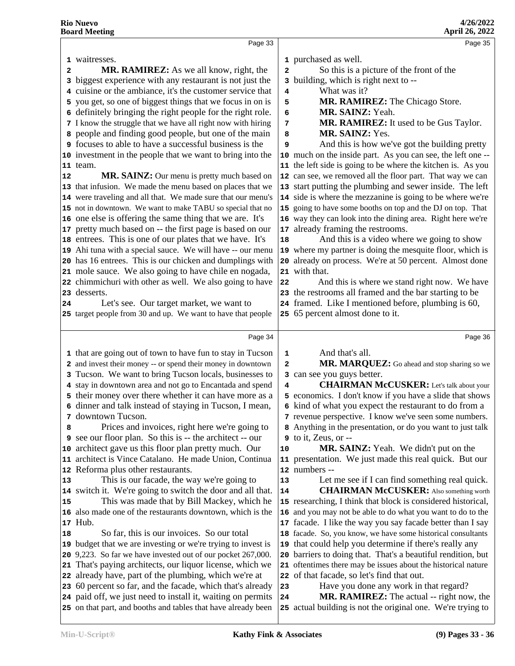|    | Page 33                                                       |              | Page 35                                                       |
|----|---------------------------------------------------------------|--------------|---------------------------------------------------------------|
|    | 1 waitresses.                                                 |              | 1 purchased as well.                                          |
| 2  | <b>MR. RAMIREZ:</b> As we all know, right, the                | $\mathbf{2}$ | So this is a picture of the front of the                      |
|    | 3 biggest experience with any restaurant is not just the      |              | 3 building, which is right next to --                         |
|    | 4 cuisine or the ambiance, it's the customer service that     | 4            | What was it?                                                  |
|    | 5 you get, so one of biggest things that we focus in on is    | 5            | MR. RAMIREZ: The Chicago Store.                               |
|    | 6 definitely bringing the right people for the right role.    | 6            | MR. SAINZ: Yeah.                                              |
|    | 7 I know the struggle that we have all right now with hiring  | 7            | MR. RAMIREZ: It used to be Gus Taylor.                        |
|    | 8 people and finding good people, but one of the main         | 8            | MR. SAINZ: Yes.                                               |
|    | <b>9</b> focuses to able to have a successful business is the | 9            | And this is how we've got the building pretty                 |
|    | 10 investment in the people that we want to bring into the    |              | 10 much on the inside part. As you can see, the left one --   |
|    | $11$ team.                                                    |              | 11 the left side is going to be where the kitchen is. As you  |
| 12 | <b>MR. SAINZ:</b> Our menu is pretty much based on            |              | 12 can see, we removed all the floor part. That way we can    |
|    | 13 that infusion. We made the menu based on places that we    |              | 13 start putting the plumbing and sewer inside. The left      |
|    | 14 were traveling and all that. We made sure that our menu's  |              | 14 side is where the mezzanine is going to be where we're     |
|    | 15 not in downtown. We want to make TABU so special that no   |              | 15 going to have some booths on top and the DJ on top. That   |
|    | 16 one else is offering the same thing that we are. It's      |              | 16 way they can look into the dining area. Right here we're   |
|    | 17 pretty much based on -- the first page is based on our     |              | 17 already framing the restrooms.                             |
|    | 18 entrees. This is one of our plates that we have. It's      | 18           | And this is a video where we going to show                    |
|    | 19 Ahi tuna with a special sauce. We will have -- our menu    |              | 19 where my partner is doing the mesquite floor, which is     |
|    | 20 has 16 entrees. This is our chicken and dumplings with     |              | 20 already on process. We're at 50 percent. Almost done       |
|    | 21 mole sauce. We also going to have chile en nogada,         |              | 21 with that.                                                 |
|    | 22 chimmichuri with other as well. We also going to have      | 22           | And this is where we stand right now. We have                 |
|    | 23 desserts.                                                  |              | 23 the restrooms all framed and the bar starting to be        |
| 24 | Let's see. Our target market, we want to                      |              | 24 framed. Like I mentioned before, plumbing is 60,           |
|    | 25 target people from 30 and up. We want to have that people  |              | 25 65 percent almost done to it.                              |
|    |                                                               |              |                                                               |
|    | Page 34                                                       |              | Page 36                                                       |
|    | 1 that are going out of town to have fun to stay in Tucson    | 1            | And that's all.                                               |
|    | 2 and invest their money -- or spend their money in downtown  | 2            | MR. MARQUEZ: Go ahead and stop sharing so we                  |
|    | 3 Tucson. We want to bring Tucson locals, businesses to       |              | 3 can see you guys better.                                    |
|    | 4 stay in downtown area and not go to Encantada and spend     | 4            | <b>CHAIRMAN McCUSKER:</b> Let's talk about your               |
|    | 5 their money over there whether it can have more as a        |              | 5 economics. I don't know if you have a slide that shows      |
|    | 6 dinner and talk instead of staying in Tucson, I mean,       |              | 6 kind of what you expect the restaurant to do from a         |
|    | 7 downtown Tucson.                                            |              | 7 revenue perspective. I know we've seen some numbers.        |
| 8  | Prices and invoices, right here we're going to                |              | 8 Anything in the presentation, or do you want to just talk   |
|    | 9 see our floor plan. So this is -- the architect -- our      |              | $9$ to it, Zeus, or $-$                                       |
|    | 10 architect gave us this floor plan pretty much. Our         | 10           | <b>MR. SAINZ:</b> Yeah. We didn't put on the                  |
|    | 11 architect is Vince Catalano. He made Union, Continua       |              | 11 presentation. We just made this real quick. But our        |
|    | 12 Reforma plus other restaurants.                            |              | 12 numbers --                                                 |
| 13 | This is our facade, the way we're going to                    | 13           | Let me see if I can find something real quick.                |
|    | 14 switch it. We're going to switch the door and all that.    | 14           | <b>CHAIRMAN McCUSKER:</b> Also something worth                |
| 15 | This was made that by Bill Mackey, which he                   |              | 15 researching, I think that block is considered historical,  |
|    | 16 also made one of the restaurants downtown, which is the    |              | 16 and you may not be able to do what you want to do to the   |
|    |                                                               |              | 17 facade. I like the way you say facade better than I say    |
| 18 | 17 Hub.                                                       |              |                                                               |
|    | So far, this is our invoices. So our total                    |              | 18 facade. So, you know, we have some historical consultants  |
|    | 19 budget that we are investing or we're trying to invest is  |              | 19 that could help you determine if there's really any        |
|    | 20 9,223. So far we have invested out of our pocket 267,000.  |              | 20 barriers to doing that. That's a beautiful rendition, but  |
|    | 21 That's paying architects, our liquor license, which we     |              | 21 oftentimes there may be issues about the historical nature |
|    | 22 already have, part of the plumbing, which we're at         |              | 22 of that facade, so let's find that out.                    |
|    | 23 60 percent so far, and the facade, which that's already    | 23           | Have you done any work in that regard?                        |
|    | 24 paid off, we just need to install it, waiting on permits   | 24           | <b>MR. RAMIREZ:</b> The actual -- right now, the              |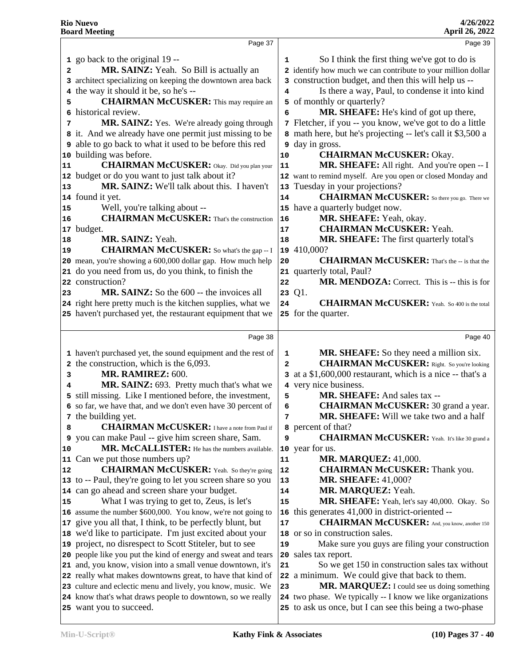|              | Page 37                                                                                                 |              | Page 39                                                                                                               |
|--------------|---------------------------------------------------------------------------------------------------------|--------------|-----------------------------------------------------------------------------------------------------------------------|
|              | 1 go back to the original 19 --                                                                         | 1            | So I think the first thing we've got to do is                                                                         |
| 2            | MR. SAINZ: Yeah. So Bill is actually an                                                                 |              | 2 identify how much we can contribute to your million dollar                                                          |
|              | 3 architect specializing on keeping the downtown area back                                              |              | 3 construction budget, and then this will help us --                                                                  |
|              | 4 the way it should it be, so he's --                                                                   | 4            | Is there a way, Paul, to condense it into kind                                                                        |
| 5            | <b>CHAIRMAN McCUSKER:</b> This may require an                                                           |              | 5 of monthly or quarterly?                                                                                            |
| 6            | historical review.                                                                                      | 6            | MR. SHEAFE: He's kind of got up there,                                                                                |
| 7            | MR. SAINZ: Yes. We're already going through                                                             |              | 7 Fletcher, if you -- you know, we've got to do a little                                                              |
|              | 8 it. And we already have one permit just missing to be                                                 |              | 8 math here, but he's projecting -- let's call it \$3,500 a                                                           |
|              | <b>9</b> able to go back to what it used to be before this red                                          |              | <b>9</b> day in gross.                                                                                                |
|              | 10 building was before.                                                                                 | 10           | <b>CHAIRMAN McCUSKER: Okay.</b>                                                                                       |
| 11           | <b>CHAIRMAN McCUSKER:</b> Okay. Did you plan your                                                       | 11           | MR. SHEAFE: All right. And you're open -- I                                                                           |
|              | 12 budget or do you want to just talk about it?                                                         |              | 12 want to remind myself. Are you open or closed Monday and                                                           |
| 13           | MR. SAINZ: We'll talk about this. I haven't                                                             | 13           | Tuesday in your projections?                                                                                          |
|              | 14 found it yet.                                                                                        | 14           | <b>CHAIRMAN McCUSKER:</b> So there you go. There we                                                                   |
| 15           | Well, you're talking about --                                                                           |              | 15 have a quarterly budget now.                                                                                       |
| 16           | <b>CHAIRMAN McCUSKER:</b> That's the construction                                                       | 16           | MR. SHEAFE: Yeah, okay.                                                                                               |
|              | 17 budget.                                                                                              | 17           | <b>CHAIRMAN McCUSKER: Yeah.</b>                                                                                       |
| 18           | MR. SAINZ: Yeah.                                                                                        | 18           | MR. SHEAFE: The first quarterly total's                                                                               |
| $ 19\rangle$ | <b>CHAIRMAN McCUSKER:</b> So what's the gap -- I                                                        | 19           | 410,000?                                                                                                              |
|              | 20 mean, you're showing a 600,000 dollar gap. How much help                                             | 20           | <b>CHAIRMAN McCUSKER:</b> That's the -- is that the                                                                   |
|              | 21 do you need from us, do you think, to finish the                                                     |              | 21 quarterly total, Paul?                                                                                             |
|              | 22 construction?                                                                                        | 22           | MR. MENDOZA: Correct. This is -- this is for                                                                          |
| 23           | MR. SAINZ: So the 600 -- the invoices all                                                               |              | 23 Q1.                                                                                                                |
|              | 24 right here pretty much is the kitchen supplies, what we                                              | 24           | <b>CHAIRMAN McCUSKER:</b> Yeah. So 400 is the total                                                                   |
|              | 25 haven't purchased yet, the restaurant equipment that we                                              |              | 25 for the quarter.                                                                                                   |
|              |                                                                                                         |              |                                                                                                                       |
|              | Page 38                                                                                                 |              |                                                                                                                       |
|              |                                                                                                         |              | Page 40                                                                                                               |
|              |                                                                                                         | 1            |                                                                                                                       |
|              | 1 haven't purchased yet, the sound equipment and the rest of<br>2 the construction, which is the 6,093. | $\mathbf{z}$ | MR. SHEAFE: So they need a million six.<br><b>CHAIRMAN McCUSKER:</b> Right. So you're looking                         |
| 3            | MR. RAMIREZ: 600.                                                                                       |              | 3 at a \$1,600,000 restaurant, which is a nice -- that's a                                                            |
| 4            | MR. SAINZ: 693. Pretty much that's what we                                                              |              | 4 very nice business.                                                                                                 |
|              | 5 still missing. Like I mentioned before, the investment,                                               | 5            | MR. SHEAFE: And sales tax --                                                                                          |
|              | 6 so far, we have that, and we don't even have 30 percent of                                            | 6            | <b>CHAIRMAN McCUSKER: 30 grand a year.</b>                                                                            |
|              | 7 the building yet.                                                                                     | 7            | MR. SHEAFE: Will we take two and a half                                                                               |
| 8            | <b>CHAIRMAN McCUSKER:</b> I have a note from Paul if                                                    |              | 8 percent of that?                                                                                                    |
|              | 9 you can make Paul -- give him screen share, Sam.                                                      | 9            | <b>CHAIRMAN McCUSKER:</b> Yeah. It's like 30 grand a                                                                  |
|              | MR. McCALLISTER: He has the numbers available.                                                          |              | 10 year for us.                                                                                                       |
| 11           | Can we put those numbers up?                                                                            | 11           | <b>MR. MARQUEZ: 41,000.</b>                                                                                           |
|              | <b>CHAIRMAN McCUSKER:</b> Yeah. So they're going                                                        | 12           | <b>CHAIRMAN McCUSKER:</b> Thank you.                                                                                  |
|              | 13 to -- Paul, they're going to let you screen share so you                                             | 13           | <b>MR. SHEAFE: 41,000?</b>                                                                                            |
|              | 14 can go ahead and screen share your budget.                                                           | 14           | MR. MARQUEZ: Yeah.                                                                                                    |
|              | What I was trying to get to, Zeus, is let's                                                             | 15           | MR. SHEAFE: Yeah, let's say 40,000. Okay. So                                                                          |
|              | 16 assume the number \$600,000. You know, we're not going to                                            | 16           | this generates 41,000 in district-oriented --                                                                         |
|              | 17 give you all that, I think, to be perfectly blunt, but                                               | 17           | <b>CHAIRMAN McCUSKER:</b> And, you know, another 150                                                                  |
|              | 18 we'd like to participate. I'm just excited about your                                                |              | 18 or so in construction sales.                                                                                       |
|              | 19 project, no disrespect to Scott Stiteler, but to see                                                 | 19           | Make sure you guys are filing your construction                                                                       |
|              | 20 people like you put the kind of energy and sweat and tears                                           |              | 20 sales tax report.                                                                                                  |
| 10           | 21 and, you know, vision into a small venue downtown, it's                                              | 21           | So we get 150 in construction sales tax without                                                                       |
|              | 22 really what makes downtowns great, to have that kind of                                              |              | 22 a minimum. We could give that back to them.                                                                        |
| 12<br>15     | 23 culture and eclectic menu and lively, you know, music. We                                            | 23           | MR. MARQUEZ: I could see us doing something                                                                           |
|              | 24 know that's what draws people to downtown, so we really<br>25 want you to succeed.                   |              | 24 two phase. We typically -- I know we like organizations<br>25 to ask us once, but I can see this being a two-phase |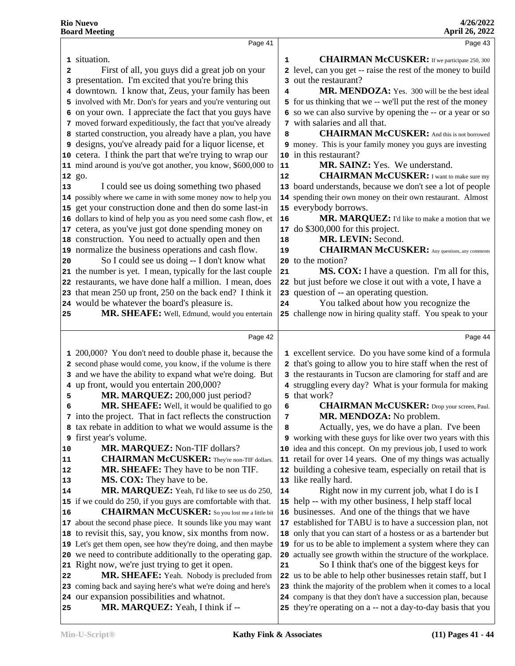|                                        | Page 41                                                                                                                  |          | Page 43                                                                                                               |
|----------------------------------------|--------------------------------------------------------------------------------------------------------------------------|----------|-----------------------------------------------------------------------------------------------------------------------|
|                                        | 1 situation.                                                                                                             | 1        | <b>CHAIRMAN McCUSKER:</b> If we participate 250, 300                                                                  |
| 2                                      | First of all, you guys did a great job on your                                                                           |          | 2 level, can you get -- raise the rest of the money to build                                                          |
|                                        | 3 presentation. I'm excited that you're bring this                                                                       |          | 3 out the restaurant?                                                                                                 |
|                                        | 4 downtown. I know that, Zeus, your family has been                                                                      | 4        | MR. MENDOZA: Yes. 300 will be the best ideal                                                                          |
|                                        | 5 involved with Mr. Don's for years and you're venturing out                                                             |          | 5 for us thinking that we -- we'll put the rest of the money                                                          |
|                                        | 6 on your own. I appreciate the fact that you guys have                                                                  |          | 6 so we can also survive by opening the -- or a year or so                                                            |
|                                        | 7 moved forward expeditiously, the fact that you've already                                                              |          | 7 with salaries and all that.                                                                                         |
|                                        | 8 started construction, you already have a plan, you have                                                                | 8        | <b>CHAIRMAN McCUSKER:</b> And this is not borrowed                                                                    |
|                                        | <b>9</b> designs, you've already paid for a liquor license, et                                                           |          | 9 money. This is your family money you guys are investing                                                             |
|                                        | 10 cetera. I think the part that we're trying to wrap our                                                                |          | 10 in this restaurant?                                                                                                |
|                                        | 11 mind around is you've got another, you know, \$600,000 to                                                             | 11       | <b>MR. SAINZ:</b> Yes. We understand.                                                                                 |
|                                        | 12 go.                                                                                                                   | 12       | <b>CHAIRMAN McCUSKER:</b> I want to make sure my                                                                      |
| 13                                     | I could see us doing something two phased                                                                                |          | 13 board understands, because we don't see a lot of people                                                            |
|                                        | 14 possibly where we came in with some money now to help you                                                             |          | 14 spending their own money on their own restaurant. Almost                                                           |
|                                        |                                                                                                                          |          | 15 everybody borrows.                                                                                                 |
|                                        | 15 get your construction done and then do some last-in                                                                   |          |                                                                                                                       |
|                                        | 16 dollars to kind of help you as you need some cash flow, et<br>17 cetera, as you've just got done spending money on    | 16<br>17 | MR. MARQUEZ: I'd like to make a motion that we<br>do \$300,000 for this project.                                      |
|                                        | 18 construction. You need to actually open and then                                                                      |          | MR. LEVIN: Second.                                                                                                    |
|                                        | 19 normalize the business operations and cash flow.                                                                      | 18       | <b>CHAIRMAN McCUSKER:</b> Any questions, any comments                                                                 |
|                                        | So I could see us doing -- I don't know what                                                                             | 19       | to the motion?                                                                                                        |
| 20                                     |                                                                                                                          | 20       |                                                                                                                       |
|                                        | 21 the number is yet. I mean, typically for the last couple                                                              | 21       | <b>MS. COX:</b> I have a question. I'm all for this,                                                                  |
|                                        | 22 restaurants, we have done half a million. I mean, does                                                                |          | 22 but just before we close it out with a vote, I have a                                                              |
|                                        | 23 that mean 250 up front, 250 on the back end? I think it                                                               | 24       | 23 question of -- an operating question.<br>You talked about how you recognize the                                    |
|                                        | 24 would be whatever the board's pleasure is.                                                                            |          |                                                                                                                       |
| 25                                     | MR. SHEAFE: Well, Edmund, would you entertain                                                                            |          | 25 challenge now in hiring quality staff. You speak to your                                                           |
|                                        | Page 42                                                                                                                  |          | Page 44                                                                                                               |
|                                        |                                                                                                                          |          |                                                                                                                       |
|                                        |                                                                                                                          |          |                                                                                                                       |
|                                        | 1 200,000? You don't need to double phase it, because the<br>2 second phase would come, you know, if the volume is there |          | 1 excellent service. Do you have some kind of a formula<br>2 that's going to allow you to hire staff when the rest of |
|                                        |                                                                                                                          |          |                                                                                                                       |
|                                        | 3 and we have the ability to expand what we're doing. But                                                                |          | 3 the restaurants in Tucson are clamoring for staff and are                                                           |
| 5                                      | 4 up front, would you entertain 200,000?                                                                                 |          | 4 struggling every day? What is your formula for making<br>5 that work?                                               |
| 6                                      | MR. MARQUEZ: 200,000 just period?<br>MR. SHEAFE: Well, it would be qualified to go                                       | 6        | <b>CHAIRMAN McCUSKER:</b> Drop your screen, Paul.                                                                     |
|                                        |                                                                                                                          | 7        | MR. MENDOZA: No problem.                                                                                              |
|                                        | 7 into the project. That in fact reflects the construction<br>8 tax rebate in addition to what we would assume is the    | 8        |                                                                                                                       |
|                                        | <b>9</b> first year's volume.                                                                                            |          | Actually, yes, we do have a plan. I've been<br>9 working with these guys for like over two years with this            |
|                                        | MR. MARQUEZ: Non-TIF dollars?                                                                                            |          | 10 idea and this concept. On my previous job, I used to work                                                          |
|                                        | <b>CHAIRMAN McCUSKER:</b> They're non-TIF dollars.                                                                       |          | 11 retail for over 14 years. One of my things was actually                                                            |
|                                        | <b>MR. SHEAFE:</b> They have to be non TIF.                                                                              |          | 12 building a cohesive team, especially on retail that is                                                             |
|                                        | <b>MS. COX:</b> They have to be.                                                                                         |          | 13 like really hard.                                                                                                  |
|                                        | MR. MARQUEZ: Yeah, I'd like to see us do 250,                                                                            | 14       | Right now in my current job, what I do is I                                                                           |
|                                        | 15 if we could do 250, if you guys are comfortable with that.                                                            |          | 15 help -- with my other business, I help staff local                                                                 |
|                                        | <b>CHAIRMAN McCUSKER:</b> So you lost me a little bit                                                                    |          | 16 businesses. And one of the things that we have                                                                     |
|                                        | 17 about the second phase piece. It sounds like you may want                                                             |          | 17 established for TABU is to have a succession plan, not                                                             |
|                                        | 18 to revisit this, say, you know, six months from now.                                                                  |          | 18 only that you can start of a hostess or as a bartender but                                                         |
|                                        | 19 Let's get them open, see how they're doing, and then maybe                                                            |          | 19 for us to be able to implement a system where they can                                                             |
|                                        | 20 we need to contribute additionally to the operating gap.                                                              |          | 20 actually see growth within the structure of the workplace.                                                         |
|                                        | 21 Right now, we're just trying to get it open.                                                                          | 21       | So I think that's one of the biggest keys for                                                                         |
|                                        | MR. SHEAFE: Yeah. Nobody is precluded from                                                                               |          | 22 us to be able to help other businesses retain staff, but I                                                         |
| 10<br>11<br>12<br>13<br>14<br>16<br>22 | 23 coming back and saying here's what we're doing and here's                                                             |          | 23 think the majority of the problem when it comes to a local                                                         |
|                                        | 24 our expansion possibilities and whatnot.                                                                              |          | 24 company is that they don't have a succession plan, because                                                         |
| 25                                     | MR. MARQUEZ: Yeah, I think if --                                                                                         |          | 25 they're operating on a -- not a day-to-day basis that you                                                          |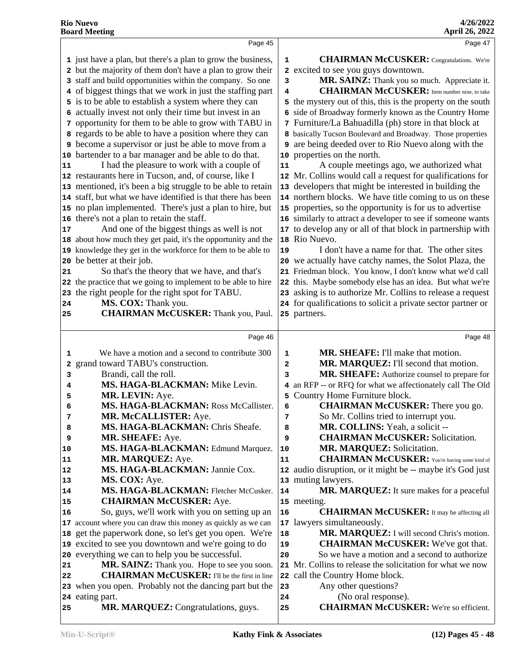|    | Page 45                                                       |          | Page 47                                                              |
|----|---------------------------------------------------------------|----------|----------------------------------------------------------------------|
|    | 1 just have a plan, but there's a plan to grow the business,  | 1        | <b>CHAIRMAN McCUSKER:</b> Congratulations. We're                     |
|    | 2 but the majority of them don't have a plan to grow their    |          | 2 excited to see you guys downtown.                                  |
|    | 3 staff and build opportunities within the company. So one    | 3        | MR. SAINZ: Thank you so much. Appreciate it.                         |
|    | 4 of biggest things that we work in just the staffing part    | 4        | <b>CHAIRMAN McCUSKER:</b> Item number nine, to take                  |
|    | 5 is to be able to establish a system where they can          |          | 5 the mystery out of this, this is the property on the south         |
|    | 6 actually invest not only their time but invest in an        |          | 6 side of Broadway formerly known as the Country Home                |
|    | 7 opportunity for them to be able to grow with TABU in        |          | 7 Furniture/La Bahuadilla (ph) store in that block at                |
|    | 8 regards to be able to have a position where they can        |          | 8 basically Tucson Boulevard and Broadway. Those properties          |
|    | <b>9</b> become a supervisor or just be able to move from a   | 9        | are being deeded over to Rio Nuevo along with the                    |
|    | 10 bartender to a bar manager and be able to do that.         |          | 10 properties on the north.                                          |
| 11 | I had the pleasure to work with a couple of                   | 11       | A couple meetings ago, we authorized what                            |
|    | 12 restaurants here in Tucson, and, of course, like I         |          | 12 Mr. Collins would call a request for qualifications for           |
|    | 13 mentioned, it's been a big struggle to be able to retain   |          | 13 developers that might be interested in building the               |
|    | 14 staff, but what we have identified is that there has been  |          | 14 northern blocks. We have title coming to us on these              |
|    | 15 no plan implemented. There's just a plan to hire, but      |          | 15 properties, so the opportunity is for us to advertise             |
|    | 16 there's not a plan to retain the staff.                    |          | 16 similarly to attract a developer to see if someone wants          |
| 17 | And one of the biggest things as well is not                  |          | 17 to develop any or all of that block in partnership with           |
|    | 18 about how much they get paid, it's the opportunity and the |          | 18 Rio Nuevo.                                                        |
|    | 19 knowledge they get in the workforce for them to be able to | 19       | I don't have a name for that. The other sites                        |
|    | 20 be better at their job.                                    |          | 20 we actually have catchy names, the Solot Plaza, the               |
| 21 | So that's the theory that we have, and that's                 |          | 21 Friedman block. You know, I don't know what we'd call             |
|    | 22 the practice that we going to implement to be able to hire |          | 22 this. Maybe somebody else has an idea. But what we're             |
|    | 23 the right people for the right spot for TABU.              |          | 23 asking is to authorize Mr. Collins to release a request           |
| 24 | MS. COX: Thank you.                                           |          | 24 for qualifications to solicit a private sector partner or         |
| 25 | <b>CHAIRMAN McCUSKER:</b> Thank you, Paul.                    |          | 25 partners.                                                         |
|    |                                                               |          |                                                                      |
|    |                                                               |          |                                                                      |
|    | Page 46                                                       |          | Page 48                                                              |
| 1  | We have a motion and a second to contribute 300               | 1        | <b>MR. SHEAFE:</b> I'll make that motion.                            |
| 2  | grand toward TABU's construction.                             | 2        | MR. MARQUEZ: I'll second that motion.                                |
| 3  | Brandi, call the roll.                                        | 3        | MR. SHEAFE: Authorize counsel to prepare for                         |
| 4  | MS. HAGA-BLACKMAN: Mike Levin.                                |          | 4 an RFP -- or RFQ for what we affectionately call The Old           |
| 5  | MR. LEVIN: Aye.                                               | 5        | Country Home Furniture block.                                        |
| 6  | MS. HAGA-BLACKMAN: Ross McCallister.                          | 6        | <b>CHAIRMAN McCUSKER:</b> There you go.                              |
| 7  | MR. McCALLISTER: Aye.                                         |          | So Mr. Collins tried to interrupt you.                               |
| 8  | MS. HAGA-BLACKMAN: Chris Sheafe.                              | 8        | MR. COLLINS: Yeah, a solicit --                                      |
| 9  | MR. SHEAFE: Aye.                                              | 9        | <b>CHAIRMAN McCUSKER:</b> Solicitation.                              |
| 10 | MS. HAGA-BLACKMAN: Edmund Marquez.                            | 10       | MR. MARQUEZ: Solicitation.                                           |
| 11 | MR. MARQUEZ: Aye.                                             | 11       | <b>CHAIRMAN McCUSKER:</b> You're having some kind of                 |
| 12 | MS. HAGA-BLACKMAN: Jannie Cox.                                | 12       | audio disruption, or it might be -- maybe it's God just              |
| 13 | MS. COX: Aye.                                                 |          | 13 muting lawyers.                                                   |
| 14 | MS. HAGA-BLACKMAN: Fletcher McCusker.                         | 14       | MR. MARQUEZ: It sure makes for a peaceful                            |
| 15 | <b>CHAIRMAN McCUSKER: Aye.</b>                                |          | 15 meeting.                                                          |
| 16 | So, guys, we'll work with you on setting up an                | 16       | <b>CHAIRMAN McCUSKER:</b> It may be affecting all                    |
|    | 17 account where you can draw this money as quickly as we can | 17       | lawyers simultaneously.                                              |
|    | 18 get the paperwork done, so let's get you open. We're       | 18       | MR. MARQUEZ: I will second Chris's motion.                           |
|    | 19 excited to see you downtown and we're going to do          | 19       | <b>CHAIRMAN McCUSKER:</b> We've got that.                            |
|    | 20 everything we can to help you be successful.               | 20       | So we have a motion and a second to authorize                        |
| 21 | MR. SAINZ: Thank you. Hope to see you soon.                   | 21       | Mr. Collins to release the solicitation for what we now              |
| 22 | <b>CHAIRMAN McCUSKER:</b> I'll be the first in line           | 22       | call the Country Home block.                                         |
|    | 23 when you open. Probably not the dancing part but the       | 23       | Any other questions?                                                 |
| 25 | 24 eating part.<br>MR. MARQUEZ: Congratulations, guys.        | 24<br>25 | (No oral response).<br><b>CHAIRMAN McCUSKER:</b> We're so efficient. |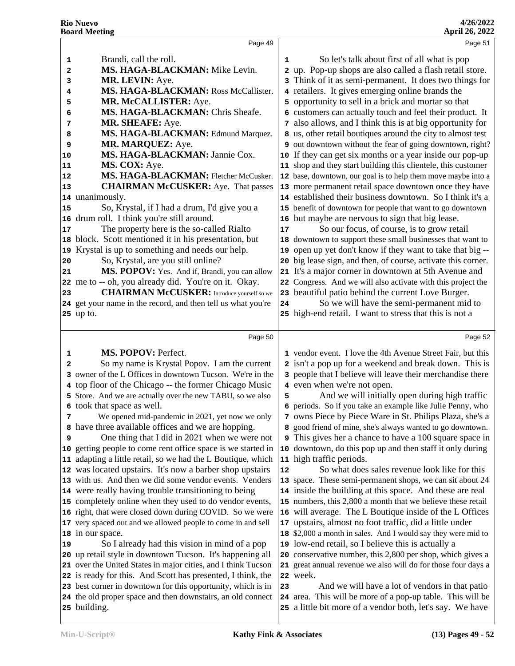|    | Page 49                                                                                                                     |    | Page 51                                                                                                                     |
|----|-----------------------------------------------------------------------------------------------------------------------------|----|-----------------------------------------------------------------------------------------------------------------------------|
| 1  | Brandi, call the roll.                                                                                                      | 1  | So let's talk about first of all what is pop                                                                                |
| 2  | MS. HAGA-BLACKMAN: Mike Levin.                                                                                              |    | 2 up. Pop-up shops are also called a flash retail store.                                                                    |
| 3  | MR. LEVIN: Aye.                                                                                                             |    | 3 Think of it as semi-permanent. It does two things for                                                                     |
|    | MS. HAGA-BLACKMAN: Ross McCallister.                                                                                        |    | 4 retailers. It gives emerging online brands the                                                                            |
| 4  | MR. McCALLISTER: Aye.                                                                                                       |    |                                                                                                                             |
| 5  |                                                                                                                             |    | 5 opportunity to sell in a brick and mortar so that                                                                         |
| 6  | MS. HAGA-BLACKMAN: Chris Sheafe.                                                                                            |    | 6 customers can actually touch and feel their product. It                                                                   |
| 7  | MR. SHEAFE: Aye.                                                                                                            |    | 7 also allows, and I think this is at big opportunity for                                                                   |
| 8  | MS. HAGA-BLACKMAN: Edmund Marquez.                                                                                          |    | 8 us, other retail boutiques around the city to almost test                                                                 |
| 9  | MR. MARQUEZ: Aye.                                                                                                           |    | 9 out downtown without the fear of going downtown, right?                                                                   |
| 10 | MS. HAGA-BLACKMAN: Jannie Cox.                                                                                              |    | 10 If they can get six months or a year inside our pop-up                                                                   |
| 11 | MS. COX: Aye.                                                                                                               |    | 11 shop and they start building this clientele, this customer                                                               |
| 12 | MS. HAGA-BLACKMAN: Fletcher McCusker.                                                                                       |    | 12 base, downtown, our goal is to help them move maybe into a                                                               |
| 13 | <b>CHAIRMAN McCUSKER:</b> Aye. That passes                                                                                  |    | 13 more permanent retail space downtown once they have                                                                      |
| 14 | unanimously.                                                                                                                |    | 14 established their business downtown. So I think it's a                                                                   |
| 15 | So, Krystal, if I had a drum, I'd give you a                                                                                |    | 15 benefit of downtown for people that want to go downtown                                                                  |
| 16 | drum roll. I think you're still around.                                                                                     |    | 16 but maybe are nervous to sign that big lease.                                                                            |
| 17 | The property here is the so-called Rialto                                                                                   | 17 | So our focus, of course, is to grow retail                                                                                  |
| 18 | block. Scott mentioned it in his presentation, but                                                                          | 18 | downtown to support these small businesses that want to                                                                     |
| 19 | Krystal is up to something and needs our help.                                                                              | 19 | open up yet don't know if they want to take that big --                                                                     |
| 20 | So, Krystal, are you still online?                                                                                          |    | 20 big lease sign, and then, of course, activate this corner.                                                               |
| 21 | MS. POPOV: Yes. And if, Brandi, you can allow                                                                               | 21 | It's a major corner in downtown at 5th Avenue and                                                                           |
| 22 | me to -- oh, you already did. You're on it. Okay.                                                                           |    | 22 Congress. And we will also activate with this project the                                                                |
| 23 | <b>CHAIRMAN McCUSKER:</b> Introduce yourself so we                                                                          |    | 23 beautiful patio behind the current Love Burger.                                                                          |
|    | 24 get your name in the record, and then tell us what you're                                                                | 24 | So we will have the semi-permanent mid to                                                                                   |
|    | 25 up to.                                                                                                                   |    | 25 high-end retail. I want to stress that this is not a                                                                     |
|    |                                                                                                                             |    |                                                                                                                             |
|    | Page 50                                                                                                                     |    | Page 52                                                                                                                     |
| 1  | MS. POPOV: Perfect.                                                                                                         |    | 1 vendor event. I love the 4th Avenue Street Fair, but this                                                                 |
| 2  | So my name is Krystal Popov. I am the current                                                                               |    | 2 isn't a pop up for a weekend and break down. This is                                                                      |
| 3  | owner of the L Offices in downtown Tucson. We're in the                                                                     |    | 3 people that I believe will leave their merchandise there                                                                  |
|    | 4 top floor of the Chicago -- the former Chicago Music                                                                      |    | 4 even when we're not open.                                                                                                 |
|    | 5 Store. And we are actually over the new TABU, so we also                                                                  | 5  | And we will initially open during high traffic                                                                              |
|    | 6 took that space as well.                                                                                                  |    | 6 periods. So if you take an example like Julie Penny, who                                                                  |
| 7  | We opened mid-pandemic in 2021, yet now we only                                                                             |    | 7 owns Piece by Piece Ware in St. Philips Plaza, she's a                                                                    |
|    | 8 have three available offices and we are hopping.                                                                          |    | 8 good friend of mine, she's always wanted to go downtown.                                                                  |
| 9  | One thing that I did in 2021 when we were not                                                                               |    | <b>9</b> This gives her a chance to have a 100 square space in                                                              |
| 10 | getting people to come rent office space is we started in                                                                   |    | 10 downtown, do this pop up and then staff it only during                                                                   |
| 11 | adapting a little retail, so we had the L Boutique, which                                                                   |    | 11 high traffic periods.                                                                                                    |
| 12 | was located upstairs. It's now a barber shop upstairs                                                                       | 12 | So what does sales revenue look like for this                                                                               |
| 13 | with us. And then we did some vendor events. Venders                                                                        |    | 13 space. These semi-permanent shops, we can sit about 24                                                                   |
|    | 14 were really having trouble transitioning to being                                                                        |    | 14 inside the building at this space. And these are real                                                                    |
|    | 15 completely online when they used to do vendor events,                                                                    |    | 15 numbers, this 2,800 a month that we believe these retail                                                                 |
|    | 16 right, that were closed down during COVID. So we were                                                                    |    | 16 will average. The L Boutique inside of the L Offices                                                                     |
|    | 17 very spaced out and we allowed people to come in and sell                                                                | 17 | upstairs, almost no foot traffic, did a little under                                                                        |
|    |                                                                                                                             |    | 18 \$2,000 a month in sales. And I would say they were mid to                                                               |
| 18 | in our space.                                                                                                               |    |                                                                                                                             |
| 19 | So I already had this vision in mind of a pop                                                                               |    | 19 low-end retail, so I believe this is actually a                                                                          |
| 20 | up retail style in downtown Tucson. It's happening all<br>21 over the United States in major cities, and I think Tucson     |    | 20 conservative number, this 2,800 per shop, which gives a<br>21 great annual revenue we also will do for those four days a |
|    |                                                                                                                             |    |                                                                                                                             |
|    |                                                                                                                             |    |                                                                                                                             |
|    | 22 is ready for this. And Scott has presented, I think, the                                                                 |    | 22 week.                                                                                                                    |
|    | 23 best corner in downtown for this opportunity, which is in<br>24 the old proper space and then downstairs, an old connect | 23 | And we will have a lot of vendors in that patio<br>24 area. This will be more of a pop-up table. This will be               |

building.

a little bit more of a vendor both, let's say. We have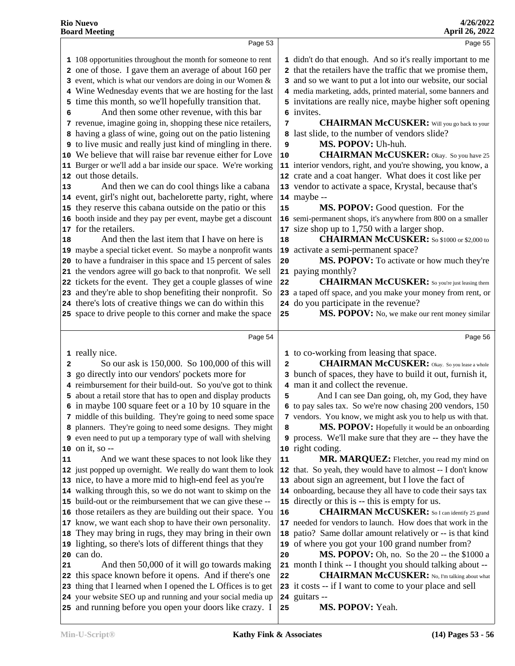|                | Page 53                                                                                                                                                                                                                                                                                                                                                                                                                                                                                                                                                                                                                                                                                                                                                                                                                                                                                                                                                                                                                                                                                                                                                                                                                                                                                                                                                               |                                            | Page 55                                                                                                                                                                                                                                                                                                                                                                                                                                                                                                                                                                                                                                                                                                                                                                                                                                                                                                                                                                                                                                                                                                                                                         |  |
|----------------|-----------------------------------------------------------------------------------------------------------------------------------------------------------------------------------------------------------------------------------------------------------------------------------------------------------------------------------------------------------------------------------------------------------------------------------------------------------------------------------------------------------------------------------------------------------------------------------------------------------------------------------------------------------------------------------------------------------------------------------------------------------------------------------------------------------------------------------------------------------------------------------------------------------------------------------------------------------------------------------------------------------------------------------------------------------------------------------------------------------------------------------------------------------------------------------------------------------------------------------------------------------------------------------------------------------------------------------------------------------------------|--------------------------------------------|-----------------------------------------------------------------------------------------------------------------------------------------------------------------------------------------------------------------------------------------------------------------------------------------------------------------------------------------------------------------------------------------------------------------------------------------------------------------------------------------------------------------------------------------------------------------------------------------------------------------------------------------------------------------------------------------------------------------------------------------------------------------------------------------------------------------------------------------------------------------------------------------------------------------------------------------------------------------------------------------------------------------------------------------------------------------------------------------------------------------------------------------------------------------|--|
| 6<br> 13<br>18 | 1 108 opportunities throughout the month for someone to rent<br>2 one of those. I gave them an average of about 160 per<br>3 event, which is what our vendors are doing in our Women &<br>4 Wine Wednesday events that we are hosting for the last<br>5 time this month, so we'll hopefully transition that.<br>And then some other revenue, with this bar<br>7 revenue, imagine going in, shopping these nice retailers,<br>8 having a glass of wine, going out on the patio listening<br><b>9</b> to live music and really just kind of mingling in there.<br>10 We believe that will raise bar revenue either for Love<br>11 Burger or we'll add a bar inside our space. We're working<br>12 out those details.<br>And then we can do cool things like a cabana<br>14 event, girl's night out, bachelorette party, right, where<br>15 they reserve this cabana outside on the patio or this<br>16 booth inside and they pay per event, maybe get a discount<br>17 for the retailers.<br>And then the last item that I have on here is<br>19 maybe a special ticket event. So maybe a nonprofit wants<br>20 to have a fundraiser in this space and 15 percent of sales<br>21 the vendors agree will go back to that nonprofit. We sell<br>22 tickets for the event. They get a couple glasses of wine<br>23 and they're able to shop benefiting their nonprofit. So | 7<br>9<br>10<br>15<br>17<br>18<br>20<br>22 | 1 didn't do that enough. And so it's really important to me<br>2 that the retailers have the traffic that we promise them,<br>3 and so we want to put a lot into our website, our social<br>4 media marketing, adds, printed material, some banners and<br>5 invitations are really nice, maybe higher soft opening<br>6 invites.<br><b>CHAIRMAN McCUSKER:</b> Will you go back to your<br>8 last slide, to the number of vendors slide?<br>MS. POPOV: Uh-huh.<br><b>CHAIRMAN McCUSKER:</b> Okay. So you have 25<br>11 interior vendors, right, and you're showing, you know, a<br>12 crate and a coat hanger. What does it cost like per<br>13 vendor to activate a space, Krystal, because that's<br>$14$ maybe $-$<br>MS. POPOV: Good question. For the<br>16 semi-permanent shops, it's anywhere from 800 on a smaller<br>size shop up to 1,750 with a larger shop.<br><b>CHAIRMAN McCUSKER:</b> So \$1000 or \$2,000 to<br>19 activate a semi-permanent space?<br>MS. POPOV: To activate or how much they're<br>21 paying monthly?<br><b>CHAIRMAN McCUSKER:</b> So you're just leasing them<br>23 a taped off space, and you make your money from rent, or |  |
|                | 24 there's lots of creative things we can do within this                                                                                                                                                                                                                                                                                                                                                                                                                                                                                                                                                                                                                                                                                                                                                                                                                                                                                                                                                                                                                                                                                                                                                                                                                                                                                                              |                                            | 24 do you participate in the revenue?                                                                                                                                                                                                                                                                                                                                                                                                                                                                                                                                                                                                                                                                                                                                                                                                                                                                                                                                                                                                                                                                                                                           |  |
|                | 25 space to drive people to this corner and make the space                                                                                                                                                                                                                                                                                                                                                                                                                                                                                                                                                                                                                                                                                                                                                                                                                                                                                                                                                                                                                                                                                                                                                                                                                                                                                                            | 25                                         | MS. POPOV: No, we make our rent money similar                                                                                                                                                                                                                                                                                                                                                                                                                                                                                                                                                                                                                                                                                                                                                                                                                                                                                                                                                                                                                                                                                                                   |  |
|                | Page 54                                                                                                                                                                                                                                                                                                                                                                                                                                                                                                                                                                                                                                                                                                                                                                                                                                                                                                                                                                                                                                                                                                                                                                                                                                                                                                                                                               |                                            | Page 56                                                                                                                                                                                                                                                                                                                                                                                                                                                                                                                                                                                                                                                                                                                                                                                                                                                                                                                                                                                                                                                                                                                                                         |  |
| 2              | 1 really nice.<br>So our ask is 150,000. So 100,000 of this will<br>3 go directly into our vendors' pockets more for<br>4 reimbursement for their build-out. So you've got to think<br>5 about a retail store that has to open and display products<br>6 in maybe 100 square feet or a 10 by 10 square in the                                                                                                                                                                                                                                                                                                                                                                                                                                                                                                                                                                                                                                                                                                                                                                                                                                                                                                                                                                                                                                                         | $\mathbf{2}$<br>5                          | 1 to co-working from leasing that space.<br><b>CHAIRMAN McCUSKER:</b> Okay. So you lease a whole<br>3 bunch of spaces, they have to build it out, furnish it,<br>4 man it and collect the revenue.<br>And I can see Dan going, oh, my God, they have<br>6 to pay sales tax. So we're now chasing 200 vendors, 150                                                                                                                                                                                                                                                                                                                                                                                                                                                                                                                                                                                                                                                                                                                                                                                                                                               |  |
| 11             | 7 middle of this building. They're going to need some space<br>8 planners. They're going to need some designs. They might<br>9 even need to put up a temporary type of wall with shelving<br>$10$ on it, so $-$<br>And we want these spaces to not look like they                                                                                                                                                                                                                                                                                                                                                                                                                                                                                                                                                                                                                                                                                                                                                                                                                                                                                                                                                                                                                                                                                                     | 8<br>11                                    | 7 vendors. You know, we might ask you to help us with that.<br>MS. POPOV: Hopefully it would be an onboarding<br>9 process. We'll make sure that they are -- they have the<br>10 right coding.<br>MR. MARQUEZ: Fletcher, you read my mind on                                                                                                                                                                                                                                                                                                                                                                                                                                                                                                                                                                                                                                                                                                                                                                                                                                                                                                                    |  |
|                | 12 just popped up overnight. We really do want them to look<br>13 nice, to have a more mid to high-end feel as you're<br>14 walking through this, so we do not want to skimp on the<br>15 build-out or the reimbursement that we can give these --                                                                                                                                                                                                                                                                                                                                                                                                                                                                                                                                                                                                                                                                                                                                                                                                                                                                                                                                                                                                                                                                                                                    |                                            | 12 that. So yeah, they would have to almost -- I don't know<br>13 about sign an agreement, but I love the fact of<br>14 onboarding, because they all have to code their says tax<br>15 directly or this is -- this is empty for us.                                                                                                                                                                                                                                                                                                                                                                                                                                                                                                                                                                                                                                                                                                                                                                                                                                                                                                                             |  |
|                | 16 those retailers as they are building out their space. You<br>17 know, we want each shop to have their own personality.<br>18 They may bring in rugs, they may bring in their own<br>19 lighting, so there's lots of different things that they<br>$20$ can do.                                                                                                                                                                                                                                                                                                                                                                                                                                                                                                                                                                                                                                                                                                                                                                                                                                                                                                                                                                                                                                                                                                     | 16<br>18<br>20                             | <b>CHAIRMAN McCUSKER:</b> So I can identify 25 grand<br>17 needed for vendors to launch. How does that work in the<br>patio? Same dollar amount relatively or -- is that kind<br>19 of where you got your 100 grand number from?<br>MS. POPOV: Oh, no. So the 20 -- the \$1000 a                                                                                                                                                                                                                                                                                                                                                                                                                                                                                                                                                                                                                                                                                                                                                                                                                                                                                |  |
| 21             |                                                                                                                                                                                                                                                                                                                                                                                                                                                                                                                                                                                                                                                                                                                                                                                                                                                                                                                                                                                                                                                                                                                                                                                                                                                                                                                                                                       |                                            |                                                                                                                                                                                                                                                                                                                                                                                                                                                                                                                                                                                                                                                                                                                                                                                                                                                                                                                                                                                                                                                                                                                                                                 |  |
|                | And then 50,000 of it will go towards making<br>22 this space known before it opens. And if there's one<br>23 thing that I learned when I opened the L Offices is to get<br>24 your website SEO up and running and your social media up<br>25 and running before you open your doors like crazy. I                                                                                                                                                                                                                                                                                                                                                                                                                                                                                                                                                                                                                                                                                                                                                                                                                                                                                                                                                                                                                                                                    | 22<br>25                                   | 21 month I think -- I thought you should talking about --<br><b>CHAIRMAN McCUSKER:</b> No, I'm talking about what<br>23 it costs -- if I want to come to your place and sell<br>24 guitars --<br>MS. POPOV: Yeah.                                                                                                                                                                                                                                                                                                                                                                                                                                                                                                                                                                                                                                                                                                                                                                                                                                                                                                                                               |  |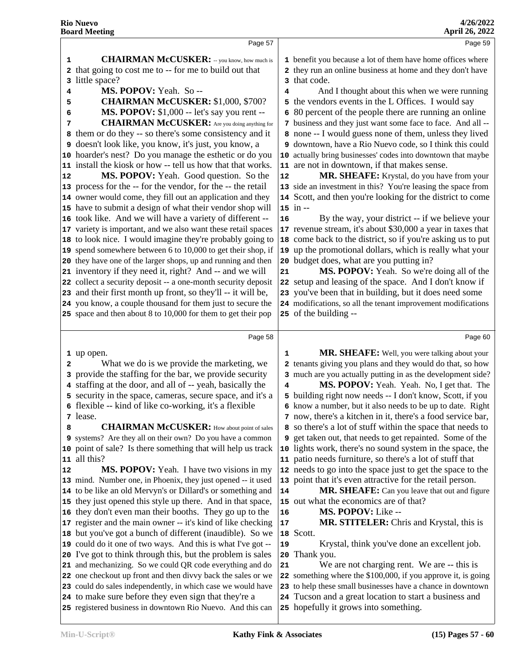|                         | Doal u ivieeuiig                                                                                                       |    | April 20, 2022                                                                                                      |
|-------------------------|------------------------------------------------------------------------------------------------------------------------|----|---------------------------------------------------------------------------------------------------------------------|
|                         | Page 57                                                                                                                |    | Page 59                                                                                                             |
| 1                       | <b>CHAIRMAN McCUSKER:</b> -- you know, how much is                                                                     |    | 1 benefit you because a lot of them have home offices where                                                         |
|                         | 2 that going to cost me to -- for me to build out that                                                                 |    | 2 they run an online business at home and they don't have                                                           |
| 3                       | little space?                                                                                                          |    | 3 that code.                                                                                                        |
| 4                       | MS. POPOV: Yeah. So--                                                                                                  | 4  | And I thought about this when we were running                                                                       |
| 5                       | <b>CHAIRMAN McCUSKER: \$1,000, \$700?</b>                                                                              |    | 5 the vendors events in the L Offices. I would say                                                                  |
| 6                       | MS. POPOV: \$1,000 -- let's say you rent --                                                                            | 6  | 80 percent of the people there are running an online                                                                |
| 7                       | <b>CHAIRMAN McCUSKER:</b> Are you doing anything for                                                                   |    | 7 business and they just want some face to face. And all --                                                         |
| 8                       | them or do they -- so there's some consistency and it                                                                  |    | 8 none -- I would guess none of them, unless they lived<br>9 downtown, have a Rio Nuevo code, so I think this could |
|                         | 9 doesn't look like, you know, it's just, you know, a                                                                  |    |                                                                                                                     |
|                         | 10 hoarder's nest? Do you manage the esthetic or do you<br>11 install the kiosk or how -- tell us how that that works. |    | 10 actually bring businesses' codes into downtown that maybe<br>11 are not in downtown, if that makes sense.        |
| 12                      | MS. POPOV: Yeah. Good question. So the                                                                                 | 12 | MR. SHEAFE: Krystal, do you have from your                                                                          |
|                         | 13 process for the -- for the vendor, for the -- the retail                                                            |    | 13 side an investment in this? You're leasing the space from                                                        |
|                         | 14 owner would come, they fill out an application and they                                                             |    | 14 Scott, and then you're looking for the district to come                                                          |
|                         | 15 have to submit a design of what their vendor shop will                                                              |    | $15$ in $-$                                                                                                         |
|                         | 16 took like. And we will have a variety of different --                                                               | 16 | By the way, your district -- if we believe your                                                                     |
|                         | 17 variety is important, and we also want these retail spaces                                                          |    | 17 revenue stream, it's about \$30,000 a year in taxes that                                                         |
|                         | 18 to look nice. I would imagine they're probably going to                                                             |    | 18 come back to the district, so if you're asking us to put                                                         |
|                         | 19 spend somewhere between 6 to 10,000 to get their shop, if                                                           | 19 | up the promotional dollars, which is really what your                                                               |
|                         | 20 they have one of the larger shops, up and running and then                                                          | 20 | budget does, what are you putting in?                                                                               |
|                         | 21 inventory if they need it, right? And -- and we will                                                                | 21 | MS. POPOV: Yeah. So we're doing all of the                                                                          |
|                         | 22 collect a security deposit -- a one-month security deposit                                                          |    | 22 setup and leasing of the space. And I don't know if                                                              |
|                         | 23 and their first month up front, so they'll -- it will be,                                                           |    | 23 you've been that in building, but it does need some                                                              |
|                         | 24 you know, a couple thousand for them just to secure the                                                             |    | 24 modifications, so all the tenant improvement modifications                                                       |
|                         | 25 space and then about 8 to 10,000 for them to get their pop                                                          |    | 25 of the building --                                                                                               |
|                         |                                                                                                                        |    |                                                                                                                     |
|                         | Page 58                                                                                                                |    | Page 60                                                                                                             |
|                         | 1 up open.                                                                                                             | 1  | MR. SHEAFE: Well, you were talking about your                                                                       |
| $\overline{\mathbf{2}}$ | What we do is we provide the marketing, we                                                                             |    | tenants giving you plans and they would do that, so how                                                             |
|                         | 3 provide the staffing for the bar, we provide security                                                                |    | 3 much are you actually putting in as the development side?                                                         |
|                         | 4 staffing at the door, and all of -- yeah, basically the                                                              | 4  | MS. POPOV: Yeah. Yeah. No, I get that. The                                                                          |
|                         | 5 security in the space, cameras, secure space, and it's a                                                             |    | 5 building right now needs -- I don't know, Scott, if you                                                           |
|                         | 6 flexible -- kind of like co-working, it's a flexible                                                                 |    | 6 know a number, but it also needs to be up to date. Right                                                          |
|                         | 7 lease.                                                                                                               |    | 7 now, there's a kitchen in it, there's a food service bar,                                                         |
| 8                       | <b>CHAIRMAN McCUSKER:</b> How about point of sales                                                                     |    | 8 so there's a lot of stuff within the space that needs to                                                          |
|                         | 9 systems? Are they all on their own? Do you have a common                                                             |    | 9 get taken out, that needs to get repainted. Some of the                                                           |
|                         | 10 point of sale? Is there something that will help us track                                                           | 10 | lights work, there's no sound system in the space, the                                                              |
| 11                      | all this?                                                                                                              |    | 11 patio needs furniture, so there's a lot of stuff that                                                            |
| 12                      | MS. POPOV: Yeah. I have two visions in my                                                                              |    | 12 needs to go into the space just to get the space to the                                                          |
|                         | 13 mind. Number one, in Phoenix, they just opened -- it used                                                           | 13 | point that it's even attractive for the retail person.                                                              |
|                         | 14 to be like an old Mervyn's or Dillard's or something and                                                            | 14 | MR. SHEAFE: Can you leave that out and figure                                                                       |
|                         | 15 they just opened this style up there. And in that space,                                                            |    | 15 out what the economics are of that?                                                                              |
|                         | 16 they don't even man their booths. They go up to the                                                                 | 16 | MS. POPOV: Like --                                                                                                  |
|                         | 17 register and the main owner -- it's kind of like checking                                                           | 17 | MR. STITELER: Chris and Krystal, this is                                                                            |
|                         |                                                                                                                        |    | 18 Scott.                                                                                                           |
|                         | 18 but you've got a bunch of different (inaudible). So we                                                              |    |                                                                                                                     |
|                         | 19 could do it one of two ways. And this is what I've got --                                                           | 19 | Krystal, think you've done an excellent job.                                                                        |
|                         | 20 I've got to think through this, but the problem is sales                                                            | 20 | Thank you.                                                                                                          |
|                         | 21 and mechanizing. So we could QR code everything and do                                                              | 21 | We are not charging rent. We are -- this is                                                                         |
|                         | 22 one checkout up front and then divvy back the sales or we                                                           | 22 | something where the \$100,000, if you approve it, is going                                                          |
|                         | 23 could do sales independently, in which case we would have                                                           | 23 | to help these small businesses have a chance in downtown                                                            |
|                         | 24 to make sure before they even sign that they're a<br>25 registered business in downtown Rio Nuevo. And this can     |    | Tucson and a great location to start a business and<br>25 hopefully it grows into something.                        |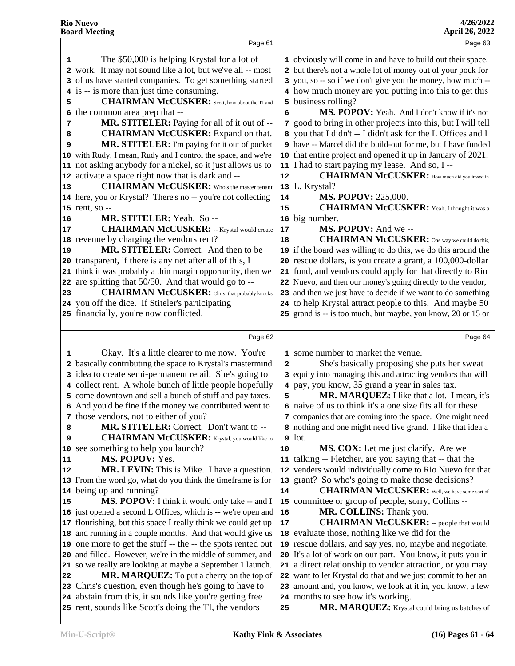|    | Page 61                                                                                                            |              | Page 63                                                                              |
|----|--------------------------------------------------------------------------------------------------------------------|--------------|--------------------------------------------------------------------------------------|
| 1  | The \$50,000 is helping Krystal for a lot of                                                                       |              | 1 obviously will come in and have to build out their space,                          |
| 2  | work. It may not sound like a lot, but we've all -- most                                                           |              | 2 but there's not a whole lot of money out of your pock for                          |
| 3  | of us have started companies. To get something started                                                             |              | 3 you, so -- so if we don't give you the money, how much --                          |
|    | is -- is more than just time consuming.                                                                            |              | 4 how much money are you putting into this to get this                               |
| 5  | <b>CHAIRMAN McCUSKER:</b> Scott, how about the TI and                                                              |              | 5 business rolling?                                                                  |
| 6  | the common area prep that --                                                                                       | 6            | MS. POPOV: Yeah. And I don't know if it's not                                        |
| 7  | MR. STITELER: Paying for all of it out of --                                                                       |              | 7 good to bring in other projects into this, but I will tell                         |
| 8  | <b>CHAIRMAN McCUSKER:</b> Expand on that.                                                                          |              | 8 you that I didn't -- I didn't ask for the L Offices and I                          |
| 9  | MR. STITELER: I'm paying for it out of pocket                                                                      |              | 9 have -- Marcel did the build-out for me, but I have funded                         |
|    | 10 with Rudy, I mean, Rudy and I control the space, and we're                                                      |              | 10 that entire project and opened it up in January of 2021.                          |
| 11 | not asking anybody for a nickel, so it just allows us to                                                           |              | 11 I had to start paying my lease. And so, I --                                      |
|    | 12 activate a space right now that is dark and --                                                                  | 12           | <b>CHAIRMAN McCUSKER:</b> How much did you invest in                                 |
| 13 | <b>CHAIRMAN McCUSKER:</b> Who's the master tenant                                                                  |              | 13 L, Krystal?                                                                       |
|    | 14 here, you or Krystal? There's no -- you're not collecting                                                       | 14           | <b>MS. POPOV: 225,000.</b>                                                           |
|    | 15 rent, so --                                                                                                     | 15           | <b>CHAIRMAN McCUSKER:</b> Yeah, I thought it was a                                   |
| 16 | MR. STITELER: Yeah. So --                                                                                          | ${\bf 16}$   | big number.                                                                          |
| 17 | <b>CHAIRMAN McCUSKER:</b> -- Krystal would create                                                                  | 17           | MS. POPOV: And we --                                                                 |
|    | 18 revenue by charging the vendors rent?                                                                           | 18           | <b>CHAIRMAN McCUSKER:</b> One way we could do this,                                  |
| 19 | MR. STITELER: Correct. And then to be                                                                              |              | 19 if the board was willing to do this, we do this around the                        |
| 20 | transparent, if there is any net after all of this, I                                                              |              | 20 rescue dollars, is you create a grant, a 100,000-dollar                           |
| 21 | think it was probably a thin margin opportunity, then we                                                           | 21           | fund, and vendors could apply for that directly to Rio                               |
| 22 | are splitting that 50/50. And that would go to --                                                                  |              | 22 Nuevo, and then our money's going directly to the vendor,                         |
| 23 | <b>CHAIRMAN McCUSKER:</b> Chris, that probably knocks                                                              |              | 23 and then we just have to decide if we want to do something                        |
|    | 24 you off the dice. If Stiteler's participating                                                                   |              | 24 to help Krystal attract people to this. And maybe 50                              |
|    | 25 financially, you're now conflicted.                                                                             |              | 25 grand is -- is too much, but maybe, you know, 20 or 15 or                         |
|    |                                                                                                                    |              | Page 64                                                                              |
|    | Page 62                                                                                                            |              |                                                                                      |
| 1  | Okay. It's a little clearer to me now. You're                                                                      |              | 1 some number to market the venue.                                                   |
|    | 2 basically contributing the space to Krystal's mastermind                                                         | $\mathbf{2}$ | She's basically proposing she puts her sweat                                         |
| 3  | idea to create semi-permanent retail. She's going to                                                               |              | 3 equity into managing this and attracting vendors that will                         |
|    | 4 collect rent. A whole bunch of little people hopefully                                                           |              | 4 pay, you know, 35 grand a year in sales tax.                                       |
|    | 5 come downtown and sell a bunch of stuff and pay taxes.                                                           | 5            | MR. MARQUEZ: I like that a lot. I mean, it's                                         |
|    | 6 And you'd be fine if the money we contributed went to                                                            |              | 6 naive of us to think it's a one size fits all for these                            |
|    | 7 those vendors, not to either of you?                                                                             |              | 7 companies that are coming into the space. One might need                           |
| 8  | MR. STITELER: Correct. Don't want to --                                                                            |              | 8 nothing and one might need five grand. I like that idea a                          |
|    |                                                                                                                    |              |                                                                                      |
| 9  | <b>CHAIRMAN McCUSKER:</b> Krystal, you would like to                                                               |              | $9$ lot.                                                                             |
| 10 | see something to help you launch?                                                                                  | 10           | MS. COX: Let me just clarify. Are we                                                 |
| 11 | MS. POPOV: Yes.                                                                                                    |              | 11 talking -- Fletcher, are you saying that -- that the                              |
| 12 | MR. LEVIN: This is Mike. I have a question.                                                                        |              | 12 venders would individually come to Rio Nuevo for that                             |
|    | 13 From the word go, what do you think the timeframe is for                                                        |              | 13 grant? So who's going to make those decisions?                                    |
| 14 | being up and running?                                                                                              | 14           | <b>CHAIRMAN McCUSKER:</b> Well, we have some sort of                                 |
| 15 | MS. POPOV: I think it would only take -- and I                                                                     |              | 15 committee or group of people, sorry, Collins --                                   |
|    | 16 just opened a second L Offices, which is -- we're open and                                                      | 16           | MR. COLLINS: Thank you.                                                              |
|    | 17 flourishing, but this space I really think we could get up                                                      | 17           | <b>CHAIRMAN McCUSKER:</b> -- people that would                                       |
| 18 | and running in a couple months. And that would give us                                                             |              | 18 evaluate those, nothing like we did for the                                       |
|    | 19 one more to get the stuff -- the -- the spots rented out                                                        | 19           | rescue dollars, and say yes, no, maybe and negotiate.                                |
|    | 20 and filled. However, we're in the middle of summer, and                                                         | 20           | It's a lot of work on our part. You know, it puts you in                             |
|    | 21 so we really are looking at maybe a September 1 launch.                                                         |              | 21 a direct relationship to vendor attraction, or you may                            |
| 22 | MR. MARQUEZ: To put a cherry on the top of                                                                         |              | 22 want to let Krystal do that and we just commit to her an                          |
|    | 23 Chris's question, even though he's going to have to                                                             |              | 23 amount and, you know, we look at it in, you know, a few                           |
|    | 24 abstain from this, it sounds like you're getting free<br>25 rent, sounds like Scott's doing the TI, the vendors | 25           | 24 months to see how it's working.<br>MR. MARQUEZ: Krystal could bring us batches of |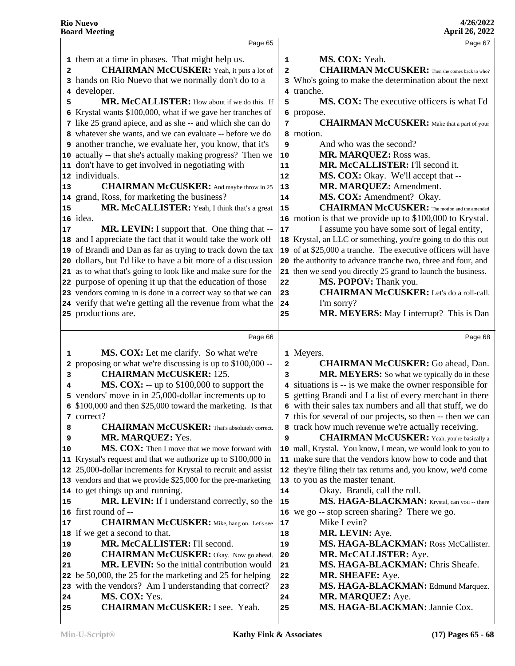|        | Page 65                                                                          |                | Page 67                                                                                                                |
|--------|----------------------------------------------------------------------------------|----------------|------------------------------------------------------------------------------------------------------------------------|
|        | 1 them at a time in phases. That might help us.                                  | 1              | MS. COX: Yeah.                                                                                                         |
| 2      | <b>CHAIRMAN McCUSKER:</b> Yeah, it puts a lot of                                 | $\mathbf{2}$   | <b>CHAIRMAN McCUSKER:</b> Then she comes back to who?                                                                  |
|        | 3 hands on Rio Nuevo that we normally don't do to a                              |                | 3 Who's going to make the determination about the next                                                                 |
|        | 4 developer.                                                                     |                | 4 tranche.                                                                                                             |
| 5      | MR. McCALLISTER: How about if we do this. If                                     | 5              | MS. COX: The executive officers is what I'd                                                                            |
| 6      | Krystal wants \$100,000, what if we gave her tranches of                         | 6              | propose.                                                                                                               |
|        | 7 like 25 grand apiece, and as she -- and which she can do                       | 7              | <b>CHAIRMAN McCUSKER:</b> Make that a part of your                                                                     |
|        | 8 whatever she wants, and we can evaluate -- before we do                        |                | 8 motion.                                                                                                              |
|        | 9 another tranche, we evaluate her, you know, that it's                          | 9              | And who was the second?                                                                                                |
|        | 10 actually -- that she's actually making progress? Then we                      | $10$           | MR. MARQUEZ: Ross was.                                                                                                 |
|        | 11 don't have to get involved in negotiating with                                | 11             | MR. McCALLISTER: I'll second it.                                                                                       |
|        | 12 individuals.                                                                  | 12             | MS. COX: Okay. We'll accept that --                                                                                    |
| 13     | <b>CHAIRMAN McCUSKER:</b> And maybe throw in 25                                  | 13             | MR. MARQUEZ: Amendment.                                                                                                |
|        | 14 grand, Ross, for marketing the business?                                      | 14             | MS. COX: Amendment? Okay.                                                                                              |
| 15     | MR. McCALLISTER: Yeah, I think that's a great                                    | 15             | <b>CHAIRMAN McCUSKER:</b> The motion and the amended                                                                   |
|        | 16 idea.                                                                         |                | 16 motion is that we provide up to \$100,000 to Krystal.                                                               |
| 17     | MR. LEVIN: I support that. One thing that --                                     | ${\bf 17}$     | I assume you have some sort of legal entity,                                                                           |
|        | 18 and I appreciate the fact that it would take the work off                     |                | 18 Krystal, an LLC or something, you're going to do this out                                                           |
|        | 19 of Brandi and Dan as far as trying to track down the tax                      |                | 19 of at \$25,000 a tranche. The executive officers will have                                                          |
|        | 20 dollars, but I'd like to have a bit more of a discussion                      |                | 20 the authority to advance tranche two, three and four, and                                                           |
|        | 21 as to what that's going to look like and make sure for the                    |                | 21 then we send you directly 25 grand to launch the business.                                                          |
|        | 22 purpose of opening it up that the education of those                          | 22             | MS. POPOV: Thank you.                                                                                                  |
|        | 23 vendors coming in is done in a correct way so that we can                     | 23             | <b>CHAIRMAN McCUSKER:</b> Let's do a roll-call.                                                                        |
|        | 24 verify that we're getting all the revenue from what the                       | 24             | I'm sorry?                                                                                                             |
|        | 25 productions are.                                                              | 25             | MR. MEYERS: May I interrupt? This is Dan                                                                               |
|        |                                                                                  |                |                                                                                                                        |
|        |                                                                                  |                |                                                                                                                        |
|        | Page 66                                                                          |                | Page 68                                                                                                                |
|        |                                                                                  |                |                                                                                                                        |
| 1<br>2 | MS. COX: Let me clarify. So what we're                                           | $\overline{a}$ | 1 Meyers.                                                                                                              |
|        | proposing or what we're discussing is up to \$100,000 --                         | 3              | <b>CHAIRMAN McCUSKER:</b> Go ahead, Dan.                                                                               |
| 3<br>4 | <b>CHAIRMAN McCUSKER: 125.</b>                                                   |                | MR. MEYERS: So what we typically do in these                                                                           |
|        | <b>MS. COX:</b> $-$ up to \$100,000 to support the                               |                | 4 situations is -- is we make the owner responsible for                                                                |
|        | 5 vendors' move in in 25,000-dollar increments up to                             |                | 5 getting Brandi and I a list of every merchant in there                                                               |
|        | 6 \$100,000 and then \$25,000 toward the marketing. Is that                      |                | 6 with their sales tax numbers and all that stuff, we do                                                               |
|        | 7 correct?                                                                       |                | 7 this for several of our projects, so then -- then we can                                                             |
| 8<br>9 | <b>CHAIRMAN McCUSKER:</b> That's absolutely correct.<br><b>MR. MARQUEZ: Yes.</b> | 9              | 8 track how much revenue we're actually receiving.<br><b>CHAIRMAN McCUSKER:</b> Yeah, you're basically a               |
| 10     | MS. COX: Then I move that we move forward with                                   |                |                                                                                                                        |
|        | 11 Krystal's request and that we authorize up to \$100,000 in                    |                | 10 mall, Krystal. You know, I mean, we would look to you to<br>11 make sure that the vendors know how to code and that |
|        | 12 25,000-dollar increments for Krystal to recruit and assist                    |                | 12 they're filing their tax returns and, you know, we'd come                                                           |
|        | 13 vendors and that we provide \$25,000 for the pre-marketing                    |                | 13 to you as the master tenant.                                                                                        |
|        | 14 to get things up and running.                                                 | 14             | Okay. Brandi, call the roll.                                                                                           |
| 15     | MR. LEVIN: If I understand correctly, so the                                     | 15             | MS. HAGA-BLACKMAN: Krystal, can you -- there                                                                           |
|        | 16 first round of --                                                             | 16             | we go -- stop screen sharing? There we go.                                                                             |
| 17     | <b>CHAIRMAN McCUSKER:</b> Mike, hang on. Let's see                               | 17             | Mike Levin?                                                                                                            |
|        | 18 if we get a second to that.                                                   | 18             | MR. LEVIN: Aye.                                                                                                        |
| 19     | MR. McCALLISTER: I'll second.                                                    | 19             | MS. HAGA-BLACKMAN: Ross McCallister.                                                                                   |
| 20     | <b>CHAIRMAN McCUSKER:</b> Okay. Now go ahead.                                    | 20             | MR. McCALLISTER: Aye.                                                                                                  |
| 21     | MR. LEVIN: So the initial contribution would                                     | 21             | MS. HAGA-BLACKMAN: Chris Sheafe.                                                                                       |
|        | 22 be 50,000, the 25 for the marketing and 25 for helping                        | 22             | MR. SHEAFE: Aye.                                                                                                       |
|        | 23 with the vendors? Am I understanding that correct?                            | 23             | MS. HAGA-BLACKMAN: Edmund Marquez.                                                                                     |
| 24     | MS. COX: Yes.<br><b>CHAIRMAN McCUSKER: I see. Yeah.</b>                          | 24             | MR. MARQUEZ: Aye.<br>MS. HAGA-BLACKMAN: Jannie Cox.                                                                    |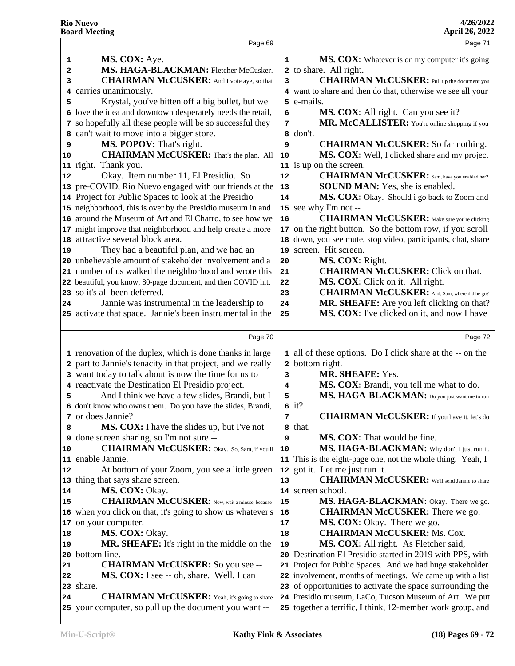|    | Page 69                                                                                                      |        | Page 71                                                                                                              |
|----|--------------------------------------------------------------------------------------------------------------|--------|----------------------------------------------------------------------------------------------------------------------|
| 1  | MS. COX: Aye.                                                                                                | 1      | MS. COX: Whatever is on my computer it's going                                                                       |
| 2  | MS. HAGA-BLACKMAN: Fletcher McCusker.                                                                        |        | 2 to share. All right.                                                                                               |
| 3  | <b>CHAIRMAN McCUSKER:</b> And I vote aye, so that                                                            | 3      | <b>CHAIRMAN McCUSKER:</b> Pull up the document you                                                                   |
| 4  | carries unanimously.                                                                                         |        | 4 want to share and then do that, otherwise we see all your                                                          |
| 5  | Krystal, you've bitten off a big bullet, but we                                                              |        | 5 e-mails.                                                                                                           |
|    | 6 love the idea and downtown desperately needs the retail,                                                   | 6      | MS. COX: All right. Can you see it?                                                                                  |
|    | 7 so hopefully all these people will be so successful they                                                   | 7      | MR. McCALLISTER: You're online shopping if you                                                                       |
| 8  | can't wait to move into a bigger store.                                                                      |        | 8 don't.                                                                                                             |
| 9  | MS. POPOV: That's right.                                                                                     | 9      | <b>CHAIRMAN McCUSKER:</b> So far nothing.                                                                            |
| 10 | <b>CHAIRMAN McCUSKER:</b> That's the plan. All                                                               | 10     | MS. COX: Well, I clicked share and my project                                                                        |
|    | 11 right. Thank you.                                                                                         |        | 11 is up on the screen.                                                                                              |
| 12 | Okay. Item number 11, El Presidio. So                                                                        | 12     | <b>CHAIRMAN McCUSKER:</b> Sam, have you enabled her?                                                                 |
|    | 13 pre-COVID, Rio Nuevo engaged with our friends at the                                                      | 13     | <b>SOUND MAN:</b> Yes, she is enabled.                                                                               |
|    | 14 Project for Public Spaces to look at the Presidio                                                         | 14     | MS. COX: Okay. Should i go back to Zoom and                                                                          |
|    | 15 neighborhood, this is over by the Presidio museum in and                                                  | 15     | see why I'm not --                                                                                                   |
|    | 16 around the Museum of Art and El Charro, to see how we                                                     | 16     | <b>CHAIRMAN McCUSKER:</b> Make sure you're clicking                                                                  |
|    | 17 might improve that neighborhood and help create a more                                                    | 17     | on the right button. So the bottom row, if you scroll                                                                |
| 18 | attractive several block area.                                                                               | 18     | down, you see mute, stop video, participants, chat, share                                                            |
| 19 | They had a beautiful plan, and we had an                                                                     | 19     | screen. Hit screen.                                                                                                  |
|    | 20 unbelievable amount of stakeholder involvement and a                                                      | 20     | MS. COX: Right.                                                                                                      |
|    | 21 number of us walked the neighborhood and wrote this                                                       | 21     | <b>CHAIRMAN McCUSKER:</b> Click on that.                                                                             |
|    | 22 beautiful, you know, 80-page document, and then COVID hit,                                                | 22     | MS. COX: Click on it. All right.                                                                                     |
|    | 23 so it's all been deferred.                                                                                | 23     | <b>CHAIRMAN McCUSKER:</b> And, Sam, where did he go?                                                                 |
| 24 | Jannie was instrumental in the leadership to                                                                 | 24     | MR. SHEAFE: Are you left clicking on that?                                                                           |
|    | 25 activate that space. Jannie's been instrumental in the                                                    | 25     | MS. COX: I've clicked on it, and now I have                                                                          |
|    |                                                                                                              |        |                                                                                                                      |
|    |                                                                                                              |        |                                                                                                                      |
|    | Page 70                                                                                                      |        | Page 72                                                                                                              |
|    |                                                                                                              |        |                                                                                                                      |
|    | 1 renovation of the duplex, which is done thanks in large                                                    |        | 1 all of these options. Do I click share at the -- on the                                                            |
|    | 2 part to Jannie's tenacity in that project, and we really                                                   |        | 2 bottom right.                                                                                                      |
|    | 3 want today to talk about is now the time for us to                                                         | 3<br>4 | <b>MR. SHEAFE: Yes.</b>                                                                                              |
| 5  | 4 reactivate the Destination El Presidio project.                                                            | 5      | MS. COX: Brandi, you tell me what to do.                                                                             |
|    | And I think we have a few slides, Brandi, but I                                                              |        | MS. HAGA-BLACKMAN: Do you just want me to run                                                                        |
|    | 6 don't know who owns them. Do you have the slides, Brandi,<br>7 or does Jannie?                             | 7      | $6$ it?                                                                                                              |
| 8  |                                                                                                              |        | <b>CHAIRMAN McCUSKER:</b> If you have it, let's do                                                                   |
| 9  | <b>MS. COX:</b> I have the slides up, but I've not                                                           | 9      | 8 that.<br><b>MS. COX:</b> That would be fine.                                                                       |
| 10 | done screen sharing, so I'm not sure --<br><b>CHAIRMAN McCUSKER:</b> Okay. So, Sam, if you'll                | 10     | MS. HAGA-BLACKMAN: Why don't I just run it.                                                                          |
| 11 | enable Jannie.                                                                                               |        | 11 This is the eight-page one, not the whole thing. Yeah, I                                                          |
| 12 | At bottom of your Zoom, you see a little green                                                               |        | 12 got it. Let me just run it.                                                                                       |
| 13 | thing that says share screen.                                                                                | 13     | <b>CHAIRMAN McCUSKER:</b> We'll send Jannie to share                                                                 |
| 14 | MS. COX: Okay.                                                                                               |        | 14 screen school.                                                                                                    |
| 15 | <b>CHAIRMAN McCUSKER:</b> Now, wait a minute, because                                                        | 15     | MS. HAGA-BLACKMAN: Okay. There we go.                                                                                |
| 16 | when you click on that, it's going to show us whatever's                                                     | 16     | <b>CHAIRMAN McCUSKER:</b> There we go.                                                                               |
| 17 | on your computer.                                                                                            | 17     | MS. COX: Okay. There we go.                                                                                          |
| 18 | MS. COX: Okay.                                                                                               | 18     | <b>CHAIRMAN McCUSKER: Ms. Cox.</b>                                                                                   |
| 19 | <b>MR. SHEAFE:</b> It's right in the middle on the                                                           | 19     | MS. COX: All right. As Fletcher said,                                                                                |
| 20 | bottom line.                                                                                                 | 20     | Destination El Presidio started in 2019 with PPS, with                                                               |
| 21 | <b>CHAIRMAN McCUSKER:</b> So you see --                                                                      |        | 21 Project for Public Spaces. And we had huge stakeholder                                                            |
| 22 | MS. COX: I see -- oh, share. Well, I can                                                                     |        | 22 involvement, months of meetings. We came up with a list                                                           |
| 23 | share.                                                                                                       |        | 23 of opportunities to activate the space surrounding the                                                            |
| 24 | <b>CHAIRMAN McCUSKER:</b> Yeah, it's going to share<br>25 your computer, so pull up the document you want -- |        | 24 Presidio museum, LaCo, Tucson Museum of Art. We put<br>25 together a terrific, I think, 12-member work group, and |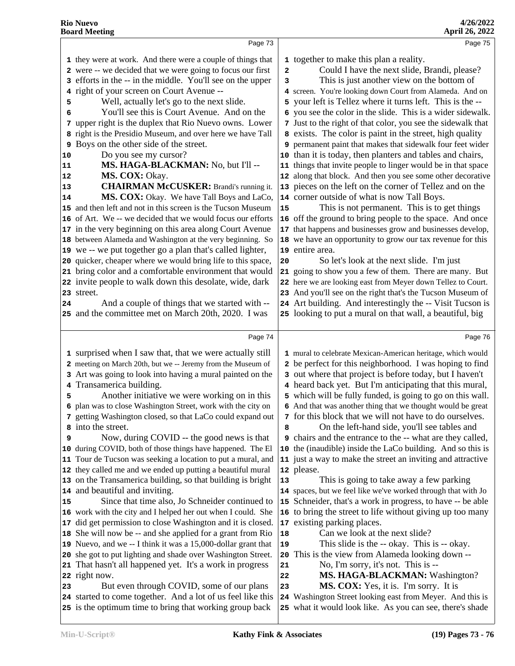#### Page 73 they were at work. And there were a couple of things that were -- we decided that we were going to focus our first 2 efforts in the -- in the middle. You'll see on the upper 3 right of your screen on Court Avenue -- Well, actually let's go to the next slide. You'll see this is Court Avenue. And on the upper right is the duplex that Rio Nuevo owns. Lower 7 right is the Presidio Museum, and over here we have Tall Boys on the other side of the street. Do you see my cursor?  **MS. HAGA-BLACKMAN:** No, but I'll -- **MS. COX:** Okay. **CHAIRMAN McCUSKER:** Brandi's running it. 13 **MS. COX:** Okay. We have Tall Boys and LaCo, 14 and then left and not in this screen is the Tucson Museum 15 of Art. We -- we decided that we would focus our efforts in the very beginning on this area along Court Avenue 17 between Alameda and Washington at the very beginning. So 18 we -- we put together go a plan that's called lighter, quicker, cheaper where we would bring life to this space, 20 bring color and a comfortable environment that would invite people to walk down this desolate, wide, dark street. And a couple of things that we started with -- and the committee met on March 20th, 2020. I was Page 74 surprised when I saw that, that we were actually still meeting on March 20th, but we -- Jeremy from the Museum of Art was going to look into having a mural painted on the Transamerica building. **5** Another initiative we were working on in this  $\vert$  5 plan was to close Washington Street, work with the city on getting Washington closed, so that LaCo could expand out | **7**  into the street. Now, during COVID -- the good news is that during COVID, both of those things have happened. The El Tour de Tucson was seeking a location to put a mural, and they called me and we ended up putting a beautiful mural on the Transamerica building, so that building is bright 13 and beautiful and inviting. 15 Since that time also, Jo Schneider continued to |15 work with the city and I helped her out when I could. She 16 did get permission to close Washington and it is closed. 17 She will now be -- and she applied for a grant from Rio | **18**  Nuevo, and we -- I think it was a 15,000-dollar grant that 19 she got to put lighting and shade over Washington Street. 20 That hasn't all happened yet. It's a work in progress 21 right now. 23 But even through COVID, some of our plans 23 started to come together. And a lot of us feel like this is the optimum time to bring that working group back Page 75 together to make this plan a reality. Could I have the next slide, Brandi, please? This is just another view on the bottom of screen. You're looking down Court from Alameda. And on your left is Tellez where it turns left. This is the - you see the color in the slide. This is a wider sidewalk. Just to the right of that color, you see the sidewalk that exists. The color is paint in the street, high quality permanent paint that makes that sidewalk four feet wider than it is today, then planters and tables and chairs, things that invite people to linger would be in that space along that block. And then you see some other decorative pieces on the left on the corner of Tellez and on the corner outside of what is now Tall Boys. This is not permanent. This is to get things off the ground to bring people to the space. And once that happens and businesses grow and businesses develop, we have an opportunity to grow our tax revenue for this entire area. So let's look at the next slide. I'm just going to show you a few of them. There are many. But here we are looking east from Meyer down Tellez to Court. And you'll see on the right that's the Tucson Museum of Art building. And interestingly the -- Visit Tucson is looking to put a mural on that wall, a beautiful, big Page 76 mural to celebrate Mexican-American heritage, which would be perfect for this neighborhood. I was hoping to find out where that project is before today, but I haven't heard back yet. But I'm anticipating that this mural, which will be fully funded, is going to go on this wall. And that was another thing that we thought would be great for this block that we will not have to do ourselves. On the left-hand side, you'll see tables and chairs and the entrance to the -- what are they called, the (inaudible) inside the LaCo building. And so this is just a way to make the street an inviting and attractive please. This is going to take away a few parking spaces, but we feel like we've worked through that with Jo Schneider, that's a work in progress, to have -- be able to bring the street to life without giving up too many existing parking places. Can we look at the next slide? This slide is the -- okay. This is -- okay. This is the view from Alameda looking down -- No, I'm sorry, it's not. This is --  **MS. HAGA-BLACKMAN:** Washington? **MS. COX:** Yes, it is. I'm sorry. It is Washington Street looking east from Meyer. And this is what it would look like. As you can see, there's shade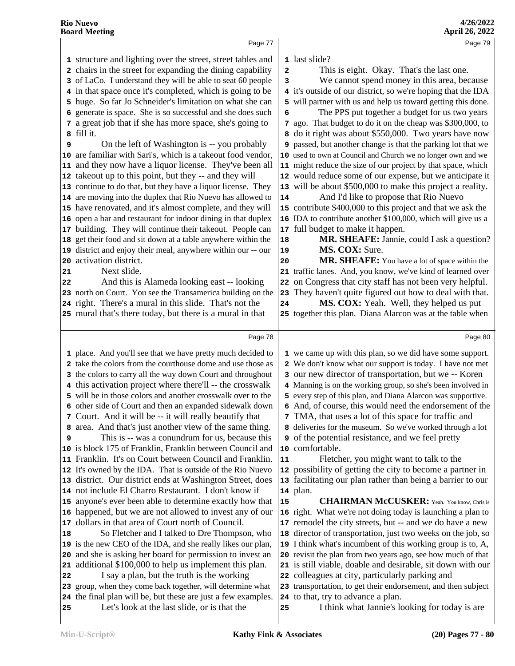|          | Page 77                                                                                                   |    | Page 79                                                                                                          |  |
|----------|-----------------------------------------------------------------------------------------------------------|----|------------------------------------------------------------------------------------------------------------------|--|
|          | 1 structure and lighting over the street, street tables and                                               |    | 1 last slide?                                                                                                    |  |
|          | 2 chairs in the street for expanding the dining capability                                                | 2  | This is eight. Okay. That's the last one.                                                                        |  |
|          | 3 of LaCo. I understand they will be able to seat 60 people                                               | 3  | We cannot spend money in this area, because                                                                      |  |
|          | 4 in that space once it's completed, which is going to be                                                 |    | 4 it's outside of our district, so we're hoping that the IDA                                                     |  |
|          | 5 huge. So far Jo Schneider's limitation on what she can                                                  |    | will partner with us and help us toward getting this done.                                                       |  |
|          | 6 generate is space. She is so successful and she does such                                               | 6  | The PPS put together a budget for us two years                                                                   |  |
|          | 7 a great job that if she has more space, she's going to                                                  |    | 7 ago. That budget to do it on the cheap was \$300,000, to                                                       |  |
|          | 8 fill it.                                                                                                |    | 8 do it right was about \$550,000. Two years have now                                                            |  |
| 9        | On the left of Washington is -- you probably                                                              |    | 9 passed, but another change is that the parking lot that we                                                     |  |
|          | 10 are familiar with Sari's, which is a takeout food vendor,                                              |    | 10 used to own at Council and Church we no longer own and we                                                     |  |
|          | 11 and they now have a liquor license. They've been all                                                   |    | 11 might reduce the size of our project by that space, which                                                     |  |
|          | 12 takeout up to this point, but they -- and they will                                                    |    | 12 would reduce some of our expense, but we anticipate it                                                        |  |
|          | 13 continue to do that, but they have a liquor license. They                                              |    | 13 will be about \$500,000 to make this project a reality.                                                       |  |
|          | 14 are moving into the duplex that Rio Nuevo has allowed to                                               | 14 | And I'd like to propose that Rio Nuevo                                                                           |  |
|          | 15 have renovated, and it's almost complete, and they will                                                |    | 15 contribute \$400,000 to this project and that we ask the                                                      |  |
|          | 16 open a bar and restaurant for indoor dining in that duplex                                             |    | 16 IDA to contribute another \$100,000, which will give us a                                                     |  |
|          | 17 building. They will continue their takeout. People can                                                 |    | 17 full budget to make it happen.                                                                                |  |
|          | 18 get their food and sit down at a table anywhere within the                                             | 18 | MR. SHEAFE: Jannie, could I ask a question?                                                                      |  |
|          | 19 district and enjoy their meal, anywhere within our -- our                                              | 19 | MS. COX: Sure.                                                                                                   |  |
| 20       | activation district.                                                                                      | 20 | MR. SHEAFE: You have a lot of space within the                                                                   |  |
| 21       | Next slide.                                                                                               |    | 21 traffic lanes. And, you know, we've kind of learned over                                                      |  |
| 22       | And this is Alameda looking east -- looking                                                               |    | 22 on Congress that city staff has not been very helpful.                                                        |  |
|          | 23 north on Court. You see the Transamerica building on the                                               | 23 | They haven't quite figured out how to deal with that.                                                            |  |
|          | 24 right. There's a mural in this slide. That's not the                                                   | 24 | MS. COX: Yeah. Well, they helped us put                                                                          |  |
|          | 25 mural that's there today, but there is a mural in that                                                 |    | 25 together this plan. Diana Alarcon was at the table when                                                       |  |
|          |                                                                                                           |    |                                                                                                                  |  |
|          | Page 78                                                                                                   |    | Page 80                                                                                                          |  |
|          | 1 place. And you'll see that we have pretty much decided to                                               |    | 1 we came up with this plan, so we did have some support.                                                        |  |
|          | 2 take the colors from the courthouse dome and use those as                                               |    | 2 We don't know what our support is today. I have not met                                                        |  |
|          | 3 the colors to carry all the way down Court and throughout                                               |    | 3 our new director of transportation, but we -- Koren                                                            |  |
|          | 4 this activation project where there'll -- the crosswalk                                                 |    | 4 Manning is on the working group, so she's been involved in                                                     |  |
|          | 5 will be in those colors and another crosswalk over to the                                               |    | 5 every step of this plan, and Diana Alarcon was supportive.                                                     |  |
|          | 6 other side of Court and then an expanded sidewalk down                                                  |    | 6 And, of course, this would need the endorsement of the                                                         |  |
|          | 7 Court. And it will be -- it will really beautify that                                                   |    | 7 TMA, that uses a lot of this space for traffic and                                                             |  |
|          | 8 area. And that's just another view of the same thing.                                                   |    |                                                                                                                  |  |
|          |                                                                                                           |    | 8 deliveries for the museum. So we've worked through a lot                                                       |  |
| 9        | This is -- was a conundrum for us, because this                                                           |    | of the potential resistance, and we feel pretty                                                                  |  |
|          | 10 is block 175 of Franklin, Franklin between Council and                                                 |    | 10 comfortable.                                                                                                  |  |
|          | 11 Franklin. It's on Court between Council and Franklin.                                                  | 11 | Fletcher, you might want to talk to the                                                                          |  |
|          | 12 It's owned by the IDA. That is outside of the Rio Nuevo                                                |    | 12 possibility of getting the city to become a partner in                                                        |  |
|          | 13 district. Our district ends at Washington Street, does                                                 |    | 13 facilitating our plan rather than being a barrier to our                                                      |  |
|          | 14 not include El Charro Restaurant. I don't know if                                                      |    | 14 plan.                                                                                                         |  |
|          | 15 anyone's ever been able to determine exactly how that                                                  | 15 | <b>CHAIRMAN McCUSKER:</b> Yeah. You know, Chris is                                                               |  |
|          | 16 happened, but we are not allowed to invest any of our                                                  |    | 16 right. What we're not doing today is launching a plan to                                                      |  |
| 17       | dollars in that area of Court north of Council.                                                           |    | 17 remodel the city streets, but -- and we do have a new                                                         |  |
| 18       | So Fletcher and I talked to Dre Thompson, who                                                             |    | 18 director of transportation, just two weeks on the job, so                                                     |  |
|          | 19 is the new CEO of the IDA, and she really likes our plan,                                              |    | 19 I think what's incumbent of this working group is to, A,                                                      |  |
| 20<br>21 | and she is asking her board for permission to invest an                                                   |    | 20 revisit the plan from two years ago, see how much of that                                                     |  |
| 22       | additional \$100,000 to help us implement this plan.                                                      |    | 21 is still viable, doable and desirable, sit down with our                                                      |  |
|          | I say a plan, but the truth is the working<br>23 group, when they come back together, will determine what |    | 22 colleagues at city, particularly parking and<br>23 transportation, to get their endorsement, and then subject |  |
|          | 24 the final plan will be, but these are just a few examples.                                             |    | 24 to that, try to advance a plan.                                                                               |  |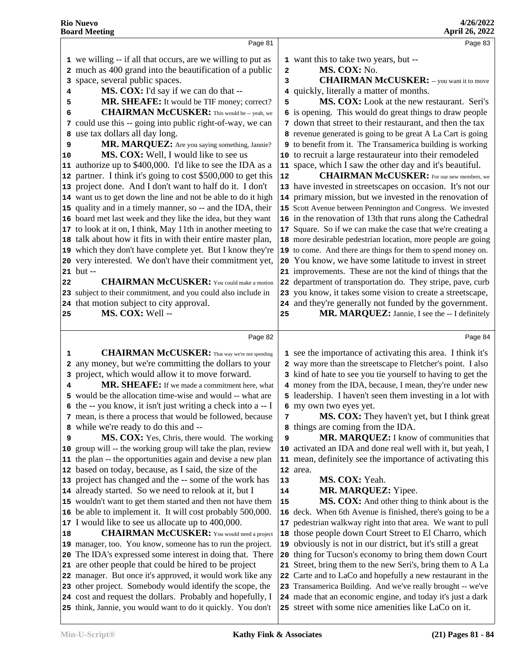|    | Page 81                                                                                                                   |          | Page 83                                                                                                                    |
|----|---------------------------------------------------------------------------------------------------------------------------|----------|----------------------------------------------------------------------------------------------------------------------------|
|    | 1 we willing -- if all that occurs, are we willing to put as                                                              |          | 1 want this to take two years, but --                                                                                      |
|    | 2 much as 400 grand into the beautification of a public                                                                   | 2        | MS. COX: No.                                                                                                               |
|    | 3 space, several public spaces.                                                                                           | 3        | <b>CHAIRMAN McCUSKER:</b> -- you want it to move                                                                           |
| 4  | MS. COX: I'd say if we can do that --                                                                                     |          | 4 quickly, literally a matter of months.                                                                                   |
| 5  | MR. SHEAFE: It would be TIF money; correct?                                                                               | 5        | MS. COX: Look at the new restaurant. Seri's                                                                                |
| 6  | <b>CHAIRMAN McCUSKER:</b> This would be -- yeah, we                                                                       |          | 6 is opening. This would do great things to draw people                                                                    |
|    | 7 could use this -- going into public right-of-way, we can                                                                |          | 7 down that street to their restaurant, and then the tax                                                                   |
| 8  | use tax dollars all day long.                                                                                             |          | 8 revenue generated is going to be great A La Cart is going                                                                |
| 9  | MR. MARQUEZ: Are you saying something, Jannie?                                                                            |          | 9 to benefit from it. The Transamerica building is working                                                                 |
| 10 | MS. COX: Well, I would like to see us                                                                                     |          | 10 to recruit a large restaurateur into their remodeled                                                                    |
|    | 11 authorize up to \$400,000. I'd like to see the IDA as a                                                                |          | 11 space, which I saw the other day and it's beautiful.                                                                    |
|    | 12 partner. I think it's going to cost \$500,000 to get this                                                              | 12       | <b>CHAIRMAN McCUSKER:</b> For our new members, we                                                                          |
|    | 13 project done. And I don't want to half do it. I don't                                                                  |          | 13 have invested in streetscapes on occasion. It's not our                                                                 |
|    | 14 want us to get down the line and not be able to do it high                                                             |          | 14 primary mission, but we invested in the renovation of                                                                   |
|    | 15 quality and in a timely manner, so -- and the IDA, their                                                               |          | 15 Scott Avenue between Pennington and Congress. We invested                                                               |
|    | 16 board met last week and they like the idea, but they want                                                              |          | 16 in the renovation of 13th that runs along the Cathedral                                                                 |
|    | 17 to look at it on, I think, May 11th in another meeting to                                                              |          | 17 Square. So if we can make the case that we're creating a                                                                |
|    | 18 talk about how it fits in with their entire master plan,                                                               |          | 18 more desirable pedestrian location, more people are going                                                               |
|    | 19 which they don't have complete yet. But I know they're                                                                 |          | 19 to come. And there are things for them to spend money on.                                                               |
|    | 20 very interested. We don't have their commitment yet,                                                                   |          | 20 You know, we have some latitude to invest in street                                                                     |
|    | $21$ but $-$                                                                                                              |          | 21 improvements. These are not the kind of things that the                                                                 |
| 22 | <b>CHAIRMAN McCUSKER:</b> You could make a motion                                                                         |          | 22 department of transportation do. They stripe, pave, curb                                                                |
|    | 23 subject to their commitment, and you could also include in                                                             |          | 23 you know, it takes some vision to create a streetscape,                                                                 |
|    | 24 that motion subject to city approval.                                                                                  |          | 24 and they're generally not funded by the government.                                                                     |
| 25 | MS. COX: Well --                                                                                                          | 25       | MR. MARQUEZ: Jannie, I see the -- I definitely                                                                             |
|    | Page 82                                                                                                                   |          | Page 84                                                                                                                    |
|    |                                                                                                                           |          |                                                                                                                            |
|    |                                                                                                                           |          |                                                                                                                            |
| 1  | <b>CHAIRMAN McCUSKER:</b> That way we're not spending                                                                     |          | 1 see the importance of activating this area. I think it's                                                                 |
|    | 2 any money, but we're committing the dollars to your                                                                     |          | 2 way more than the streetscape to Fletcher's point. I also                                                                |
| 3  | project, which would allow it to move forward.                                                                            |          | 3 kind of hate to see you tie yourself to having to get the                                                                |
| 4  | MR. SHEAFE: If we made a commitment here, what                                                                            |          | 4 money from the IDA, because, I mean, they're under new                                                                   |
|    | 5 would be the allocation time-wise and would -- what are                                                                 |          | 5 leadership. I haven't seen them investing in a lot with                                                                  |
|    | 6 the -- you know, it isn't just writing a check into a -- I                                                              |          | 6 my own two eyes yet.                                                                                                     |
|    | 7 mean, is there a process that would be followed, because                                                                | 7        | MS. COX: They haven't yet, but I think great                                                                               |
|    | 8 while we're ready to do this and --                                                                                     |          | 8 things are coming from the IDA.                                                                                          |
| 9  | MS. COX: Yes, Chris, there would. The working                                                                             | 9        | MR. MARQUEZ: I know of communities that                                                                                    |
|    | 10 group will -- the working group will take the plan, review                                                             |          | 10 activated an IDA and done real well with it, but yeah, I                                                                |
|    | 11 the plan -- the opportunities again and devise a new plan                                                              |          | 11 mean, definitely see the importance of activating this                                                                  |
|    | 12 based on today, because, as I said, the size of the                                                                    |          | 12 area.                                                                                                                   |
|    | 13 project has changed and the -- some of the work has                                                                    | 13<br>14 | MS. COX: Yeah.                                                                                                             |
|    | 14 already started. So we need to relook at it, but I                                                                     | 15       | MR. MARQUEZ: Yipee.                                                                                                        |
|    | 15 wouldn't want to get them started and then not have them<br>16 be able to implement it. It will cost probably 500,000. |          | MS. COX: And other thing to think about is the                                                                             |
|    | 17 I would like to see us allocate up to 400,000.                                                                         |          | 16 deck. When 6th Avenue is finished, there's going to be a<br>17 pedestrian walkway right into that area. We want to pull |
| 18 | <b>CHAIRMAN McCUSKER:</b> You would need a project                                                                        | 18       | those people down Court Street to El Charro, which                                                                         |
|    | 19 manager, too. You know, someone has to run the project.                                                                | 19       | obviously is not in our district, but it's still a great                                                                   |
|    | 20 The IDA's expressed some interest in doing that. There                                                                 | 20       | thing for Tucson's economy to bring them down Court                                                                        |
|    | 21 are other people that could be hired to be project                                                                     |          | 21 Street, bring them to the new Seri's, bring them to A La                                                                |
|    | 22 manager. But once it's approved, it would work like any                                                                |          | Carte and to LaCo and hopefully a new restaurant in the                                                                    |
|    | 23 other project. Somebody would identify the scope, the                                                                  |          | 23 Transamerica Building. And we've really brought -- we've                                                                |
|    | 24 cost and request the dollars. Probably and hopefully, I                                                                |          | 24 made that an economic engine, and today it's just a dark                                                                |
|    | 25 think, Jannie, you would want to do it quickly. You don't                                                              |          | 25 street with some nice amenities like LaCo on it.                                                                        |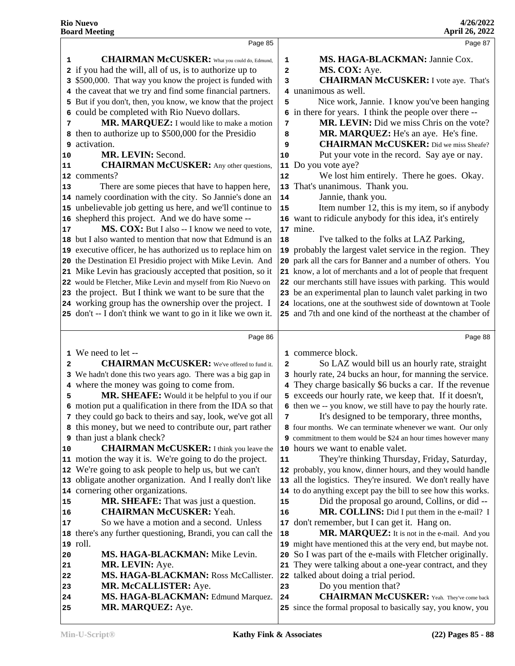|              | Page 85                                                                                                                   |                         | Page 87                                                                                                           |
|--------------|---------------------------------------------------------------------------------------------------------------------------|-------------------------|-------------------------------------------------------------------------------------------------------------------|
| 1            | <b>CHAIRMAN McCUSKER:</b> What you could do, Edmund,                                                                      | 1                       | MS. HAGA-BLACKMAN: Jannie Cox.                                                                                    |
|              | 2 if you had the will, all of us, is to authorize up to                                                                   | $\overline{\mathbf{2}}$ | MS. COX: Aye.                                                                                                     |
|              | 3 \$500,000. That way you know the project is funded with                                                                 | 3                       | <b>CHAIRMAN McCUSKER:</b> I vote aye. That's                                                                      |
|              | 4 the caveat that we try and find some financial partners.                                                                |                         | 4 unanimous as well.                                                                                              |
|              | 5 But if you don't, then, you know, we know that the project                                                              | 5                       | Nice work, Jannie. I know you've been hanging                                                                     |
|              | 6 could be completed with Rio Nuevo dollars.                                                                              |                         | 6 in there for years. I think the people over there --                                                            |
| 7            | MR. MARQUEZ: I would like to make a motion                                                                                | 7                       | MR. LEVIN: Did we miss Chris on the vote?                                                                         |
|              | 8 then to authorize up to \$500,000 for the Presidio                                                                      | 8                       | MR. MARQUEZ: He's an aye. He's fine.                                                                              |
| 9            | activation.                                                                                                               | 9                       | <b>CHAIRMAN McCUSKER:</b> Did we miss Sheafe?                                                                     |
| 10           | MR. LEVIN: Second.                                                                                                        | 10                      | Put your vote in the record. Say aye or nay.                                                                      |
| 11           | <b>CHAIRMAN McCUSKER:</b> Any other questions,                                                                            | 11                      | Do you vote aye?                                                                                                  |
|              | 12 comments?                                                                                                              | 12                      | We lost him entirely. There he goes. Okay.                                                                        |
| 13           | There are some pieces that have to happen here,                                                                           | 13                      | That's unanimous. Thank you.                                                                                      |
|              | 14 namely coordination with the city. So Jannie's done an                                                                 | 14                      | Jannie, thank you.                                                                                                |
|              | 15 unbelievable job getting us here, and we'll continue to                                                                | 15                      | Item number 12, this is my item, so if anybody                                                                    |
| 16           | shepherd this project. And we do have some --                                                                             |                         | 16 want to ridicule anybody for this idea, it's entirely                                                          |
| 17           | MS. COX: But I also -- I know we need to vote,                                                                            |                         | 17 mine.                                                                                                          |
|              | 18 but I also wanted to mention that now that Edmund is an                                                                |                         | I've talked to the folks at LAZ Parking,                                                                          |
|              | 19 executive officer, he has authorized us to replace him on                                                              | 18                      | 19 probably the largest valet service in the region. They                                                         |
|              | 20 the Destination El Presidio project with Mike Levin. And                                                               |                         | 20 park all the cars for Banner and a number of others. You                                                       |
|              | 21 Mike Levin has graciously accepted that position, so it                                                                |                         | 21 know, a lot of merchants and a lot of people that frequent                                                     |
|              | 22 would be Fletcher, Mike Levin and myself from Rio Nuevo on                                                             |                         | 22 our merchants still have issues with parking. This would                                                       |
|              | 23 the project. But I think we want to be sure that the                                                                   |                         | 23 be an experimental plan to launch valet parking in two                                                         |
|              | 24 working group has the ownership over the project. I                                                                    |                         | 24 locations, one at the southwest side of downtown at Toole                                                      |
|              | 25 don't -- I don't think we want to go in it like we own it.                                                             |                         | 25 and 7th and one kind of the northeast at the chamber of                                                        |
|              |                                                                                                                           |                         |                                                                                                                   |
|              |                                                                                                                           |                         |                                                                                                                   |
|              |                                                                                                                           |                         |                                                                                                                   |
|              | Page 86                                                                                                                   |                         | Page 88                                                                                                           |
|              | 1 We need to let --                                                                                                       |                         | 1 commerce block.                                                                                                 |
| $\mathbf{2}$ | <b>CHAIRMAN McCUSKER:</b> We've offered to fund it.                                                                       | 2                       | So LAZ would bill us an hourly rate, straight                                                                     |
|              | 3 We hadn't done this two years ago. There was a big gap in                                                               |                         | 3 hourly rate, 24 bucks an hour, for manning the service.                                                         |
|              | 4 where the money was going to come from.                                                                                 |                         | 4 They charge basically \$6 bucks a car. If the revenue                                                           |
| 5            | MR. SHEAFE: Would it be helpful to you if our                                                                             |                         | 5 exceeds our hourly rate, we keep that. If it doesn't,                                                           |
|              | 6 motion put a qualification in there from the IDA so that<br>7 they could go back to theirs and say, look, we've got all | 7                       | 6 then we -- you know, we still have to pay the hourly rate.<br>It's designed to be temporary, three months,      |
|              | 8 this money, but we need to contribute our, part rather                                                                  |                         | 8 four months. We can terminate whenever we want. Our only                                                        |
|              | <b>9</b> than just a blank check?                                                                                         |                         | 9 commitment to them would be \$24 an hour times however many                                                     |
| 10           | <b>CHAIRMAN McCUSKER:</b> I think you leave the                                                                           |                         | 10 hours we want to enable valet.                                                                                 |
|              | 11 motion the way it is. We're going to do the project.                                                                   | 11                      | They're thinking Thursday, Friday, Saturday,                                                                      |
|              | 12 We're going to ask people to help us, but we can't                                                                     |                         | 12 probably, you know, dinner hours, and they would handle                                                        |
|              | 13 obligate another organization. And I really don't like                                                                 |                         | 13 all the logistics. They're insured. We don't really have                                                       |
|              | 14 cornering other organizations.                                                                                         |                         | 14 to do anything except pay the bill to see how this works.                                                      |
| 15           | MR. SHEAFE: That was just a question.                                                                                     | 15                      | Did the proposal go around, Collins, or did --                                                                    |
| 16           | <b>CHAIRMAN McCUSKER: Yeah.</b>                                                                                           | 16                      | MR. COLLINS: Did I put them in the e-mail? I                                                                      |
| 17           | So we have a motion and a second. Unless                                                                                  |                         | 17 don't remember, but I can get it. Hang on.                                                                     |
| 18           | there's any further questioning, Brandi, you can call the                                                                 | 18                      | MR. MARQUEZ: It is not in the e-mail. And you                                                                     |
|              | 19 roll.                                                                                                                  |                         | 19 might have mentioned this at the very end, but maybe not.                                                      |
| 20           | MS. HAGA-BLACKMAN: Mike Levin.                                                                                            | 20                      | So I was part of the e-mails with Fletcher originally.                                                            |
| 21           | MR. LEVIN: Aye.                                                                                                           | 21                      | They were talking about a one-year contract, and they                                                             |
| 22           | MS. HAGA-BLACKMAN: Ross McCallister.                                                                                      | 22                      | talked about doing a trial period.                                                                                |
| 23           | MR. McCALLISTER: Aye.                                                                                                     | 23                      | Do you mention that?                                                                                              |
| 24<br>25     | MS. HAGA-BLACKMAN: Edmund Marquez.<br><b>MR. MARQUEZ:</b> Aye.                                                            | 24                      | <b>CHAIRMAN McCUSKER:</b> Yeah. They've come back<br>25 since the formal proposal to basically say, you know, you |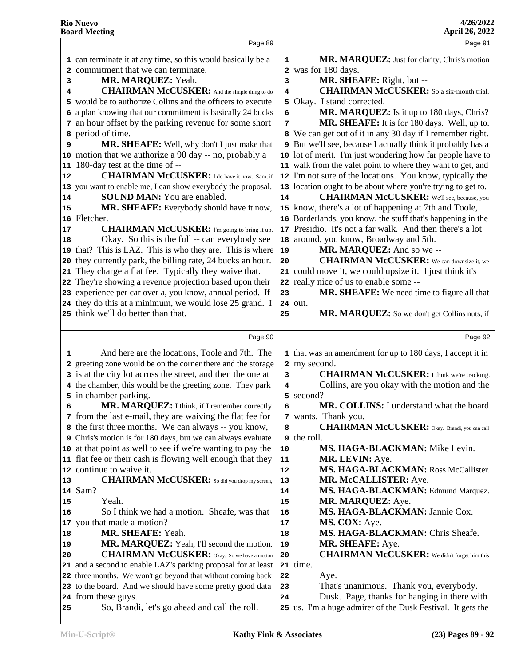|    | Page 89                                                                                                                   |                | Page 91                                                      |
|----|---------------------------------------------------------------------------------------------------------------------------|----------------|--------------------------------------------------------------|
|    | 1 can terminate it at any time, so this would basically be a                                                              |                | MR. MARQUEZ: Just for clarity, Chris's motion                |
|    |                                                                                                                           | 1              |                                                              |
|    | 2 commitment that we can terminate.                                                                                       | $\overline{a}$ | was for 180 days.<br>MR. SHEAFE: Right, but --               |
| з  | MR. MARQUEZ: Yeah.<br><b>CHAIRMAN McCUSKER:</b> And the simple thing to do                                                | 3              | <b>CHAIRMAN McCUSKER:</b> So a six-month trial.              |
| 4  | 5 would be to authorize Collins and the officers to execute                                                               | 4<br>5         | Okay. I stand corrected.                                     |
|    | 6 a plan knowing that our commitment is basically 24 bucks                                                                | 6              | MR. MARQUEZ: Is it up to 180 days, Chris?                    |
|    | 7 an hour offset by the parking revenue for some short                                                                    | 7              | MR. SHEAFE: It is for 180 days. Well, up to.                 |
| 8  | period of time.                                                                                                           |                | 8 We can get out of it in any 30 day if I remember right.    |
| 9  | MR. SHEAFE: Well, why don't I just make that                                                                              |                | 9 But we'll see, because I actually think it probably has a  |
|    | 10 motion that we authorize a 90 day -- no, probably a                                                                    |                | 10 lot of merit. I'm just wondering how far people have to   |
|    | 11 180-day test at the time of --                                                                                         |                | 11 walk from the valet point to where they want to get, and  |
| 12 | <b>CHAIRMAN McCUSKER:</b> I do have it now. Sam, if                                                                       |                | 12 I'm not sure of the locations. You know, typically the    |
|    | 13 you want to enable me, I can show everybody the proposal.                                                              |                | 13 location ought to be about where you're trying to get to. |
| 14 | <b>SOUND MAN:</b> You are enabled.                                                                                        | 14             | <b>CHAIRMAN McCUSKER:</b> We'll see, because, you            |
| 15 | MR. SHEAFE: Everybody should have it now,                                                                                 |                | 15 know, there's a lot of happening at 7th and Toole,        |
|    | 16 Fletcher.                                                                                                              |                | 16 Borderlands, you know, the stuff that's happening in the  |
| 17 | <b>CHAIRMAN McCUSKER:</b> I'm going to bring it up.                                                                       |                | 17 Presidio. It's not a far walk. And then there's a lot     |
| 18 | Okay. So this is the full -- can everybody see                                                                            |                | 18 around, you know, Broadway and 5th.                       |
|    | 19 that? This is LAZ. This is who they are. This is where                                                                 | 19             | MR. MARQUEZ: And so we --                                    |
| 20 | they currently park, the billing rate, 24 bucks an hour.                                                                  | 20             | <b>CHAIRMAN McCUSKER:</b> We can downsize it, we             |
|    | 21 They charge a flat fee. Typically they waive that.                                                                     |                | 21 could move it, we could upsize it. I just think it's      |
|    | 22 They're showing a revenue projection based upon their                                                                  |                | 22 really nice of us to enable some --                       |
|    | 23 experience per car over a, you know, annual period. If                                                                 | 23             | <b>MR. SHEAFE:</b> We need time to figure all that           |
|    | 24 they do this at a minimum, we would lose 25 grand. I                                                                   |                | 24 out.                                                      |
|    | 25 think we'll do better than that.                                                                                       | 25             | MR. MARQUEZ: So we don't get Collins nuts, if                |
|    |                                                                                                                           |                |                                                              |
|    | Page 90                                                                                                                   |                | Page 92                                                      |
| 1  | And here are the locations, Toole and 7th. The                                                                            |                | 1 that was an amendment for up to 180 days, I accept it in   |
|    | 2 greeting zone would be on the corner there and the storage                                                              |                | 2 my second.                                                 |
|    | 3 is at the city lot across the street, and then the one at                                                               | 3              | <b>CHAIRMAN McCUSKER:</b> I think we're tracking.            |
|    | 4 the chamber, this would be the greeting zone. They park                                                                 | 4              | Collins, are you okay with the motion and the                |
|    | 5 in chamber parking.                                                                                                     | 5              | second?                                                      |
| 6  | MR. MARQUEZ: I think, if I remember correctly                                                                             | 6              | MR. COLLINS: I understand what the board                     |
|    | 7 from the last e-mail, they are waiving the flat fee for                                                                 |                | 7 wants. Thank you.                                          |
|    | 8 the first three months. We can always -- you know,                                                                      | 8              | <b>CHAIRMAN McCUSKER:</b> Okay. Brandi, you can call         |
|    | 9 Chris's motion is for 180 days, but we can always evaluate                                                              |                | 9 the roll.                                                  |
|    | 10 at that point as well to see if we're wanting to pay the                                                               | 10             | MS. HAGA-BLACKMAN: Mike Levin.                               |
|    | 11 flat fee or their cash is flowing well enough that they                                                                | 11             | MR. LEVIN: Aye.                                              |
|    | 12 continue to waive it.                                                                                                  | 12             | MS. HAGA-BLACKMAN: Ross McCallister.                         |
| 13 | <b>CHAIRMAN McCUSKER:</b> So did you drop my screen,                                                                      | 13             | MR. McCALLISTER: Aye.                                        |
|    | 14 Sam?                                                                                                                   | 14             | MS. HAGA-BLACKMAN: Edmund Marquez.                           |
| 15 | Yeah.                                                                                                                     | 15             | MR. MARQUEZ: Aye.                                            |
| 16 | So I think we had a motion. Sheafe, was that                                                                              | 16             | MS. HAGA-BLACKMAN: Jannie Cox.                               |
|    | 17 you that made a motion?                                                                                                | 17             | MS. COX: Aye.                                                |
| 18 | MR. SHEAFE: Yeah.                                                                                                         | 18             | MS. HAGA-BLACKMAN: Chris Sheafe.                             |
| 19 | MR. MARQUEZ: Yeah, I'll second the motion.                                                                                | 19             | MR. SHEAFE: Aye.                                             |
| 20 | <b>CHAIRMAN McCUSKER:</b> Okay. So we have a motion                                                                       | ${\bf 20}$     | <b>CHAIRMAN McCUSKER:</b> We didn't forget him this          |
|    | 21 and a second to enable LAZ's parking proposal for at least                                                             | 22             | 21 time.                                                     |
|    | 22 three months. We won't go beyond that without coming back<br>23 to the board. And we should have some pretty good data |                | Aye.<br>That's unanimous. Thank you, everybody.              |
|    | 24 from these guys.                                                                                                       | 23<br>24       | Dusk. Page, thanks for hanging in there with                 |
|    | So, Brandi, let's go ahead and call the roll.                                                                             |                | 25 us. I'm a huge admirer of the Dusk Festival. It gets the  |
| 25 |                                                                                                                           |                |                                                              |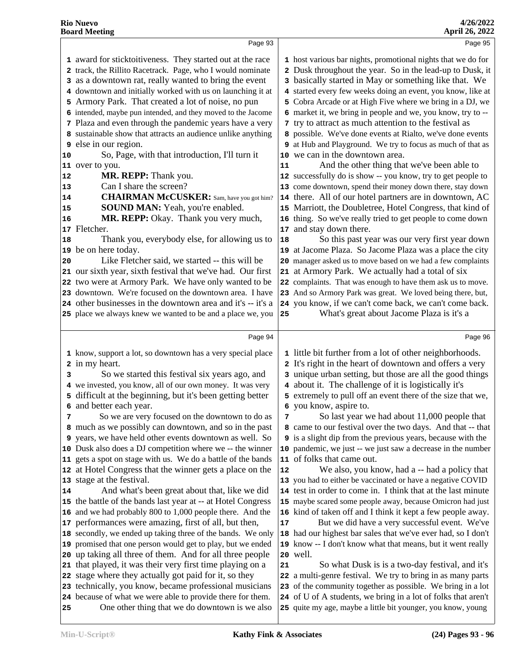|                                              | Page 93                                                                                                                                                                                                                                                                                                                                                                                                                                                                                                                                                                                                                                                                                                                                                                                                                                                                                                                                                                                                                                                                                                                                                                                                                                                     |                                  | Page 95                                                                                                                                                                                                                                                                                                                                                                                                                                                                                                                                                                                                                                                                                                                                                                                                                                                                                                                                                                                                                                                                                                                                                                                                                                                                                                                                                                                                                                                             |  |
|----------------------------------------------|-------------------------------------------------------------------------------------------------------------------------------------------------------------------------------------------------------------------------------------------------------------------------------------------------------------------------------------------------------------------------------------------------------------------------------------------------------------------------------------------------------------------------------------------------------------------------------------------------------------------------------------------------------------------------------------------------------------------------------------------------------------------------------------------------------------------------------------------------------------------------------------------------------------------------------------------------------------------------------------------------------------------------------------------------------------------------------------------------------------------------------------------------------------------------------------------------------------------------------------------------------------|----------------------------------|---------------------------------------------------------------------------------------------------------------------------------------------------------------------------------------------------------------------------------------------------------------------------------------------------------------------------------------------------------------------------------------------------------------------------------------------------------------------------------------------------------------------------------------------------------------------------------------------------------------------------------------------------------------------------------------------------------------------------------------------------------------------------------------------------------------------------------------------------------------------------------------------------------------------------------------------------------------------------------------------------------------------------------------------------------------------------------------------------------------------------------------------------------------------------------------------------------------------------------------------------------------------------------------------------------------------------------------------------------------------------------------------------------------------------------------------------------------------|--|
| 10<br>12<br>13<br>14<br>15<br>16<br>18<br>20 | 1 award for sticktoitiveness. They started out at the race<br>2 track, the Rillito Racetrack. Page, who I would nominate<br>3 as a downtown rat, really wanted to bring the event<br>4 downtown and initially worked with us on launching it at<br>5 Armory Park. That created a lot of noise, no pun<br>6 intended, maybe pun intended, and they moved to the Jacome<br>7 Plaza and even through the pandemic years have a very<br>8 sustainable show that attracts an audience unlike anything<br><b>9</b> else in our region.<br>So, Page, with that introduction, I'll turn it<br>11 over to you.<br>MR. REPP: Thank you.<br>Can I share the screen?<br><b>CHAIRMAN McCUSKER:</b> Sam, have you got him?<br><b>SOUND MAN:</b> Yeah, you're enabled.<br>MR. REPP: Okay. Thank you very much,<br>17 Fletcher.<br>Thank you, everybody else, for allowing us to<br>19 be on here today.<br>Like Fletcher said, we started -- this will be<br>21 our sixth year, sixth festival that we've had. Our first<br>22 two were at Armory Park. We have only wanted to be<br>23 downtown. We're focused on the downtown area. I have<br>24 other businesses in the downtown area and it's -- it's a<br>25 place we always knew we wanted to be and a place we, you | 11<br>16<br>17<br>18<br>21<br>25 | 1 host various bar nights, promotional nights that we do for<br>2 Dusk throughout the year. So in the lead-up to Dusk, it<br>3 basically started in May or something like that. We<br>4 started every few weeks doing an event, you know, like at<br>5 Cobra Arcade or at High Five where we bring in a DJ, we<br>6 market it, we bring in people and we, you know, try to --<br>7 try to attract as much attention to the festival as<br>8 possible. We've done events at Rialto, we've done events<br>9 at Hub and Playground. We try to focus as much of that as<br>10 we can in the downtown area.<br>And the other thing that we've been able to<br>12 successfully do is show -- you know, try to get people to<br>13 come downtown, spend their money down there, stay down<br>14 there. All of our hotel partners are in downtown, AC<br>15 Marriott, the Doubletree, Hotel Congress, that kind of<br>thing. So we've really tried to get people to come down<br>and stay down there.<br>So this past year was our very first year down<br>19 at Jacome Plaza. So Jacome Plaza was a place the city<br>20 manager asked us to move based on we had a few complaints<br>at Armory Park. We actually had a total of six<br>22 complaints. That was enough to have them ask us to move.<br>23 And so Armory Park was great. We loved being there, but,<br>24 you know, if we can't come back, we can't come back.<br>What's great about Jacome Plaza is it's a |  |
|                                              |                                                                                                                                                                                                                                                                                                                                                                                                                                                                                                                                                                                                                                                                                                                                                                                                                                                                                                                                                                                                                                                                                                                                                                                                                                                             |                                  |                                                                                                                                                                                                                                                                                                                                                                                                                                                                                                                                                                                                                                                                                                                                                                                                                                                                                                                                                                                                                                                                                                                                                                                                                                                                                                                                                                                                                                                                     |  |
|                                              |                                                                                                                                                                                                                                                                                                                                                                                                                                                                                                                                                                                                                                                                                                                                                                                                                                                                                                                                                                                                                                                                                                                                                                                                                                                             |                                  |                                                                                                                                                                                                                                                                                                                                                                                                                                                                                                                                                                                                                                                                                                                                                                                                                                                                                                                                                                                                                                                                                                                                                                                                                                                                                                                                                                                                                                                                     |  |
|                                              | Page 94                                                                                                                                                                                                                                                                                                                                                                                                                                                                                                                                                                                                                                                                                                                                                                                                                                                                                                                                                                                                                                                                                                                                                                                                                                                     |                                  | Page 96                                                                                                                                                                                                                                                                                                                                                                                                                                                                                                                                                                                                                                                                                                                                                                                                                                                                                                                                                                                                                                                                                                                                                                                                                                                                                                                                                                                                                                                             |  |
|                                              | 1 know, support a lot, so downtown has a very special place                                                                                                                                                                                                                                                                                                                                                                                                                                                                                                                                                                                                                                                                                                                                                                                                                                                                                                                                                                                                                                                                                                                                                                                                 |                                  | 1 little bit further from a lot of other neighborhoods.                                                                                                                                                                                                                                                                                                                                                                                                                                                                                                                                                                                                                                                                                                                                                                                                                                                                                                                                                                                                                                                                                                                                                                                                                                                                                                                                                                                                             |  |
|                                              | 2 in my heart.                                                                                                                                                                                                                                                                                                                                                                                                                                                                                                                                                                                                                                                                                                                                                                                                                                                                                                                                                                                                                                                                                                                                                                                                                                              |                                  | 2 It's right in the heart of downtown and offers a very                                                                                                                                                                                                                                                                                                                                                                                                                                                                                                                                                                                                                                                                                                                                                                                                                                                                                                                                                                                                                                                                                                                                                                                                                                                                                                                                                                                                             |  |
| 3                                            | So we started this festival six years ago, and                                                                                                                                                                                                                                                                                                                                                                                                                                                                                                                                                                                                                                                                                                                                                                                                                                                                                                                                                                                                                                                                                                                                                                                                              |                                  | 3 unique urban setting, but those are all the good things                                                                                                                                                                                                                                                                                                                                                                                                                                                                                                                                                                                                                                                                                                                                                                                                                                                                                                                                                                                                                                                                                                                                                                                                                                                                                                                                                                                                           |  |
|                                              | 4 we invested, you know, all of our own money. It was very                                                                                                                                                                                                                                                                                                                                                                                                                                                                                                                                                                                                                                                                                                                                                                                                                                                                                                                                                                                                                                                                                                                                                                                                  |                                  | 4 about it. The challenge of it is logistically it's                                                                                                                                                                                                                                                                                                                                                                                                                                                                                                                                                                                                                                                                                                                                                                                                                                                                                                                                                                                                                                                                                                                                                                                                                                                                                                                                                                                                                |  |
|                                              | 5 difficult at the beginning, but it's been getting better                                                                                                                                                                                                                                                                                                                                                                                                                                                                                                                                                                                                                                                                                                                                                                                                                                                                                                                                                                                                                                                                                                                                                                                                  |                                  | 5 extremely to pull off an event there of the size that we,                                                                                                                                                                                                                                                                                                                                                                                                                                                                                                                                                                                                                                                                                                                                                                                                                                                                                                                                                                                                                                                                                                                                                                                                                                                                                                                                                                                                         |  |
|                                              | 6 and better each year.<br>So we are very focused on the downtown to do as                                                                                                                                                                                                                                                                                                                                                                                                                                                                                                                                                                                                                                                                                                                                                                                                                                                                                                                                                                                                                                                                                                                                                                                  |                                  | 6 you know, aspire to.<br>7 So last year we had about 11,000 people that                                                                                                                                                                                                                                                                                                                                                                                                                                                                                                                                                                                                                                                                                                                                                                                                                                                                                                                                                                                                                                                                                                                                                                                                                                                                                                                                                                                            |  |
|                                              | 8 much as we possibly can downtown, and so in the past                                                                                                                                                                                                                                                                                                                                                                                                                                                                                                                                                                                                                                                                                                                                                                                                                                                                                                                                                                                                                                                                                                                                                                                                      |                                  | 8 came to our festival over the two days. And that -- that                                                                                                                                                                                                                                                                                                                                                                                                                                                                                                                                                                                                                                                                                                                                                                                                                                                                                                                                                                                                                                                                                                                                                                                                                                                                                                                                                                                                          |  |
|                                              | 9 years, we have held other events downtown as well. So                                                                                                                                                                                                                                                                                                                                                                                                                                                                                                                                                                                                                                                                                                                                                                                                                                                                                                                                                                                                                                                                                                                                                                                                     |                                  | <b>9</b> is a slight dip from the previous years, because with the                                                                                                                                                                                                                                                                                                                                                                                                                                                                                                                                                                                                                                                                                                                                                                                                                                                                                                                                                                                                                                                                                                                                                                                                                                                                                                                                                                                                  |  |
|                                              | 10 Dusk also does a DJ competition where we -- the winner                                                                                                                                                                                                                                                                                                                                                                                                                                                                                                                                                                                                                                                                                                                                                                                                                                                                                                                                                                                                                                                                                                                                                                                                   |                                  | 10 pandemic, we just -- we just saw a decrease in the number                                                                                                                                                                                                                                                                                                                                                                                                                                                                                                                                                                                                                                                                                                                                                                                                                                                                                                                                                                                                                                                                                                                                                                                                                                                                                                                                                                                                        |  |
|                                              | 11 gets a spot on stage with us. We do a battle of the bands                                                                                                                                                                                                                                                                                                                                                                                                                                                                                                                                                                                                                                                                                                                                                                                                                                                                                                                                                                                                                                                                                                                                                                                                |                                  | 11 of folks that came out.                                                                                                                                                                                                                                                                                                                                                                                                                                                                                                                                                                                                                                                                                                                                                                                                                                                                                                                                                                                                                                                                                                                                                                                                                                                                                                                                                                                                                                          |  |
|                                              | 12 at Hotel Congress that the winner gets a place on the                                                                                                                                                                                                                                                                                                                                                                                                                                                                                                                                                                                                                                                                                                                                                                                                                                                                                                                                                                                                                                                                                                                                                                                                    | 12                               | We also, you know, had a -- had a policy that                                                                                                                                                                                                                                                                                                                                                                                                                                                                                                                                                                                                                                                                                                                                                                                                                                                                                                                                                                                                                                                                                                                                                                                                                                                                                                                                                                                                                       |  |
|                                              | 13 stage at the festival.                                                                                                                                                                                                                                                                                                                                                                                                                                                                                                                                                                                                                                                                                                                                                                                                                                                                                                                                                                                                                                                                                                                                                                                                                                   |                                  | 13 you had to either be vaccinated or have a negative COVID                                                                                                                                                                                                                                                                                                                                                                                                                                                                                                                                                                                                                                                                                                                                                                                                                                                                                                                                                                                                                                                                                                                                                                                                                                                                                                                                                                                                         |  |
|                                              | And what's been great about that, like we did                                                                                                                                                                                                                                                                                                                                                                                                                                                                                                                                                                                                                                                                                                                                                                                                                                                                                                                                                                                                                                                                                                                                                                                                               | 14                               | test in order to come in. I think that at the last minute                                                                                                                                                                                                                                                                                                                                                                                                                                                                                                                                                                                                                                                                                                                                                                                                                                                                                                                                                                                                                                                                                                                                                                                                                                                                                                                                                                                                           |  |
|                                              | 15 the battle of the bands last year at -- at Hotel Congress                                                                                                                                                                                                                                                                                                                                                                                                                                                                                                                                                                                                                                                                                                                                                                                                                                                                                                                                                                                                                                                                                                                                                                                                |                                  | 15 maybe scared some people away, because Omicron had just                                                                                                                                                                                                                                                                                                                                                                                                                                                                                                                                                                                                                                                                                                                                                                                                                                                                                                                                                                                                                                                                                                                                                                                                                                                                                                                                                                                                          |  |
| 14                                           | 16 and we had probably 800 to 1,000 people there. And the                                                                                                                                                                                                                                                                                                                                                                                                                                                                                                                                                                                                                                                                                                                                                                                                                                                                                                                                                                                                                                                                                                                                                                                                   | 16<br>17                         | kind of taken off and I think it kept a few people away.                                                                                                                                                                                                                                                                                                                                                                                                                                                                                                                                                                                                                                                                                                                                                                                                                                                                                                                                                                                                                                                                                                                                                                                                                                                                                                                                                                                                            |  |
|                                              | 17 performances were amazing, first of all, but then,<br>18 secondly, we ended up taking three of the bands. We only                                                                                                                                                                                                                                                                                                                                                                                                                                                                                                                                                                                                                                                                                                                                                                                                                                                                                                                                                                                                                                                                                                                                        |                                  | But we did have a very successful event. We've<br>18 had our highest bar sales that we've ever had, so I don't                                                                                                                                                                                                                                                                                                                                                                                                                                                                                                                                                                                                                                                                                                                                                                                                                                                                                                                                                                                                                                                                                                                                                                                                                                                                                                                                                      |  |
|                                              | 19 promised that one person would get to play, but we ended                                                                                                                                                                                                                                                                                                                                                                                                                                                                                                                                                                                                                                                                                                                                                                                                                                                                                                                                                                                                                                                                                                                                                                                                 |                                  | 19 know -- I don't know what that means, but it went really                                                                                                                                                                                                                                                                                                                                                                                                                                                                                                                                                                                                                                                                                                                                                                                                                                                                                                                                                                                                                                                                                                                                                                                                                                                                                                                                                                                                         |  |
|                                              | 20 up taking all three of them. And for all three people                                                                                                                                                                                                                                                                                                                                                                                                                                                                                                                                                                                                                                                                                                                                                                                                                                                                                                                                                                                                                                                                                                                                                                                                    | 20                               | well.                                                                                                                                                                                                                                                                                                                                                                                                                                                                                                                                                                                                                                                                                                                                                                                                                                                                                                                                                                                                                                                                                                                                                                                                                                                                                                                                                                                                                                                               |  |
|                                              | 21 that played, it was their very first time playing on a                                                                                                                                                                                                                                                                                                                                                                                                                                                                                                                                                                                                                                                                                                                                                                                                                                                                                                                                                                                                                                                                                                                                                                                                   | 21                               | So what Dusk is is a two-day festival, and it's                                                                                                                                                                                                                                                                                                                                                                                                                                                                                                                                                                                                                                                                                                                                                                                                                                                                                                                                                                                                                                                                                                                                                                                                                                                                                                                                                                                                                     |  |
|                                              | 22 stage where they actually got paid for it, so they                                                                                                                                                                                                                                                                                                                                                                                                                                                                                                                                                                                                                                                                                                                                                                                                                                                                                                                                                                                                                                                                                                                                                                                                       |                                  | 22 a multi-genre festival. We try to bring in as many parts                                                                                                                                                                                                                                                                                                                                                                                                                                                                                                                                                                                                                                                                                                                                                                                                                                                                                                                                                                                                                                                                                                                                                                                                                                                                                                                                                                                                         |  |
|                                              | 23 technically, you know, became professional musicians                                                                                                                                                                                                                                                                                                                                                                                                                                                                                                                                                                                                                                                                                                                                                                                                                                                                                                                                                                                                                                                                                                                                                                                                     | 23                               | of the community together as possible. We bring in a lot                                                                                                                                                                                                                                                                                                                                                                                                                                                                                                                                                                                                                                                                                                                                                                                                                                                                                                                                                                                                                                                                                                                                                                                                                                                                                                                                                                                                            |  |
| 25                                           | 24 because of what we were able to provide there for them.<br>One other thing that we do downtown is we also                                                                                                                                                                                                                                                                                                                                                                                                                                                                                                                                                                                                                                                                                                                                                                                                                                                                                                                                                                                                                                                                                                                                                |                                  | 24 of U of A students, we bring in a lot of folks that aren't<br>25 quite my age, maybe a little bit younger, you know, young                                                                                                                                                                                                                                                                                                                                                                                                                                                                                                                                                                                                                                                                                                                                                                                                                                                                                                                                                                                                                                                                                                                                                                                                                                                                                                                                       |  |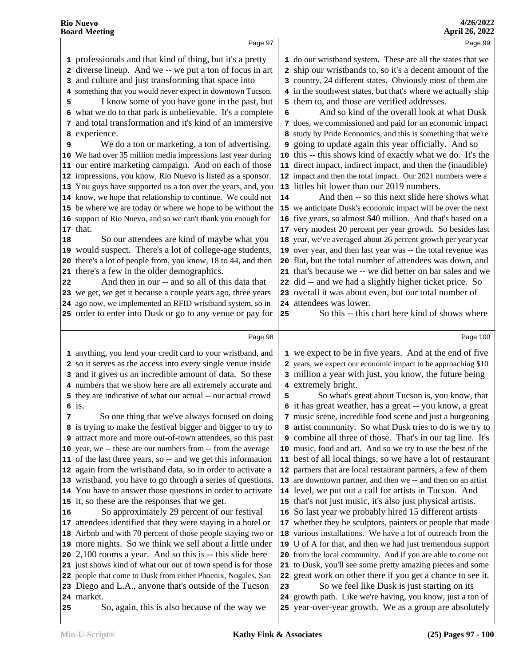|                    | Page 97                                                                                                                                                                                                                                                                                                                                                                                                                                                                                                                                                                                                                                                                                                                                                                                                                                                                                                                                                                                                                                                                                                                                                                                                                                                                                                                                                                     |         | Page 99                                                                                                                                                                                                                                                                                                                                                                                                                                                                                                                                                                                                                                                                                                                                                                                                                                                                                                                                                                                                                                                                                                                                                                                                                                                                                                                                                                                                                                     |
|--------------------|-----------------------------------------------------------------------------------------------------------------------------------------------------------------------------------------------------------------------------------------------------------------------------------------------------------------------------------------------------------------------------------------------------------------------------------------------------------------------------------------------------------------------------------------------------------------------------------------------------------------------------------------------------------------------------------------------------------------------------------------------------------------------------------------------------------------------------------------------------------------------------------------------------------------------------------------------------------------------------------------------------------------------------------------------------------------------------------------------------------------------------------------------------------------------------------------------------------------------------------------------------------------------------------------------------------------------------------------------------------------------------|---------|---------------------------------------------------------------------------------------------------------------------------------------------------------------------------------------------------------------------------------------------------------------------------------------------------------------------------------------------------------------------------------------------------------------------------------------------------------------------------------------------------------------------------------------------------------------------------------------------------------------------------------------------------------------------------------------------------------------------------------------------------------------------------------------------------------------------------------------------------------------------------------------------------------------------------------------------------------------------------------------------------------------------------------------------------------------------------------------------------------------------------------------------------------------------------------------------------------------------------------------------------------------------------------------------------------------------------------------------------------------------------------------------------------------------------------------------|
| 5<br>9<br>18<br>22 | 1 professionals and that kind of thing, but it's a pretty<br>2 diverse lineup. And we -- we put a ton of focus in art<br>3 and culture and just transforming that space into<br>4 something that you would never expect in downtown Tucson.<br>I know some of you have gone in the past, but<br>6 what we do to that park is unbelievable. It's a complete<br>7 and total transformation and it's kind of an immersive<br>8 experience.<br>We do a ton or marketing, a ton of advertising.<br>10 We had over 35 million media impressions last year during<br>11 our entire marketing campaign. And on each of those<br>12 impressions, you know, Rio Nuevo is listed as a sponsor.<br>13 You guys have supported us a ton over the years, and, you<br>14 know, we hope that relationship to continue. We could not<br>15 be where we are today or where we hope to be without the<br>16 support of Rio Nuevo, and so we can't thank you enough for<br>17 that.<br>So our attendees are kind of maybe what you<br>19 would suspect. There's a lot of college-age students,<br>20 there's a lot of people from, you know, 18 to 44, and then<br>21 there's a few in the older demographics.<br>And then in our -- and so all of this data that<br>23 we get, we get it because a couple years ago, three years<br>24 ago now, we implemented an RFID wristband system, so in | 6<br>14 | 1 do our wristband system. These are all the states that we<br>2 ship our wristbands to, so it's a decent amount of the<br>3 country, 24 different states. Obviously most of them are<br>4 in the southwest states, but that's where we actually ship<br>5 them to, and those are verified addresses.<br>And so kind of the overall look at what Dusk<br>does, we commissioned and paid for an economic impact<br>8 study by Pride Economics, and this is something that we're<br>going to update again this year officially. And so<br>10 this -- this shows kind of exactly what we do. It's the<br>11 direct impact, indirect impact, and then the (inaudible)<br>12 impact and then the total impact. Our 2021 numbers were a<br>13 littles bit lower than our 2019 numbers.<br>And then -- so this next slide here shows what<br>15 we anticipate Dusk's economic impact will be over the next<br>16 five years, so almost \$40 million. And that's based on a<br>17 very modest 20 percent per year growth. So besides last<br>18 year, we've averaged about 26 percent growth per year year<br>19 over year, and then last year was -- the total revenue was<br>20 flat, but the total number of attendees was down, and<br>21 that's because we -- we did better on bar sales and we<br>22 did -- and we had a slightly higher ticket price. So<br>23 overall it was about even, but our total number of<br>24 attendees was lower. |
|                    | 25 order to enter into Dusk or go to any venue or pay for                                                                                                                                                                                                                                                                                                                                                                                                                                                                                                                                                                                                                                                                                                                                                                                                                                                                                                                                                                                                                                                                                                                                                                                                                                                                                                                   | 25      | So this -- this chart here kind of shows where                                                                                                                                                                                                                                                                                                                                                                                                                                                                                                                                                                                                                                                                                                                                                                                                                                                                                                                                                                                                                                                                                                                                                                                                                                                                                                                                                                                              |
|                    | Page 98                                                                                                                                                                                                                                                                                                                                                                                                                                                                                                                                                                                                                                                                                                                                                                                                                                                                                                                                                                                                                                                                                                                                                                                                                                                                                                                                                                     |         | Page 100                                                                                                                                                                                                                                                                                                                                                                                                                                                                                                                                                                                                                                                                                                                                                                                                                                                                                                                                                                                                                                                                                                                                                                                                                                                                                                                                                                                                                                    |
|                    |                                                                                                                                                                                                                                                                                                                                                                                                                                                                                                                                                                                                                                                                                                                                                                                                                                                                                                                                                                                                                                                                                                                                                                                                                                                                                                                                                                             |         |                                                                                                                                                                                                                                                                                                                                                                                                                                                                                                                                                                                                                                                                                                                                                                                                                                                                                                                                                                                                                                                                                                                                                                                                                                                                                                                                                                                                                                             |
|                    | 1 anything, you lend your credit card to your wristband, and<br>2 so it serves as the access into every single venue inside<br>3 and it gives us an incredible amount of data. So these<br>4 numbers that we show here are all extremely accurate and<br>5 they are indicative of what our actual -- our actual crowd<br>$6$ is.                                                                                                                                                                                                                                                                                                                                                                                                                                                                                                                                                                                                                                                                                                                                                                                                                                                                                                                                                                                                                                            | 5       | 1 we expect to be in five years. And at the end of five<br>2 years, we expect our economic impact to be approaching \$10<br>3 million a year with just, you know, the future being<br>4 extremely bright.<br>So what's great about Tucson is, you know, that<br>6 it has great weather, has a great -- you know, a great                                                                                                                                                                                                                                                                                                                                                                                                                                                                                                                                                                                                                                                                                                                                                                                                                                                                                                                                                                                                                                                                                                                    |
|                    | So one thing that we've always focused on doing<br>8 is trying to make the festival bigger and bigger to try to<br>9 attract more and more out-of-town attendees, so this past<br>10 year, we -- these are our numbers from -- from the average<br>11 of the last three years, so -- and we get this information<br>12 again from the wristband data, so in order to activate a                                                                                                                                                                                                                                                                                                                                                                                                                                                                                                                                                                                                                                                                                                                                                                                                                                                                                                                                                                                             |         | 7 music scene, incredible food scene and just a burgeoning<br>8 artist community. So what Dusk tries to do is we try to<br><b>9</b> combine all three of those. That's in our tag line. It's<br>10 music, food and art. And so we try to use the best of the<br>11 best of all local things, so we have a lot of restaurant<br>12 partners that are local restaurant partners, a few of them                                                                                                                                                                                                                                                                                                                                                                                                                                                                                                                                                                                                                                                                                                                                                                                                                                                                                                                                                                                                                                                |
| 16                 | 13 wristband, you have to go through a series of questions.<br>14 You have to answer those questions in order to activate<br>15 it, so these are the responses that we get.<br>So approximately 29 percent of our festival                                                                                                                                                                                                                                                                                                                                                                                                                                                                                                                                                                                                                                                                                                                                                                                                                                                                                                                                                                                                                                                                                                                                                  |         | 13 are downtown partner, and then we -- and then on an artist<br>14 level, we put out a call for artists in Tucson. And<br>15 that's not just music, it's also just physical artists.<br>16 So last year we probably hired 15 different artists                                                                                                                                                                                                                                                                                                                                                                                                                                                                                                                                                                                                                                                                                                                                                                                                                                                                                                                                                                                                                                                                                                                                                                                             |
|                    | 17 attendees identified that they were staying in a hotel or<br>18 Airbnb and with 70 percent of those people staying two or<br>19 more nights. So we think we sell about a little under<br>20 2,100 rooms a year. And so this is -- this slide here                                                                                                                                                                                                                                                                                                                                                                                                                                                                                                                                                                                                                                                                                                                                                                                                                                                                                                                                                                                                                                                                                                                        |         | 17 whether they be sculptors, painters or people that made<br>18 various installations. We have a lot of outreach from the<br>19 U of A for that, and then we had just tremendous support<br>20 from the local community. And if you are able to come out                                                                                                                                                                                                                                                                                                                                                                                                                                                                                                                                                                                                                                                                                                                                                                                                                                                                                                                                                                                                                                                                                                                                                                                   |
|                    | 21 just shows kind of what our out of town spend is for those<br>22 people that come to Dusk from either Phoenix, Nogales, San<br>23 Diego and L.A., anyone that's outside of the Tucson<br>24 market.                                                                                                                                                                                                                                                                                                                                                                                                                                                                                                                                                                                                                                                                                                                                                                                                                                                                                                                                                                                                                                                                                                                                                                      | 23      | 21 to Dusk, you'll see some pretty amazing pieces and some<br>22 great work on other there if you get a chance to see it.<br>So we feel like Dusk is just starting on its<br>24 growth path. Like we're having, you know, just a ton of                                                                                                                                                                                                                                                                                                                                                                                                                                                                                                                                                                                                                                                                                                                                                                                                                                                                                                                                                                                                                                                                                                                                                                                                     |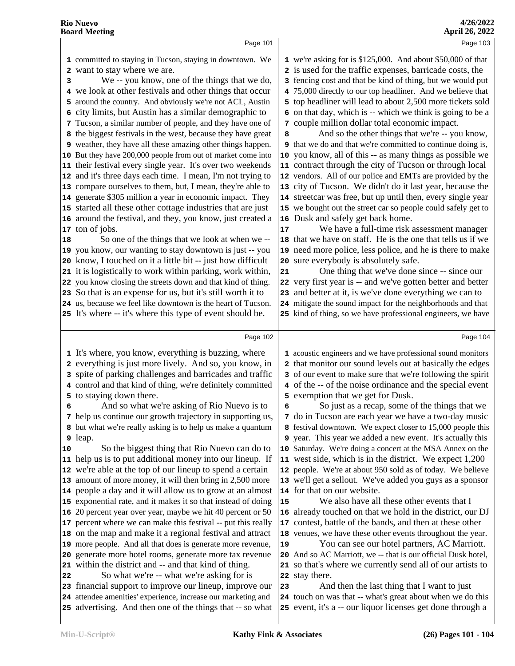|    | Page 101                                                                                                                    |    | Page 103                                                                                                                 |  |
|----|-----------------------------------------------------------------------------------------------------------------------------|----|--------------------------------------------------------------------------------------------------------------------------|--|
|    | 1 committed to staying in Tucson, staying in downtown. We                                                                   |    | 1 we're asking for is \$125,000. And about \$50,000 of that                                                              |  |
| 2  | want to stay where we are.                                                                                                  |    | 2 is used for the traffic expenses, barricade costs, the                                                                 |  |
| 3  | We -- you know, one of the things that we do,                                                                               |    | 3 fencing cost and that be kind of thing, but we would put                                                               |  |
|    | 4 we look at other festivals and other things that occur                                                                    |    | 4 75,000 directly to our top headliner. And we believe that                                                              |  |
|    | 5 around the country. And obviously we're not ACL, Austin                                                                   |    | 5 top headliner will lead to about 2,500 more tickets sold                                                               |  |
| 6  | city limits, but Austin has a similar demographic to                                                                        |    | 6 on that day, which is -- which we think is going to be a                                                               |  |
|    | 7 Tucson, a similar number of people, and they have one of                                                                  |    | 7 couple million dollar total economic impact.                                                                           |  |
|    | 8 the biggest festivals in the west, because they have great                                                                |    | And so the other things that we're -- you know,                                                                          |  |
|    |                                                                                                                             | 8  | <b>9</b> that we do and that we're committed to continue doing is,                                                       |  |
|    | 9 weather, they have all these amazing other things happen.                                                                 |    |                                                                                                                          |  |
|    | 10 But they have 200,000 people from out of market come into                                                                |    | 10 you know, all of this -- as many things as possible we                                                                |  |
|    | 11 their festival every single year. It's over two weekends                                                                 |    | 11 contract through the city of Tucson or through local                                                                  |  |
|    | 12 and it's three days each time. I mean, I'm not trying to                                                                 |    | 12 vendors. All of our police and EMTs are provided by the                                                               |  |
|    | 13 compare ourselves to them, but, I mean, they're able to                                                                  |    | 13 city of Tucson. We didn't do it last year, because the                                                                |  |
|    | 14 generate \$305 million a year in economic impact. They                                                                   |    | 14 streetcar was free, but up until then, every single year                                                              |  |
|    | 15 started all these other cottage industries that are just                                                                 |    | 15 we bought out the street car so people could safely get to                                                            |  |
|    | 16 around the festival, and they, you know, just created a                                                                  |    | 16 Dusk and safely get back home.                                                                                        |  |
|    | 17 ton of jobs.                                                                                                             | 17 | We have a full-time risk assessment manager                                                                              |  |
| 18 | So one of the things that we look at when we --                                                                             |    | 18 that we have on staff. He is the one that tells us if we                                                              |  |
|    | 19 you know, our wanting to stay downtown is just -- you                                                                    |    | 19 need more police, less police, and he is there to make                                                                |  |
|    | 20 know, I touched on it a little bit -- just how difficult                                                                 |    | 20 sure everybody is absolutely safe.                                                                                    |  |
|    | 21 it is logistically to work within parking, work within,                                                                  | 21 | One thing that we've done since -- since our                                                                             |  |
|    | 22 you know closing the streets down and that kind of thing.                                                                |    | 22 very first year is -- and we've gotten better and better                                                              |  |
|    | 23 So that is an expense for us, but it's still worth it to                                                                 |    | 23 and better at it, is we've done everything we can to                                                                  |  |
|    | 24 us, because we feel like downtown is the heart of Tucson.                                                                |    | 24 mitigate the sound impact for the neighborhoods and that                                                              |  |
|    | 25 It's where -- it's where this type of event should be.                                                                   |    | 25 kind of thing, so we have professional engineers, we have                                                             |  |
|    |                                                                                                                             |    |                                                                                                                          |  |
|    |                                                                                                                             |    |                                                                                                                          |  |
|    | Page 102                                                                                                                    |    | Page 104                                                                                                                 |  |
|    | 1 It's where, you know, everything is buzzing, where                                                                        |    | 1 acoustic engineers and we have professional sound monitors                                                             |  |
|    | 2 everything is just more lively. And so, you know, in                                                                      |    | 2 that monitor our sound levels out at basically the edges                                                               |  |
|    | 3 spite of parking challenges and barricades and traffic                                                                    |    | 3 of our event to make sure that we're following the spirit                                                              |  |
|    | 4 control and that kind of thing, we're definitely committed                                                                |    | 4 of the -- of the noise ordinance and the special event                                                                 |  |
|    | 5 to staying down there.                                                                                                    |    | 5 exemption that we get for Dusk.                                                                                        |  |
| 6  | And so what we're asking of Rio Nuevo is to                                                                                 | 6  | So just as a recap, some of the things that we                                                                           |  |
|    | 7 help us continue our growth trajectory in supporting us,                                                                  |    | 7 do in Tucson are each year we have a two-day music                                                                     |  |
|    | 8 but what we're really asking is to help us make a quantum                                                                 |    | 8 festival downtown. We expect closer to 15,000 people this                                                              |  |
|    | <b>9</b> leap.                                                                                                              |    | 9 year. This year we added a new event. It's actually this                                                               |  |
| 10 | So the biggest thing that Rio Nuevo can do to                                                                               |    | 10 Saturday. We're doing a concert at the MSA Annex on the                                                               |  |
|    | 11 help us is to put additional money into our lineup. If                                                                   |    | 11 west side, which is in the district. We expect 1,200                                                                  |  |
|    | 12 we're able at the top of our lineup to spend a certain                                                                   |    | 12 people. We're at about 950 sold as of today. We believe                                                               |  |
|    | 13 amount of more money, it will then bring in 2,500 more                                                                   |    | 13 we'll get a sellout. We've added you guys as a sponsor                                                                |  |
|    | 14 people a day and it will allow us to grow at an almost                                                                   |    | 14 for that on our website.                                                                                              |  |
|    | 15 exponential rate, and it makes it so that instead of doing                                                               | 15 | We also have all these other events that I                                                                               |  |
|    | 16 20 percent year over year, maybe we hit 40 percent or 50                                                                 |    | 16 already touched on that we hold in the district, our DJ                                                               |  |
|    | 17 percent where we can make this festival -- put this really                                                               |    | 17 contest, battle of the bands, and then at these other                                                                 |  |
|    | 18 on the map and make it a regional festival and attract                                                                   |    | 18 venues, we have these other events throughout the year.                                                               |  |
|    | 19 more people. And all that does is generate more revenue,                                                                 | 19 | You can see our hotel partners, AC Marriott.                                                                             |  |
|    | 20 generate more hotel rooms, generate more tax revenue                                                                     | 20 | And so AC Marriott, we -- that is our official Dusk hotel,                                                               |  |
|    | 21 within the district and -- and that kind of thing.                                                                       |    | 21 so that's where we currently send all of our artists to                                                               |  |
| 22 | So what we're -- what we're asking for is                                                                                   |    | 22 stay there.                                                                                                           |  |
|    | 23 financial support to improve our lineup, improve our                                                                     | 23 | And then the last thing that I want to just                                                                              |  |
|    | 24 attendee amenities' experience, increase our marketing and<br>25 advertising. And then one of the things that -- so what |    | 24 touch on was that -- what's great about when we do this<br>25 event, it's a -- our liquor licenses get done through a |  |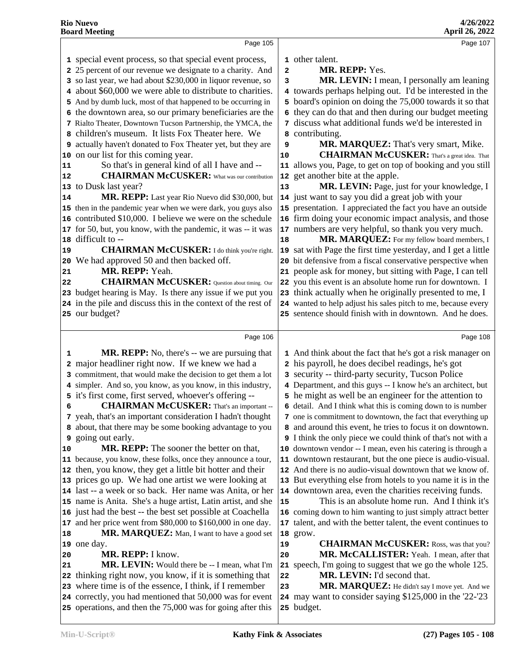|                      | Page 105                                                                                                                 |                         | Page 107                                                              |
|----------------------|--------------------------------------------------------------------------------------------------------------------------|-------------------------|-----------------------------------------------------------------------|
|                      | 1 special event process, so that special event process,                                                                  |                         | 1 other talent.                                                       |
|                      | 2 25 percent of our revenue we designate to a charity. And                                                               | $\overline{\mathbf{2}}$ | MR. REPP: Yes.                                                        |
|                      | 3 so last year, we had about \$230,000 in liquor revenue, so                                                             | 3                       | MR. LEVIN: I mean, I personally am leaning                            |
|                      | 4 about \$60,000 we were able to distribute to charities.                                                                |                         | 4 towards perhaps helping out. I'd be interested in the               |
|                      | 5 And by dumb luck, most of that happened to be occurring in                                                             |                         | 5 board's opinion on doing the 75,000 towards it so that              |
|                      | 6 the downtown area, so our primary beneficiaries are the                                                                |                         | 6 they can do that and then during our budget meeting                 |
|                      | 7 Rialto Theater, Downtown Tucson Partnership, the YMCA, the                                                             |                         | 7 discuss what additional funds we'd be interested in                 |
|                      | 8 children's museum. It lists Fox Theater here. We                                                                       |                         | contributing.                                                         |
|                      |                                                                                                                          | 8                       |                                                                       |
|                      | 9 actually haven't donated to Fox Theater yet, but they are                                                              | 9                       | MR. MARQUEZ: That's very smart, Mike.                                 |
|                      | 10 on our list for this coming year.                                                                                     | 10                      | <b>CHAIRMAN McCUSKER:</b> That's a great idea. That                   |
| 11                   | So that's in general kind of all I have and --                                                                           |                         | 11 allows you, Page, to get on top of booking and you still           |
| 12                   | <b>CHAIRMAN McCUSKER:</b> What was our contribution                                                                      | 12                      | get another bite at the apple.                                        |
|                      | 13 to Dusk last year?                                                                                                    | 13                      | MR. LEVIN: Page, just for your knowledge, I                           |
| 14                   | MR. REPP: Last year Rio Nuevo did \$30,000, but                                                                          |                         | 14 just want to say you did a great job with your                     |
|                      | 15 then in the pandemic year when we were dark, you guys also                                                            |                         | 15 presentation. I appreciated the fact you have an outside           |
|                      | 16 contributed \$10,000. I believe we were on the schedule                                                               |                         | 16 firm doing your economic impact analysis, and those                |
|                      | 17 for 50, but, you know, with the pandemic, it was -- it was                                                            |                         | 17 numbers are very helpful, so thank you very much.                  |
|                      | 18 difficult to --                                                                                                       | 18                      | MR. MARQUEZ: For my fellow board members, I                           |
| 19                   | <b>CHAIRMAN McCUSKER:</b> I do think you're right.                                                                       |                         | 19 sat with Page the first time yesterday, and I get a little         |
|                      | 20 We had approved 50 and then backed off.                                                                               |                         | 20 bit defensive from a fiscal conservative perspective when          |
| 21                   | MR. REPP: Yeah.                                                                                                          |                         | 21 people ask for money, but sitting with Page, I can tell            |
| 22                   | <b>CHAIRMAN McCUSKER:</b> Question about timing. Our                                                                     |                         | 22 you this event is an absolute home run for downtown. I             |
|                      | 23 budget hearing is May. Is there any issue if we put you                                                               |                         | 23 think actually when he originally presented to me, I               |
|                      | 24 in the pile and discuss this in the context of the rest of                                                            |                         | 24 wanted to help adjust his sales pitch to me, because every         |
|                      | 25 our budget?                                                                                                           |                         | 25 sentence should finish with in downtown. And he does.              |
|                      |                                                                                                                          |                         |                                                                       |
|                      |                                                                                                                          |                         |                                                                       |
|                      | Page 106                                                                                                                 |                         | Page 108                                                              |
| 1                    | <b>MR. REPP:</b> No, there's -- we are pursuing that                                                                     |                         | 1 And think about the fact that he's got a risk manager on            |
|                      | 2 major headliner right now. If we knew we had a                                                                         |                         | 2 his payroll, he does decibel readings, he's got                     |
|                      | 3 commitment, that would make the decision to get them a lot                                                             |                         | 3 security -- third-party security, Tucson Police                     |
|                      | 4 simpler. And so, you know, as you know, in this industry,                                                              |                         | 4 Department, and this guys -- I know he's an architect, but          |
|                      | 5 it's first come, first served, whoever's offering --                                                                   |                         | 5 he might as well be an engineer for the attention to                |
| 6                    | <b>CHAIRMAN McCUSKER:</b> That's an important --                                                                         |                         | 6 detail. And I think what this is coming down to is number           |
|                      |                                                                                                                          |                         | 7 one is commitment to downtown, the fact that everything up          |
|                      | 7 yeah, that's an important consideration I hadn't thought                                                               |                         | 8 and around this event, he tries to focus it on downtown.            |
|                      | 8 about, that there may be some booking advantage to you                                                                 |                         |                                                                       |
|                      | <b>9</b> going out early.                                                                                                |                         | <b>9</b> I think the only piece we could think of that's not with a   |
|                      | MR. REPP: The sooner the better on that,                                                                                 |                         | 10 downtown vendor -- I mean, even his catering is through a          |
|                      | 11 because, you know, these folks, once they announce a tour,                                                            |                         | 11 downtown restaurant, but the one piece is audio-visual.            |
|                      | 12 then, you know, they get a little bit hotter and their                                                                |                         | 12 And there is no audio-visual downtown that we know of.             |
|                      | 13 prices go up. We had one artist we were looking at                                                                    |                         | 13 But everything else from hotels to you name it is in the           |
|                      | 14 last -- a week or so back. Her name was Anita, or her                                                                 |                         | 14 downtown area, even the charities receiving funds.                 |
|                      | 15 name is Anita. She's a huge artist, Latin artist, and she                                                             | 15                      | This is an absolute home run. And I think it's                        |
|                      | 16 just had the best -- the best set possible at Coachella                                                               |                         | 16 coming down to him wanting to just simply attract better           |
|                      | 17 and her price went from \$80,000 to \$160,000 in one day.                                                             |                         | 17 talent, and with the better talent, the event continues to         |
|                      | MR. MARQUEZ: Man, I want to have a good set                                                                              |                         | 18 grow.                                                              |
|                      | 19 one day.                                                                                                              | 19                      | <b>CHAIRMAN McCUSKER:</b> Ross, was that you?                         |
|                      | MR. REPP: I know.                                                                                                        | 20                      | MR. McCALLISTER: Yeah. I mean, after that                             |
|                      | MR. LEVIN: Would there be -- I mean, what I'm                                                                            |                         | 21 speech, I'm going to suggest that we go the whole 125.             |
|                      | 22 thinking right now, you know, if it is something that                                                                 | 22                      | MR. LEVIN: I'd second that.                                           |
| 10<br>18<br>20<br>21 | 23 where time is of the essence, I think, if I remember                                                                  | 23                      | MR. MARQUEZ: He didn't say I move yet. And we                         |
|                      | 24 correctly, you had mentioned that 50,000 was for event<br>25 operations, and then the 75,000 was for going after this |                         | 24 may want to consider saying \$125,000 in the '22-'23<br>25 budget. |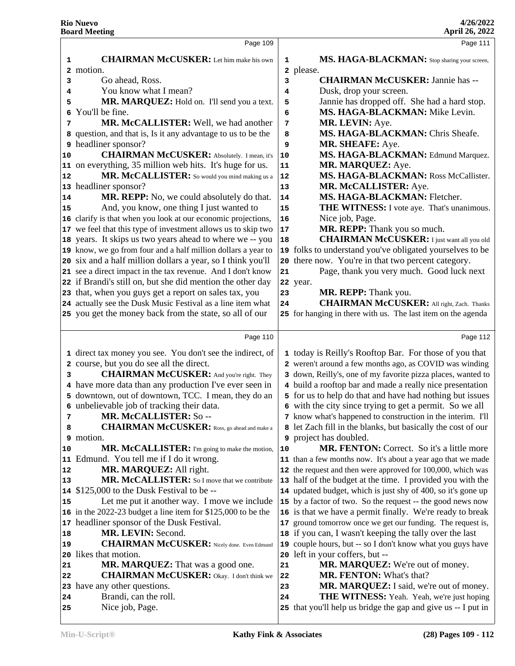|          | Page 109                                                      |    | Page 111                                                                                                           |
|----------|---------------------------------------------------------------|----|--------------------------------------------------------------------------------------------------------------------|
| 1        | <b>CHAIRMAN McCUSKER:</b> Let him make his own                | 1  | MS. HAGA-BLACKMAN: Stop sharing your screen,                                                                       |
|          | 2 motion.                                                     |    | 2 please.                                                                                                          |
| 3        | Go ahead, Ross.                                               | 3  | <b>CHAIRMAN McCUSKER: Jannie has --</b>                                                                            |
| 4        | You know what I mean?                                         | 4  | Dusk, drop your screen.                                                                                            |
| 5        | MR. MARQUEZ: Hold on. I'll send you a text.                   | 5  | Jannie has dropped off. She had a hard stop.                                                                       |
| 6        | You'll be fine.                                               | 6  | MS. HAGA-BLACKMAN: Mike Levin.                                                                                     |
| 7        | MR. McCALLISTER: Well, we had another                         | 7  | MR. LEVIN: Aye.                                                                                                    |
|          | 8 question, and that is, Is it any advantage to us to be the  | 8  | MS. HAGA-BLACKMAN: Chris Sheafe.                                                                                   |
|          | 9 headliner sponsor?                                          | 9  | MR. SHEAFE: Aye.                                                                                                   |
| 10       | <b>CHAIRMAN McCUSKER:</b> Absolutely. I mean, it's            | 10 | MS. HAGA-BLACKMAN: Edmund Marquez.                                                                                 |
|          | 11 on everything, 35 million web hits. It's huge for us.      | 11 | MR. MARQUEZ: Aye.                                                                                                  |
| 12       | MR. McCALLISTER: So would you mind making us a                | 12 | MS. HAGA-BLACKMAN: Ross McCallister.                                                                               |
|          | 13 headliner sponsor?                                         | 13 | MR. McCALLISTER: Aye.                                                                                              |
| 14       | MR. REPP: No, we could absolutely do that.                    | 14 | MS. HAGA-BLACKMAN: Fletcher.                                                                                       |
| 15       | And, you know, one thing I just wanted to                     | 15 | THE WITNESS: I vote aye. That's unanimous.                                                                         |
|          | 16 clarify is that when you look at our economic projections, | 16 | Nice job, Page.                                                                                                    |
|          | 17 we feel that this type of investment allows us to skip two | 17 | MR. REPP: Thank you so much.                                                                                       |
|          | 18 years. It skips us two years ahead to where we -- you      | 18 | <b>CHAIRMAN McCUSKER:</b> I just want all you old                                                                  |
|          | 19 know, we go from four and a half million dollars a year to |    | 19 folks to understand you've obligated yourselves to be                                                           |
|          | 20 six and a half million dollars a year, so I think you'll   | 20 | there now. You're in that two percent category.                                                                    |
|          | 21 see a direct impact in the tax revenue. And I don't know   | 21 | Page, thank you very much. Good luck next                                                                          |
|          | 22 if Brandi's still on, but she did mention the other day    |    | 22 year.                                                                                                           |
|          | 23 that, when you guys get a report on sales tax, you         | 23 | MR. REPP: Thank you.                                                                                               |
|          | 24 actually see the Dusk Music Festival as a line item what   | 24 | <b>CHAIRMAN McCUSKER:</b> All right, Zach. Thanks                                                                  |
|          | 25 you get the money back from the state, so all of our       |    | 25 for hanging in there with us. The last item on the agenda                                                       |
|          |                                                               |    |                                                                                                                    |
|          | Page 110                                                      |    | Page 112                                                                                                           |
|          | 1 direct tax money you see. You don't see the indirect, of    |    | 1 today is Reilly's Rooftop Bar. For those of you that                                                             |
|          | 2 course, but you do see all the direct.                      |    | 2 weren't around a few months ago, as COVID was winding                                                            |
| 3        | <b>CHAIRMAN McCUSKER:</b> And you're right. They              |    | 3 down, Reilly's, one of my favorite pizza places, wanted to                                                       |
|          | 4 have more data than any production I've ever seen in        |    | 4 build a rooftop bar and made a really nice presentation                                                          |
|          | 5 downtown, out of downtown, TCC. I mean, they do an          |    | 5 for us to help do that and have had nothing but issues                                                           |
|          | 6 unbelievable job of tracking their data.                    |    | 6 with the city since trying to get a permit. So we all                                                            |
| 7        | <b>MR. McCALLISTER: So--</b>                                  |    | 7 know what's happened to construction in the interim. I'll                                                        |
| 8        | <b>CHAIRMAN McCUSKER:</b> Ross, go ahead and make a           |    | 8 let Zach fill in the blanks, but basically the cost of our                                                       |
|          |                                                               |    | project has doubled.                                                                                               |
|          | <b>9</b> motion.                                              |    |                                                                                                                    |
| 10       | MR. McCALLISTER: I'm going to make the motion,                | 10 | <b>MR. FENTON:</b> Correct. So it's a little more                                                                  |
|          | 11 Edmund. You tell me if I do it wrong.                      |    | 11 than a few months now. It's about a year ago that we made                                                       |
|          | MR. MARQUEZ: All right.                                       |    | 12 the request and then were approved for 100,000, which was                                                       |
| 13       | MR. McCALLISTER: So I move that we contribute                 |    | 13 half of the budget at the time. I provided you with the                                                         |
| 12<br>14 | \$125,000 to the Dusk Festival to be --                       |    | 14 updated budget, which is just shy of 400, so it's gone up                                                       |
| 15       | Let me put it another way. I move we include                  |    | 15 by a factor of two. So the request -- the good news now                                                         |
|          | 16 in the 2022-23 budget a line item for \$125,000 to be the  |    | 16 is that we have a permit finally. We're ready to break                                                          |
|          | 17 headliner sponsor of the Dusk Festival.                    | 17 | ground tomorrow once we get our funding. The request is,                                                           |
|          | MR. LEVIN: Second.                                            |    | 18 if you can, I wasn't keeping the tally over the last                                                            |
| 18<br>19 | <b>CHAIRMAN McCUSKER:</b> Nicely done. Even Edmund            | 19 | couple hours, but -- so I don't know what you guys have                                                            |
|          | 20 likes that motion.                                         | 20 | left in your coffers, but --                                                                                       |
| 21       | MR. MARQUEZ: That was a good one.                             | 21 | MR. MARQUEZ: We're out of money.                                                                                   |
| 22       | <b>CHAIRMAN McCUSKER:</b> Okay. I don't think we              | 22 | <b>MR. FENTON:</b> What's that?                                                                                    |
|          | 23 have any other questions.                                  | 23 | MR. MARQUEZ: I said, we're out of money.                                                                           |
| 24<br>25 | Brandi, can the roll.<br>Nice job, Page.                      | 24 | <b>THE WITNESS:</b> Yeah. Yeah, we're just hoping<br>25 that you'll help us bridge the gap and give us -- I put in |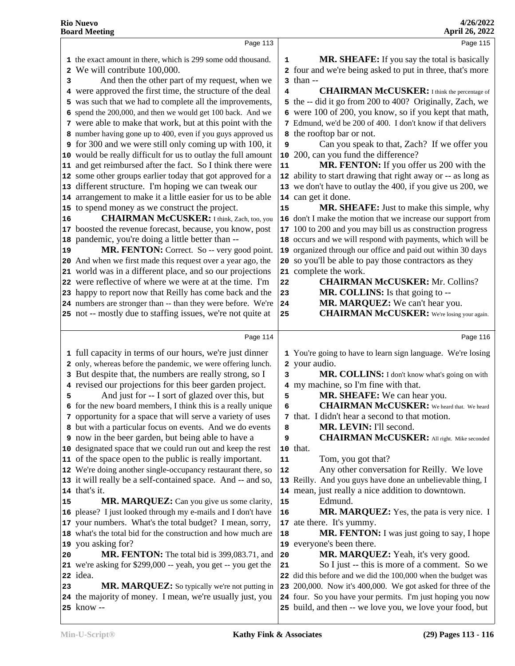|    | Page 113                                                                |                         | Page 115                                                                                                                |
|----|-------------------------------------------------------------------------|-------------------------|-------------------------------------------------------------------------------------------------------------------------|
|    | 1 the exact amount in there, which is 299 some odd thousand.            | 1                       | <b>MR. SHEAFE:</b> If you say the total is basically                                                                    |
|    | 2 We will contribute 100,000.                                           |                         | 2 four and we're being asked to put in three, that's more                                                               |
| 3  | And then the other part of my request, when we                          | 3                       | than --                                                                                                                 |
|    | 4 were approved the first time, the structure of the deal               | 4                       | <b>CHAIRMAN McCUSKER:</b> I think the percentage of                                                                     |
|    | 5 was such that we had to complete all the improvements,                | 5                       | the -- did it go from 200 to 400? Originally, Zach, we                                                                  |
|    | 6 spend the 200,000, and then we would get 100 back. And we             |                         | were 100 of 200, you know, so if you kept that math,                                                                    |
|    | 7 were able to make that work, but at this point with the               |                         | 7 Edmund, we'd be 200 of 400. I don't know if that delivers                                                             |
|    | 8 number having gone up to 400, even if you guys approved us            |                         | the rooftop bar or not.                                                                                                 |
|    | <b>9</b> for 300 and we were still only coming up with 100, it          | 9                       | Can you speak to that, Zach? If we offer you                                                                            |
|    | 10 would be really difficult for us to outlay the full amount           | 10                      | 200, can you fund the difference?                                                                                       |
|    | 11 and get reimbursed after the fact. So I think there were             | ${\bf 11}$              | MR. FENTON: If you offer us 200 with the                                                                                |
|    | 12 some other groups earlier today that got approved for a              |                         | 12 ability to start drawing that right away or -- as long as                                                            |
|    | 13 different structure. I'm hoping we can tweak our                     |                         | 13 we don't have to outlay the 400, if you give us 200, we                                                              |
|    | 14 arrangement to make it a little easier for us to be able             |                         | 14 can get it done.                                                                                                     |
|    | 15 to spend money as we construct the project.                          | 15                      | <b>MR. SHEAFE:</b> Just to make this simple, why                                                                        |
| 16 | <b>CHAIRMAN McCUSKER:</b> I think, Zach, too, you                       |                         | 16 don't I make the motion that we increase our support from                                                            |
|    | 17 boosted the revenue forecast, because, you know, post                |                         | 17 100 to 200 and you may bill us as construction progress                                                              |
|    | 18 pandemic, you're doing a little better than --                       |                         | 18 occurs and we will respond with payments, which will be                                                              |
| 19 | MR. FENTON: Correct. So -- very good point.                             |                         | 19 organized through our office and paid out within 30 days                                                             |
|    | 20 And when we first made this request over a year ago, the             |                         | 20 so you'll be able to pay those contractors as they                                                                   |
|    | 21 world was in a different place, and so our projections               |                         | 21 complete the work.                                                                                                   |
|    | 22 were reflective of where we were at at the time. I'm                 | 22                      | <b>CHAIRMAN McCUSKER: Mr. Collins?</b>                                                                                  |
|    | 23 happy to report now that Reilly has come back and the                | 23                      | MR. COLLINS: Is that going to --                                                                                        |
|    | 24 numbers are stronger than -- than they were before. We're            | 24                      | MR. MARQUEZ: We can't hear you.                                                                                         |
|    | 25 not -- mostly due to staffing issues, we're not quite at             | 25                      | <b>CHAIRMAN McCUSKER:</b> We're losing your again.                                                                      |
|    |                                                                         |                         |                                                                                                                         |
|    | Page 114                                                                |                         | Page 116                                                                                                                |
|    | 1 full capacity in terms of our hours, we're just dinner                |                         | 1 You're going to have to learn sign language. We're losing                                                             |
|    | 2 only, whereas before the pandemic, we were offering lunch.            |                         | 2 your audio.                                                                                                           |
|    | 3 But despite that, the numbers are really strong, so I                 | 3                       | MR. COLLINS: I don't know what's going on with                                                                          |
|    | 4 revised our projections for this beer garden project.                 | $\overline{\mathbf{4}}$ | my machine, so I'm fine with that.                                                                                      |
| 5  | And just for -- I sort of glazed over this, but                         | 5                       | MR. SHEAFE: We can hear you.                                                                                            |
|    | 6 for the new board members, I think this is a really unique            | 6                       | <b>CHAIRMAN McCUSKER:</b> We heard that. We heard                                                                       |
|    | 7 opportunity for a space that will serve a variety of uses             |                         | 7 that. I didn't hear a second to that motion.                                                                          |
|    | 8 but with a particular focus on events. And we do events               | 8                       | MR. LEVIN: I'll second.                                                                                                 |
|    | <b>9</b> now in the beer garden, but being able to have a               | 9                       | <b>CHAIRMAN McCUSKER:</b> All right. Mike seconded                                                                      |
|    | 10 designated space that we could run out and keep the rest             |                         | 10 that.                                                                                                                |
|    | 11 of the space open to the public is really important.                 | 11                      | Tom, you got that?                                                                                                      |
|    | 12 We're doing another single-occupancy restaurant there, so            | 12                      | Any other conversation for Reilly. We love                                                                              |
|    | 13 it will really be a self-contained space. And -- and so,             |                         | 13 Reilly. And you guys have done an unbelievable thing, I                                                              |
|    | 14 that's it.                                                           |                         | 14 mean, just really a nice addition to downtown.                                                                       |
| 15 | MR. MARQUEZ: Can you give us some clarity,                              | 15                      | Edmund.                                                                                                                 |
|    | 16 please? I just looked through my e-mails and I don't have            | 16                      | MR. MARQUEZ: Yes, the pata is very nice. I                                                                              |
|    | 17 your numbers. What's the total budget? I mean, sorry,                |                         | 17 ate there. It's yummy.                                                                                               |
|    | 18 what's the total bid for the construction and how much are           | 18                      | MR. FENTON: I was just going to say, I hope                                                                             |
|    | 19 you asking for?                                                      |                         | 19 everyone's been there.                                                                                               |
| 20 | MR. FENTON: The total bid is 399,083.71, and                            | 20                      | MR. MARQUEZ: Yeah, it's very good.                                                                                      |
|    | 21 we're asking for \$299,000 -- yeah, you get -- you get the           | 21                      | So I just -- this is more of a comment. So we                                                                           |
|    | 22 idea.                                                                |                         | 22 did this before and we did the 100,000 when the budget was                                                           |
| 23 | MR. MARQUEZ: So typically we're not putting in                          |                         | 23 200,000. Now it's 400,000. We got asked for three of the                                                             |
|    |                                                                         |                         |                                                                                                                         |
|    |                                                                         |                         |                                                                                                                         |
|    | 24 the majority of money. I mean, we're usually just, you<br>25 know -- |                         | 24 four. So you have your permits. I'm just hoping you now<br>25 build, and then -- we love you, we love your food, but |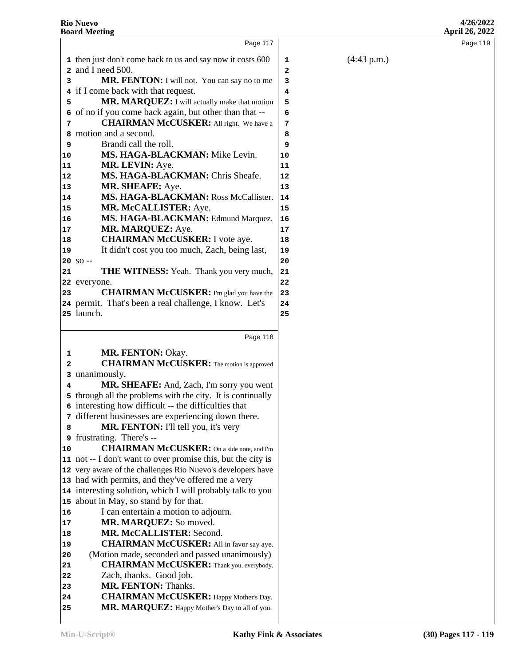(4:43 p.m.)

|              | <b>Rio Nuevo</b><br><b>Board Meeting</b>                             |    |
|--------------|----------------------------------------------------------------------|----|
|              | Page 117                                                             |    |
|              | 1 then just don't come back to us and say now it costs 600           | 1  |
|              | 2 and I need 500.                                                    | 2  |
| 3            | MR. FENTON: I will not. You can say no to me                         | 3  |
|              | 4 if I come back with that request.                                  | 4  |
| 5            | MR. MARQUEZ: I will actually make that motion                        | 5  |
|              | 6 of no if you come back again, but other than that --               | 6  |
| 7            | <b>CHAIRMAN McCUSKER:</b> All right. We have a                       | 7  |
| 8            | motion and a second.                                                 | 8  |
| 9            | Brandi call the roll.                                                | 9  |
| 10           | MS. HAGA-BLACKMAN: Mike Levin.                                       | 10 |
| 11           | MR. LEVIN: Aye.                                                      | 11 |
| 12           | MS. HAGA-BLACKMAN: Chris Sheafe.                                     | 12 |
| 13           | MR. SHEAFE: Aye.                                                     | 13 |
| 14           | MS. HAGA-BLACKMAN: Ross McCallister.                                 | 14 |
| 15           | MR. McCALLISTER: Aye.                                                | 15 |
| 16           | MS. HAGA-BLACKMAN: Edmund Marquez.                                   | 16 |
| 17           | MR. MARQUEZ: Aye.                                                    | 17 |
| 18           | <b>CHAIRMAN McCUSKER:</b> I vote aye.                                | 18 |
| 19           | It didn't cost you too much, Zach, being last,                       | 19 |
|              | $20 S0 -$                                                            | 20 |
| 21           | <b>THE WITNESS:</b> Yeah. Thank you very much,                       | 21 |
|              | 22 everyone.                                                         | 22 |
| 23           | <b>CHAIRMAN McCUSKER:</b> I'm glad you have the                      | 23 |
|              | 24 permit. That's been a real challenge, I know. Let's<br>25 launch. | 24 |
|              |                                                                      | 25 |
|              | Page 118                                                             |    |
| 1            | MR. FENTON: Okay.                                                    |    |
| $\mathbf{2}$ | <b>CHAIRMAN McCUSKER:</b> The motion is approved                     |    |
| 3            | unanimously.                                                         |    |
| 4            | MR. SHEAFE: And, Zach, I'm sorry you went                            |    |
|              | 5 through all the problems with the city. It is continually          |    |
|              | 6 interesting how difficult -- the difficulties that                 |    |
| 7            | different businesses are experiencing down there.                    |    |
| 8            | MR. FENTON: I'll tell you, it's very                                 |    |
| 9            | frustrating. There's --                                              |    |
| 10           | <b>CHAIRMAN McCUSKER:</b> On a side note, and I'm                    |    |
|              | 11 not -- I don't want to over promise this, but the city is         |    |
|              | 12 very aware of the challenges Rio Nuevo's developers have          |    |
|              | 13 had with permits, and they've offered me a very                   |    |
|              | 14 interesting solution, which I will probably talk to you           |    |
|              | 15 about in May, so stand by for that.                               |    |
| 16           | I can entertain a motion to adjourn.                                 |    |
| 17           | MR. MARQUEZ: So moved.                                               |    |
| 18           | MR. McCALLISTER: Second.                                             |    |
| 19           | <b>CHAIRMAN McCUSKER:</b> All in favor say aye.                      |    |
| 20           | (Motion made, seconded and passed unanimously)                       |    |

- Zach, thanks. Good job.
- **MR. FENTON:** Thanks.
- **CHAIRMAN McCUSKER:** Happy Mother's Day. 25 MR. MARQUEZ: Happy Mother's Day to all of you.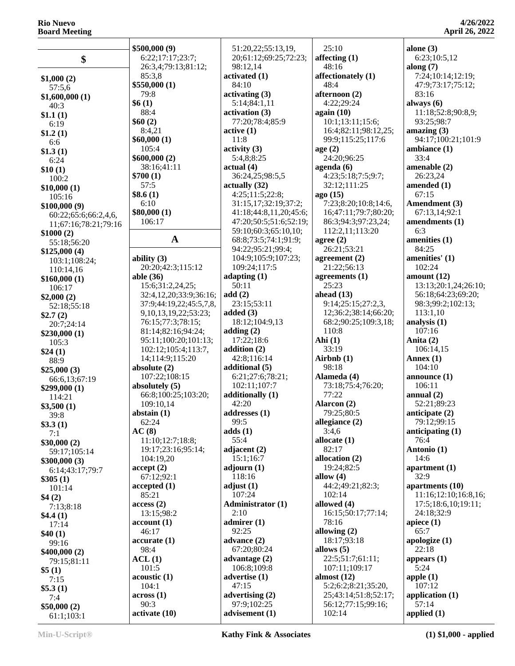|                      | \$500,000(9)               | 51:20,22;55:13,19,       | 25:10                | alone $(3)$          |
|----------------------|----------------------------|--------------------------|----------------------|----------------------|
|                      | 6:22;17:17;23:7;           | 20;61:12;69:25;72:23;    | affecting $(1)$      | 6:23;10:5,12         |
| \$                   | 26:3,4;79:13;81:12;        | 98:12,14                 | 48:16                | along $(7)$          |
|                      | 85:3,8                     | activated (1)            | affectionately (1)   | 7:24;10:14;12:19;    |
| \$1,000(2)           | \$550,000(1)               | 84:10                    | 48:4                 | 47:9;73:17;75:12;    |
| 57:5,6               |                            |                          |                      | 83:16                |
| \$1,600,000(1)       | 79:8                       | activating (3)           | afternoon (2)        |                      |
| 40:3                 | \$6(1)                     | 5:14;84:1,11             | 4:22;29:24           | always $(6)$         |
| \$1.1(1)             | 88:4                       | activation (3)           | again $(10)$         | 11:18;52:8;90:8,9;   |
| 6:19                 | \$60(2)                    | 77:20;78:4;85:9          | 10:1;13:11;15:6;     | 93:25;98:7           |
| \$1.2(1)             | 8:4,21                     | active(1)                | 16:4;82:11;98:12,25; | amazing $(3)$        |
| 6:6                  | \$60,000(1)                | 11:8                     | 99:9;115:25;117:6    | 94:17;100:21;101:9   |
| \$1.3(1)             | 105:4                      | $\text{activity (3)}$    | age(2)               | ambiance (1)         |
| 6:24                 | \$600,000(2)               | 5:4,8;8:25               | 24:20;96:25          | 33:4                 |
| \$10(1)              | 38:16;41:11                | actual(4)                | agenda $(6)$         | amenable $(2)$       |
| 100:2                | \$700(1)                   | 36:24,25;98:5,5          | 4:23;5:18;7:5;9:7;   | 26:23,24             |
| \$10,000(1)          | 57:5                       | actually (32)            | 32:12;111:25         | amended (1)          |
| 105:16               | \$8.6(1)                   | 4:25;11:5;22:8;          | ago (15)             | 67:15                |
| \$100,000(9)         | 6:10                       | 31:15,17;32:19;37:2;     | 7:23;8:20;10:8;14:6, | Amendment (3)        |
| 60:22;65:6;66:2,4,6, | \$80,000(1)                | 41:18;44:8,11,20;45:6;   | 16;47:11;79:7;80:20; | 67:13,14;92:1        |
| 11;67:16;78:21;79:16 | 106:17                     | 47:20;50:5;51:6;52:19;   | 86:3;94:3;97:23,24;  | amendments (1)       |
| \$1000(2)            |                            | 59:10;60:3;65:10,10;     | 112:2,11;113:20      | 6:3                  |
|                      | $\mathbf A$                | 68:8;73:5;74:1;91:9;     | agree $(2)$          | amenities (1)        |
| 55:18;56:20          |                            | 94:22;95:21;99:4;        | 26:21;53:21          | 84:25                |
| \$125,000(4)         | ability $(3)$              | 104:9;105:9;107:23;      | agreement $(2)$      | amenities' (1)       |
| 103:1;108:24;        | 20:20;42:3;115:12          | 109:24;117:5             | 21:22;56:13          | 102:24               |
| 110:14,16            | able $(36)$                | adapting $(1)$           | agreements $(1)$     | amount $(12)$        |
| \$160,000(1)         | 15:6;31:2,24,25;           | 50:11                    | 25:23                | 13:13;20:1,24;26:10; |
| 106:17               | 32:4,12,20;33:9;36:16;     | add(2)                   | ahead $(13)$         | 56:18;64:23;69:20;   |
| \$2,000(2)           | 37:9;44:19,22;45:5,7,8,    | 23:15;53:11              | 9:14;25:15;27:2,3,   | 98:3;99:2;102:13;    |
| 52:18;55:18          |                            |                          |                      |                      |
| \$2.7(2)             | 9, 10, 13, 19, 22; 53: 23; | added $(3)$              | 12;36:2;38:14;66:20; | 113:1,10             |
| 20:7;24:14           | 76:15;77:3;78:15;          | 18:12;104:9,13           | 68:2;90:25;109:3,18; | analysis (1)         |
| \$230,000(1)         | 81:14;82:16;94:24;         | adding $(2)$             | 110:8                | 107:16               |
| 105:3                | 95:11;100:20;101:13;       | 17:22;18:6               | Ahi $(1)$            | Anita (2)            |
| \$24(1)              | 102:12;105:4;113:7,        | addition $(2)$           | 33:19                | 106:14,15            |
| 88:9                 | 14;114:9;115:20            | 42:8;116:14              | Airbnb $(1)$         | Annex $(1)$          |
| \$25,000(3)          | absolute $(2)$             | additional (5)           | 98:18                | 104:10               |
| 66:6,13;67:19        | 107:22;108:15              | 6:21;27:6;78:21;         | Alameda (4)          | announce $(1)$       |
| \$299,000(1)         | absolutely $(5)$           | 102:11;107:7             | 73:18;75:4;76:20;    | 106:11               |
| 114:21               | 66:8;100:25;103:20;        | additionally (1)         | 77:22                | annual $(2)$         |
| \$3,500(1)           | 109:10,14                  | 42:20                    | Alarcon (2)          | 52:21;89:23          |
| 39:8                 | abstain $(1)$              | addresses (1)            | 79:25;80:5           | anticipate (2)       |
| \$3.3(1)             | 62:24                      | 99:5                     | allegiance $(2)$     | 79:12;99:15          |
| 7:1                  | AC(8)                      | adds(1)                  | 3:4,6                | anticipating $(1)$   |
| \$30,000(2)          | 11:10;12:7;18:8;           | 55:4                     | allocate $(1)$       | 76:4                 |
| 59:17;105:14         | 19:17;23:16;95:14;         | adjacent $(2)$           | 82:17                | Antonio (1)          |
| \$300,000(3)         | 104:19,20                  | 15:1;16:7                | allocation (2)       | 14:6                 |
| 6:14;43:17;79:7      | accept(2)                  | adjourn $(1)$            | 19:24;82:5           | apartment $(1)$      |
| \$305(1)             | 67:12;92:1                 | 118:16                   | allow $(4)$          | 32:9                 |
| 101:14               | accepted (1)               | adjust $(1)$             | 44:2;49:21;82:3;     | apartments (10)      |
| \$4(2)               | 85:21                      | 107:24                   | 102:14               | 11:16;12:10;16:8,16; |
| 7:13;8:18            | access(2)                  | <b>Administrator (1)</b> | allowed (4)          | 17:5;18:6,10;19:11;  |
|                      | 13:15;98:2                 | 2:10                     | 16:15:50:17:77:14:   | 24:18:32:9           |
| \$4.4(1)             | account(1)                 | admirer $(1)$            | 78:16                | apiece $(1)$         |
| 17:14                | 46:17                      | 92:25                    | allowing $(2)$       | 65:7                 |
| \$40(1)              | accurate(1)                | advance $(2)$            | 18:17:93:18          | apologize (1)        |
| 99:16                | 98:4                       | 67:20;80:24              | allows $(5)$         | 22:18                |
| \$400,000(2)         |                            |                          | 22:5;51:7;61:11;     |                      |
| 79:15;81:11          | ACL(1)                     | advantage $(2)$          |                      | appears $(1)$        |
| \$5(1)               | 101:5                      | 106:8;109:8              | 107:11;109:17        | 5:24                 |
| 7:15                 | acoustic(1)                | advertise (1)            | almost $(12)$        | apple $(1)$          |
| \$5.3(1)             | 104:1                      | 47:15                    | 5:2;6:2;8:21;35:20,  | 107:12               |
| 7:4                  | $\arccos(1)$               | advertising $(2)$        | 25;43:14;51:8;52:17; | application $(1)$    |
| \$50,000(2)          | 90:3                       | 97:9;102:25              | 56:12;77:15;99:16;   | 57:14                |
| 61:1;103:1           | activate (10)              | advisement (1)           | 102:14               | applied $(1)$        |
|                      |                            |                          |                      |                      |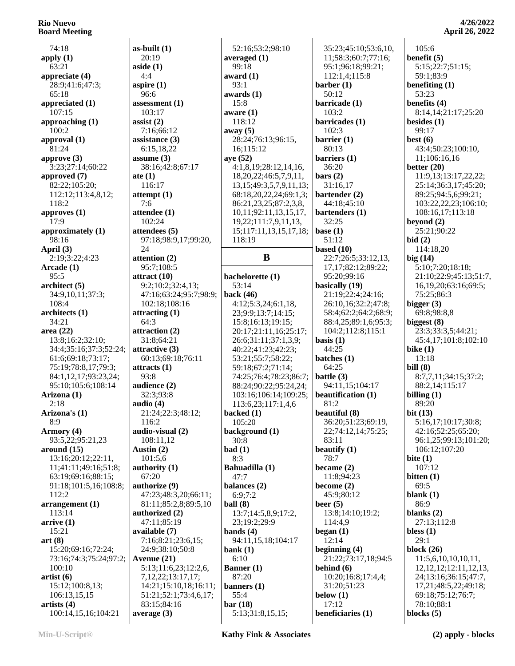74:18 **apply (1)** 63:21 **appreciate (4)** 28:9;41:6;47:3; 65:18 **appreciated (1)** 107:15 **approaching (1)** 100:2 **approval (1)** 81:24 **approve (3)** 3:23;27:14;60:22 **approved (7)** 82:22;105:20; 112:12;113:4,8,12; 118:2 **approves (1)** 17:9 **approximately (1)** 98:16 **April (3)** 2:19;3:22;4:23 **Arcade (1)** 95:5 **architect (5)** 34:9,10,11;37:3; 108:4 **architects (1)** 34:21 **area (22)** 13:8;16:2;32:10; 34:4;35:16;37:3;52:24; 61:6;69:18;73:17; 75:19;78:8,17;79:3; 84:1,12,17;93:23,24; 95:10;105:6;108:14 **Arizona (1)** 2:18 **Arizona's (1)** 8:9 **Armory (4)** 93:5,22;95:21,23 **around (15)** 13:16;20:12;22:11, 11;41:11;49:16;51:8; 63:19;69:16;88:15; 91:18;101:5,16;108:8; 112:2 **arrangement (1)** 113:14 **arrive (1)** 15:21 **art (8)** 15:20;69:16;72:24; 73:16;74:3;75:24;97:2; 100:10 **artist (6)** 15:12;100:8,13; 106:13,15,15 **artists (4)** 100:14,15,16;104:21 **as-built (1)** 20:19 **aside (1)** 4:4 **aspire (1)** 96:6 **assessment (1)** 103:17 **assist (2)** 7:16;66:12 **assistance (3)** 6:15,18,22 **assume (3)** 38:16;42:8;67:17 **ate (1)** 116:17 **attempt (1)** 7:6 **attendee (1)** 102:24 **attendees (5)** 97:18;98:9,17;99:20,  $24$ **attention (2)** 95:7;108:5 **attract (10)** 9:2;10:2;32:4,13; 47:16;63:24;95:7;98:9; 102:18;108:16 **attracting (1)** 64:3 **attraction (2)** 31:8;64:21 **attractive (3)** 60:13;69:18;76:11 **attracts (1)** 93:8 **audience (2)** 32:3;93:8 **audio (4)** 21:24;22:3;48:12; 116:2 **audio-visual (2)** 108:11,12 **Austin (2)** 101:5,6 **authority (1)** 67:20 **authorize (9)** 47:23;48:3,20;66:11; 81:11;85:2,8;89:5,10 **authorized (2)** 47:11;85:19 **available (7)** 7:16;8:21;23:6,15; 24:9;38:10;50:8 **Avenue (21)** 5:13;11:6,23;12:2,6, 7,12,22;13:17,17; 14:21;15:10,18;16:11; 51:21;52:1;73:4,6,17; 83:15;84:16 **average (3)**

 52:16;53:2;98:10 **averaged (1)** 99:18 **award (1)** 93:1 **awards (1)** 15:8 **aware (1)** 118:12 **away (5)** 28:24;76:13;96:15, 16;115:12 **aye (52)** 4:1,8,19;28:12,14,16, 18,20,22;46:5,7,9,11, 13,15;49:3,5,7,9,11,13; 68:18,20,22,24;69:1,3; 86:21,23,25;87:2,3,8, 10,11;92:11,13,15,17, 19,22;111:7,9,11,13, 15;117:11,13,15,17,18; 118:19 **B bachelorette (1)** 53:14 **back (46)** 4:12;5:3,24;6:1,18, 23;9:9;13:7;14:15; 15:8;16:13;19:15; 20:17;21:11,16;25:17; 26:6;31:11;37:1,3,9; 40:22;41:23;42:23; 53:21;55:7;58:22; 59:18;67:2;71:14; 74:25;76:4;78:23;86:7; 88:24;90:22;95:24,24; 103:16;106:14;109:25; 113:6,23;117:1,4,6 **backed (1)** 105:20 **background (1)** 30:8 **bad (1)** 8:3 **Bahuadilla (1)**  $47.7$ **balances (2)** 6:9;7:2 **ball (8)** 13:7;14:5,8,9;17:2, 23;19:2;29:9 **bands (4)** 94:11,15,18;104:17 **bank (1)** 6:10 **Banner (1)** 87:20 **banners (1)** 55:4 **bar (18)** 5:13;31:8,15,15;

 35:23;45:10;53:6,10, 11;58:3;60:7;77:16; 95:1;96:18;99:21; 112:1,4;115:8 **barber (1)** 50:12 **barricade (1)** 103:2 **barricades (1)** 102:3 **barrier (1)** 80:13 **barriers (1)** 36:20 **bars (2)** 31:16,17 **bartender (2)** 44:18;45:10 **bartenders (1)** 32:25 **base (1)** 51:12 **based (10)** 22:7;26:5;33:12,13, 17,17;82:12;89:22; 95:20;99:16 **basically (19)** 21:19;22:4;24:16; 26:10,16;32:2;47:8; 58:4;62:2;64:2;68:9; 88:4,25;89:1,6;95:3; 104:2;112:8;115:1 **basis (1)** 44:25 **batches (1)** 64:25 **battle (3)** 94:11,15;104:17 **beautification (1)** 81:2 **beautiful (8)** 36:20;51:23;69:19, 22;74:12,14;75:25; 83:11 **beautify (1)** 78:7 **became (2)** 11:8;94:23 **become (2)** 45:9;80:12 **beer (5)** 13:8;14:10;19:2; 114:4,9 **began (1)** 12:14 **beginning (4)** 21:22;73:17,18;94:5 **behind (6)** 10:20;16:8;17:4,4; 31:20;51:23 **below (1)** 17:12 **beneficiaries (1)**

 105:6 **benefit (5)** 5:15;22:7;51:15; 59:1;83:9 **benefiting (1)** 53:23 **benefits (4)** 8:14,14;21:17;25:20 **besides (1)** 99:17 **best (6)** 43:4;50:23;100:10, 11;106:16,16 **better (20)** 11:9,13;13:17,22,22; 25:14;36:3,17;45:20; 89:25;94:5,6;99:21; 103:22,22,23;106:10; 108:16,17;113:18 **beyond (2)** 25:21;90:22 **bid (2)** 114:18,20 **big (14)** 5:10;7:20;18:18; 21:10;22:9;45:13;51:7, 16,19,20;63:16;69:5; 75:25;86:3 **bigger (3)** 69:8;98:8,8 **biggest (8)** 23:3;33:3,5;44:21; 45:4,17;101:8;102:10 **bike (1)** 13:18 **bill (8)** 8:7,7,11;34:15;37:2; 88:2,14;115:17 **billing (1)** 89:20 **bit (13)** 5:16,17;10:17;30:8; 42:16;52:25;65:20; 96:1,25;99:13;101:20; 106:12;107:20 **bite (1)** 107:12 **bitten (1)** 69:5 **blank (1)** 86:9 **blanks (2)** 27:13;112:8 **bless (1)** 29:1 **block (26)** 11:5,6,10,10,10,11, 12,12,12;12:11,12,13, 24;13:16;36:15;47:7, 17,21;48:5,22;49:18; 69:18;75:12;76:7; 78:10;88:1 **blocks (5)**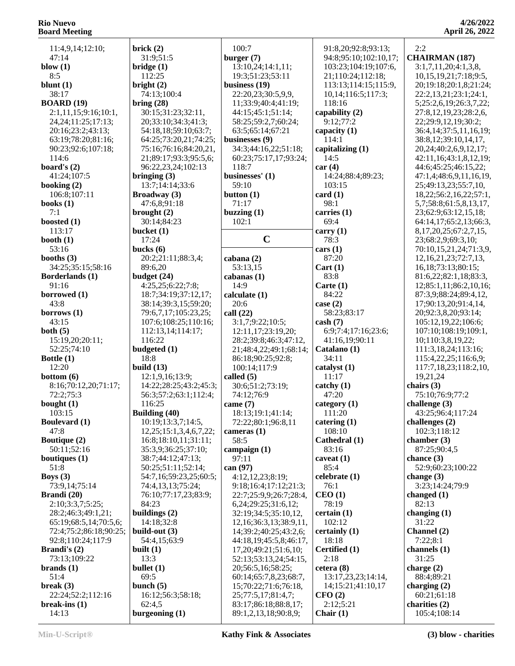| 11:4,9,14;12:10;                            | brick $(2)$                                    | 100:7                                           | 91:8,20;92:8;93:13;       | 2:2                                                    |
|---------------------------------------------|------------------------------------------------|-------------------------------------------------|---------------------------|--------------------------------------------------------|
| 47:14                                       | 31:9;51:5                                      | burger $(7)$                                    | 94:8;95:10;102:10,17;     | <b>CHAIRMAN (187)</b>                                  |
| blow $(1)$                                  | bridge(1)                                      | 13:10,24;14:1,11;                               | 103:23;104:19;107:6,      | 3:1,7,11,20;4:1,3,8,                                   |
| 8:5                                         | 112:25                                         | 19:3;51:23;53:11                                | 21;110:24;112:18;         | 10, 15, 19, 21; 7: 18; 9: 5,                           |
| blunt $(1)$                                 | bright $(2)$                                   | business $(19)$                                 | 113:13;114:15;115:9,      | 20;19:18;20:1,8;21:24;                                 |
| 38:17                                       | 74:13;100:4                                    | 22:20,23;30:5,9,9,                              | 10,14;116:5;117:3;        | 22:2,13,21;23:1;24:1,                                  |
| <b>BOARD</b> (19)                           | bring $(28)$                                   | 11;33:9;40:4;41:19;                             | 118:16                    | 5;25:2,6,19;26:3,7,22;                                 |
| 2:1,11,15;9:16;10:1,                        | 30:15;31:23;32:11,                             | 44:15;45:1;51:14;                               | capability (2)            | 27:8,12,19,23;28:2,6,                                  |
| 24, 24; 11: 25; 17: 13;                     | 20;33:10;34:3;41:3;                            | 58:25;59:2,7;60:24;                             | 9:12;77:2                 | 22;29:9,12,19;30:2;                                    |
| 20:16;23:2;43:13;                           | 54:18,18;59:10;63:7;                           | 63:5;65:14;67:21                                | capacity $(1)$            | 36:4,14;37:5,11,16,19;                                 |
| 63:19;78:20;81:16;                          | 64:25;73:20,21;74:25;<br>75:16;76:16;84:20,21, | businesses (9)<br>34:3;44:16,22;51:18;          | 114:1<br>capitalizing (1) | 38:8,12;39:10,14,17,                                   |
| 90:23;92:6;107:18;<br>114:6                 | 21;89:17;93:3;95:5,6;                          | 60:23;75:17,17;93:24;                           | 14:5                      | 20, 24; 40: 2, 6, 9, 12, 17;<br>42:11,16;43:1,8,12,19; |
| board's $(2)$                               | 96:22,23,24;102:13                             | 118:7                                           | car(4)                    | 44:6;45:25;46:15,22;                                   |
| 41:24;107:5                                 | bringing $(3)$                                 | businesses' (1)                                 | 14:24;88:4;89:23;         | 47:1,4;48:6,9,11,16,19,                                |
| booking (2)                                 | 13:7;14:14;33:6                                | 59:10                                           | 103:15                    | 25;49:13,23;55:7,10,                                   |
| 106:8;107:11                                | <b>Broadway</b> (3)                            | button $(1)$                                    | card(1)                   | 18, 22; 56: 2, 16, 22; 57: 1,                          |
| books $(1)$                                 | 47:6,8;91:18                                   | 71:17                                           | 98:1                      | 5,7;58:8;61:5,8,13,17,                                 |
| 7:1                                         | brought $(2)$                                  | buzzing $(1)$                                   | carries (1)               | 23;62:9;63:12,15,18;                                   |
| boosted $(1)$                               | 30:14;84:23                                    | 102:1                                           | 69:4                      | 64:14,17;65:2,13;66:3,                                 |
| 113:17                                      | bucket $(1)$                                   |                                                 | carry $(1)$               | 8, 17, 20, 25; 67: 2, 7, 15,                           |
| booth $(1)$                                 | 17:24                                          | $\mathbf C$                                     | 78:3                      | 23;68:2,9;69:3,10;                                     |
| 53:16                                       | bucks $(6)$                                    |                                                 | cars (1)                  | 70:10,15,21,24;71:3,9,                                 |
| booths $(3)$                                | 20:2;21:11;88:3,4;                             | cabana (2)                                      | 87:20                     | 12, 16, 21, 23; 72: 7, 13,                             |
| 34:25;35:15;58:16                           | 89:6,20                                        | 53:13,15                                        | Cart(1)                   | 16, 18; 73: 13; 80: 15;                                |
| Borderlands (1)<br>91:16                    | budget $(24)$<br>4:25,25;6:22;7:8;             | cabanas (1)<br>14:9                             | 83:8<br>Carte $(1)$       | 81:6,22;82:1,18;83:3,<br>12;85:1,11;86:2,10,16;        |
| borrowed (1)                                | 18:7;34:19;37:12,17;                           | calculate (1)                                   | 84:22                     | 87:3,9;88:24;89:4,12,                                  |
| 43:8                                        | 38:14;39:3,15;59:20;                           | 20:6                                            | case (2)                  | 17;90:13,20;91:4,14,                                   |
| borrows $(1)$                               | 79:6,7,17;105:23,25;                           | call $(22)$                                     | 58:23;83:17               | 20;92:3,8,20;93:14;                                    |
| 43:15                                       | 107:6;108:25;110:16;                           | 3:1,7;9:22;10:5;                                | $\cosh(7)$                | 105:12,19,22;106:6;                                    |
| both $(5)$                                  | 112:13,14;114:17;                              | 12:11,17;23:19,20;                              | 6:9;7:4;17:16;23:6;       | 107:10;108:19;109:1,                                   |
| 15:19,20;20:11;                             | 116:22                                         | 28:2;39:8;46:3;47:12,                           | 41:16,19;90:11            | 10;110:3,8,19,22;                                      |
| 52:25;74:10                                 | budgeted (1)                                   | 21;48:4,22;49:1;68:14;                          | Catalano (1)              | 111:3,18,24;113:16;                                    |
| Bottle $(1)$                                | 18:8                                           | 86:18;90:25;92:8;                               | 34:11                     | 115:4,22,25;116:6,9;                                   |
| 12:20                                       | build $(13)$                                   | 100:14;117:9                                    | catalyst (1)              | 117:7,18,23;118:2,10,                                  |
| bottom(6)                                   | 12:1,9,16;13:9;                                | called $(5)$                                    | 11:17                     | 19,21,24                                               |
| 8:16;70:12,20;71:17;                        | 14:22;28:25;43:2;45:3;                         | 30:6;51:2;73:19;                                | catchy (1)                | chairs $(3)$                                           |
| 72:2;75:3                                   | 56:3;57:2;63:1;112:4;                          | 74:12;76:9                                      | 47:20                     | 75:10;76:9;77:2                                        |
| bought $(1)$<br>103:15                      | 116:25                                         | came $(7)$                                      | category $(1)$<br>111:20  | challenge $(3)$<br>43:25;96:4;117:24                   |
| <b>Boulevard</b> (1)                        | <b>Building (40)</b><br>10:19;13:3,7;14:5,     | 18:13;19:1;41:14;<br>72:22;80:1;96:8,11         | catering $(1)$            | challenges (2)                                         |
| 47:8                                        | 12, 25; 15: 1, 3, 4, 6, 7, 22;                 | cameras $(1)$                                   | 108:10                    | 102:3;118:12                                           |
| <b>Boutique (2)</b>                         | 16:8;18:10,11;31:11;                           | 58:5                                            | Cathedral (1)             | chamber $(3)$                                          |
| 50:11;52:16                                 | 35:3,9;36:25;37:10;                            | campaign $(1)$                                  | 83:16                     | 87:25;90:4,5                                           |
| boutiques $(1)$                             | 38:7;44:12;47:13;                              | 97:11                                           | caveat $(1)$              | chance $(3)$                                           |
| 51:8                                        | 50:25;51:11;52:14;                             | can (97)                                        | 85:4                      | 52:9;60:23;100:22                                      |
| Boys $(3)$                                  | 54:7,16;59:23,25;60:5;                         | 4:12,12,23;8:19;                                | celebrate (1)             | change $(3)$                                           |
| 73:9,14;75:14                               | 74:4,13,13;75:24;                              | 9:18;16:4;17:12;21:3;                           | 76:1                      | 3:23;14:24;79:9                                        |
| Brandi (20)                                 | 76:10;77:17,23;83:9;                           | 22:7;25:9,9;26:7;28:4,                          | CEO(1)                    | changed $(1)$                                          |
| 2:10;3:3,7;5:25;                            | 84:23                                          | 6,24;29:25;31:6,12;                             | 78:19                     | 82:13                                                  |
| 28:2;46:3;49:1,21;                          | buildings (2)                                  | 32:19;34:5;35:10,12,                            | certain(1)                | changing $(1)$                                         |
| 65:19;68:5,14;70:5,6;                       | 14:18;32:8                                     | 12, 16; 36: 3, 13; 38: 9, 11,                   | 102:12                    | 31:22                                                  |
| 72:4;75:2;86:18;90:25;<br>92:8;110:24;117:9 | build-out (3)<br>54:4,15;63:9                  | 14;39:2;40:25;43:2,6;<br>44:18,19;45:5,8;46:17, | certainly (1)<br>18:18    | Channel (2)<br>7:22;8:1                                |
| <b>Brandi's</b> $(2)$                       | built $(1)$                                    | 17, 20; 49: 21; 51: 6, 10;                      | Certified (1)             | channels $(1)$                                         |
| 73:13;109:22                                | 13:3                                           | 52:13;53:13,24;54:15,                           | 2:18                      | 31:25                                                  |
| brands $(1)$                                | bullet $(1)$                                   | 20;56:5,16;58:25;                               | cetera(8)                 | charge $(2)$                                           |
| 51:4                                        | 69:5                                           | 60:14;65:7,8,23;68:7,                           | 13:17,23,23;14:14,        | 88:4;89:21                                             |
| break $(3)$                                 | bunch $(5)$                                    | 15;70:22;71:6;76:18,                            | 14;15:21;41:10,17         | charging $(2)$                                         |
| 22:24;52:2;112:16                           | 16:12;56:3;58:18;                              | 25;77:5,17;81:4,7;                              | CFO(2)                    | 60:21;61:18                                            |
| break-ins $(1)$                             | 62:4,5                                         | 83:17;86:18;88:8,17;                            | 2:12;5:21                 | charities (2)                                          |
| 14:13                                       | burgeoning $(1)$                               | 89:1,2,13,18;90:8,9;                            | Chair $(1)$               | 105:4;108:14                                           |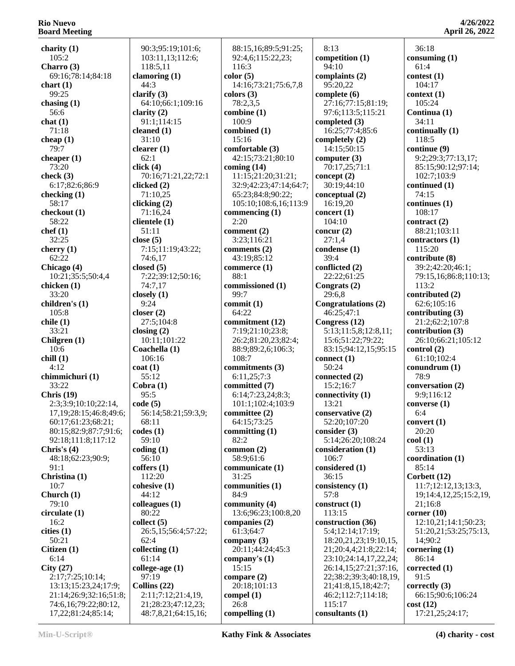**charity (1)** 105:2 **Charro (3)** 69:16;78:14;84:18 **chart (1)** 99:25 **chasing (1)** 56:6 **chat (1)** 71:18 **cheap (1)** 79:7 **cheaper (1)** 73:20 **check (3)** 6:17;82:6;86:9 **checking (1)** 58:17 **checkout (1)** 58:22 **chef (1)** 32:25 **cherry (1)** 62:22 **Chicago (4)** 10:21;35:5;50:4,4 **chicken (1)** 33:20 **children's (1)** 105:8 **chile (1)** 33:21 **Chilgren (1)** 10:6 **chill (1)** 4:12 **chimmichuri (1)** 33:22 **Chris (19)** 2:3;3:9;10:10;22:14, 17,19;28:15;46:8;49:6; 60:17;61:23;68:21; 80:15;82:9;87:7;91:6; 92:18;111:8;117:12 **Chris's (4)** 48:18;62:23;90:9; 91:1 **Christina (1)** 10:7 **Church (1)** 79:10 **circulate (1)** 16:2 **cities (1)** 50:21 **Citizen (1)** 6:14 **City (27)** 2:17;7:25;10:14; 13:13;15:23,24;17:9; 21:14;26:9;32:16;51:8; 74:6,16;79:22;80:12, 17,22;81:24;85:14;

 90:3;95:19;101:6; 103:11,13;112:6; 118:5,11 **clamoring (1)** 44:3 **clarify (3)** 64:10;66:1;109:16 **clarity (2)** 91:1;114:15 **cleaned (1)** 31:10 **clearer (1)** 62:1 **click (4)** 70:16;71:21,22;72:1 **clicked (2)** 71:10,25 **clicking (2)** 71:16,24 **clientele (1)** 51:11 **close (5)** 7:15;11:19;43:22; 74:6,17 **closed (5)** 7:22;39:12;50:16; 74:7,17 **closely (1)** 9:24 **closer (2)** 27:5;104:8 **closing (2)** 10:11;101:22 **Coachella (1)** 106:16 **coat (1)** 55:12 **Cobra (1)** 95:5 **code (5)** 56:14;58:21;59:3,9; 68:11 **codes (1)** 59:10 **coding (1)** 56:10 **coffers (1)** 112:20 **cohesive (1)** 44:12 **colleagues (1)** 80:22 **collect (5)** 26:5,15;56:4;57:22; 62:4 **collecting (1)** 61:14 **college-age (1)** 97:19 **Collins (22)** 2:11;7:12;21:4,19, 21;28:23;47:12,23; 48:7,8,21;64:15,16;

 88:15,16;89:5;91:25; 92:4,6;115:22,23; 116:3 **color (5)** 14:16;73:21;75:6,7,8 **colors (3)** 78:2,3,5 **combine (1)** 100:9 **combined (1)** 15:16 **comfortable (3)** 42:15;73:21;80:10 **coming (14)** 11:15;21:20;31:21; 32:9;42:23;47:14;64:7; 65:23;84:8;90:22; 105:10;108:6,16;113:9 **commencing (1)** 2:20 **comment (2)** 3:23;116:21 **comments (2)** 43:19;85:12 **commerce (1)** 88:1 **commissioned (1)** 99:7 **commit (1)** 64:22 **commitment (12)** 7:19;21:10;23:8; 26:2;81:20,23;82:4; 88:9;89:2,6;106:3; 108:7 **commitments (3)** 6:11,25;7:3 **committed (7)** 6:14;7:23,24;8:3; 101:1;102:4;103:9 **committee (2)** 64:15;73:25 **committing (1)** 82:2 **common (2)** 58:9;61:6 **communicate (1)** 31:25 **communities (1)** 84:9 **community (4)** 13:6;96:23;100:8,20 **companies (2)** 61:3;64:7 **company (3)** 20:11;44:24;45:3 **company's (1)** 15:15 **compare (2)** 20:18;101:13 **compel (1)** 26:8 **compelling (1)**

 8:13 **competition (1)** 94:10 **complaints (2)** 95:20,22 **complete (6)** 27:16;77:15;81:19; 97:6;113:5;115:21 **completed (3)** 16:25;77:4;85:6 **completely (2)** 14:15;50:15 **computer (3)** 70:17,25;71:1 **concept (2)** 30:19;44:10 **conceptual (2)** 16:19,20 **concert (1)** 104:10 **concur (2)** 27:1,4 **condense (1)** 39:4 **conflicted (2)** 22:22;61:25 **Congrats (2)** 29:6,8 **Congratulations (2)** 46:25;47:1 **Congress (12)** 5:13;11:5,8;12:8,11; 15:6;51:22;79:22; 83:15;94:12,15;95:15 **connect (1)** 50:24 **connected (2)** 15:2;16:7 **connectivity (1)** 13:21 **conservative (2)** 52:20;107:20 **consider (3)** 5:14;26:20;108:24 **consideration (1)** 106:7 **considered (1)** 36:15 **consistency (1)** 57:8 **construct (1)** 113:15 **construction (36)** 5:4;12:14;17:19; 18:20,21,23;19:10,15, 21;20:4,4;21:8;22:14; 23:10;24:14,17,22,24; 26:14,15;27:21;37:16, 22;38:2;39:3;40:18,19, 21;41:8,15,18;42:7; 46:2;112:7;114:18; 115:17 **consultants (1)**

**4/26/2022 April 26, 2022**

 36:18 **consuming (1)** 61:4 **contest (1)** 104:17 **context (1)** 105:24 **Continua (1)** 34:11 **continually (1)** 118:5 **continue (9)** 9:2;29:3;77:13,17; 85:15;90:12;97:14; 102:7;103:9 **continued (1)** 74:15 **continues (1)** 108:17 **contract (2)** 88:21;103:11 **contractors (1)** 115:20 **contribute (8)** 39:2;42:20;46:1; 79:15,16;86:8;110:13; 113:2 **contributed (2)** 62:6;105:16 **contributing (3)** 21:2;62:2;107:8 **contribution (3)** 26:10;66:21;105:12 **control (2)** 61:10;102:4 **conundrum (1)** 78:9 **conversation (2)** 9:9;116:12 **converse (1)** 6:4 **convert (1)** 20:20 **cool (1)** 53:13 **coordination (1)** 85:14 **Corbett (12)** 11:7;12:12,13;13:3, 19;14:4,12,25;15:2,19, 21;16:8 **corner (10)** 12:10,21;14:1;50:23; 51:20,21;53:25;75:13, 14;90:2 **cornering (1)** 86:14 **corrected (1)** 91:5 **correctly (3)** 66:15;90:6;106:24 **cost (12)** 17:21,25;24:17;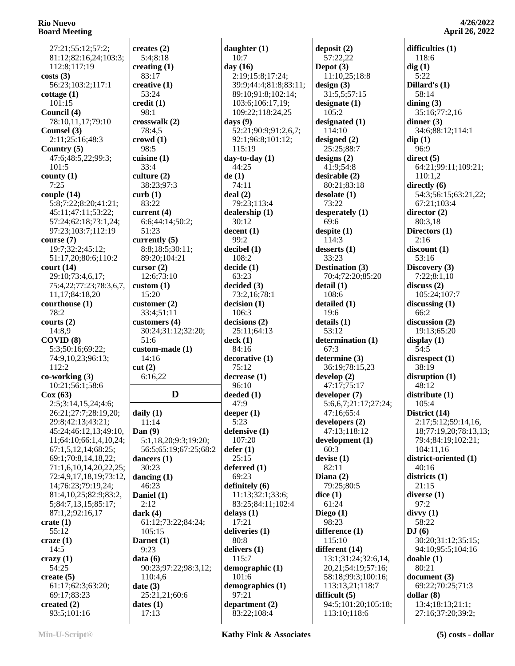27:21;55:12;57:2; 81:12;82:16,24;103:3; 112:8;117:19 **costs (3)** 56:23;103:2;117:1 **cottage (1)** 101:15 **Council (4)** 78:10,11,17;79:10 **Counsel (3)** 2:11;25:16;48:3 **Country (5)** 47:6;48:5,22;99:3; 101:5 **county (1)** 7:25 **couple (14)** 5:8;7:22;8:20;41:21; 45:11;47:11;53:22; 57:24;62:18;73:1,24; 97:23;103:7;112:19 **course (7)** 19:7;32:2;45:12; 51:17,20;80:6;110:2 **court (14)** 29:10;73:4,6,17; 75:4,22;77:23;78:3,6,7, 11,17;84:18,20 **courthouse (1)** 78:2 **courts (2)** 14:8,9 **COVID (8)** 5:3;50:16;69:22; 74:9,10,23;96:13; 112:2 **co-working (3)** 10:21;56:1;58:6 **Cox (63)** 2:5;3:14,15,24;4:6; 26:21;27:7;28:19,20; 29:8;42:13;43:21; 45:24;46:12,13;49:10, 11;64:10;66:1,4,10,24; 67:1,5,12,14;68:25; 69:1;70:8,14,18,22; 71:1,6,10,14,20,22,25; 72:4,9,17,18,19;73:12, 14;76:23;79:19,24; 81:4,10,25;82:9;83:2, 5;84:7,13,15;85:17; 87:1,2;92:16,17 **crate (1)** 55:12 **craze (1)** 14:5 **crazy (1)** 54:25 **create (5)** 61:17;62:3;63:20; 69:17;83:23 **created (2)** 93:5;101:16 **curb (1) cut (2) daily (1) Dan (9) dark (4) data (6) date (3)**

**creates (2)** 5:4;8:18 **creating (1)** 83:17 **creative (1)** 53:24 **credit (1)** 98:1 **crosswalk (2)** 78:4,5 **crowd (1)** 98:5 **cuisine (1)** 33:4 **culture (2)** 38:23;97:3 83:22 **current (4)** 6:6;44:14;50:2; 51:23 **currently (5)** 8:8;18:5;30:11; 89:20;104:21 **cursor (2)** 12:6;73:10 **custom (1)** 15:20 **customer (2)** 33:4;51:11 **customers (4)** 30:24;31:12;32:20; 51:6 **custom-made (1)** 14:16 6:16,22  $\mathbf{D}$  deeded (1) 11:14 5:1,18,20;9:3;19:20; 56:5;65:19;67:25;68:2 **dancers (1)** 30:23 **dancing (1)** 46:23 **Daniel (1)** 2:12 61:12;73:22;84:24; 105:15 **Darnet (1)** 9:23 90:23;97:22;98:3,12; 110:4,6 25:21,21;60:6 **dates (1)** 17:13 **daughter (1)** 10:7 **day (16) days (9)** 115:19 **day-to-day (1)** 44:25 **de (1)** 74:11 **deal (2)** 79:23;113:4 **dealership (1)** 30:12 **decent (1)** 99:2 **decibel (1)** 108:2 **decide (1)** 63:23 **decided (3)** 73:2,16;78:1 **decision (1)** 106:3 **decisions (2)** 25:11;64:13 **deck (1)** 84:16 **decorative (1)** 75:12 **decrease (1)** 96:10 47:9 **deeper (1)** 5:23 **defensive (1)** 107:20 **defer (1)** 25:15 **deferred (1)** 69:23 **definitely (6) delays (1)** 17:21 **deliveries (1)** 80:8 **delivers (1)** 115:7 **demographic (1)** 101:6 **demographics (1)** 97:21 **department (2)** 83:22;108:4

 2:19;15:8;17:24; 39:9;44:4;81:8;83:11; 89:10;91:8;102:14; 103:6;106:17,19; 109:22;118:24,25 52:21;90:9;91:2,6,7; 92:1;96:8;101:12; 11:13;32:1;33:6; 83:25;84:11;102:4 **Depot (3) design (3)** 105:2 73:22 69:6 114:3 33:23 **detail (1)** 19:6 **details (1)** 53:12 67:3 60:3 **devise (1)** 82:11 **Diana (2) dice (1)** 61:24 **Diego (1)** 98:23

**deposit (2)** 57:22,22 11:10,25;18:8 31:5,5;57:15 **designate (1) designated (1)** 114:10 **designed (2)** 25:25;88:7 **designs (2)** 41:9;54:8 **desirable (2)** 80:21;83:18 **desolate (1) desperately (1) despite (1) desserts (1) Destination (3)** 70:4;72:20;85:20 108:6 **detailed (1) determination (1) determine (3)** 36:19;78:15,23 **develop (2)** 47:17;75:17 **developer (7)** 5:6,6,7;21:17;27:24; 47:16;65:4 **developers (2)** 47:13;118:12 **development (1)** 79:25;80:5 **difference (1)** 115:10 **different (14)** 13:1;31:24;32:6,14, 20,21;54:19;57:16; 58:18;99:3;100:16; 113:13,21;118:7 **difficult (5)** 94:5;101:20;105:18; 113:10;118:6

**difficulties (1)** 118:6 **dig (1)** 5:22 **Dillard's (1)** 58:14 **dining (3)** 35:16;77:2,16 **dinner (3)** 34:6;88:12;114:1 **dip (1)** 96:9 **direct (5)** 64:21;99:11;109:21; 110:1,2 **directly (6)** 54:3;56:15;63:21,22; 67:21;103:4 **director (2)** 80:3,18 **Directors (1)** 2:16 **discount (1)** 53:16 **Discovery (3)** 7:22;8:1,10 **discuss (2)** 105:24;107:7 **discussing (1)** 66:2 **discussion (2)** 19:13;65:20 **display (1)** 54:5 **disrespect (1)** 38:19 **disruption (1)** 48:12 **distribute (1)** 105:4 **District (14)** 2:17;5:12;59:14,16, 18;77:19,20;78:13,13; 79:4;84:19;102:21; 104:11,16 **district-oriented (1)** 40:16 **districts (1)** 21:15 **diverse (1)** 97:2 **divvy (1)** 58:22 **DJ (6)** 30:20;31:12;35:15; 94:10;95:5;104:16 **doable (1)** 80:21 **document (3)** 69:22;70:25;71:3 **dollar (8)** 13:4;18:13;21:1;

27:16;37:20;39:2;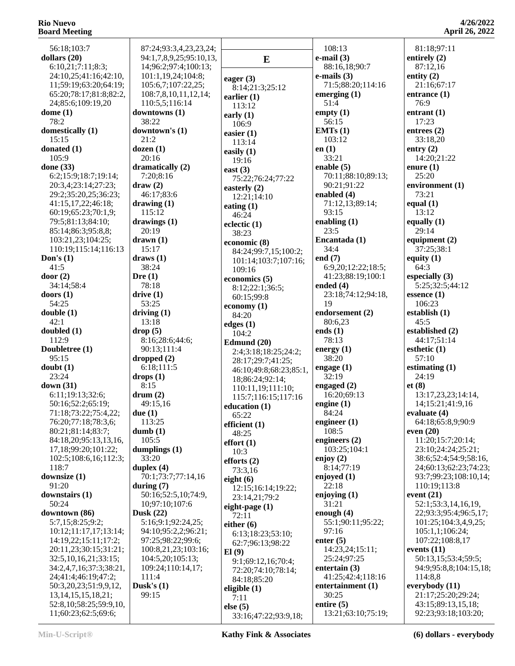56:18;103:7 **dollars (20)** 6:10,21;7:11;8:3; 24:10,25;41:16;42:10, 11;59:19;63:20;64:19; 65:20;78:17;81:8;82:2, 24;85:6;109:19,20 **dome (1)** 78:2 **domestically (1)** 15:15 **donated (1)** 105:9 **done (33)** 6:2;15:9;18:7;19:14; 20:3,4;23:14;27:23; 29:2;35:20,25;36:23; 41:15,17,22;46:18; 60:19;65:23;70:1,9; 79:5;81:13;84:10; 85:14;86:3;95:8,8; 103:21,23;104:25; 110:19;115:14;116:13 **Don's (1)** 41:5 **door (2)** 34:14;58:4 **doors (1)** 54:25 **double (1)** 42:1 **doubled (1)** 112:9 **Doubletree (1)**  $95.15$ **doubt (1)** 23:24 **down (31)** 6:11;19:13;32:6; 50:16;52:2;65:19; 71:18;73:22;75:4,22; 76:20;77:18;78:3,6; 80:21;81:14;83:7; 84:18,20;95:13,13,16, 17,18;99:20;101:22; 102:5;108:6,16;112:3; 118:7 **downsize (1)** 91:20 **downstairs (1)** 50:24 **downtown (86)** 5:7,15;8:25;9:2; 10:12;11:17,17;13:14; 14:19,22;15:11;17:2; 20:11,23;30:15;31:21; 32:5,10,16,21;33:15; 34:2,4,7,16;37:3;38:21, 24;41:4;46:19;47:2; 50:3,20,23;51:9,9,12, 13,14,15,15,18,21; 52:8,10;58:25;59:9,10, 11;60:23;62:5;69:6; 38:22 21:2 **dozen (1)** 20:16 **draw (2) drawing (1)** 115:12 20:19 **drawn (1)** 15:17 **draws (1)** 38:24 **Dre (1)** 78:18 **drive (1)** 53:25 **driving (1)** 13:18 **drop (5) dropped (2) drops (1)** 8:15 **drum (2) due (1)** 113:25 **dumb (1)** 105:5 33:20 **duplex (4) during (7) Dusk (22)** 111:4 **Dusk's (1)** 99:15

 87:24;93:3,4,23,23,24; 94:1,7,8,9,25;95:10,13, 14;96:2;97:4;100:13; 101:1,19,24;104:8; 105:6,7;107:22,25; 108:7,8,10,11,12,14; 110:5,5;116:14 **downtowns (1) downtown's (1) dramatically (2)** 7:20;8:16 46:17;83:6 **drawings (1)** 8:16;28:6;44:6; 90:13;111:4 6:18;111:5 49:15,16 **dumplings (1)** 70:1;73:7;77:14,16 50:16;52:5,10;74:9, 10;97:10;107:6 5:16;9:1;92:24,25; 94:10;95:2,2;96:21; 97:25;98:22;99:6; 100:8,21,23;103:16; 104:5,20;105:13; 109:24;110:14,17; **E eager (3)** 8:14;21:3;25:12 **earlier (1)** 113:12 **early (1)** 106:9 **easier (1)** 113:14 **easily (1)** 19:16 **east (3)** 75:22;76:24;77:22 **easterly (2)** 12:21;14:10 **eating (1)** 46:24 **eclectic (1)** 38:23 **economic (8)** 84:24;99:7,15;100:2; 101:14;103:7;107:16; 109:16 **economics (5)** 8:12;22:1;36:5; 60:15;99:8 **economy (1)** 84:20 **edges (1)** 104:2 **Edmund (20)** 2:4;3:18;18:25;24:2; 28:17;29:7;41:25; 46:10;49:8;68:23;85:1, 18;86:24;92:14; 110:11,19;111:10; 115:7;116:15;117:16 **education (1)** 65:22 **efficient (1)** 48:25 **effort (1)** 10:3 **efforts (2)** 73:3,16 **eight (6)** 12:15;16:14;19:22; 23:14,21;79:2 **eight-page (1)** 72:11 **either (6)** 6:13;18:23;53:10; 62:7;96:13;98:22 **El (9)** 9:1;69:12,16;70:4; 72:20;74:10;78:14; 84:18;85:20 **eligible (1)** 7:11 **else (5)** 33:16;47:22;93:9,18;

 108:13 **e-mail (3)** 88:16,18;90:7 **e-mails (3)** 71:5;88:20;114:16 **emerging (1)** 51:4 **empty (1)** 56:15 **EMTs (1)** 103:12 **en (1)** 33:21 **enable (5)** 70:11;88:10;89:13; 90:21;91:22 **enabled (4)** 71:12,13;89:14; 93:15 **enabling (1)** 23:5 **Encantada (1)** 34:4 **end (7)** 6:9,20;12:22;18:5; 41:23;88:19;100:1 **ended (4)** 23:18;74:12;94:18, 19 **endorsement (2)** 80:6,23 **ends (1)** 78:13 **energy (1)** 38:20 **engage (1)** 32:19 **engaged (2)** 16:20;69:13 **engine (1)** 84:24 **engineer (1)** 108:5 **engineers (2)** 103:25;104:1 **enjoy (2)** 8:14;77:19 **enjoyed (1)** 22:18 **enjoying (1)** 31:21 **enough (4)** 55:1;90:11;95:22; 97:16 **enter (5)** 14:23,24;15:11; 25:24;97:25 **entertain (3)** 41:25;42:4;118:16 **entertainment (1)** 30:25 **entire (5)** 13:21;63:10;75:19;

**4/26/2022 April 26, 2022** 81:18;97:11 21:16;67:17 **entrance (1)**

**entirely (2)** 87:12,16 **entity (2)**

76:9

**entrant (1)** 17:23 **entrees (2)** 33:18,20 **entry (2)** 14:20;21:22 **enure (1)** 25:20 **environment (1)** 73:21 **equal (1)** 13:12 **equally (1)** 29:14 **equipment (2)** 37:25;38:1 **equity (1)** 64:3 **especially (3)** 5:25;32:5;44:12 **essence (1)** 106:23 **establish (1)** 45:5 **established (2)** 44:17;51:14 **esthetic (1)** 57:10 **estimating (1)** 24:19 **et (8)** 13:17,23,23;14:14, 14;15:21;41:9,16 **evaluate (4)** 64:18;65:8,9;90:9 **even (20)** 11:20;15:7;20:14; 23:10;24:24;25:21; 38:6;52:4;54:9;58:16, 24;60:13;62:23;74:23; 93:7;99:23;108:10,14; 110:19;113:8 **event (21)** 52:1;53:3,14,16,19, 22;93:3;95:4;96:5,17; 101:25;104:3,4,9,25; 105:1,1;106:24; 107:22;108:8,17 **events (11)** 50:13,15;53:4;59:5; 94:9;95:8,8;104:15,18; 114:8,8 **everybody (11)** 21:17;25:20;29:24; 43:15;89:13,15,18; 92:23;93:18;103:20;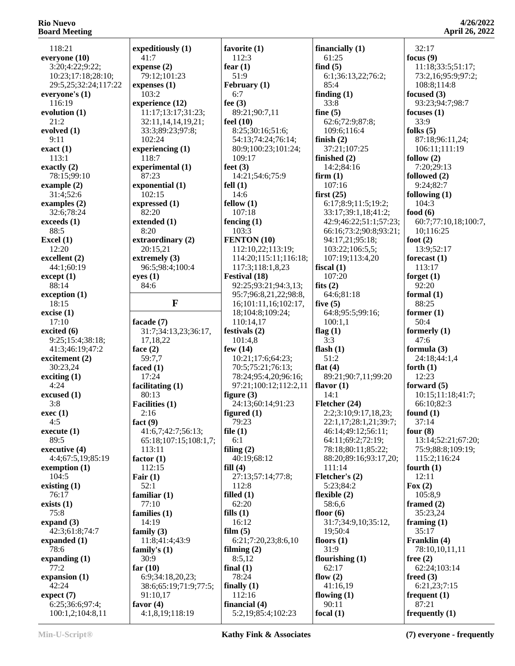| 118:21                              | expeditiously (1)              | favorite (1)                          | financially $(1)$      | 32:17                     |
|-------------------------------------|--------------------------------|---------------------------------------|------------------------|---------------------------|
| everyone (10)                       | 41:7                           | 112:3                                 | 61:25                  | focus $(9)$               |
| 3:20;4:22;9:22;                     | expense(2)                     | fear $(1)$                            | find $(5)$             | 11:18;33:5;51:17;         |
| 10:23;17:18;28:10;                  | 79:12;101:23                   | 51:9                                  | 6:1;36:13,22;76:2;     | 73:2,16;95:9;97:2;        |
| 29:5,25;32:24;117:22                | expenses (1)                   | February (1)                          | 85:4                   | 108:8;114:8               |
| everyone's (1)                      | 103:2                          | 6:7                                   | finding $(1)$          | focused $(3)$             |
|                                     |                                |                                       | 33:8                   |                           |
| 116:19                              | experience (12)                | fee $(3)$                             |                        | 93:23;94:7;98:7           |
| evolution (1)                       | 11:17;13:17;31:23;             | 89:21;90:7,11                         | fine $(5)$             | focuses $(1)$             |
| 21:2                                | 32:11,14,14,19,21;             | feel $(10)$                           | 62:6;72:9;87:8;        | 33:9                      |
| evolved (1)                         | 33:3;89:23;97:8;               | 8:25;30:16;51:6;                      | 109:6;116:4            | folks $(5)$               |
| 9:11                                | 102:24                         | 54:13;74:24;76:14;                    | finish $(2)$           | 87:18;96:11,24;           |
| exact(1)                            | experiencing (1)               | 80:9;100:23;101:24;                   | 37:21;107:25           | 106:11;111:19             |
| 113:1                               | 118:7                          | 109:17                                | finished $(2)$         | follow $(2)$              |
| exactly $(2)$                       | experimental (1)               | feet $(3)$                            | 14:2;84:16             | 7:20;29:13                |
| 78:15;99:10                         | 87:23                          | 14:21;54:6;75:9                       | firm(1)                | followed (2)              |
| example $(2)$                       | exponential (1)                | fell $(1)$                            | 107:16                 | 9:24;82:7                 |
| 31:4;52:6                           | 102:15                         | 14:6                                  | first(25)              | following $(1)$           |
| examples $(2)$                      | expressed (1)                  | fellow(1)                             | 6:17;8:9;11:5;19:2;    | 104:3                     |
| 32:6;78:24                          | 82:20                          | 107:18                                |                        | food $(6)$                |
|                                     |                                |                                       | 33:17;39:1,18;41:2;    |                           |
| exceeds (1)                         | extended (1)                   | fencing $(1)$                         | 42:9;46:22;51:1;57:23; | 60:7;77:10,18;100:7,      |
| 88:5                                | 8:20                           | 103:3                                 | 66:16;73:2;90:8;93:21; | 10;116:25                 |
| Excel $(1)$                         | extraordinary (2)              | FENTON (10)                           | 94:17,21;95:18;        | foot $(2)$                |
| 12:20                               | 20:15,21                       | 112:10,22;113:19;                     | 103:22;106:5,5;        | 13:9;52:17                |
| excellent (2)                       | extremely (3)                  | 114:20;115:11;116:18;                 | 107:19:113:4.20        | forecast $(1)$            |
| 44:1;60:19                          | 96:5;98:4;100:4                | 117:3;118:1,8,23                      | fiscal $(1)$           | 113:17                    |
| except (1)                          | eyes(1)                        | Festival (18)                         | 107:20                 | forget $(1)$              |
| 88:14                               | 84:6                           | 92:25;93:21;94:3,13;                  | fits $(2)$             | 92:20                     |
| exception (1)                       |                                | 95:7;96:8,21,22;98:8,                 | 64:6;81:18             | formal $(1)$              |
| 18:15                               | $\mathbf{F}$                   | 16;101:11,16;102:17,                  | five $(5)$             | 88:25                     |
| excise(1)                           |                                | 18;104:8;109:24;                      | 64:8;95:5;99:16;       | former $(1)$              |
| 17:10                               | facade $(7)$                   | 110:14,17                             | 100:1,1                | 50:4                      |
| excited (6)                         | 31:7;34:13,23;36:17,           | festivals $(2)$                       | flag $(1)$             | formerly $(1)$            |
|                                     |                                |                                       |                        |                           |
|                                     |                                |                                       |                        |                           |
| 9:25;15:4;38:18;                    | 17,18,22                       | 101:4,8                               | 3:3                    | 47:6                      |
| 41:3;46:19;47:2                     | face $(2)$                     | few $(14)$                            | flash $(1)$            | formula $(3)$             |
| excitement (2)                      | 59:7,7                         | 10:21;17:6;64:23;                     | 51:2                   | 24:18;44:1,4              |
| 30:23,24                            | faced $(1)$                    | 70:5;75:21;76:13;                     | flat $(4)$             | forth $(1)$               |
| exciting $(1)$                      | 17:24                          | 78:24;95:4,20;96:16;                  | 89:21;90:7,11;99:20    | 12:23                     |
| 4:24                                | facilitating $(1)$             | 97:21;100:12;112:2,11                 | flavor $(1)$           | forward $(5)$             |
| excused (1)                         | 80:13                          | figure $(3)$                          | 14:1                   | 10:15;11:18;41:7;         |
| 3:8                                 | Facilities (1)                 | 24:13;60:14;91:23                     | Fletcher (24)          | 66:10:82:3                |
| exec(1)                             | 2:16                           | figured $(1)$                         | 2:2;3:10;9:17,18,23;   | found $(1)$               |
| 4:5                                 | fact $(9)$                     | 79:23                                 | 22:1,17;28:1,21;39:7;  | 37:14                     |
| execute(1)                          | 41:6,7;42:7;56:13;             | file $(1)$                            | 46:14;49:12;56:11;     | four $(8)$                |
| 89:5                                | 65:18;107:15;108:1,7;          | 6:1                                   | 64:11;69:2;72:19;      | 13:14;52:21;67:20;        |
|                                     | 113:11                         |                                       |                        |                           |
| executive (4)                       |                                | filing $(2)$                          | 78:18;80:11;85:22;     | 75:9;88:8;109:19;         |
| 4:4;67:5,19;85:19                   | factor $(1)$                   | 40:19;68:12                           | 88:20;89:16;93:17,20;  | 115:2;116:24              |
| exemption $(1)$                     | 112:15                         | fill(4)                               | 111:14                 | fourth $(1)$              |
| 104:5                               | Fair $(1)$                     | 27:13;57:14;77:8;                     | Fletcher's (2)         | 12:11                     |
| existing $(1)$                      | 52:1                           | 112:8                                 | 5:23;84:2              | Fox $(2)$                 |
| 76:17                               | familiar $(1)$                 | filled $(1)$                          | flexible $(2)$         | 105:8,9                   |
| exists (1)                          | 77:10                          | 62:20                                 | 58:6.6                 | framed $(2)$              |
| 75:8                                | families $(1)$                 | fills $(1)$                           | floor $(6)$            | 35:23,24                  |
| expand $(3)$                        | 14:19                          | 16:12                                 | 31:7;34:9,10;35:12,    | framing $(1)$             |
| 42:3;61:8;74:7                      | family $(3)$                   | film $(5)$                            | 19:50:4                | 35:17                     |
| expanded (1)                        | 11:8;41:4;43:9                 | 6:21;7:20,23;8:6,10                   | floors $(1)$           | Franklin (4)              |
| 78:6                                | family's $(1)$                 | filming $(2)$                         | 31:9                   | 78:10,10,11,11            |
| expanding $(1)$                     | 30:9                           | 8:5,12                                | flourishing $(1)$      | free $(2)$                |
| 77:2                                | far $(10)$                     | final $(1)$                           | 62:17                  | 62:24;103:14              |
| expansion (1)                       | 6:9;34:18,20,23;               | 78:24                                 | flow $(2)$             | freed $(3)$               |
| 42:24                               |                                |                                       | 41:16,19               | 6:21,23;7:15              |
|                                     | 38:6;65:19;71:9;77:5;          | finally $(1)$<br>112:16               |                        |                           |
| expect (7)                          | 91:10,17                       |                                       | flowing $(1)$          | frequent(1)               |
| 6:25;36:6;97:4;<br>100:1,2;104:8,11 | favor $(4)$<br>4:1,8,19;118:19 | financial $(4)$<br>5:2,19;85:4;102:23 | 90:11<br>focal $(1)$   | 87:21<br>frequently $(1)$ |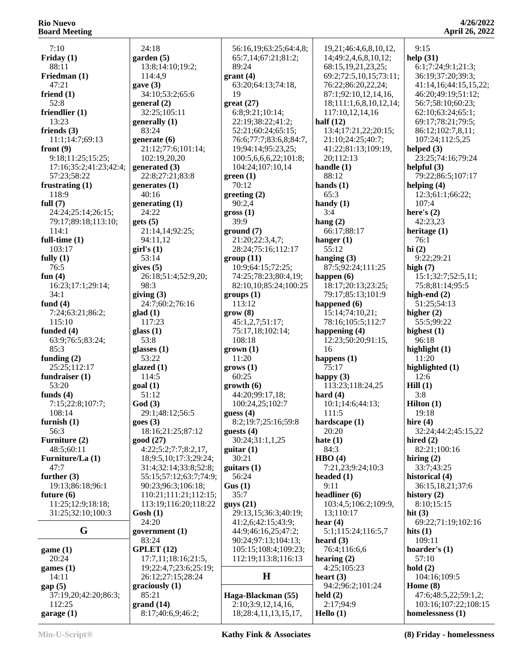7:10 **Friday (1)** 88:11 **Friedman (1)** 47:21 **friend (1)** 52:8 **friendlier (1)** 13:23 **friends (3)** 11:1;14:7;69:13 **front (9)** 9:18;11:25;15:25; 17:16;35:2;41:23;42:4; 57:23;58:22 **frustrating (1)** 118:9 **full (7)** 24:24;25:14;26:15; 79:17;89:18;113:10;  $114.1$ **full-time (1)** 103:17 **fully (1)** 76:5 **fun (4)** 16:23;17:1;29:14;  $34.1$ **fund (4)** 7:24;63:21;86:2; 115:10 **funded (4)** 63:9;76:5;83:24; 85:3 **funding (2)** 25:25;112:17 **fundraiser (1)** 53:20 **funds (4)** 7:15;22:8;107:7; 108:14 **furnish (1)** 56:3 **Furniture (2)** 48:5;60:11 **Furniture/La (1)** 47:7 **further (3)** 19:13;86:18;96:1 **future (6)** 11:25;12:9;18:18; 31:25;32:10;100:3 **game (1)** 20:24 **games (1)** 14:11 **gap (5)** 37:19,20;42:20;86:3;

**G government (1)** 24:18 **garden (5)** 13:8;14:10;19:2; 114:4,9 **gave (3)** 34:10;53:2;65:6 **general (2)** 32:25;105:11 **generally (1)** 83:24 **generate (6)** 21:12;77:6;101:14; 102:19,20,20 **generated (3)** 22:8;27:21;83:8 **generates (1)** 40:16 **generating (1)** 24:22 **gets (5)** 21:14,14;92:25; 94:11,12 **girl's (1)** 53:14 **gives (5)** 26:18;51:4;52:9,20; 98:3 **giving (3)** 24:7;60:2;76:16 **glad (1)** 117:23 **glass (1)** 53:8 **glasses (1)** 53:22 **glazed (1)** 114:5 **goal (1)** 51:12 **God (3)** 29:1;48:12;56:5 **goes (3)** 18:16;21:25;87:12 **good (27)** 4:22;5:2;7:7;8:2,17, 18;9:5,10;17:3;29:24; 31:4;32:14;33:8;52:8; 55:15;57:12;63:7;74:9; 90:23;96:3;106:18; 110:21;111:21;112:15; 113:19;116:20;118:22 **Gosh (1)** 24:20 83:24 **GPLET (12)** 17:7,11;18:16;21:5, 19;22:4,7;23:6;25:19; 26:12;27:15;28:24 **graciously (1)** 85:21 **grand (14)** 8:17;40:6,9;46:2;

 56:16,19;63:25;64:4,8; 65:7,14;67:21;81:2; 89:24 **grant (4)** 63:20;64:13;74:18, 19 **great (27)** 6:8;9:21;10:14; 22:19;38:22;41:2; 52:21;60:24;65:15; 76:6;77:7;83:6,8;84:7, 19;94:14;95:23,25; 100:5,6,6,6,22;101:8; 104:24;107:10,14 **green (1)** 70:12 **greeting (2)** 90:2,4 **gross (1)** 39:9 **ground (7)** 21:20;22:3,4,7; 28:24;75:16;112:17 **group (11)** 10:9;64:15;72:25; 74:25;78:23;80:4,19; 82:10,10;85:24;100:25 **groups (1)** 113:12 **grow (8)** 45:1,2,7;51:17; 75:17,18;102:14; 108:18 **grown (1)**  $11:20$ **grows (1)** 60:25 **growth (6)** 44:20;99:17,18; 100:24,25;102:7 **guess (4)** 8:2;19:7;25:16;59:8 **guests (4)** 30:24;31:1,1,25 **guitar (1)** 30:21 **guitars (1)** 56:24 **Gus (1)** 35:7 **guys (21)** 29:13,15;36:3;40:19; 41:2,6;42:15;43:9; 44:9;46:16,25;47:2; 90:24;97:13;104:13; 105:15;108:4;109:23; 112:19;113:8;116:13  $\mathbf{H}$  **heart (3) Haga-Blackman (55)** 2:10;3:9,12,14,16, 18;28:4,11,13,15,17,

 19,21;46:4,6,8,10,12, 14;49:2,4,6,8,10,12; 68:15,19,21,23,25; 69:2;72:5,10,15;73:11; 76:22;86:20,22,24; 87:1;92:10,12,14,16, 18;111:1,6,8,10,12,14; 117:10,12,14,16 **half (12)** 13:4;17:21,22;20:15; 21:10;24:25;40:7; 41:22;81:13;109:19, 20;112:13 **handle (1)** 88:12 **hands (1)** 65:3 **handy (1)** 3:4 **hang (2)** 66:17;88:17 **hanger (1)** 55:12 **hanging (3)** 87:5;92:24;111:25 **happen (6)** 18:17;20:13;23:25; 79:17;85:13;101:9 **happened (6)** 15:14;74:10,21; 78:16;105:5;112:7 **happening (4)** 12:23;50:20;91:15, 16 **happens (1)** 75:17 **happy (3)** 113:23;118:24,25 **hard (4)** 10:1;14:6;44:13; 111:5 **hardscape (1)** 20:20 **hate (1)** 84:3 **HBO (4)** 7:21,23;9:24;10:3 **headed (1)** 9:11 **headliner (6)** 103:4,5;106:2;109:9, 13;110:17 **hear (4)** 5:1;115:24;116:5,7 **heard (3)** 76:4;116:6,6 **hearing (2)** 4:25;105:23 94:2;96:2;101:24 **held (2)** 2:17;94:9 **Hello (1)**

**4/26/2022 April 26, 2022**

 9:15 **help (31)** 6:1;7:24;9:1;21:3; 36:19;37:20;39:3; 41:14,16;44:15,15,22; 46:20;49:19;51:12; 56:7;58:10;60:23; 62:10;63:24;65:1; 69:17;78:21;79:5; 86:12;102:7,8,11; 107:24;112:5,25 **helped (3)** 23:25;74:16;79:24 **helpful (3)** 79:22;86:5;107:17 **helping (4)** 12:3;61:1;66:22; 107:4 **here's (2)** 42:23,23 **heritage (1)** 76:1 **hi (2)** 9:22;29:21 **high (7)** 15:1;32:7;52:5,11; 75:8;81:14;95:5 **high-end (2)** 51:25;54:13 **higher (2)** 55:5;99:22 **highest (1)** 96:18 **highlight (1)** 11:20 **highlighted (1)** 12:6 **Hill (1)** 3:8 **Hilton (1)** 19:18 **hire (4)** 32:24;44:2;45:15,22 **hired (2)** 82:21;100:16 **hiring (2)** 33:7;43:25 **historical (4)** 36:15,18,21;37:6 **history (2)** 8:10;15:15 **hit (3)** 69:22;71:19;102:16 **hits (1)** 109:11 **hoarder's (1)** 57:10 **hold (2)** 104:16;109:5 **Home (8)** 47:6;48:5,22;59:1,2; 103:16;107:22;108:15 **homelessness (1)**

 112:25 **garage (1)**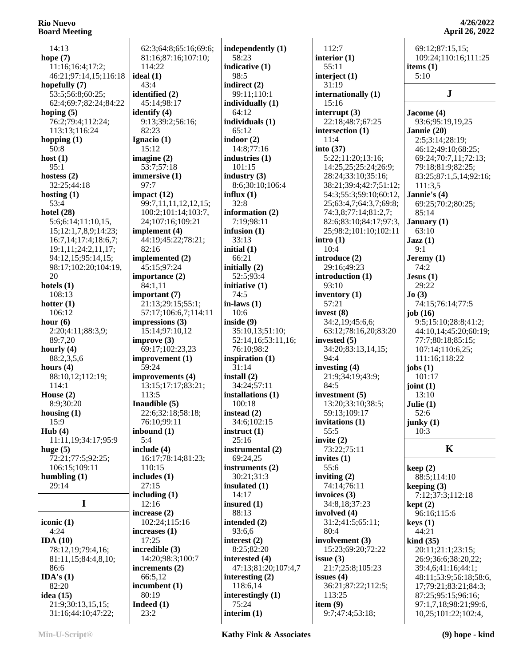14:13 **hope (7)** 11:16;16:4;17:2; 46:21;97:14,15;116:18 **hopefully (7)** 53:5;56:8;60:25; 62:4;69:7;82:24;84:22 **hoping (5)** 76:2;79:4;112:24; 113:13;116:24 **hopping (1)** 50:8 **host (1)** 95:1 **hostess (2)** 32:25;44:18 **hosting (1)** 53:4 **hotel (28)** 5:6;6:14;11:10,15, 15;12:1,7,8,9;14:23; 16:7,14;17:4;18:6,7; 19:1,11;24:2,11,17; 94:12,15;95:14,15; 98:17;102:20;104:19, 20 **hotels (1)** 108:13 **hotter (1)** 106:12 **hour (6)** 2:20;4:11;88:3,9; 89:7,20 **hourly (4)** 88:2,3,5,6 **hours (4)** 88:10,12;112:19; 114:1 **House (2)** 8:9;30:20 **housing (1)** 15:9 **Hub (4)** 11:11,19;34:17;95:9 **huge (5)** 72:21;77:5;92:25; 106:15;109:11 **humbling (1)** 29:14 **I iconic (1)** 4:24 **IDA (10)** 78:12,19;79:4,16; 81:11,15;84:4,8,10; 86:6 **IDA's (1)** 82:20

 62:3;64:8;65:16;69:6; 81:16;87:16;107:10; 114:22 **ideal (1)** 43:4 **identified (2)** 45:14;98:17 **identify (4)** 9:13;39:2;56:16; 82:23 **Ignacio (1)** 15:12 **imagine (2)** 53:7;57:18 **immersive (1)** 97:7 **impact (12)** 99:7,11,11,12,12,15; 100:2;101:14;103:7, 24;107:16;109:21 **implement (4)** 44:19;45:22;78:21; 82:16 **implemented (2)** 45:15;97:24 **importance (2)** 84:1,11 **important (7)** 21:13;29:15;55:1; 57:17;106:6,7;114:11 **impressions (3)** 15:14;97:10,12 **improve (3)** 69:17;102:23,23 **improvement (1)** 59:24 **improvements (4)** 13:15;17:17;83:21; 113:5 **Inaudible (5)** 22:6;32:18;58:18; 76:10;99:11 **inbound (1)** 5:4 **include (4)** 16:17;78:14;81:23; 110:15 **includes (1)** 27:15 **including (1)** 12:16 **increase (2)** 102:24;115:16 **increases (1)** 17:25 **incredible (3)** 14:20;98:3;100:7 **increments (2)** 66:5,12 **incumbent (1)** 80:19 **Indeed (1)** 23:2

**independently (1)** 58:23 **indicative (1)** 98:5 **indirect (2)** 99:11;110:1 **individually (1)** 64:12 **individuals (1)** 65:12 **indoor (2)** 14:8;77:16 **industries (1)** 101:15 **industry (3)** 8:6;30:10;106:4 **influx (1)** 32:8 **information (2)** 7:19;98:11 **infusion (1)** 33:13 **initial (1)** 66:21 **initially (2)** 52:5;93:4 **initiative (1)** 74:5 **in-laws (1)** 10:6 **inside (9)** 35:10,13;51:10; 52:14,16;53:11,16; 76:10;98:2 **inspiration (1)** 31:14 **install (2)** 34:24;57:11 **installations (1)** 100:18 **instead (2)** 34:6;102:15 **instruct (1)** 25:16 **instrumental (2)** 69:24,25 **instruments (2)** 30:21;31:3 **insulated (1)** 14:17 **insured (1)** 88:13 **intended (2)** 93:6,6 **interest (2)** 8:25;82:20 **interested (4)** 47:13;81:20;107:4,7 **interesting (2)** 118:6,14 **interestingly (1)** 75:24 **interim (1)**

 112:7 **interior (1)** 55:11 **interject (1)** 31:19 **internationally (1)** 15:16 **interrupt (3)** 22:18;48:7;67:25 **intersection (1)** 11:4 **into (37)** 5:22;11:20;13:16; 14:25,25;25:24;26:9; 28:24;33:10;35:16; 38:21;39:4;42:7;51:12; 54:3;55:3;59:10;60:12, 25;63:4,7;64:3,7;69:8; 74:3,8;77:14;81:2,7; 82:6;83:10;84:17;97:3, 25;98:2;101:10;102:11 **intro (1)** 10:4 **introduce (2)** 29:16;49:23 **introduction (1)** 93:10 **inventory (1)** 57:21 **invest (8)** 34:2,19;45:6,6; 63:12;78:16,20;83:20 **invested (5)** 34:20;83:13,14,15; 94:4 **investing (4)** 21:9;34:19;43:9; 84:5 **investment (5)** 13:20;33:10;38:5; 59:13;109:17 **invitations (1)** 55:5 **invite (2)** 73:22;75:11 **invites (1)** 55:6 **inviting (2)** 74:14;76:11 **invoices (3)** 34:8,18;37:23 **involved (4)** 31:2;41:5;65:11; 80:4 **involvement (3)** 15:23;69:20;72:22 **issue (3)** 21:7;25:8;105:23 **issues (4)** 36:21;87:22;112:5; 113:25 **item (9)** 9:7;47:4;53:18;

**4/26/2022 April 26, 2022**

 69:12;87:15,15; 109:24;110:16;111:25 **items (1)** 5:10 **J Jacome (4)** 93:6;95:19,19,25 **Jannie (20)** 2:5;3:14;28:19; 46:12;49:10;68:25; 69:24;70:7,11;72:13; 79:18;81:9;82:25; 83:25;87:1,5,14;92:16; 111:3,5 **Jannie's (4)** 69:25;70:2;80:25; 85:14 **January (1)** 63:10 **Jazz (1)** 9:1 **Jeremy (1)** 74:2 **Jesus (1)** 29:22 **Jo (3)** 74:15;76:14;77:5 **job (16)** 9:5;15:10;28:8;41:2; 44:10,14;45:20;60:19; 77:7;80:18;85:15; 107:14;110:6,25; 111:16;118:22 **jobs (1)** 101:17 **joint (1)** 13:10 **Julie (1)** 52:6 **junky (1)** 10:3 **K keep (2)** 88:5;114:10 **keeping (3)** 7:12;37:3;112:18 **kept (2)** 96:16;115:6 **keys (1)** 44:21 **kind (35)** 20:11;21:1;23:15;

 26:9;36:6;38:20,22; 39:4,6;41:16;44:1; 48:11;53:9;56:18;58:6, 17;79:21;83:21;84:3; 87:25;95:15;96:16; 97:1,7,18;98:21;99:6, 10,25;101:22;102:4,

 21:9;30:13,15,15; 31:16;44:10;47:22;

**idea (15)**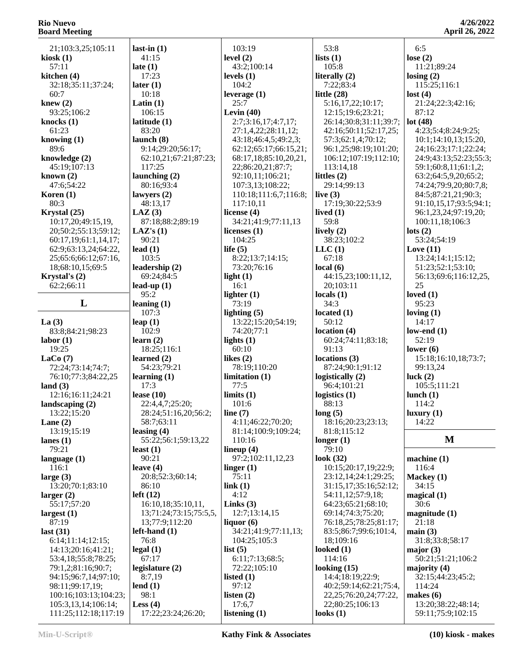| омги месинg                                 |                                  |                                            |             |
|---------------------------------------------|----------------------------------|--------------------------------------------|-------------|
| 21;103:3,25;105:11                          | last-in $(1)$                    | 103:19                                     | 53          |
| kiosk (1)                                   | 41:15                            | level $(2)$                                | lists       |
| 57:11                                       | late $(1)$                       | 43:2;100:14                                | 10          |
| kitchen (4)                                 | 17:23                            | levels $(1)$                               | liter       |
| 32:18;35:11;37:24;                          | later $(1)$                      | 104:2                                      | 7:          |
| 60:7                                        | 10:18                            | leverage $(1)$                             | little      |
| knew $(2)$                                  | Latin $(1)$                      | 25:7                                       | 5:          |
| 93:25;106:2                                 | 106:15                           | Levin $(40)$                               | 12          |
| knocks (1)                                  | latitude (1)                     | 2:7;3:16,17;4:7,17;                        | 26          |
| 61:23                                       | 83:20                            | 27:1,4,22;28:11,12;                        | 42          |
| knowing (1)                                 | launch $(8)$                     | 43:18;46:4,5;49:2,3;                       | 57          |
| 89:6                                        | 9:14;29:20;56:17;                | 62:12;65:17;66:15,21;                      | 96          |
| knowledge (2)<br>45:19;107:13               | 62:10,21;67:21;87:23;<br>117:25  | 68:17,18;85:10,20,21,<br>22;86:20,21;87:7; | 10<br>11    |
| known (2)                                   | launching $(2)$                  | 92:10,11;106:21;                           | little      |
| 47:6;54:22                                  | 80:16;93:4                       | 107:3,13;108:22;                           | 29          |
| Koren (1)                                   | lawyers $(2)$                    | 110:18;111:6,7;116:8;                      | live        |
| 80:3                                        | 48:13,17                         | 117:10,11                                  | 17          |
| Krystal (25)                                | $\text{LAZ}$ (3)                 | license $(4)$                              | lived       |
| 10:17,20;49:15,19,                          | 87:18;88:2;89:19                 | 34:21;41:9;77:11,13                        | 59          |
| 20;50:2;55:13;59:12;                        | LAZ's(1)                         | licenses $(1)$                             | livel       |
| 60:17,19;61:1,14,17;                        | 90:21                            | 104:25                                     | 38          |
| 62:9;63:13,24;64:22,                        | lead $(1)$                       | life $(5)$                                 | <b>LLC</b>  |
| 25;65:6;66:12;67:16,                        | 103:5                            | 8:22;13:7;14:15;                           | 67          |
| 18;68:10,15;69:5                            | leadership (2)                   | 73:20;76:16                                | local       |
| Krystal's (2)                               | 69:24;84:5                       | light $(1)$                                | 44          |
| 62:2;66:11                                  | lead-up $(1)$                    | 16:1                                       | 20          |
| L                                           | 95:2<br>leaning $(1)$            | lighter $(1)$<br>73:19                     | local<br>34 |
|                                             | 107:3                            | lighting $(5)$                             | locat       |
| La $(3)$                                    | leap $(1)$                       | 13:22;15:20;54:19;                         | 50          |
| 83:8;84:21;98:23                            | 102:9                            | 74:20;77:1                                 | locat       |
| labor (1)                                   | learn $(2)$                      | lights $(1)$                               | 60          |
| 19:25                                       | 18:25;116:1                      | 60:10                                      | 91          |
| LaCo(7)                                     | learned $(2)$                    | likes $(2)$                                | locat       |
| 72:24;73:14;74:7;                           | 54:23;79:21                      | 78:19;110:20                               | 87          |
| 76:10;77:3;84:22,25                         | learning $(1)$                   | limitation(1)                              | logis       |
| land(3)<br>12:16;16:11;24:21                | 17:3<br>lease $(10)$             | 77:5<br>limits(1)                          | 96<br>logis |
| landscaping (2)                             | 22:4,4,7;25:20;                  | 101:6                                      | 88          |
| 13:22;15:20                                 | 28:24;51:16,20;56:2;             | line $(7)$                                 | long        |
| Lane $(2)$                                  | 58:7;63:11                       | 4:11;46:22;70:20;                          | 18          |
| 13:19;15:19                                 | leasing $(4)$                    | 81:14;100:9;109:24;                        | 81          |
| lanes (1)                                   | 55:22;56:1;59:13,22              | 110:16                                     | long        |
| 79:21                                       | least $(1)$                      | lineup $(4)$                               | 79          |
| language (1)                                | 90:21                            | 97:2;102:11,12,23                          | look        |
| 116:1                                       | leave $(4)$                      | linger $(1)$                               | 10          |
| large (3)                                   | 20:8;52:3;60:14;                 | 75:11                                      | 23          |
| 13:20;70:1;83:10                            | 86:10<br>left(12)                | link(1)<br>4:12                            | 31<br>54    |
| larger(2)<br>55:17;57:20                    | 16:10,18;35:10,11,               | Links $(3)$                                | 64          |
| largest (1)                                 | 13;71:24;73:15;75:5,5,           | 12:7;13:14,15                              | 69          |
| 87:19                                       | 13;77:9;112:20                   | liquor $(6)$                               | 76          |
| last $(31)$                                 | $left-hand(1)$                   | 34:21;41:9;77:11,13;                       | 83          |
| 6:14;11:14;12:15;                           | 76:8                             | 104:25;105:3                               | 18          |
| 14:13;20:16;41:21;                          | legal(1)                         | list $(5)$                                 | look        |
| 53:4,18;55:8;78:25;                         | 67:17                            | 6:11;7:13;68:5;                            | 11          |
| 79:1,2;81:16;90:7;                          | legislature (2)                  | 72:22;105:10                               | look        |
| 94:15;96:7,14;97:10;                        | 8:7,19                           | listed $(1)$                               | 14          |
| 98:11;99:17,19;                             | lend $(1)$                       | 97:12                                      | 40          |
| 100:16;103:13;104:23;                       | 98:1                             | listen $(2)$                               | 22          |
| 105:3,13,14;106:14;<br>111:25;112:18;117:19 | Less $(4)$<br>17:22;23:24;26:20; | 17:6,7<br>listening $(1)$                  | 22<br>look  |
|                                             |                                  |                                            |             |

| 53:8                                           | 6:5                                     |
|------------------------------------------------|-----------------------------------------|
|                                                |                                         |
| lists(1)                                       | lose $(2)$                              |
| 105:8                                          | 11:21;89:24                             |
| literally (2)                                  | $\text{losing} (2)$                     |
| 7:22;83:4                                      | 115:25;116:1                            |
| little (28)                                    | lost $(4)$                              |
|                                                |                                         |
| 5:16,17,22;10:17;                              | 21:24;22:3;42:16;                       |
| 12:15;19:6;23:21;                              | 87:12                                   |
| 26:14;30:8;31:11;39:7;                         | lot $(48)$                              |
| 42:16;50:11;52:17,25;                          | 4:23;5:4;8:24;9:25;                     |
|                                                |                                         |
| 57:3;62:1,4;70:12;                             | 10:1;14:10,13;15:20                     |
| 96:1,25;98:19;101:20;                          | 24;16:23;17:1;22:24                     |
| 106:12;107:19;112:10;                          | 24:9;43:13;52:23;5:                     |
| 113:14,18                                      | 59:1;60:8,11;61:1,2                     |
|                                                |                                         |
| littles (2)                                    | 63:2;64:5,9,20;65:2                     |
| 29:14;99:13                                    | 74:24;79:9,20;80:7,                     |
| live (3)                                       | 84:5;87:21,21;90:3;                     |
|                                                |                                         |
| 17:19;30:22;53:9                               | 91:10,15,17;93:5;94                     |
| lived (1)                                      | 96:1,23,24;97:19,20                     |
| 59:8                                           | 100:11,18;106:3                         |
| lively (2)                                     | lots $(2)$                              |
|                                                |                                         |
| 38:23;102:2                                    | 53:24;54:19                             |
| LLC(1)                                         | Love $(11)$                             |
| 67:18                                          | 13:24;14:1;15:12;                       |
|                                                | 51:23;52:1;53:10;                       |
| local (6)                                      |                                         |
| 44:15,23;100:11,12,                            | 56:13;69:6;116:12,                      |
| 20;103:11                                      | 25                                      |
| locals (1)                                     | loved $(1)$                             |
|                                                |                                         |
| 34:3                                           | 95:23                                   |
| located (1)                                    | loving $(1)$                            |
|                                                |                                         |
|                                                |                                         |
| 50:12                                          | 14:17                                   |
| location (4)                                   | low-end $(1)$                           |
| 60:24;74:11;83:18;                             | 52:19                                   |
| 91:13                                          |                                         |
|                                                | lower $(6)$                             |
| locations (3)                                  | 15:18;16:10,18;73:                      |
| 87:24;90:1;91:12                               | 99:13,24                                |
| logistically (2)                               | luck $(2)$                              |
|                                                |                                         |
| 96:4;101:21                                    | 105:5;111:21                            |
| logistics (1)                                  | lunch $(1)$                             |
| 88:13                                          | 114:2                                   |
| long(5)                                        | luxury(1)                               |
|                                                | 14:22                                   |
| 18:16;20:23;23:13;                             |                                         |
| 81:8;115:12                                    |                                         |
|                                                | M                                       |
| 79:10                                          |                                         |
|                                                | machine (1)                             |
|                                                |                                         |
| longer(1)<br>look (32)<br>10:15;20:17,19;22:9; | 116:4                                   |
| 23:12,14;24:1;29:25;                           | Mackey (1)                              |
| 31:15,17;35:16;52:12;                          | 34:15                                   |
| 54:11,12;57:9,18;                              | magical(1)                              |
|                                                |                                         |
| 64:23;65:21;68:10;                             | 30:6                                    |
| 69:14;74:3;75:20;                              | magnitude (1)                           |
| 76:18,25;78:25;81:17;                          | 21:18                                   |
| 83:5;86:7;99:6;101:4,                          | main(3)                                 |
|                                                |                                         |
| 18;109:16                                      | 31:8;33:8;58:17                         |
|                                                | major $(3)$                             |
| 114:16                                         | 50:21;51:21;106:2                       |
|                                                |                                         |
|                                                | majority (4)                            |
| looked (1)<br>looking (15)<br>14:4;18:19;22:9; | 32:15;44:23;45:2;                       |
| 40:2;59:14;62:21;75:4,                         | 114:24                                  |
| 22, 25; 76: 20, 24; 77: 22,                    | makes $(6)$                             |
|                                                |                                         |
| 22;80:25;106:13<br>looks (1)                   | 13:20;38:22;48:14;<br>59:11;75:9;102:15 |

#### :21:89:24 **losing (2)** 5:25;116:1 **lost (4)** 21:24;22:3;42:16; :12 **lot (48)** 4:23;5:4;8:24;9:25;  $:1;14:10,13;15:20,$  24;16:23;17:1;22:24; 9;43:13;52:23;55:3;  $:1;60:8,11;61:1,2;$  63:2;64:5,9,20;65:2; 74:24;79:9,20;80:7,8; 84:5;87:21,21;90:3; 91:10,15,17;93:5;94:1; 96:1,23,24;97:19,20; 0:11,18;106:3 **lots (2)** 53:24;54:19 **Love (11)** 13:24;14:1;15:12; 51:23;52:1;53:10; 56:13;69:6;116:12,25, 25 **loved (1)** 95:23 **loving (1)** 14:17 **log (1)** :19 **lower (6)** 15:18;16:10,18;73:7; :13,24  $(2)$  105:5;111:21 **lunch (1)** 4:2 **lugary** (1)  $:22$ **M machine (1)** 6:4  $key(1)$ :15 **magical (1)**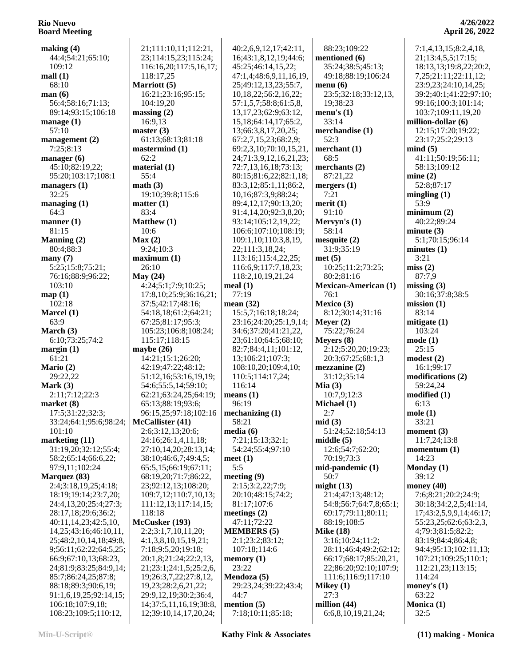| making $(4)$                | 21;111:10,11;112:21,                    | 40:2,6,9,12,17;42:11,      | 88:23;109:22                | 7:1,4,13,15;8:2,4,18,      |
|-----------------------------|-----------------------------------------|----------------------------|-----------------------------|----------------------------|
|                             |                                         |                            |                             |                            |
| 44:4;54:21;65:10;           | 23;114:15,23;115:24;                    | 16;43:1,8,12,19;44:6;      | mentioned (6)               | 21;13:4,5,5;17:15;         |
| 109:12                      | 116:16,20;117:5,16,17;                  | 45:25;46:14,15,22;         | 35:24;38:5;45:13;           | 18:13,13;19:8,22;20:2,     |
| mall(1)                     | 118:17,25                               | 47:1,4;48:6,9,11,16,19,    | 49:18;88:19;106:24          | 7, 25; 21: 11; 22: 11, 12; |
| 68:10                       | Marriott (5)                            | 25;49:12,13,23;55:7,       | menu(6)                     | 23:9,23;24:10,14,25;       |
|                             |                                         |                            |                             |                            |
| man(6)                      | 16:21;23:16;95:15;                      | 10,18,22;56:2,16,22;       | 23:5;32:18;33:12,13,        | 39:2;40:1;41:22;97:10;     |
| 56:4;58:16;71:13;           | 104:19,20                               | 57:1,5,7;58:8;61:5,8,      | 19;38:23                    | 99:16;100:3;101:14;        |
| 89:14;93:15;106:18          | massing(2)                              | 13, 17, 23; 62: 9; 63: 12, | menu's $(1)$                | 103:7;109:11,19,20         |
| manage $(1)$                | 16:9,13                                 | 15, 18; 64: 14, 17; 65: 2, | 33:14                       | million-dollar (6)         |
| 57:10                       | master $(3)$                            | 13;66:3,8,17,20,25;        | merchandise (1)             | 12:15;17:20;19:22;         |
|                             |                                         |                            |                             |                            |
| management (2)              | 61:13;68:13;81:18                       | 67:2,7,15,23;68:2,9;       | 52:3                        | 23:17;25:2;29:13           |
| 7:25;8:13                   | mastermind (1)                          | 69:2,3,10;70:10,15,21,     | merchant $(1)$              | mind(5)                    |
| manager $(6)$               | 62:2                                    | 24;71:3,9,12,16,21,23;     | 68:5                        | 41:11;50:19;56:11;         |
| 45:10;82:19,22;             | material (1)                            | 72:7,13,16,18;73:13;       | merchants (2)               | 58:13;109:12               |
| 95:20;103:17;108:1          | 55:4                                    | 80:15;81:6,22;82:1,18;     | 87:21,22                    | mine(2)                    |
|                             |                                         |                            |                             |                            |
| managers $(1)$              | math(3)                                 | 83:3,12;85:1,11;86:2,      | mergers $(1)$               | 52:8;87:17                 |
| 32:25                       | 19:10;39:8;115:6                        | 10,16;87:3,9;88:24;        | 7:21                        | mingling $(1)$             |
| managing $(1)$              | matter (1)                              | 89:4,12,17;90:13,20;       | merit(1)                    | 53:9                       |
| 64:3                        | 83:4                                    | 91:4,14,20;92:3,8,20;      | 91:10                       | minimum(2)                 |
| manner $(1)$                | Matthew (1)                             | 93:14;105:12,19,22;        | Mervyn's $(1)$              | 40:22;89:24                |
|                             |                                         |                            |                             |                            |
| 81:15                       | 10:6                                    | 106:6;107:10;108:19;       | 58:14                       | minute(3)                  |
| Manning $(2)$               | Max(2)                                  | 109:1,10;110:3,8,19,       | mesquite(2)                 | 5:1;70:15;96:14            |
| 80:4;88:3                   | 9:24;10:3                               | 22;111:3,18,24;            | 31:9;35:19                  | minutes(1)                 |
| many(7)                     | maximum <sub>(1)</sub>                  | 113:16;115:4,22,25;        | met(5)                      | 3:21                       |
| 5:25;15:8;75:21;            | 26:10                                   | 116:6,9;117:7,18,23;       | 10:25;11:2;73:25;           | miss(2)                    |
|                             |                                         |                            |                             |                            |
| 76:16;88:9;96:22;           | May $(24)$                              | 118:2,10,19,21,24          | 80:2;81:16                  | 87:7,9                     |
| 103:10                      | 4:24;5:1;7:9;10:25;                     | meal(1)                    | <b>Mexican-American (1)</b> | missing $(3)$              |
| map(1)                      | 17:8, 10; 25:9; 36: 16, 21;             | 77:19                      | 76:1                        | 30:16;37:8;38:5            |
| 102:18                      | 37:5;42:17;48:16;                       | mean $(32)$                | Mexico (3)                  | mission(1)                 |
| Marcel $(1)$                | 54:18,18;61:2;64:21;                    | 15:5,7;16:18;18:24;        | 8:12;30:14;31:16            | 83:14                      |
| 63:9                        | 67:25;81:17;95:3;                       |                            | Meyer $(2)$                 |                            |
|                             |                                         | 23:16;24:20;25:1,9,14;     |                             | mitigate $(1)$             |
| March (3)                   | 105:23;106:8;108:24;                    | 34:6;37:20;41:21,22,       | 75:22;76:24                 | 103:24                     |
| 6:10;73:25;74:2             | 115:17;118:15                           | 23;61:10;64:5;68:10;       | Meyers (8)                  | mode(1)                    |
| margin(1)                   | maybe $(26)$                            | 82:7;84:4,11;101:12,       | 2:12;5:20,20;19:23;         | 25:15                      |
| 61:21                       | 14:21;15:1;26:20;                       | 13;106:21;107:3;           | 20:3;67:25;68:1,3           | modest(2)                  |
| Mario (2)                   | 42:19;47:22;48:12;                      | 108:10,20;109:4,10;        | mezzanine(2)                | 16:1;99:17                 |
|                             |                                         |                            |                             |                            |
| 29:22,22                    | 51:12,16;53:16,19,19;                   | 110:5;114:17,24;           | 31:12;35:14                 | modifications (2)          |
| Mark $(3)$                  | 54:6;55:5,14;59:10;                     | 116:14                     | Mia $(3)$                   | 59:24,24                   |
| 2:11;7:12;22:3              | 62:21;63:24,25;64:19;                   | means (1)                  | 10:7,9;12:3                 | modified(1)                |
| market $(8)$                | 65:13;88:19;93:6;                       | 96:19                      | Michael (1)                 | 6:13                       |
| 17:5;31:22;32:3;            | 96:15,25;97:18;102:16   mechanizing (1) |                            | 2:7                         | mole(1)                    |
|                             | McCallister (41)                        |                            |                             |                            |
| 33:24;64:1;95:6;98:24;      |                                         | 58:21                      | mid(3)                      | 33:21                      |
| 101:10                      | 2:6;3:12,13;20:6;                       | media(6)                   | 51:24;52:18;54:13           | moment $(3)$               |
| marketing (11)              | 24:16;26:1,4,11,18;                     | 7:21;15:13;32:1;           | middle $(5)$                | 11:7,24;13:8               |
| 31:19,20;32:12;55:4;        | 27:10,14,20;28:13,14;                   | 54:24;55:4;97:10           | 12:6;54:7;62:20;            | momentum $(1)$             |
| 58:2;65:14;66:6,22;         | 38:10;46:6,7;49:4,5;                    | meet $(1)$                 | 70:19;73:3                  | 14:23                      |
| 97:9,11;102:24              | 65:5,15;66:19;67:11;                    | 5:5                        | mid-pandemic (1)            | Monday (1)                 |
|                             |                                         |                            |                             |                            |
| Marquez (83)                | 68:19,20;71:7;86:22,                    | meeting $(9)$              | 50:7                        | 39:12                      |
| 2:4;3:18,19,25;4:18;        | 23;92:12,13;108:20;                     | 2:15;3:2,22;7:9;           | might $(13)$                | money $(40)$               |
| 18:19;19:14;23:7,20;        | 109:7,12;110:7,10,13;                   | 20:10;48:15;74:2;          | 21:4;47:13;48:12;           | 7:6;8:21;20:2;24:9;        |
| 24:4,13,20;25:4;27:3;       | 111:12,13;117:14,15;                    | 81:17:107:6                | 54:8;56:7;64:7,8;65:1;      | 30:18;34:2,2,5;41:14,      |
| 28:17,18;29:6;36:2;         | 118:18                                  | meetings $(2)$             | 69:17;79:11;80:11;          | 17;43:2,5,9,9,14;46:17;    |
| 40:11,14,23;42:5,10,        | McCusker (193)                          |                            |                             |                            |
|                             |                                         | 47:11;72:22                | 88:19;108:5                 | 55:23,25;62:6;63:2,3,      |
| 14, 25; 43: 16; 46: 10, 11, | 2:2;3:1,7,10,11,20;                     | <b>MEMBERS</b> (5)         | <b>Mike (18)</b>            | 4;79:3;81:5;82:2;          |
| 25;48:2,10,14,18;49:8,      | 4:1,3,8,10,15,19,21;                    | 2:1;23:2;83:12;            | 3:16;10:24;11:2;            | 83:19;84:4;86:4,8;         |
| 9;56:11;62:22;64:5,25;      | 7:18;9:5,20;19:18;                      | 107:18;114:6               | 28:11;46:4;49:2;62:12;      | 94:4;95:13;102:11,13;      |
| 66:9;67:10,13;68:23,        | 20:1,8;21:24;22:2,13,                   | memory(1)                  | 66:17;68:17;85:20,21,       | 107:21;109:25;110:1;       |
| 24;81:9;83:25;84:9,14;      | 21;23:1;24:1,5;25:2,6,                  | 23:22                      | 22;86:20;92:10;107:9;       | 112:21,23;113:15;          |
|                             |                                         |                            |                             |                            |
| 85:7;86:24,25;87:8;         | 19;26:3,7,22;27:8,12,                   | Mendoza (5)                | 111:6;116:9;117:10          | 114:24                     |
| 88:18;89:3;90:6,19;         | 19,23;28:2,6,21,22;                     | 29:23,24;39:22;43:4;       | Mikey $(1)$                 | money's $(1)$              |
| 91:1,6,19,25;92:14,15;      | 29:9,12,19;30:2;36:4,                   | 44:7                       | 27:3                        | 63:22                      |
| 106:18;107:9,18;            | 14;37:5,11,16,19;38:8,                  | mention $(5)$              | million $(44)$              | Monica (1)                 |
| 108:23;109:5;110:12,        | 12;39:10,14,17,20,24;                   | 7:18;10:11;85:18;          | 6:6,8,10,19,21,24;          | 32:5                       |
|                             |                                         |                            |                             |                            |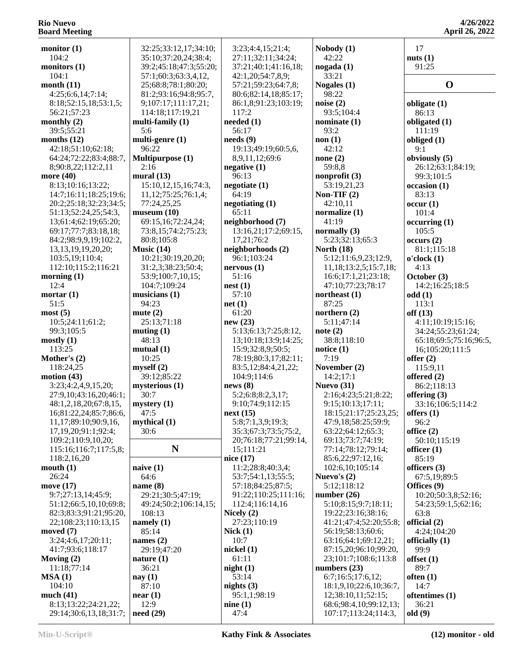**4/26/2022 April 26, 2022**

| monitor $(1)$           | 32:25;33:12,17;34:10;     | 3:23;4:4,15;21:4;     | Nobody(1)               | 17                     |
|-------------------------|---------------------------|-----------------------|-------------------------|------------------------|
| 104:2                   | 35:10;37:20,24;38:4;      | 27:11;32:11;34:24;    | 42:22                   | nuts $(1)$             |
| monitors $(1)$          | 39:2;45:18;47:3;55:20;    | 37:21;40:1;41:16,18;  | nogada(1)               | 91:25                  |
| 104:1                   | 57:1;60:3;63:3,4,12,      | 42:1,20;54:7,8,9;     | 33:21                   |                        |
| month $(11)$            | 25;68:8;78:1;80:20;       | 57:21;59:23;64:7,8;   | Nogales (1)             | $\mathbf 0$            |
| 4:25;6:6,14;7:14;       | 81:2;93:16;94:8;95:7,     | 80:6;82:14,18;85:17;  | 98:22                   |                        |
| 8:18;52:15,18;53:1,5;   | 9;107:17;111:17,21;       | 86:1,8;91:23;103:19;  | noise $(2)$             | obligate (1)           |
|                         |                           |                       |                         |                        |
| 56:21;57:23             | 114:18;117:19,21          | 117:2                 | 93:5;104:4              | 86:13                  |
| monthly $(2)$           | multi-family $(1)$        | needed (1)            | nominate $(1)$          | obligated (1)          |
| 39:5;55:21              | 5:6                       | 56:17                 | 93:2                    | 111:19                 |
| months $(12)$           | multi-genre $(1)$         | needs(9)              | non(1)                  | obliged (1)            |
| 42:18;51:10;62:18;      | 96:22                     | 19:13;49:19;60:5,6,   | 42:12                   | 9:1                    |
| 64:24;72:22;83:4;88:7,  | Multipurpose (1)          | 8,9,11,12;69:6        | none $(2)$              | obviously (5)          |
| 8;90:8,22;112:2,11      | 2:16                      | negative $(1)$        | 59:8,8                  | 26:12;63:1;84:19;      |
| more (40)               | mural (13)                | 96:13                 | nonprofit $(3)$         | 99:3;101:5             |
|                         |                           |                       |                         |                        |
| 8:13;10:16;13:22;       | 15:10, 12, 15, 16; 74: 3, | negotiate(1)          | 53:19,21,23             | occasion(1)            |
| 14:7;16:11;18:25;19:6;  | 11,12;75:25;76:1,4;       | 64:19                 | Non-TIF $(2)$           | 83:13                  |
| 20:2;25:18;32:23;34:5;  | 77:24,25,25               | negotiating $(1)$     | 42:10,11                | occur(1)               |
| 51:13;52:24,25;54:3,    | museum(10)                | 65:11                 | normalize $(1)$         | 101:4                  |
| 13;61:4;62:19;65:20;    | 69:15,16;72:24,24;        | neighborhood (7)      | 41:19                   | occurring (1)          |
| 69:17;77:7;83:18,18;    | 73:8,15;74:2;75:23;       | 13:16,21;17:2;69:15,  | normally $(3)$          | 105:5                  |
| 84:2;98:9,9,19;102:2,   | 80:8;105:8                | 17,21;76:2            | 5:23;32:13;65:3         | occurs(2)              |
|                         |                           |                       |                         |                        |
| 13, 13, 19, 19, 20, 20; | Music $(14)$              | neighborhoods (2)     | North $(18)$            | 81:1;115:18            |
| 103:5,19;110:4;         | 10:21;30:19,20,20;        | 96:1;103:24           | 5:12;11:6,9,23;12:9,    | o'clock(1)             |
| 112:10;115:2;116:21     | 31:2,3;38:23;50:4;        | nervous(1)            | 11,18;13:2,5;15:7,18;   | 4:13                   |
| morning $(1)$           | 53:9;100:7,10,15;         | 51:16                 | 16:6;17:1,21;23:18;     | October (3)            |
| 12:4                    | 104:7;109:24              | nest(1)               | 47:10;77:23;78:17       | 14:2;16:25;18:5        |
| mortar $(1)$            | musicians $(1)$           | 57:10                 | northeast $(1)$         | odd(1)                 |
| 51:5                    | 94:23                     | net(1)                | 87:25                   | 113:1                  |
|                         |                           | 61:20                 |                         |                        |
| most(5)                 | mute $(2)$                |                       | northern $(2)$          | off(13)                |
| 10:5;24:11;61:2;        | 25:13;71:18               | new(23)               | 5:11;47:14              | 4:11;10:19;15:16;      |
| 99:3;105:5              | muting $(1)$              | 5:13;6:13;7:25;8:12,  | note(2)                 | 34:24;55:23;61:24;     |
| mostly(1)               | 48:13                     | 13;10:18;13:9;14:25;  | 38:8;118:10             | 65:18;69:5;75:16;96:5, |
| 113:25                  | mutual $(1)$              | 15:9;32:8,9;50:5;     | notice $(1)$            | 16;105:20;111:5        |
| Mother's (2)            | 10:25                     | 78:19;80:3,17;82:11;  | 7:19                    | offer $(2)$            |
| 118:24,25               | myself(2)                 | 83:5,12;84:4,21,22;   | November (2)            | 115:9,11               |
| motion $(43)$           | 39:12;85:22               | 104:9;114:6           | 14:2;17:1               | offered (2)            |
|                         |                           |                       |                         |                        |
| 3:23;4:2,4,9,15,20;     | mysterious (1)            | news(8)               | Nuevo (31)              | 86:2;118:13            |
| 27:9,10;43:16,20;46:1;  | 30:7                      | 5:2;6:8;8:2,3,17;     | 2:16;4:23;5:21;8:22;    | offering $(3)$         |
| 48:1,2,18,20;67:8,15,   | mystery $(1)$             | 9:10;74:9;112:15      | 9:15;10:13;17:11;       | 33:16;106:5;114:2      |
| 16;81:22,24;85:7;86:6,  | 47:5                      | next(15)              | 18:15;21:17;25:23,25;   | offers $(1)$           |
| 11,17;89:10;90:9,16,    | mythical (1)              | 5:8;7:1,3,9;19:3;     | 47:9,18;58:25;59:9;     | 96:2                   |
| 17,19,20;91:1;92:4;     | 30:6                      | 35:3;67:3;73:5;75:2,  | 63:22;64:12;65:3;       | office $(2)$           |
| 109:2;110:9,10,20;      |                           | 20;76:18;77:21;99:14, | 69:13;73:7;74:19;       | 50:10;115:19           |
| 115:16;116:7;117:5,8;   | N                         | 15;111:21             | 77:14;78:12;79:14;      | officer $(1)$          |
|                         |                           | nice (17)             | 85:6,22;97:12,16;       | 85:19                  |
| 118:2,16,20             |                           |                       |                         |                        |
| mouth(1)                | naive $(1)$               | 11:2;28:8;40:3,4;     | 102:6,10;105:14         | officers $(3)$         |
| 26:24                   | 64:6                      | 53:7;54:1,13;55:5;    | Nuevo's $(2)$           | 67:5,19;89:5           |
| move (17)               | name $(8)$                | 57:18;84:25;87:5;     | 5:12;118:12             | Offices (9)            |
| 9:7;27:13,14;45:9;      | 29:21;30:5;47:19;         | 91:22;110:25;111:16;  | number $(26)$           | 10:20;50:3,8;52:16;    |
| 51:12;66:5,10,10;69:8;  | 49:24;50:2;106:14,15;     | 112:4;116:14,16       | 5:10;8:15;9:7;18:11;    | 54:23;59:1,5;62:16;    |
| 82:3;83:3;91:21;95:20,  | 108:13                    | Nicely $(2)$          | 19:22;23:16;38:16;      | 63:8                   |
| 22;108:23;110:13,15     | namely $(1)$              | 27:23;110:19          | 41:21;47:4;52:20;55:8;  | official (2)           |
|                         |                           |                       |                         |                        |
| moved $(7)$             | 85:14                     | Nick(1)               | 56:19;58:13;60:6;       | 4:24;104:20            |
| 3:24;4:6,17;20:11;      | names $(2)$               | 10:7                  | 63:16;64:1;69:12,21;    | officially $(1)$       |
| 41:7;93:6;118:17        | 29:19;47:20               | nickel $(1)$          | 87:15,20;96:10;99:20,   | 99:9                   |
| Moving $(2)$            | nature $(1)$              | 61:11                 | 23;101:7;108:6;113:8    | offset $(1)$           |
| 11:18:77:14             | 36:21                     | night(1)              | numbers $(23)$          | 89:7                   |
| MSA(1)                  | nay $(1)$                 | 53:14                 | 6:7;16:5;17:6,12;       | often $(1)$            |
| 104:10                  | 87:10                     | nights $(3)$          | 18:1,9,10;22:6,10;36:7, | 14:7                   |
|                         |                           |                       |                         |                        |
| much $(41)$             | near(1)                   | 95:1,1;98:19          | 12;38:10,11;52:15;      | oftentimes (1)         |
| 8:13;13:22;24:21,22;    | 12:9                      | nine(1)               | 68:6;98:4,10;99:12,13;  | 36:21                  |
| 29:14;30:6,13,18;31:7;  | need(29)                  | 47:4                  | 107:17;113:24;114:3,    | old(9)                 |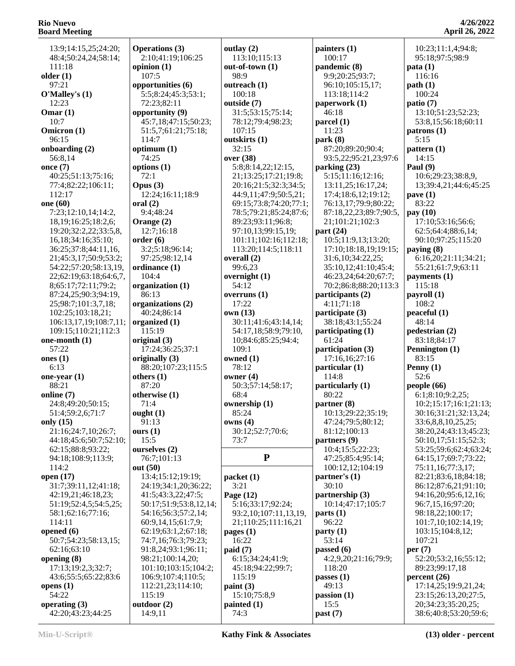13:9;14:15,25;24:20; 48:4;50:24,24;58:14; 111:18 **older (1)** 97:21 **O'Malley's (1)** 12:23 **Omar (1)** 10:7 **Omicron (1)** 96:15 **onboarding (2)** 56:8,14 **once (7)** 40:25;51:13;75:16; 77:4;82:22;106:11; 112:17 **one (60)** 7:23;12:10,14;14:2, 18,19;16:25;18:2,6; 19:20;32:2,22;33:5,8, 16,18;34:16;35:10; 36:25;37:8;44:11,16, 21;45:3,17;50:9;53:2; 54:22;57:20;58:13,19, 22;62:19;63:18;64:6,7, 8;65:17;72:11;79:2; 87:24,25;90:3;94:19, 25;98:7;101:3,7,18; 102:25;103:18,21; 106:13,17,19;108:7,11; 109:15;110:21;112:3 **one-month (1)** 57:22 **ones (1)** 6:13 **one-year (1)** 88:21 **online (7)** 24:8;49:20;50:15; 51:4;59:2,6;71:7 **only (15)** 21:16;24:7,10;26:7; 44:18;45:6;50:7;52:10; 62:15;88:8;93:22; 94:18;108:9;113:9; 114:2 **open (17)** 31:7;39:11,12;41:18; 42:19,21;46:18,23; 51:19;52:4,5;54:5,25; 58:1;62:16;77:16; 114:11 **opened (6)** 50:7;54:23;58:13,15; 62:16;63:10 **opening (8)** 17:13;19:2,3;32:7; 43:6;55:5;65:22;83:6 **opens (1)** 54:22 **operating (3)**

**Operations (3)** 2:10;41:19;106:25 **opinion (1)** 107:5 **opportunities (6)** 5:5;8:24;45:3;53:1; 72:23;82:11 **opportunity (9)** 45:7,18;47:15;50:23; 51:5,7;61:21;75:18; 114:7 **optimum (1)** 74:25 **options (1)** 72:1 **Opus (3)** 12:24;16:11;18:9 **oral (2)** 9:4;48:24 **Orange (2)** 12:7;16:18 **order (6)** 3:2;5:18;96:14; 97:25;98:12,14 **ordinance (1)** 104:4 **organization (1)** 86:13 **organizations (2)** 40:24;86:14 **organized (1)** 115:19 **original (3)** 17:24;36:25;37:1 **originally (3)** 88:20;107:23;115:5 **others (1)** 87:20 **otherwise (1)** 71:4 **ought (1)** 91:13 **ours (1)** 15:5 **ourselves (2)** 76:7;101:13 **out (50)** 13:4;15:12;19:19; 24:19;34:1,20;36:22; 41:5;43:3,22;47:5; 50:17;51:9;53:8,12,14; 54:16;56:3;57:2,14; 60:9,14,15;61:7,9; 62:19;63:1,2;67:18; 74:7,16;76:3;79:23; 91:8,24;93:1;96:11; 98:21;100:14,20; 101:10;103:15;104:2; 106:9;107:4;110:5; 112:21,23;114:10; 115:19 **outdoor (2)** 14:9,11

**outlay (2)** 113:10;115:13 **out-of-town (1)** 98:9 **outreach (1)** 100:18 **outside (7)** 31:5;53:15;75:14; 78:12;79:4;98:23; 107:15 **outskirts (1)** 32:15 **over (38)** 5:8;8:14,22;12:15, 21;13:25;17:21;19:8; 20:16;21:5;32:3;34:5; 44:9,11;47:9;50:5,21; 69:15;73:8;74:20;77:1; 78:5;79:21;85:24;87:6; 89:23;93:11;96:8; 97:10,13;99:15,19; 101:11;102:16;112:18; 113:20;114:5;118:11 **overall (2)** 99:6,23 **overnight (1)** 54:12 **overruns (1)** 17:22 **own (13)** 30:11;41:6;43:14,14; 54:17,18;58:9;79:10, 10;84:6;85:25;94:4; 109:1 **owned (1)** 78:12 **owner (4)** 50:3;57:14;58:17; 68:4 **ownership (1)** 85:24 **owns (4)** 30:12;52:7;70:6; 73:7 **P packet (1)** 3:21 **Page (12)** 5:16;33:17;92:24; 93:2,10;107:11,13,19, 21;110:25;111:16,21 **pages (1)** 16:22 **paid (7)** 6:15;34:24;41:9; 45:18;94:22;99:7; 115:19 **paint (3)** 15:10;75:8,9 **painted (1)** 74:3

**painters (1)** 100:17 **pandemic (8)** 9:9;20:25;93:7; 96:10;105:15,17; 113:18;114:2 **paperwork (1)** 46:18 **parcel (1)** 11:23 **park (8)** 87:20;89:20;90:4; 93:5,22;95:21,23;97:6 **parking (23)** 5:15;11:16;12:16; 13:11,25;16:17,24; 17:4;18:6,12;19:12; 76:13,17;79:9;80:22; 87:18,22,23;89:7;90:5, 21;101:21;102:3 **part (24)** 10:5;11:9,13;13:20; 17:10;18:18,19;19:15; 31:6,10;34:22,25; 35:10,12;41:10;45:4; 46:23,24;64:20;67:7; 70:2;86:8;88:20;113:3 **participants (2)** 4:11;71:18 **participate (3)** 38:18;43:1;55:24 **participating (1)** 61:24 **participation (3)** 17:16,16;27:16 **particular (1)** 114:8 **particularly (1)** 80:22 **partner (8)** 10:13;29:22;35:19; 47:24;79:5;80:12; 81:12;100:13 **partners (9)** 10:4;15:5;22:23; 47:25;85:4;95:14; 100:12,12;104:19 **partner's (1)** 30:10 **partnership (3)** 10:14;47:17;105:7 **parts (1)** 96:22 **party (1)** 53:14 **passed (6)** 4:2,9,20;21:16;79:9; 118:20 **passes (1)** 49:13 **passion (1)** 15:5 **past (7)**

**4/26/2022 April 26, 2022**

 10:23;11:1,4;94:8; 95:18;97:5;98:9 **pata (1)** 116:16 **path (1)** 100:24 **patio (7)** 13:10;51:23;52:23; 53:8,15;56:18;60:11 **patrons (1)** 5:15 **pattern (1)** 14:15 **Paul (9)** 10:6;29:23;38:8,9, 13;39:4,21;44:6;45:25 **pave (1)** 83:22 **pay (10)** 17:10;53:16;56:6; 62:5;64:4;88:6,14; 90:10;97:25;115:20 **paying (8)** 6:16,20;21:11;34:21; 55:21;61:7,9;63:11 **payments (1)** 115:18 **payroll (1)** 108:2 **peaceful (1)** 48:14 **pedestrian (2)** 83:18;84:17 **Pennington (1)** 83:15 **Penny (1)** 52:6 **people (66)** 6:1;8:10;9:2,25; 10:2;15:17;16:1;21:13; 30:16;31:21;32:13,24; 33:6,8,8,10,25,25; 38:20,24;43:13;45:23; 50:10,17;51:15;52:3; 53:25;59:6;62:4;63:24; 64:15,17;69:7;73:22; 75:11,16;77:3,17; 82:21;83:6,18;84:18; 86:12;87:6,21;91:10; 94:16,20;95:6,12,16; 96:7,15,16;97:20; 98:18,22;100:17; 101:7,10;102:14,19; 103:15;104:8,12; 107:21 **per (7)** 52:20;53:2,16;55:12; 89:23;99:17,18 **percent (26)** 17:14,25;19:9,21,24; 23:15;26:13,20;27:5, 20;34:23;35:20,25; 38:6;40:8;53:20;59:6;

42:20;43:23;44:25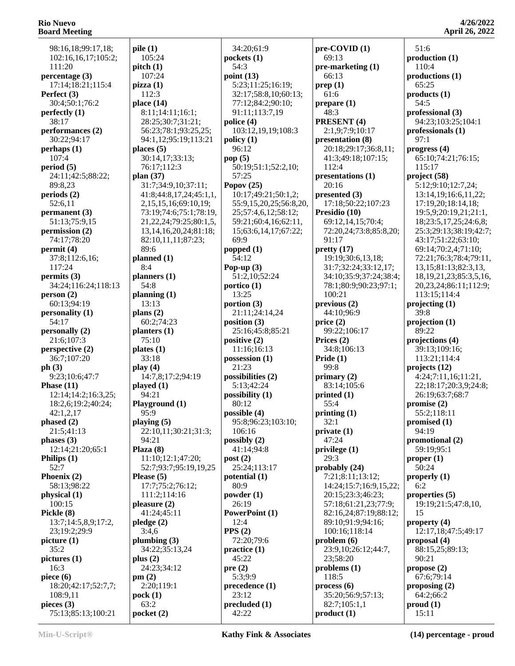98:16,18;99:17,18; 102:16,16,17;105:2; 111:20 **percentage (3)** 17:14;18:21;115:4 **Perfect (3)** 30:4;50:1;76:2 **perfectly (1)** 38:17 **performances (2)** 30:22;94:17 **perhaps (1)** 107:4 **period (5)** 24:11;42:5;88:22; 89:8,23 **periods (2)** 52:6,11 **permanent (3)** 51:13;75:9,15 **permission (2)** 74:17;78:20 **permit (4)** 37:8;112:6,16; 117:24 **permits (3)** 34:24;116:24;118:13 **person (2)** 60:13;94:19 **personality (1)** 54:17 **personally (2)** 21:6;107:3 **perspective (2)** 36:7;107:20 **ph (3)** 9:23;10:6;47:7 **Phase (11)** 12:14;14:2;16:3,25; 18:2,6;19:2;40:24; 42:1,2,17 **phased (2)** 21:5;41:13 **phases (3)** 12:14;21:20;65:1 **Philips (1)** 52:7 **Phoenix (2)** 58:13;98:22 **physical (1)** 100:15 **Pickle (8)** 13:7;14:5,8,9;17:2, 23;19:2;29:9 **picture (1)** 35:2 **pictures (1)** 16:3 **piece (6)** 18:20;42:17;52:7,7; 108:9,11 **pieces (3)** 75:13;85:13;100:21

**pile (1)** 105:24 **pitch (1)** 107:24 **pizza (1)** 112:3 **place (14)** 8:11;14:11;16:1; 28:25;30:7;31:21; 56:23;78:1;93:25,25; 94:1,12;95:19;113:21 **places (5)** 30:14,17;33:13; 76:17;112:3 **plan (37)** 31:7;34:9,10;37:11; 41:8;44:8,17,24;45:1,1, 2,15,15,16;69:10,19; 73:19;74:6;75:1;78:19, 21,22,24;79:25;80:1,5, 13,14,16,20,24;81:18; 82:10,11,11;87:23; 89:6 **planned (1)** 8:4 **planners (1)** 54:8 **planning (1)** 13:13 **plans (2)** 60:2;74:23 **planters (1)** 75:10 **plates (1)** 33:18 **play (4)** 14:7,8;17:2;94:19 **played (1)** 94:21 **Playground (1)** 95:9 **playing (5)** 22:10,11;30:21;31:3;  $94.21$ **Plaza (8)** 11:10;12:1;47:20; 52:7;93:7;95:19,19,25 **Please (5)** 17:7;75:2;76:12; 111:2;114:16 **pleasure (2)** 41:24;45:11 **pledge (2)** 3:4,6 **plumbing (3)** 34:22;35:13,24 **plus (2)** 24:23;34:12 **pm (2)** 2:20;119:1 **pock (1)** 63:2 **pocket (2)**

 34:20;61:9 **pockets (1)** 54:3 **point (13)** 5:23;11:25;16:19; 32:17;58:8,10;60:13; 77:12;84:2;90:10; 91:11;113:7,19 **police (4)** 103:12,19,19;108:3 **policy (1)** 96:12 **pop (5)** 50:19;51:1;52:2,10; 57:25 **Popov (25)** 10:17;49:21;50:1,2; 55:9,15,20,25;56:8,20, 25;57:4,6,12;58:12; 59:21;60:4,16;62:11, 15;63:6,14,17;67:22; 69:9 **popped (1)** 54:12 **Pop-up (3)** 51:2,10;52:24 **portico (1)** 13:25 **portion (3)** 21:11;24:14,24 **position (3)** 25:16;45:8;85:21 **positive (2)** 11:16;16:13 **possession (1)** 21:23 **possibilities (2)** 5:13;42:24 **possibility (1)** 80:12 **possible (4)** 95:8;96:23;103:10; 106:16 **possibly (2)** 41:14;94:8 **post (2)** 25:24;113:17 **potential (1)** 80:9 **powder (1)** 26:19 **PowerPoint (1)** 12:4 **PPS (2)** 72:20;79:6 **practice (1)** 45:22 **pre (2)** 5:3;9:9 **precedence (1)** 23:12 **precluded (1)** 42:22

**pre-COVID (1)** 69:13 **pre-marketing (1)** 66:13 **prep (1)** 61:6 **prepare (1)** 48:3 **PRESENT (4)** 2:1,9;7:9;10:17 **presentation (8)** 20:18;29:17;36:8,11; 41:3;49:18;107:15; 112:4 **presentations (1)** 20:16 **presented (3)** 17:18;50:22;107:23 **Presidio (10)** 69:12,14,15;70:4; 72:20,24;73:8;85:8,20; 91:17 **pretty (17)** 19:19;30:6,13,18; 31:7;32:24;33:12,17; 34:10;35:9;37:24;38:4; 78:1;80:9;90:23;97:1; 100:21 **previous (2)** 44:10;96:9 **price (2)** 99:22;106:17 **Prices (2)** 34:8;106:13 **Pride (1)** 99:8 **primary (2)** 83:14;105:6 **printed (1)** 55:4 **printing (1)** 32:1 **private (1)** 47:24 **privilege (1)** 29:3 **probably (24)** 7:21;8:11;13:12; 14:24;15:7;16:9,15,22; 20:15;23:3;46:23; 57:18;61:21,23;77:9; 82:16,24;87:19;88:12; 89:10;91:9;94:16; 100:16;118:14 **problem (6)** 23:9,10;26:12;44:7, 23;58:20 **problems (1)** 118:5 **process (6)** 35:20;56:9;57:13; 82:7;105:1,1 **product (1)**

**4/26/2022 April 26, 2022**

 51:6 **production (1)** 110:4 **productions (1)** 65:25 **products (1)** 54:5 **professional (3)** 94:23;103:25;104:1 **professionals (1)** 97:1 **progress (4)** 65:10;74:21;76:15; 115:17 **project (58)** 5:12;9:10;12:7,24; 13:14,19;16:6,11,22; 17:19,20;18:14,18; 19:5,9;20:19,21;21:1, 18;23:5,17,25;24:6,8; 25:3;29:13;38:19;42:7; 43:17;51:22;63:10; 69:14;70:2,4;71:10; 72:21;76:3;78:4;79:11, 13,15;81:13;82:3,13, 18,19,21,23;85:3,5,16, 20,23,24;86:11;112:9; 113:15;114:4 **projecting (1)** 39:8 **projection (1)** 89:22 **projections (4)** 39:13;109:16; 113:21;114:4 **projects (12)** 4:24;7:11,16;11:21, 22;18:17;20:3,9;24:8; 26:19;63:7;68:7 **promise (2)** 55:2;118:11 **promised (1)** 94:19 **promotional (2)** 59:19;95:1 **proper (1)** 50:24 **properly (1)** 6:2 **properties (5)** 19:19;21:5;47:8,10, 15 **property (4)** 12:17,18;47:5;49:17 **proposal (4)** 88:15,25;89:13; 90:21 **propose (2)** 67:6;79:14 **proposing (2)** 64:2;66:2 **proud (1)** 15:11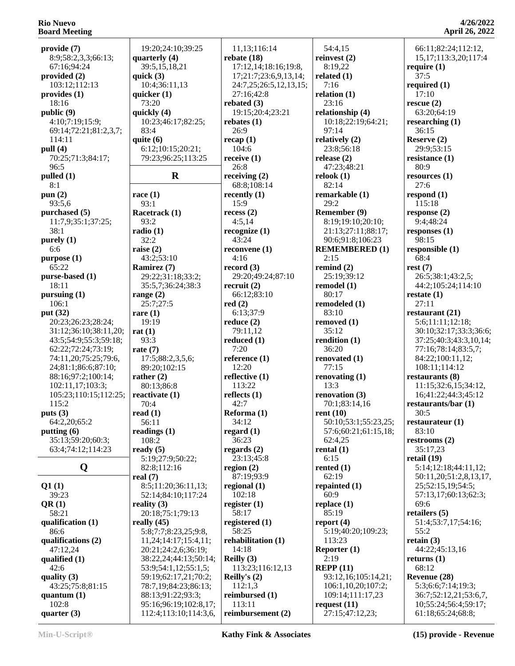| provide (7)<br>8:9;58:2,3,3;66:13;          | 19:20;24:10;39:25<br>quarterly $(4)$ | 11,13;116:14<br>rebate $(18)$ | 54:4,15<br>reinvest $(2)$ | 66:11;82:24;112:12,<br>15, 17; 113: 3, 20; 117: 4 |
|---------------------------------------------|--------------------------------------|-------------------------------|---------------------------|---------------------------------------------------|
| 67:16;94:24                                 | 39:5,15,18,21                        | 17:12,14;18:16;19:8,          | 8:19,22                   | require $(1)$                                     |
| provided $(2)$                              | quick $(3)$                          | 17;21:7;23:6,9,13,14;         | related $(1)$             | 37:5                                              |
| 103:12;112:13                               | 10:4:36:11.13                        | 24:7,25;26:5,12,13,15;        | 7:16                      | required $(1)$                                    |
| provides (1)                                | quicker $(1)$                        | 27:16:42:8                    | relation $(1)$            | 17:10                                             |
| 18:16                                       | 73:20                                | rebated $(3)$                 | 23:16                     | rescue (2)                                        |
| public (9)                                  | quickly (4)                          | 19:15;20:4;23:21              | relationship (4)          | 63:20;64:19                                       |
| 4:10;7:19;15:9;                             | 10:23;46:17;82:25;                   | rebates $(1)$                 | 10:18;22:19;64:21;        | researching $(1)$                                 |
| 69:14;72:21;81:2,3,7;                       | 83:4                                 | 26:9                          | 97:14                     | 36:15                                             |
| 114:11                                      | quite $(6)$                          | recap(1)                      | relatively (2)            | Reserve (2)                                       |
| pull $(4)$                                  | 6:12;10:15;20:21;                    | 104:6                         | 23:8;56:18                | 29:9;53:15                                        |
| 70:25;71:3;84:17;                           | 79:23;96:25;113:25                   | receive $(1)$                 | release $(2)$             | resistance $(1)$                                  |
| 96:5                                        |                                      | 26:8                          | 47:23;48:21               | 80:9                                              |
| pulled (1)                                  | $\mathbf R$                          | receiving $(2)$               | relook $(1)$              | resources (1)                                     |
| 8:1                                         |                                      | 68:8;108:14                   | 82:14                     | 27:6                                              |
| pun $(2)$                                   | race $(1)$                           | recently $(1)$                | remarkable (1)            | respond $(1)$                                     |
| 93:5,6                                      | 93:1                                 | 15:9                          | 29:2                      | 115:18                                            |
| purchased (5)                               | Racetrack (1)                        | recess(2)                     | Remember (9)              | response $(2)$                                    |
| 11:7,9;35:1;37:25;                          | 93:2                                 | 4:5,14                        | 8:19;19:10;20:10;         | 9:4;48:24                                         |
| 38:1                                        | radio(1)                             | recognize $(1)$               | 21:13;27:11;88:17;        | responses $(1)$                                   |
| purely $(1)$                                | 32:2                                 | 43:24                         | 90:6;91:8;106:23          | 98:15                                             |
| 6:6                                         | raise $(2)$                          | reconvene $(1)$               | <b>REMEMBERED (1)</b>     | responsible (1)                                   |
| purpose (1)                                 | 43:2;53:10                           | 4:16                          | 2:15                      | 68:4                                              |
| 65:22                                       | Ramirez (7)                          | record $(3)$                  | remind $(2)$              | rest(7)                                           |
| purse-based (1)                             | 29:22;31:18;33:2;                    | 29:20;49:24;87:10             | 25:19:39:12               | 26:5;38:1;43:2,5;                                 |
| 18:11                                       | 35:5,7;36:24;38:3                    | recruit(2)                    | remodel $(1)$             | 44:2;105:24;114:10                                |
| pursuing (1)                                | range $(2)$                          | 66:12;83:10                   | 80:17                     | restate $(1)$                                     |
| 106:1                                       | 25:7;27:5                            | red(2)                        | remodeled (1)             | 27:11                                             |
| put (32)                                    | rare $(1)$                           | 6:13;37:9                     | 83:10                     | restaurant (21)                                   |
| 20:23;26:23;28:24;                          | 19:19                                | reduce $(2)$                  | removed (1)               | 5:6;11:11;12:18;                                  |
| 31:12;36:10;38:11,20;                       | rat $(1)$                            | 79:11,12                      | 35:12                     | 30:10;32:17;33:3;36:6;                            |
| 43:5;54:9;55:3;59:18;                       | 93:3                                 | reduced (1)                   | rendition $(1)$           | 37:25;40:3;43:3,10,14;                            |
| 62:22;72:24;73:19;                          | rate $(7)$                           | 7:20                          | 36:20                     | 77:16;78:14;83:5,7;                               |
| 74:11,20;75:25;79:6,<br>24;81:1;86:6;87:10; | 17:5;88:2,3,5,6;<br>89:20;102:15     | reference $(1)$<br>12:20      | renovated (1)<br>77:15    | 84:22;100:11,12;<br>108:11;114:12                 |
| 88:16;97:2;100:14;                          | rather $(2)$                         | reflective $(1)$              | renovating $(1)$          | restaurants (8)                                   |
| 102:11,17;103:3;                            | 80:13;86:8                           | 113:22                        | 13:3                      | 11:15;32:6,15;34:12,                              |
| 105:23;110:15;112:25;                       | reactivate (1)                       | reflects $(1)$                | renovation (3)            | 16;41:22;44:3;45:12                               |
| 115:2                                       | 70:4                                 | 42:7                          | 70:1;83:14,16             | restaurants/bar (1)                               |
| puts $(3)$                                  | read(1)                              | Reforma (1)                   | rent $(10)$               | 30:5                                              |
| 64:2,20;65:2                                | 56:11                                | 34:12                         | 50:10;53:1;55:23,25;      | restaurateur $(1)$                                |
| putting (6)                                 | readings $(1)$                       | regard $(1)$                  | 57:6;60:21;61:15,18;      | 83:10                                             |
| 35:13;59:20;60:3;                           | 108:2                                | 36:23                         | 62:4,25                   | restrooms $(2)$                                   |
| 63:4;74:12;114:23                           | ready $(5)$                          | regards $(2)$                 | rental $(1)$              | 35:17,23                                          |
|                                             | 5:19;27:9;50:22;                     | 23:13;45:8                    | 6:15                      | retail $(19)$                                     |
| Q                                           | 82:8;112:16                          | region $(2)$                  | rented $(1)$              | 5:14;12:18;44:11,12;                              |
|                                             | real $(7)$                           | 87:19;93:9                    | 62:19                     | 50:11,20;51:2,8,13,17,                            |
| Q1(1)                                       | 8:5;11:20;36:11,13;                  | regional $(1)$                | repainted (1)             | 25;52:15,19;54:5;                                 |
| 39:23                                       | 52:14;84:10;117:24                   | 102:18                        | 60:9                      | 57:13,17;60:13;62:3;                              |
| QR(1)                                       | reality $(3)$                        | register $(1)$                | replace $(1)$             | 69:6                                              |
| 58:21                                       | 20:18;75:1;79:13                     | 58:17                         | 85:19                     | retailers (5)                                     |
| qualification (1)                           | really $(45)$                        | registered $(1)$              | report $(4)$              | 51:4;53:7,17;54:16;                               |
| 86:6                                        | 5:8;7:7;8:23,25;9:8,                 | 58:25                         | 5:19;40:20;109:23;        | 55:2                                              |
| qualifications (2)                          | 11,24;14:17;15:4,11;                 | rehabilitation (1)            | 113:23                    | retain $(3)$                                      |
| 47:12,24                                    | 20:21;24:2,6;36:19;                  | 14:18                         | Reporter $(1)$            | 44:22;45:13,16                                    |
| qualified $(1)$                             | 38:22,24;44:13;50:14;                | Reilly $(3)$                  | 2:19                      | returns $(1)$                                     |
| 42:6                                        | 53:9;54:1,12;55:1,5;                 | 113:23;116:12,13              | REPP(11)                  | 68:12                                             |
| quality $(3)$                               | 59:19;62:17,21;70:2;                 | Reilly's $(2)$                | 93:12,16;105:14,21;       | Revenue (28)                                      |
| 43:25;75:8;81:15                            | 78:7,19;84:23;86:13;                 | 112:1,3                       | 106:1,10,20;107:2;        | 5:3;6:6;7:14;19:3;                                |
| quantum $(1)$                               | 88:13;91:22;93:3;                    | reimbursed (1)                | 109:14;111:17,23          | 36:7;52:12,21;53:6,7,                             |
| 102:8                                       | 95:16;96:19;102:8,17;                | 113:11                        | request $(11)$            | 10;55:24;56:4;59:17;                              |
| quarter $(3)$                               | 112:4;113:10;114:3,6,                | reimbursement (2)             | 27:15;47:12,23;           | 61:18;65:24;68:8;                                 |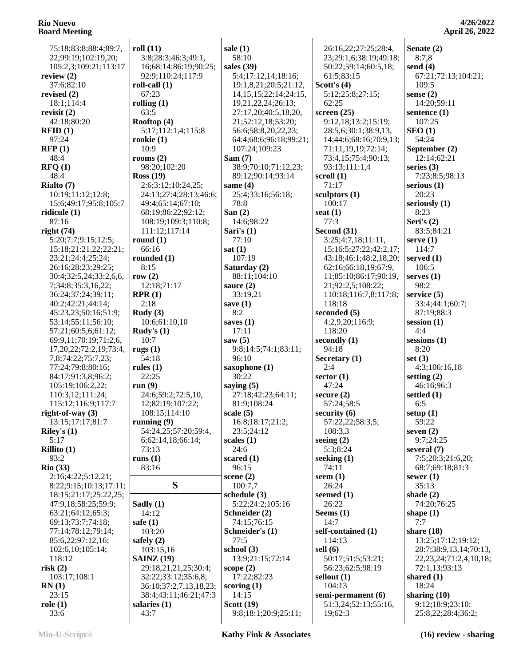| 75:18;83:8;88:4;89:7,                  | roll(11)                     | sale $(1)$                        | 26:16,22;27:25;28:4,             | Senate (2)                    |
|----------------------------------------|------------------------------|-----------------------------------|----------------------------------|-------------------------------|
| 22;99:19;102:19,20;                    | 3:8;28:3;46:3;49:1,          | 58:10                             | 23;29:1,6;38:19;49:18;           | 8:7,8                         |
| 105:2,3;109:21;113:17                  | 16;68:14;86:19;90:25;        | sales $(39)$                      | 50:22;59:14;60:5,18;             | send $(4)$                    |
| review $(2)$                           | 92:9;110:24;117:9            | 5:4;17:12,14;18:16;               | 61:5;83:15                       | 67:21;72:13;104:21;           |
| 37:6;82:10                             | roll-call $(1)$              | 19:1,8,21;20:5;21:12,             | Scott's $(4)$                    | 109:5                         |
| revised $(2)$                          | 67:23                        | 14, 15, 15; 22: 14; 24: 15,       | 5:12;25:8;27:15;                 | sense $(2)$                   |
| 18:1;114:4                             | rolling $(1)$                | 19,21,22,24;26:13;                | 62:25                            | 14:20;59:11                   |
| revisit $(2)$                          | 63:5                         | 27:17,20;40:5,18,20,              | screen $(25)$                    | sentence $(1)$                |
| 42:18;80:20                            | Rooftop (4)                  | 21;52:12,18;53:20;                | 9:12,18;13:2;15:19;              | 107:25                        |
| RFID(1)                                | 5:17;112:1,4;115:8           | 56:6;58:8,20,22,23;               | 28:5,6;30:1;38:9,13,             | $\text{SEO}(1)$               |
| 97:24                                  | rookie $(1)$                 | 64:4;68:6;96:18;99:21;            | 14;44:6;68:16;70:9,13;           | 54:24                         |
| RFP(1)                                 | 10:9                         | 107:24;109:23                     | 71:11,19,19;72:14;               | September (2)                 |
| 48:4                                   | rooms $(2)$                  | Sam(7)                            | 73:4,15;75:4;90:13;              | 12:14;62:21                   |
| $\text{RFQ}(1)$                        | 98:20;102:20                 | 38:9;70:10;71:12,23;              | 93:13;111:1,4                    | series $(3)$                  |
| 48:4                                   | Ross(19)                     | 89:12;90:14;93:14                 | scroll $(1)$                     | 7:23;8:5;98:13                |
| Rialto (7)                             | 2:6;3:12;10:24,25;           | same $(4)$                        | 71:17                            | serious $(1)$                 |
| 10:19;11:12;12:8;                      | 24:13;27:4;28:13;46:6;       | 25:4;33:16;56:18;                 | sculptors (1)                    | 20:23                         |
| 15:6;49:17;95:8;105:7                  | 49:4;65:14;67:10;            | 78:8                              | 100:17                           | seriously $(1)$               |
| ridicule $(1)$                         | 68:19;86:22;92:12;           | San $(2)$                         | seat $(1)$                       | 8:23                          |
| 87:16                                  | 108:19;109:3;110:8;          | 14:6;98:22                        | 77:3                             | Seri's $(2)$                  |
| right(74)                              | 111:12;117:14                | Sari's (1)                        | Second (31)                      | 83:5;84:21                    |
| 5:20;7:7;9:15;12:5;                    | round $(1)$                  | 77:10                             | 3:25;4:7,18;11:11,               | serve $(1)$                   |
| 15:18;21:21,22;22:21;                  | 66:16                        | sat(1)                            | 15;16:5;27:22;42:2,17;           | 114:7                         |
| 23:21;24:4;25:24;                      | rounded $(1)$                | 107:19                            | 43:18;46:1;48:2,18,20;           | served $(1)$                  |
| 26:16;28:23;29:25;                     | 8:15                         | Saturday (2)                      | 62:16;66:18,19;67:9,             | 106:5                         |
| 30:4;32:5,24;33:2,6,6,                 | row $(2)$                    | 88:11;104:10                      | 11;85:10;86:17;90:19,            | serves $(1)$                  |
| 7;34:8;35:3,16,22;                     | 12:18;71:17                  | sauce $(2)$                       | 21;92:2,5;108:22;                | 98:2                          |
| 36:24;37:24;39:11;                     | RPR(1)                       | 33:19,21                          | 110:18;116:7,8;117:8;            | service $(5)$                 |
| 40:2;42:21;44:14;                      | 2:18                         | save $(1)$                        | 118:18                           | 33:4;44:1;60:7;               |
| 45:23,23;50:16;51:9;                   | Rudy $(3)$                   | 8:2                               | seconded (5)                     | 87:19:88:3                    |
| 53:14;55:11;56:10;                     | 10:6;61:10,10                | saves $(1)$                       | 4:2,9,20;116:9;                  | session $(1)$                 |
| 57:21;60:5,6;61:12;                    | Rudy's $(1)$                 | 17:11                             | 118:20                           | 4:4                           |
| 69:9,11;70:19;71:2,6,                  | 10:7                         | saw $(5)$                         | secondly $(1)$                   | sessions $(1)$                |
| 17,20,22;72:2,19;73:4,                 | rugs $(1)$                   | 9:8;14:5;74:1;83:11;              | 94:18                            | 8:20                          |
| 7,8;74:22;75:7,23;                     | 54:18                        | 96:10                             | Secretary (1)                    | set $(3)$                     |
| 77:24;79:8;80:16;                      | rules $(1)$                  | saxophone (1)<br>30:22            | 2:4                              | 4:3;106:16,18                 |
| 84:17;91:3,8;96:2;                     | 22:25                        |                                   | sector $(1)$                     | setting $(2)$                 |
| 105:19;106:2,22;                       | run(9)<br>24:6;59:2;72:5,10, | saying $(5)$                      | 47:24                            | 46:16;96:3                    |
| 110:3,12;111:24;                       | 12;82:19;107:22;             | 27:18;42:23;64:11;<br>81:9;108:24 | secure $(2)$<br>57:24;58:5       | settled $(1)$<br>6:5          |
| 115:12;116:9;117:7                     | 108:15;114:10                |                                   |                                  |                               |
| right-of-way $(3)$<br>13:15;17:17;81:7 | running $(9)$                | scale $(5)$<br>16:8;18:17;21:2;   | security (6)<br>57:22,22;58:3,5; | setup $(1)$<br>59:22          |
|                                        | 54:24,25;57:20;59:4,         | 23:5;24:12                        | 108:3,3                          | seven $(2)$                   |
| Riley's $(1)$<br>5:17                  | 6;62:14,18;66:14;            | scales $(1)$                      | seeing $(2)$                     | 9:7;24:25                     |
| Rillito $(1)$                          | 73:13                        | 24:6                              | 5:3;8:24                         | several $(7)$                 |
| 93:2                                   | runs $(1)$                   | scared $(1)$                      | seeking $(1)$                    | 7:5;20:3;21:6,20;             |
| $\mathrm{R}$ io (33)                   | 83:16                        | 96:15                             | 74:11                            | 68:7;69:18;81:3               |
| 2:16;4:22;5:12,21;                     |                              | scene $(2)$                       | seem $(1)$                       | sewer $(1)$                   |
| 8:22;9:15;10:13;17:11;                 | S                            | 100:7,7                           | 26:24                            | 35:13                         |
| 18:15;21:17;25:22,25;                  |                              | schedule $(3)$                    | seemed $(1)$                     | shade $(2)$                   |
| 47:9,18;58:25;59:9;                    | Sadly $(1)$                  | 5:22;24:2;105:16                  | 26:22                            | 74:20:76:25                   |
| 63:21;64:12;65:3;                      | 14:12                        | Schneider (2)                     | Seems $(1)$                      | shape $(1)$                   |
| 69:13;73:7;74:18;                      | safe $(1)$                   | 74:15;76:15                       | 14:7                             | 7:7                           |
| 77:14;78:12;79:14;                     | 103:20                       | Schneider's (1)                   | self-contained (1)               | share $(18)$                  |
| 85:6,22;97:12,16;                      | safely $(2)$                 | 77:5                              | 114:13                           | 13:25;17:12;19:12;            |
| 102:6,10;105:14;                       | 103:15,16                    | school $(3)$                      | sell $(6)$                       | 28:7;38:9,13,14;70:13,        |
| 118:12                                 | <b>SAINZ</b> (19)            | 13:9;21:15;72:14                  | 50:17;51:5;53:21;                | 22, 23, 24, 71: 2, 4, 10, 18; |
| risk(2)                                | 29:18,21,21,25;30:4;         | scope $(2)$                       | 56:23;62:5;98:19                 | 72:1,13;93:13                 |
| 103:17;108:1                           | 32:22;33:12;35:6,8;          | 17:22;82:23                       | sellout $(1)$                    | shared $(1)$                  |
| RN(1)                                  | 36:10;37:2,7,13,18,23;       | scoring $(1)$                     | 104:13                           | 18:24                         |
| 23:15                                  | 38:4;43:11;46:21;47:3        | 14:15                             | semi-permanent (6)               | sharing $(10)$                |
| role(1)                                | salaries $(1)$               | Scott $(19)$                      | 51:3,24;52:13;55:16,             | 9:12;18:9;23:10;              |
| 33:6                                   | 43:7                         | 9:8;18:1;20:9;25:11;              | 19;62:3                          | 25:8,22;28:4;36:2;            |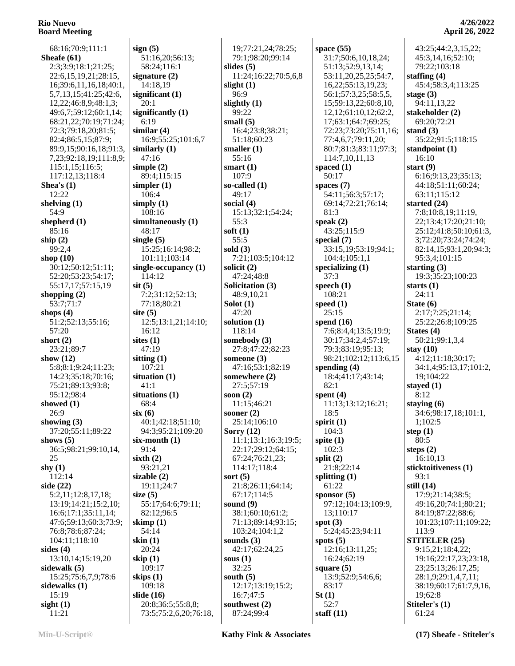**4/26/2022 April 26, 2022**

| 68:16;70:9;111:1       | sign(5)               |
|------------------------|-----------------------|
|                        |                       |
| Sheafe (61)            | 51:16,20;56:13;       |
| 2:3;3:9;18:1;21:25;    | 58:24;116:1           |
|                        |                       |
| 22:6,15,19,21;28:15,   | signature (2)         |
|                        | 14:18,19              |
| 16;39:6,11,16,18;40:1, |                       |
| 5,7,13,15;41:25;42:6,  | significant (1)       |
|                        |                       |
| 12,22;46:8,9;48:1,3;   | 20:1                  |
| 49:6,7;59:12;60:1,14;  | significantly $(1)$   |
|                        |                       |
| 68:21,22;70:19;71:24;  | 6:19                  |
|                        |                       |
| 72:3;79:18,20;81:5;    | similar (4)           |
| 82:4;86:5,15;87:9;     | 16:9;55:25;101:6,7    |
|                        |                       |
| 89:9,15;90:16,18;91:3, | similarly $(1)$       |
| 7,23;92:18,19;111:8,9; | 47:16                 |
|                        |                       |
| 115:1,15;116:5;        | simple $(2)$          |
| 117:12,13;118:4        | 89:4;115:15           |
|                        |                       |
| Shea's $(1)$           | simpler $(1)$         |
| 12:22                  | 106:4                 |
|                        |                       |
| shelving $(1)$         | simply $(1)$          |
|                        |                       |
| 54:9                   | 108:16                |
| shepherd (1)           | simultaneously (1)    |
|                        |                       |
| 85:16                  | 48:17                 |
|                        |                       |
| ship $(2)$             | single $(5)$          |
| 99:2,4                 | 15:25;16:14;98:2;     |
|                        |                       |
| shop (10)              | 101:11;103:14         |
| 30:12;50:12;51:11;     | single-occupancy (1)  |
|                        |                       |
| 52:20;53:23;54:17;     | 114:12                |
|                        |                       |
| 55:17,17;57:15,19      | $s$ it $(5)$          |
| shopping $(2)$         | 7:2;31:12;52:13;      |
|                        |                       |
| 53:7;71:7              | 77:18;80:21           |
|                        |                       |
| shops $(4)$            | site $(5)$            |
| 51:2;52:13;55:16;      | 12:5;13:1,21;14:10;   |
|                        |                       |
| 57:20                  | 16:12                 |
| short $(2)$            | sites $(1)$           |
|                        |                       |
| 23:21;89:7             | 47:19                 |
|                        | sitting $(1)$         |
| show (12)              |                       |
| 5:8;8:1;9:24;11:23;    | 107:21                |
|                        |                       |
| 14:23;35:18;70:16;     | situation (1)         |
| 75:21;89:13;93:8;      | 41:1                  |
|                        |                       |
| 95:12;98:4             | situations (1)        |
| showed (1)             | 68:4                  |
|                        |                       |
| 26:9                   | six(6)                |
|                        |                       |
| showing (3)            | 40:1;42:18;51:10;     |
| 37:20;55:11;89:22      | 94:3;95:21;109:20     |
|                        |                       |
| shows $(5)$            | $six$ -month $(1)$    |
| 36:5;98:21;99:10,14,   | 91:4                  |
|                        |                       |
| 25                     | sixth $(2)$           |
| shy $(1)$              | 93:21,21              |
|                        |                       |
| 112:14                 | sizable (2)           |
| side (22)              | 19:11;24:7            |
|                        |                       |
| 5:2,11;12:8,17,18;     | size $(5)$            |
|                        |                       |
| 13:19;14:21;15:2,10;   | 55:17;64:6;79:11;     |
| 16:6;17:1;35:11,14;    | 82:12;96:5            |
|                        |                       |
| 47:6;59:13;60:3;73:9;  | skimp(1)              |
| 76:8;78:6;87:24;       | 54:14                 |
|                        |                       |
| 104:11;118:10          | skin (1)              |
| sides (4)              | 20:24                 |
|                        |                       |
| 13:10,14;15:19,20      | skip (1)              |
|                        |                       |
| sidewalk (5)           | 109:17                |
| 15:25;75:6,7,9;78:6    | skips (1)             |
|                        | 109:18                |
| sidewalks (1)          |                       |
|                        |                       |
|                        |                       |
| 15:19                  | slide (16)            |
| sight(1)               | 20:8;36:5;55:8,8;     |
| 11:21                  | 73:5;75:2,6,20;76:18, |

| sign $(5)$                             | 1                     |
|----------------------------------------|-----------------------|
| 51:16,20;56:13;<br>58:24;116:1         | 7<br>slid             |
| signature (2)                          | 1                     |
| 14:18,19<br>significant (1)            | slig<br>9             |
| 20:1                                   | slig                  |
| significantly (1)<br>6:19              | ς<br>sm               |
| similar (4)                            | 1                     |
| 16:9;55:25;101:6,7<br>similarly (1)    | 5                     |
| 47:16                                  | sm<br>5               |
| simple $(2)$<br>89:4;115:15            | sm<br>1               |
| simpler $(1)$                          | $SO-$                 |
| 106:4                                  | 4                     |
| simply (1)<br>108:16                   | soc<br>1              |
| simultaneously (1)                     | 5                     |
| 48:17<br>single (5)                    | sofi<br>5             |
| 15:25;16:14;98:2;                      | solo                  |
| 101:11;103:14<br>single-occupancy (1)  | 7<br>soli             |
| 114:12                                 | 4                     |
| $s$ it $(5)$<br>7:2;31:12;52:13;       | Sol<br>4              |
| 77:18;80:21                            | Sol                   |
| site $(5)$<br>12:5;13:1,21;14:10;      | 4<br>solı             |
| 16:12                                  | 1                     |
| sites (1)<br>47:19                     | son<br>2              |
| sitting $(1)$                          | son                   |
| 107:21<br>situation (1)                | 4<br>son              |
| 41:1                                   | 2                     |
| situations (1)<br>68:4                 | <b>SOO</b><br>1       |
| six(6)                                 | <b>SOO</b>            |
| 40:1;42:18;51:10;<br>94:3;95:21;109:20 | $\overline{2}$<br>Sor |
| six-month (1)                          | 1                     |
| 91:4                                   | 2                     |
| sixth $(2)$<br>93:21,21                | $\epsilon$<br>1       |
| sizable (2)                            | sor                   |
| 19:11;24:7<br>size $(5)$               | 2<br>6                |
| 55:17;64:6;79:11;                      | sou                   |
| 82:12;96:5<br>skimp (1)                | 3<br>7                |
| 54:14                                  | 1                     |
| skin (1)<br>20:24                      | sou<br>4              |
| skip $(1)$                             | sou                   |
| 109:17<br>skips (1)                    | 3<br>sou              |
| 109:18                                 | 1                     |
| slide (16)<br>20:8;36:5;55:8,8;        | 1<br>sou              |
|                                        |                       |

 19;77:21,24;78:25; 79:1;98:20;99:14 **slides (5)** 11:24;16:22;70:5,6,8 **slight (1)** 96:9 **slightly (1)** 99:22 **small (5)** 16:4;23:8;38:21; 51:18;60:23 **smaller (1)** 55:16 **smart (1)** 107:9 **so-called (1)** 49:17 **social (4)** 15:13;32:1;54:24; 55:3 **soft (1)** 55:5 **sold (3)** 7:21;103:5;104:12 **solicit (2)** 47:24;48:8 **Solicitation (3)** 48:9,10,21 **Solot (1)** 47:20 **solution (1)** 118:14 **somebody (3)** 27:8;47:22;82:23 **someone (3)** 47:16;53:1;82:19 **somewhere (2)** 27:5;57:19 **soon (2)** 11:15;46:21 **sooner (2)** 25:14;106:10 **Sorry (12)** 11:1;13:1;16:3;19:5; 22:17;29:12;64:15; 67:24;76:21,23; 114:17;118:4 **sort (5)** 21:8;26:11;64:14; 67:17;114:5 **sound (9)** 38:1;60:10;61:2; 71:13;89:14;93:15; 103:24;104:1,2 **sounds (3)** 42:17;62:24,25 **sous (1)** 32:25 **south (5)** 12:17;13:19;15:2; 16:7;47:5 **southwest (2)** 87:24;99:4

**space (55)** 31:7;50:6,10,18,24; 51:13;52:9,13,14; 53:11,20,25,25;54:7, 16,22;55:13,19,23; 56:1;57:3,25;58:5,5, 15;59:13,22;60:8,10, 12,12;61:10,12;62:2, 17;63:1;64:7;69:25; 72:23;73:20;75:11,16; 77:4,6,7;79:11,20; 80:7;81:3;83:11;97:3; 114:7,10,11,13 **spaced (1)** 50:17 **spaces (7)** 54:11;56:3;57:17; 69:14;72:21;76:14; 81:3 **speak (2)** 43:25;115:9 **special (7)** 33:15,19;53:19;94:1; 104:4;105:1,1 **specializing (1)** 37:3 **speech (1)** 108:21 **speed (1)** 25:15 **spend (16)** 7:6;8:4,4;13:5;19:9; 30:17;34:2,4;57:19; 79:3;83:19;95:13; 98:21;102:12;113:6,15 **spending (4)** 18:4;41:17;43:14; 82:1 **spent (4)** 11:13;13:12;16:21; 18:5 **spirit (1)** 104:3 **spite (1)** 102:3 **split (2)** 21:8;22:14 **splitting (1)** 61:22 **sponsor (5)** 97:12;104:13;109:9, 13;110:17 **spot (3)** 5:24;45:23;94:11 **spots (5)** 12:16;13:11,25; 16:24;62:19 **square (5)** 13:9;52:9;54:6,6; 83:17 **St (1)** 52:7 **staff (11)**

 43:25;44:2,3,15,22; 45:3,14,16;52:10; 79:22;103:18 **staffing (4)** 45:4;58:3,4;113:25 **stage (3)** 94:11,13,22 **stakeholder (2)** 69:20;72:21 **stand (3)** 35:22;91:5;118:15 **standpoint (1)** 16:10 **start (9)** 6:16;9:13,23;35:13; 44:18;51:11;60:24; 63:11;115:12 **started (24)** 7:8;10:8,19;11:19, 22;13:4;17:20;21:10; 25:12;41:8;50:10;61:3, 3;72:20;73:24;74:24; 82:14,15;93:1,20;94:3; 95:3,4;101:15 **starting (3)** 19:3;35:23;100:23 **starts (1)** 24:11 **State (6)** 2:17;7:25;21:14; 25:22;26:8;109:25 **States (4)** 50:21;99:1,3,4 **stay (10)** 4:12;11:18;30:17; 34:1,4;95:13,17;101:2, 19;104:22 **stayed (1)** 8:12 **staying (6)** 34:6;98:17,18;101:1, 1;102:5 **step (1)** 80:5 **steps (2)** 16:10,13 **sticktoitiveness (1)** 93:1 **still (14)** 17:9;21:14;38:5; 49:16,20;74:1;80:21; 84:19;87:22;88:6; 101:23;107:11;109:22; 113:9 **STITELER (25)** 9:15,21;18:4,22; 19:16;22:17,23;23:18, 23;25:13;26:17,25; 28:1,9;29:1,4,7,11; 38:19;60:17;61:7,9,16, 19;62:8 **Stiteler's (1)** 61:24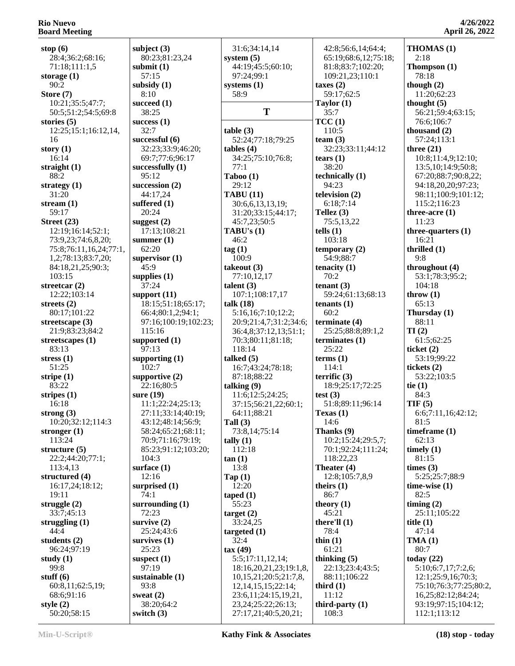| stop $(6)$                              | subj                            |
|-----------------------------------------|---------------------------------|
| 28:4;36:2;68:16;<br>71:18;111:1,5       | 80<br>subı                      |
| storage (1)                             | 51                              |
| 90:2<br>Store (7)                       | subs<br>8:                      |
| 10:21;35:5;47:7;                        | succ                            |
| 50:5;51:2;54:5;69:8                     | 38                              |
| stories (5)<br>12:25;15:1;16:12,14,     | succ<br>32                      |
| 16                                      | succ                            |
| story $(1)$<br>16:14                    | 3'<br>69                        |
| straight (1)                            | succ                            |
| 88:2<br>strategy $(1)$                  | 9.<br>succ                      |
| 31:20                                   | 44                              |
| stream (1)<br>59:17                     | suff<br>$\overline{2}$          |
| Street (23)                             | sugg                            |
| 12:19;16:14;52:1;<br>73:9,23;74:6,8,20; | 11<br>sum                       |
| 75:8;76:11,16,24;77:1,                  | 6.                              |
| 1,2;78:13;83:7,20;<br>84:18,21,25;90:3; | sup<br>4 <sup>4</sup>           |
| 103:15                                  | sup                             |
| streetcar (2)<br>12:22;103:14           | $3^{\prime}$<br>sup             |
| streets (2)                             | 18                              |
| 80:17;101:22<br>streetscape (3)         | 66<br>91                        |
| 21:9;83:23;84:2                         | 1 <sup>1</sup>                  |
| streetscapes (1)<br>83:13               | sup<br>91                       |
| stress (1)                              | sup                             |
| 51:25<br>stripe (1)                     | 10                              |
| 83:22                                   | sup<br>2,                       |
| stripes $(1)$<br>16:18                  | sur <sub>f</sub><br>$1^{\cdot}$ |
| strong $(3)$                            | $\overline{2}$                  |
| 10:20;32:12;114:3                       | 4 <sup>2</sup><br>58            |
| stronger $(1)$<br>113:24                | 70                              |
| structure (5)                           | 8.                              |
| 22:2;44:20;77:1;<br>113:4,13            | 10<br>surf                      |
| structured (4)                          | 1'                              |
| 16:17,24;18:12;<br>19:11                | surp<br>74                      |
| struggle $(2)$                          | surr                            |
| 33:7;45:13<br>struggling $(1)$          | 71<br><b>surv</b>               |
| 44:4                                    | $2\rlap{.}^{\prime}$            |
| students (2)<br>96:24;97:19             | sury<br>$2\overset{\prime}{.}$  |
| study $(1)$                             | susp                            |
| 99:8<br>stuff $(6)$                     | 91<br>sust                      |
| 60:8,11;62:5,19;                        | 9.                              |
| 68:6;91:16<br>style $(2)$               | swea<br>38                      |
| 50:20;58:15                             | swit                            |

| subject $(3)$<br>80:23;81:23,24         | Sy |
|-----------------------------------------|----|
| submit (1)                              |    |
| 57:15<br>subsidy (1)                    | SV |
| 8:10<br>succeed (1)                     |    |
| 38:25<br>success $(1)$                  |    |
| 32:7<br>successful (6)                  | ta |
| 32:23;33:9;46:20;<br>69:7;77:6;96:17    | ta |
| successfully (1)<br>95:12               | T  |
| succession $(2)$                        |    |
| 44:17,24<br>suffered (1)<br>20:24       | T. |
| suggest $(2)$                           | T. |
| 17:13;108:21<br>summer $(1)$            |    |
| 62:20<br>supervisor $(1)$               | ta |
| 45:9<br>supplies $(1)$                  | ta |
| 37:24<br>support (11)                   | ta |
| 18:15;51:18;65:17;<br>66:4;80:1,2;94:1; | ta |
| 97:16;100:19;102:23;<br>115:16          |    |
| supported (1)<br>97:13                  |    |
| supporting $(1)$<br>102:7               | ta |
| supportive $(2)$<br>22:16:80:5          | ta |
| sure (19)                               |    |
| 11:1;22:24;25:13;<br>27:11;33:14;40:19; |    |
| 43:12;48:14;56:9;<br>58:24;65:21;68:11; | T) |
| 70:9;71:16;79:19;                       | ta |
| 85:23;91:12;103:20;<br>104:3            | ta |
| surface $(1)$<br>12:16                  | T  |
| surprised (1)<br>74:1                   | ta |
| surrounding $(1)$<br>72:23              |    |
| survive $(2)$                           | ta |
| 25:24;43:6<br>survives (1)              | ta |
| 25:23<br>suspect $(1)$                  | ta |
| 97:19<br>sustainable (1)                |    |
| 93:8<br>sweat $(2)$                     |    |
| 38:20;64:2                              |    |
| switch (3)                              |    |

| 31:6;34:14,14           |     |
|-------------------------|-----|
| system $(5)$            |     |
| 44:19;45:5;60:10;       |     |
|                         |     |
| 97:24;99:1              |     |
| systems $(1)$           | tax |
| 58:9                    |     |
|                         | Ta  |
|                         |     |
| T                       |     |
|                         | ТC  |
| table(3)                |     |
| 52:24;77:18;79:25       | tea |
|                         |     |
| $tables (4)$            |     |
| 34:25;75:10;76:8;       | tea |
| 77:1                    |     |
| Taboo (1)               | tec |
|                         |     |
| 29:12                   |     |
| <b>TABU (11)</b>        | tel |
| 30:6,6,13,13,19;        |     |
| 31:20;33:15;44:17;      | Te  |
| 45:7,23;50:5            |     |
|                         |     |
| TABU's $(1)$            | tel |
| 46:2                    |     |
| tag (1)                 | ter |
| 100:9                   |     |
|                         |     |
| takeout (3)             | ter |
| 77:10,12,17             |     |
| talent $(3)$            | ter |
| 107:1;108:17,17         |     |
| talk $(18)$             | ter |
|                         |     |
| 5:16,16;7:10;12:2;      |     |
| 20:9;21:4,7;31:2;34:6;  | ter |
| 36:4,8;37:12,13;51:1;   |     |
| 70:3;80:11;81:18;       | ter |
| 118:14                  |     |
|                         |     |
| talked $(5)$            | ter |
| 16:7;43:24;78:18;       |     |
| 87:18;88:22             | ter |
| talking $(9)$           |     |
|                         | tes |
| 11:6;12:5;24:25;        |     |
| 37:15;56:21,22;60:1;    |     |
| 64:11;88:21             | Тe  |
| Tall $(3)$              |     |
| 73:8,14;75:14           | Th  |
|                         |     |
| tally $(1)$             |     |
| 112:18                  |     |
| tan(1)                  |     |
| 13:8                    | Th  |
| $\text{Tap}(1)$         |     |
|                         |     |
| 12:20                   | the |
| taped(1)                |     |
| 55:23                   | the |
| target(2)               |     |
| 33:24,25                | the |
|                         |     |
| targeted $(1)$          |     |
| 32:4                    | thi |
| tax(49)                 |     |
| 5:5;17:11,12,14;        | thi |
|                         |     |
| 18:16,20,21,23;19:1,8,  |     |
| 10,15,21;20:5;21:7,8,   |     |
| 12, 14, 15, 15; 22: 14; | thi |
| 23:6,11;24:15,19,21,    |     |
| 23, 24; 25: 22; 26: 13; | thi |
| 27:17,21;40:5,20,21;    |     |
|                         |     |

 65:19;68:6,12;75:18; 81:8;83:7;102:20; 109:21,23;110:1 **taxes (2)** 59:17;62:5 **Taylor (1)** 35:7 **TCC (1)** 110:5  $\tan (3)$  32:23;33:11;44:12 **tears (1)** 38:20 **technically (1)** 94:23 **television (2)** 6:18;7:14 **Tellez (3)** 75:5,13,22  $t\ln(1)$  103:18 **temporary** (2) 54:9;88:7 **nacity** (1) 70:2 **tenant (3)** 59:24;61:13;68:13  $t$ nants  $(1)$  60:2 **rminate** (4) 25:25;88:8;89:1,2 **terminates (1)** 25:22 **terms (1)** 114:1 **terrific (3)** 18:9;25:17;72:25 **st** (3) 51:8;89:11;96:14 **Texas (1)** 14:6 **Thanks (9)** 10:2;15:24;29:5,7; 70:1;92:24;111:24; 118:22,23 **Theater (4)** 12:8;105:7,8,9 **teirs** (1) 86:7 **theory** (1) 45:21 **there'll** (1) 78:4 **thin (1)** 61:21 **thinking (5)** 22:13;23:4;43:5; 88:11;106:22 **third (1)** 11:12 **third-party (1)** 108:3

42:8;56:6,14;64:4;

**THOMAS (1)** 2:18 **Thompson (1)** 78:18 **though (2)** 11:20;62:23 **thought (5)** 56:21;59:4;63:15; 76:6;106:7 **thousand (2)** 57:24;113:1 **three (21)** 10:8;11:4,9;12:10; 13:5,10;14:9;50:8; 67:20;88:7;90:8,22; 94:18,20,20;97:23; 98:11;100:9;101:12; 115:2;116:23 **three-acre (1)** 11:23 **three-quarters (1)** 16:21 **thrilled (1)** 9:8 **throughout (4)** 53:1;78:3;95:2; 104:18 **throw (1)** 65:13 **Thursday (1)** 88:11 **TI (2)** 61:5;62:25 **ticket (2)** 53:19;99:22 **tickets (2)** 53:22;103:5 **tie (1)** 84:3 **TIF (5)** 6:6;7:11,16;42:12; 81:5 **timeframe (1)** 62:13 **timely (1)** 81:15 **times (3)** 5:25;25:7;88:9 **time-wise (1)** 82:5 **timing (2)** 25:11;105:22 **title (1)** 47:14 **TMA (1)** 80:7 **today (22)** 5:10;6:7,17;7:2,6; 12:1;25:9,16;70:3; 75:10;76:3;77:25;80:2, 16,25;82:12;84:24; 93:19;97:15;104:12; 112:1;113:12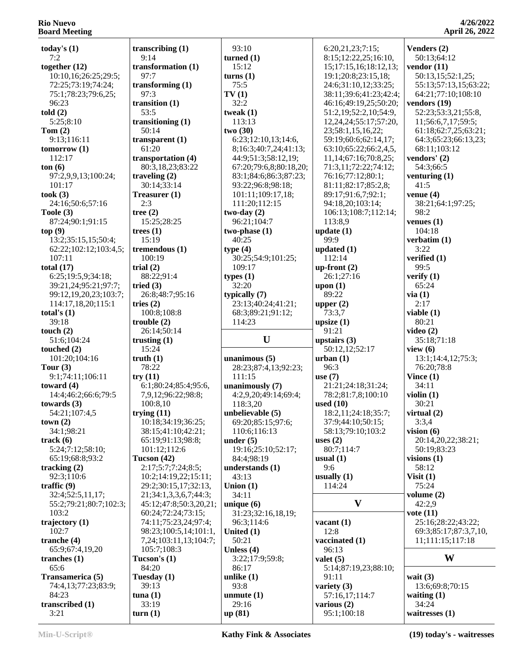| today's $(1)$          | transcribing $(1)$     | 93:10                  | 6:20,21,23;7:15;            | Venders (2)           |
|------------------------|------------------------|------------------------|-----------------------------|-----------------------|
| 7:2                    | 9:14                   | turned $(1)$           | 8:15;12:22,25;16:10,        | 50:13;64:12           |
| together $(12)$        | transformation (1)     | 15:12                  | 15;17:15,16;18:12,13;       | vendor $(11)$         |
| 10:10,16;26:25;29:5;   | 97:7                   | turns(1)               | 19:1;20:8;23:15,18;         | 50:13,15;52:1,25;     |
| 72:25;73:19;74:24;     | transforming $(1)$     | 75:5                   | 24:6;31:10,12;33:25;        | 55:13;57:13,15;63:22; |
| 75:1;78:23;79:6,25;    | 97:3                   | TV(1)                  | 38:11;39:6;41:23;42:4;      | 64:21;77:10;108:10    |
| 96:23                  | transition $(1)$       | 32:2                   | 46:16;49:19,25;50:20;       | vendors $(19)$        |
| told(2)                | 53:5                   | tweak $(1)$            | 51:2,19;52:2,10;54:9,       | 52:23;53:3,21;55:8,   |
| 5:25;8:10              | transitioning $(1)$    | 113:13                 | 12, 24, 24; 55: 17; 57: 20, | 11;56:6,7,17;59:5;    |
| Tom $(2)$              | 50:14                  | two(30)                | 23;58:1,15,16,22;           | 61:18;62:7,25;63:21;  |
| 9:13;116:11            | transparent $(1)$      | 6:23;12:10,13;14:6,    | 59:19;60:6;62:14,17;        | 64:3;65:23;66:13,23;  |
| tomorrow(1)            | 61:20                  | 8;16:3;40:7,24;41:13;  | 63:10;65:22;66:2,4,5,       | 68:11:103:12          |
| 112:17                 | transportation (4)     | 44:9;51:3;58:12,19;    | 11, 14; 67: 16; 70: 8, 25;  | vendors' (2)          |
| ton(6)                 | 80:3,18,23;83:22       | 67:20;79:6,8;80:18,20; | 71:3,11;72:22;74:12;        | 54:3;66:5             |
| 97:2,9,9,13;100:24;    |                        |                        |                             |                       |
|                        | traveling $(2)$        | 83:1;84:6;86:3;87:23;  | 76:16;77:12;80:1;           | venturing $(1)$       |
| 101:17                 | 30:14;33:14            | 93:22;96:8;98:18;      | 81:11;82:17;85:2,8;         | 41:5                  |
| took(3)                | Treasurer (1)          | 101:11;109:17,18;      | 89:17;91:6,7;92:1;          | venue $(4)$           |
| 24:16;50:6;57:16       | 2:3                    | 111:20;112:15          | 94:18,20;103:14;            | 38:21;64:1;97:25;     |
| Toole (3)              | tree $(2)$             | $two-day(2)$           | 106:13;108:7;112:14;        | 98:2                  |
| 87:24;90:1;91:15       | 15:25;28:25            | 96:21;104:7            | 113:8,9                     | venues $(1)$          |
| top(9)                 | trees $(1)$            | $two-phase(1)$         | update $(1)$                | 104:18                |
| 13:2;35:15,15;50:4;    | 15:19                  | 40:25                  | 99:9                        | verbatim (1)          |
| 62:22;102:12;103:4,5;  | tremendous (1)         | type(4)                | updated $(1)$               | 3:22                  |
| 107:11                 | 100:19                 | 30:25;54:9;101:25;     | 112:14                      | verified (1)          |
| total $(17)$           | trial $(2)$            | 109:17                 | up-front $(2)$              | 99:5                  |
| 6:25;19:5,9;34:18;     | 88:22;91:4             | types $(1)$            | 26:1;27:16                  | verify $(1)$          |
|                        |                        | 32:20                  |                             |                       |
| 39:21,24;95:21;97:7;   | tried $(3)$            |                        | upon $(1)$                  | 65:24                 |
| 99:12,19,20,23;103:7;  | 26:8;48:7;95:16        | typically $(7)$        | 89:22                       | via(1)                |
| 114:17,18,20;115:1     | tries $(2)$            | 23:13;40:24;41:21;     | upper $(2)$                 | 2:17                  |
| total's $(1)$          | 100:8;108:8            | 68:3;89:21;91:12;      | 73:3,7                      | viable $(1)$          |
| 39:18                  | trouble(2)             | 114:23                 | upsize $(1)$                | 80:21                 |
| touch $(2)$            | 26:14;50:14            |                        | 91:21                       | video $(2)$           |
| 51:6;104:24            | trusting $(1)$         | U                      | upstairs $(3)$              | 35:18;71:18           |
| touched $(2)$          | 15:24                  |                        | 50:12,12;52:17              | view $(6)$            |
| 101:20;104:16          | truth(1)               | unanimous $(5)$        | urban(1)                    | 13:1;14:4,12;75:3;    |
| Tour $(3)$             | 78:22                  | 28:23;87:4,13;92:23;   | 96:3                        | 76:20;78:8            |
| 9:1;74:11;106:11       | try(11)                | 111:15                 | use $(7)$                   | Vince $(1)$           |
| toward $(4)$           | 6:1;80:24;85:4;95:6,   | unanimously (7)        | 21:21:24:18:31:24:          | 34:11                 |
| 14:4;46:2;66:6;79:5    | 7,9,12;96:22;98:8;     | 4:2,9,20;49:14;69:4;   | 78:2;81:7,8;100:10          | violin $(1)$          |
| towards $(3)$          | 100:8,10               | 118:3,20               | used $(10)$                 | 30:21                 |
|                        |                        |                        | 18:2,11;24:18;35:7;         |                       |
| 54:21;107:4,5          | trying $(11)$          | unbelievable (5)       |                             | virtual $(2)$         |
| town(2)                | 10:18;34:19;36:25;     | 69:20;85:15;97:6;      | 37:9;44:10;50:15;           | 3:3,4                 |
| 34:1;98:21             | 38:15;41:10;42:21;     | 110:6;116:13           | 58:13;79:10;103:2           | vision $(6)$          |
| track(6)               | 65:19;91:13;98:8;      | under $(5)$            | uses $(2)$                  | 20:14,20,22;38:21;    |
| 5:24;7:12;58:10;       | 101:12;112:6           | 19:16;25:10;52:17;     | 80:7;114:7                  | 50:19;83:23           |
| 65:19;68:8;93:2        | Tucson (42)            | 84:4;98:19             | usual $(1)$                 | visions $(1)$         |
| tracking $(2)$         | 2:17;5:7;7:24;8:5;     | understands (1)        | 9:6                         | 58:12                 |
| 92:3;110:6             | 10:2;14:19,22;15:11;   | 43:13                  | usually $(1)$               | Visit $(1)$           |
| traffic $(9)$          | 29:2;30:15,17;32:13,   | Union $(1)$            | 114:24                      | 75:24                 |
| 32:4;52:5,11,17;       | 21;34:1,3,3,6,7;44:3;  | 34:11                  |                             | volume $(2)$          |
| 55:2;79:21;80:7;102:3; | 45:12;47:8;50:3,20,21; | unique $(6)$           | $\mathbf{V}$                | 42:2,9                |
| 103:2                  | 60:24;72:24;73:15;     | 31:23;32:16,18,19;     |                             | vote $(11)$           |
|                        |                        |                        |                             |                       |
| trajectory $(1)$       | 74:11;75:23,24;97:4;   | 96:3;114:6             | vacant $(1)$                | 25:16;28:22;43:22;    |
| 102:7                  | 98:23;100:5,14;101:1,  | United $(1)$           | 12:8                        | 69:3;85:17;87:3,7,10, |
| tranche (4)            | 7,24;103:11,13;104:7;  | 50:21                  | vaccinated (1)              | 11;111:15;117:18      |
| 65:9;67:4,19,20        | 105:7;108:3            | Unless (4)             | 96:13                       |                       |
| tranches $(1)$         | Tucson's $(1)$         | 3:22;17:9;59:8;        | valet $(5)$                 | W                     |
| 65:6                   | 84:20                  | 86:17                  | 5:14;87:19,23;88:10;        |                       |
| Transamerica (5)       | Tuesday (1)            | unlike $(1)$           | 91:11                       | wait $(3)$            |
| 74:4,13;77:23;83:9;    | 39:13                  | 93:8                   | variety $(3)$               | 13:6;69:8;70:15       |
| 84:23                  | $t$ una $(1)$          | unmute $(1)$           | 57:16,17;114:7              | waiting $(1)$         |
| transcribed (1)        | 33:19                  | 29:16                  | various $(2)$               | 34:24                 |
|                        |                        |                        |                             | waitresses $(1)$      |
| 3:21                   | turn(1)                | up (81)                | 95:1;100:18                 |                       |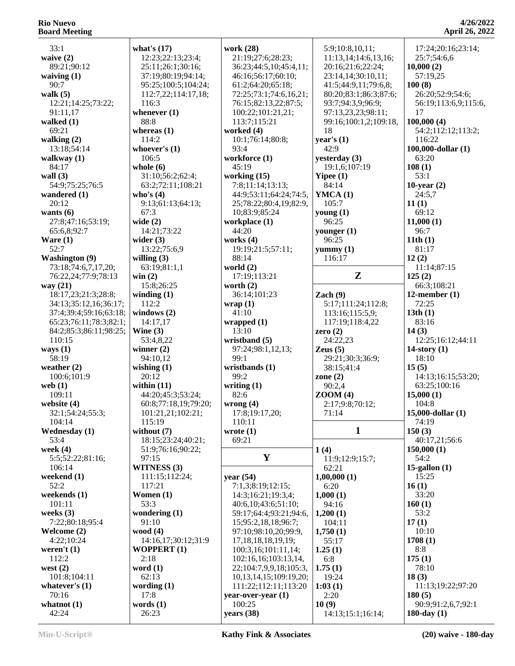33:1 **waive (2)** 89:21;90:12 **waiving (1)** 90:7 **walk (5)** 12:21;14:25;73:22; 91:11,17 **walked (1)** 69:21 **walking (2)** 13:18;54:14 **walkway (1)** 84:17 **wall (3)** 54:9;75:25;76:5 **wandered (1)** 20:12 **wants (6)** 27:8;47:16;53:19; 65:6,8;92:7 **Ware (1)** 52:7 **Washington (9)** 73:18;74:6,7,17,20; 76:22,24;77:9;78:13 **way (21)** 18:17,23;21:3;28:8; 34:13;35:12,16;36:17; 37:4;39:4;59:16;63:18; 65:23;76:11;78:3;82:1; 84:2;85:3;86:11;98:25; 110:15 **ways (1)** 58:19 **weather (2)** 100:6;101:9 **web (1)** 109:11 **website (4)** 32:1;54:24;55:3; 104:14 **Wednesday (1)** 53:4 **week (4)** 5:5;52:22;81:16; 106:14 **weekend (1)** 52:2 **weekends (1)** 101:11 **weeks (3)** 7:22;80:18;95:4 **Welcome (2)** 4:22;10:24 **weren't (1)** 112:2 **west (2)** 101:8;104:11 **whatever's (1)** 70:16 **whatnot (1)**

| what's $(17)$        | worl  |
|----------------------|-------|
| 12:23;22:13;23:4;    | 21    |
|                      |       |
| 25:11;26:1;30:16;    | 36    |
| 37:19;80:19;94:14;   | 46    |
| 95:25;100:5;104:24;  | 61    |
| 112:7,22;114:17,18;  | 72    |
| 116:3                | 76    |
| whenever $(1)$       | 10    |
| 88:8                 | 11    |
| whereas $(1)$        | worl  |
|                      |       |
| 114:2                | 10    |
| whoever's $(1)$      | 93    |
| 106:5                | worl  |
| whole (6)            | 45    |
| 31:10;56:2;62:4;     | worl  |
| 63:2;72:11;108:21    | 7:    |
| who's $(4)$          | 44    |
| 9:13;61:13;64:13;    | 25    |
| 67:3                 | 10    |
|                      |       |
| wide $(2)$           | worl  |
| 14:21;73:22          | 44    |
| wider $(3)$          | worl  |
| 13:22;75:6,9         | 19    |
| willing $(3)$        | 88    |
| 63:19;81:1,1         | worl  |
| win(2)               | 17    |
| 15:8;26:25           | wort  |
|                      |       |
| winding $(1)$        | 36    |
| 112:2                | wraj  |
| windows $(2)$        | 41    |
| 14:17,17             | wra   |
| Wine $(3)$           | 13    |
| 53:4,8,22            | wris  |
| winner $(2)$         | 97    |
| 94:10,12             | 99    |
| wishing $(1)$        | wris  |
| 20:12                | 99    |
|                      |       |
| within $(11)$        | writi |
| 44:20;45:3;53:24;    | 82    |
| 60:8;77:18,19;79:20; | wroi  |
| 101:21,21;102:21;    | 17    |
| 115:19               | 11    |
| without $(7)$        | wrot  |
| 18:15;23:24;40:21;   | 69    |
| 51:9;76:16;90:22;    |       |
| 97:15                |       |
|                      |       |
| WITNESS (3)          |       |
| 111:15;112:24;       | year  |
| 117:21               | 7:    |
| Women (1)            | 14    |
| 53:3                 | 40    |
| wondering (1)        | 59    |
| 91:10                | 15    |
| wood $(4)$           | 97    |
| 14:16,17;30:12;31:9  | 17    |
| <b>WOPPERT</b> (1)   | 10    |
| 2:18                 |       |
|                      | 10    |
| word $(1)$           | 22    |
| 62:13                | 10    |
| wording $(1)$        | 11    |
| 17:8                 | year  |
| words $(1)$          | 10    |
|                      |       |

| work (28)<br>21:19;27:6;28:23;<br>36:23;44:5,10;45:4,11;<br>46:16;56:17;60:10;<br>61:2;64:20;65:18;<br>72:25;73:1;74:6,16,21;<br>76:15;82:13,22;87:5;<br>100:22;101:21,21;<br>113:7;115:21<br>worked (4)<br>10:1;76:14;80:8;<br>93:4<br>workforce (1) | 5:9;10:8,10,11;<br>11:13,14;14:6,13,16;<br>20:16;21:6;22:24;<br>23:14,14;30:10,11;<br>41:5;44:9,11;79:6,8;<br>80:20;83:1;86:3;87:6;<br>93:7;94:3,9;96:9;<br>97:13,23,23;98:11;<br>99:16;100:1,2;109:18,<br>18<br>year's $(1)$<br>42:9<br>yesterday (3) | 10<br>10<br>10<br>10 |
|-------------------------------------------------------------------------------------------------------------------------------------------------------------------------------------------------------------------------------------------------------|--------------------------------------------------------------------------------------------------------------------------------------------------------------------------------------------------------------------------------------------------------|----------------------|
| 45:19                                                                                                                                                                                                                                                 | 19:1,6;107:19                                                                                                                                                                                                                                          | 10                   |
| working $(15)$<br>7:8;11:14;13:13;                                                                                                                                                                                                                    | Yipee $(1)$<br>84:14                                                                                                                                                                                                                                   | 10                   |
| 44:9;53:11;64:24;74:5,<br>25;78:22;80:4,19;82:9,                                                                                                                                                                                                      | YMCA(1)<br>105:7                                                                                                                                                                                                                                       | 11                   |
| 10;83:9;85:24<br>workplace (1)                                                                                                                                                                                                                        | young $(1)$<br>96:25                                                                                                                                                                                                                                   | 11                   |
| 44:20<br>works $(4)$                                                                                                                                                                                                                                  | younger $(1)$<br>96:25                                                                                                                                                                                                                                 | 11                   |
| 19:19;21:5;57:11;<br>88:14                                                                                                                                                                                                                            | yummy $(1)$<br>116:17                                                                                                                                                                                                                                  | 12                   |
| world $(2)$                                                                                                                                                                                                                                           | Z                                                                                                                                                                                                                                                      | 12                   |
| 17:19;113:21<br>worth $(2)$                                                                                                                                                                                                                           |                                                                                                                                                                                                                                                        |                      |
| 36:14;101:23<br>wrap(1)                                                                                                                                                                                                                               | Zach $(9)$<br>5:17;111:24;112:8;                                                                                                                                                                                                                       | 12                   |
| 41:10<br>wrapped $(1)$                                                                                                                                                                                                                                | 113:16;115:5,9;<br>117:19;118:4,22                                                                                                                                                                                                                     | 13                   |
| 13:10<br>wristband (5)                                                                                                                                                                                                                                | zero $(2)$<br>24:22,23                                                                                                                                                                                                                                 | 14                   |
| 97:24;98:1,12,13;<br>99:1                                                                                                                                                                                                                             | Zeus $(5)$<br>29:21;30:3;36:9;                                                                                                                                                                                                                         | 14                   |
| wristbands (1)<br>99:2                                                                                                                                                                                                                                | 38:15;41:4<br>zone $(2)$                                                                                                                                                                                                                               | 15                   |
| writing $(1)$<br>82:6                                                                                                                                                                                                                                 | 90:2,4<br>ZOOM(4)                                                                                                                                                                                                                                      | 15                   |
| wrong $(4)$<br>17:8;19:17,20;                                                                                                                                                                                                                         | 2:17;9:8;70:12;<br>71:14                                                                                                                                                                                                                               | 15                   |
| 110:11                                                                                                                                                                                                                                                |                                                                                                                                                                                                                                                        |                      |
| wrote $(1)$<br>69:21                                                                                                                                                                                                                                  | 1                                                                                                                                                                                                                                                      | 15                   |
| Y                                                                                                                                                                                                                                                     | 1(4)<br>11:9;12:9;15:7;                                                                                                                                                                                                                                | 15                   |
| year $(54)$                                                                                                                                                                                                                                           | 62:21<br>1,00,000(1)                                                                                                                                                                                                                                   | 15                   |
| 7:1,3;8:19;12:15;<br>14:3;16:21;19:3,4;                                                                                                                                                                                                               | 6:20<br>1,000(1)                                                                                                                                                                                                                                       | 16                   |
| 40:6,10;43:6;51:10;<br>59:17;64:4;93:21;94:6,                                                                                                                                                                                                         | 94:16<br>1,200(1)                                                                                                                                                                                                                                      | 16                   |
| 15;95:2,18,18;96:7;<br>97:10;98:10,20;99:9,                                                                                                                                                                                                           | 104:11<br>1,750(1)                                                                                                                                                                                                                                     | 17                   |
| 17, 18, 18, 18, 19, 19;<br>100:3,16;101:11,14;                                                                                                                                                                                                        | 55:17                                                                                                                                                                                                                                                  | 17                   |
|                                                                                                                                                                                                                                                       |                                                                                                                                                                                                                                                        |                      |
| 102:16,16;103:13,14,                                                                                                                                                                                                                                  | 1.25(1)<br>6:8                                                                                                                                                                                                                                         | 17                   |
| 22;104:7,9,9,18;105:3,<br>10, 13, 14, 15; 109: 19, 20;                                                                                                                                                                                                | 1.75(1)<br>19:24                                                                                                                                                                                                                                       | 18                   |
| 111:22;112:11;113:20                                                                                                                                                                                                                                  | 1:03(1)<br>2:20                                                                                                                                                                                                                                        | 18                   |
| year-over-year (1)<br>100:25<br>years (38)                                                                                                                                                                                                            | 10(9)<br>14:13;15:1;16:14;                                                                                                                                                                                                                             | 18                   |

#### **4/26/2022 April 26, 2022**

17:24;20:16;23:14;

 25:7;54:6,6 **10,000 (2)** 57:19,25 **100 (8)** 26:20;52:9;54:6; 56:19;113:6,9;115:6, 17 **100,000 (4)** 54:2;112:12;113:2; 116:22 **100,000-dollar (1)** 63:20 **108 (1)** 53:1 **10-year (2)** 24:5,7 **11 (1)** 69:12 **11,000 (1)** 96:7 **11th (1)** 81:17 **12 (2)** 11:14;87:15 **125 (2)** 66:3;108:21 **12-member (1)** 72:25 **13th (1)** 83:16 **14 (3)** 12:25;16:12;44:11 **14-story (1)** 18:10 **15 (5)** 14:13;16:15;53:20; 63:25;100:16 **15,000 (1)** 104:8 **15,000-dollar (1)** 74:19 **150 (3)** 40:17,21;56:6 **150,000 (1)** 54:2 **15-gallon (1)** 15:25 **16 (1)** 33:20 **160 (1)** 53:2 **17 (1)** 10:10 **1708 (1)** 8:8 **175 (1)** 78:10 **18 (3)** 11:13;19:22;97:20 **180 (5)** 90:9;91:2,6,7;92:1 **180-day (1)**

42:24